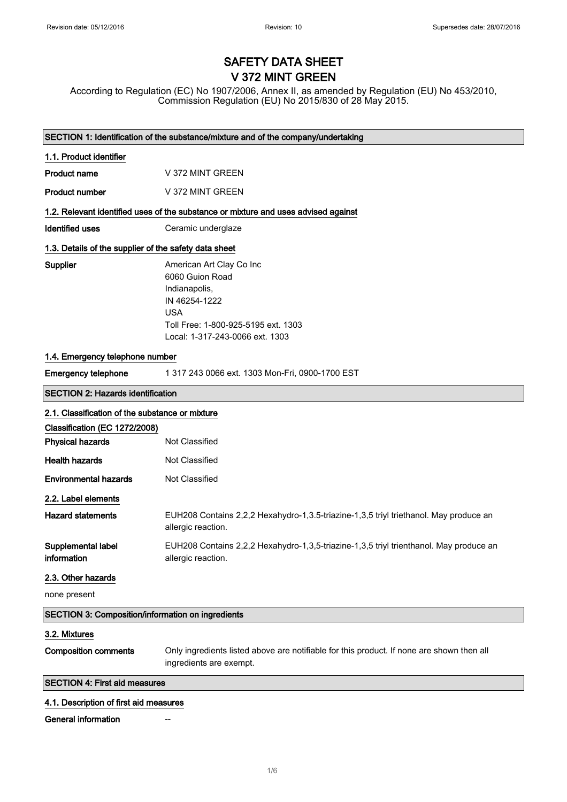# SAFETY DATA SHEET V 372 MINT GREEN

According to Regulation (EC) No 1907/2006, Annex II, as amended by Regulation (EU) No 453/2010, Commission Regulation (EU) No 2015/830 of 28 May 2015.

|                                                                                  | SECTION 1: Identification of the substance/mixture and of the company/undertaking                                                                                     |  |
|----------------------------------------------------------------------------------|-----------------------------------------------------------------------------------------------------------------------------------------------------------------------|--|
| 1.1. Product identifier                                                          |                                                                                                                                                                       |  |
| <b>Product name</b>                                                              | V 372 MINT GREEN                                                                                                                                                      |  |
| <b>Product number</b>                                                            | V 372 MINT GREEN                                                                                                                                                      |  |
|                                                                                  | 1.2. Relevant identified uses of the substance or mixture and uses advised against                                                                                    |  |
| <b>Identified uses</b>                                                           | Ceramic underglaze                                                                                                                                                    |  |
| 1.3. Details of the supplier of the safety data sheet                            |                                                                                                                                                                       |  |
| Supplier                                                                         | American Art Clay Co Inc<br>6060 Guion Road<br>Indianapolis,<br>IN 46254-1222<br><b>USA</b><br>Toll Free: 1-800-925-5195 ext. 1303<br>Local: 1-317-243-0066 ext. 1303 |  |
| 1.4. Emergency telephone number                                                  |                                                                                                                                                                       |  |
| <b>Emergency telephone</b>                                                       | 1 317 243 0066 ext. 1303 Mon-Fri, 0900-1700 EST                                                                                                                       |  |
| <b>SECTION 2: Hazards identification</b>                                         |                                                                                                                                                                       |  |
| 2.1. Classification of the substance or mixture<br>Classification (EC 1272/2008) |                                                                                                                                                                       |  |
| <b>Physical hazards</b>                                                          | Not Classified                                                                                                                                                        |  |
| <b>Health hazards</b>                                                            | Not Classified                                                                                                                                                        |  |
| <b>Environmental hazards</b>                                                     | Not Classified                                                                                                                                                        |  |
| 2.2. Label elements                                                              |                                                                                                                                                                       |  |
| <b>Hazard statements</b>                                                         | EUH208 Contains 2,2,2 Hexahydro-1,3.5-triazine-1,3,5 triyl triethanol. May produce an<br>allergic reaction.                                                           |  |
| Supplemental label<br>information                                                | EUH208 Contains 2,2,2 Hexahydro-1,3,5-triazine-1,3,5 triyl trienthanol. May produce an<br>allergic reaction.                                                          |  |
| 2.3. Other hazards                                                               |                                                                                                                                                                       |  |
| none present                                                                     |                                                                                                                                                                       |  |
| <b>SECTION 3: Composition/information on ingredients</b>                         |                                                                                                                                                                       |  |
| 3.2. Mixtures                                                                    |                                                                                                                                                                       |  |
| <b>Composition comments</b>                                                      | Only ingredients listed above are notifiable for this product. If none are shown then all<br>ingredients are exempt.                                                  |  |
| <b>SECTION 4: First aid measures</b>                                             |                                                                                                                                                                       |  |
| 4.1. Description of first aid measures                                           |                                                                                                                                                                       |  |
| <b>General information</b>                                                       |                                                                                                                                                                       |  |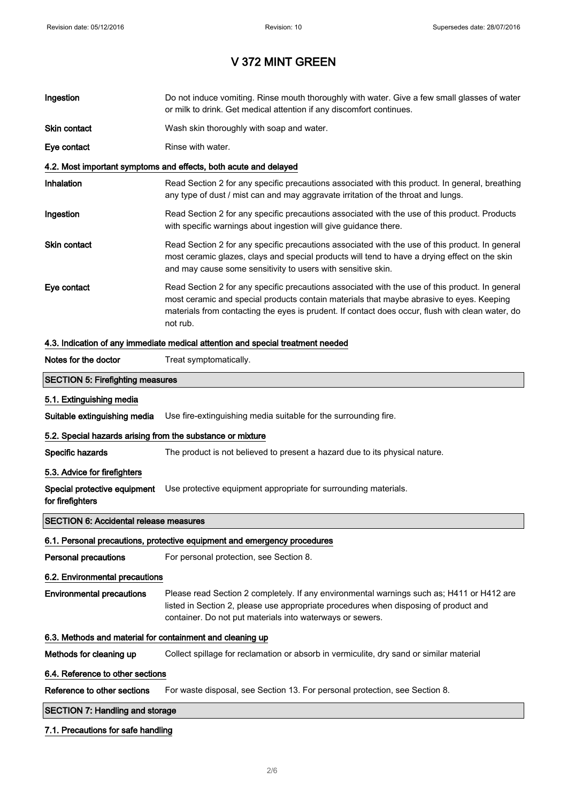| Ingestion                                                  | Do not induce vomiting. Rinse mouth thoroughly with water. Give a few small glasses of water<br>or milk to drink. Get medical attention if any discomfort continues.                                                                                                                                        |  |
|------------------------------------------------------------|-------------------------------------------------------------------------------------------------------------------------------------------------------------------------------------------------------------------------------------------------------------------------------------------------------------|--|
| <b>Skin contact</b>                                        | Wash skin thoroughly with soap and water.                                                                                                                                                                                                                                                                   |  |
| Eye contact                                                | Rinse with water.                                                                                                                                                                                                                                                                                           |  |
|                                                            | 4.2. Most important symptoms and effects, both acute and delayed                                                                                                                                                                                                                                            |  |
| Inhalation                                                 | Read Section 2 for any specific precautions associated with this product. In general, breathing<br>any type of dust / mist can and may aggravate irritation of the throat and lungs.                                                                                                                        |  |
| Ingestion                                                  | Read Section 2 for any specific precautions associated with the use of this product. Products<br>with specific warnings about ingestion will give guidance there.                                                                                                                                           |  |
| <b>Skin contact</b>                                        | Read Section 2 for any specific precautions associated with the use of this product. In general<br>most ceramic glazes, clays and special products will tend to have a drying effect on the skin<br>and may cause some sensitivity to users with sensitive skin.                                            |  |
| Eye contact                                                | Read Section 2 for any specific precautions associated with the use of this product. In general<br>most ceramic and special products contain materials that maybe abrasive to eyes. Keeping<br>materials from contacting the eyes is prudent. If contact does occur, flush with clean water, do<br>not rub. |  |
|                                                            | 4.3. Indication of any immediate medical attention and special treatment needed                                                                                                                                                                                                                             |  |
| Notes for the doctor                                       | Treat symptomatically.                                                                                                                                                                                                                                                                                      |  |
| <b>SECTION 5: Firefighting measures</b>                    |                                                                                                                                                                                                                                                                                                             |  |
| 5.1. Extinguishing media                                   |                                                                                                                                                                                                                                                                                                             |  |
| Suitable extinguishing media                               | Use fire-extinguishing media suitable for the surrounding fire.                                                                                                                                                                                                                                             |  |
| 5.2. Special hazards arising from the substance or mixture |                                                                                                                                                                                                                                                                                                             |  |
| Specific hazards                                           | The product is not believed to present a hazard due to its physical nature.                                                                                                                                                                                                                                 |  |
| 5.3. Advice for firefighters                               |                                                                                                                                                                                                                                                                                                             |  |
| Special protective equipment<br>for firefighters           | Use protective equipment appropriate for surrounding materials.                                                                                                                                                                                                                                             |  |
| <b>SECTION 6: Accidental release measures</b>              |                                                                                                                                                                                                                                                                                                             |  |
|                                                            | 6.1. Personal precautions, protective equipment and emergency procedures                                                                                                                                                                                                                                    |  |
| <b>Personal precautions</b>                                | For personal protection, see Section 8.                                                                                                                                                                                                                                                                     |  |
| 6.2. Environmental precautions                             |                                                                                                                                                                                                                                                                                                             |  |
| <b>Environmental precautions</b>                           | Please read Section 2 completely. If any environmental warnings such as; H411 or H412 are<br>listed in Section 2, please use appropriate procedures when disposing of product and<br>container. Do not put materials into waterways or sewers.                                                              |  |
| 6.3. Methods and material for containment and cleaning up  |                                                                                                                                                                                                                                                                                                             |  |
| Methods for cleaning up                                    | Collect spillage for reclamation or absorb in vermiculite, dry sand or similar material                                                                                                                                                                                                                     |  |
| 6.4. Reference to other sections                           |                                                                                                                                                                                                                                                                                                             |  |
| Reference to other sections                                | For waste disposal, see Section 13. For personal protection, see Section 8.                                                                                                                                                                                                                                 |  |
| <b>SECTION 7: Handling and storage</b>                     |                                                                                                                                                                                                                                                                                                             |  |
| 7.1. Precautions for safe handling                         |                                                                                                                                                                                                                                                                                                             |  |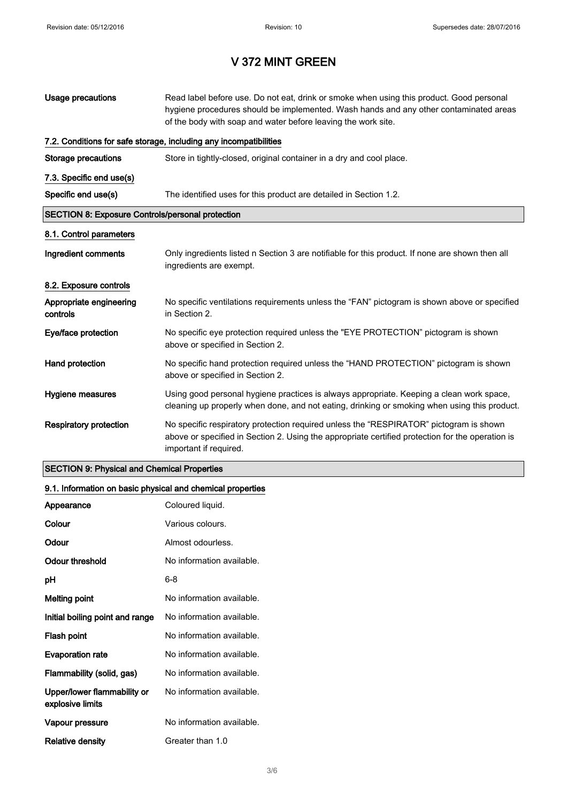| Usage precautions                                       | Read label before use. Do not eat, drink or smoke when using this product. Good personal<br>hygiene procedures should be implemented. Wash hands and any other contaminated areas<br>of the body with soap and water before leaving the work site. |  |
|---------------------------------------------------------|----------------------------------------------------------------------------------------------------------------------------------------------------------------------------------------------------------------------------------------------------|--|
|                                                         | 7.2. Conditions for safe storage, including any incompatibilities                                                                                                                                                                                  |  |
| <b>Storage precautions</b>                              | Store in tightly-closed, original container in a dry and cool place.                                                                                                                                                                               |  |
| 7.3. Specific end use(s)                                |                                                                                                                                                                                                                                                    |  |
| Specific end use(s)                                     | The identified uses for this product are detailed in Section 1.2.                                                                                                                                                                                  |  |
| <b>SECTION 8: Exposure Controls/personal protection</b> |                                                                                                                                                                                                                                                    |  |
| 8.1. Control parameters                                 |                                                                                                                                                                                                                                                    |  |
| Ingredient comments                                     | Only ingredients listed n Section 3 are notifiable for this product. If none are shown then all<br>ingredients are exempt.                                                                                                                         |  |
| 8.2. Exposure controls                                  |                                                                                                                                                                                                                                                    |  |
| Appropriate engineering<br>controls                     | No specific ventilations requirements unless the "FAN" pictogram is shown above or specified<br>in Section 2.                                                                                                                                      |  |
| Eye/face protection                                     | No specific eye protection required unless the "EYE PROTECTION" pictogram is shown<br>above or specified in Section 2.                                                                                                                             |  |
| Hand protection                                         | No specific hand protection required unless the "HAND PROTECTION" pictogram is shown<br>above or specified in Section 2.                                                                                                                           |  |
| Hygiene measures                                        | Using good personal hygiene practices is always appropriate. Keeping a clean work space,<br>cleaning up properly when done, and not eating, drinking or smoking when using this product.                                                           |  |
| <b>Respiratory protection</b>                           | No specific respiratory protection required unless the "RESPIRATOR" pictogram is shown<br>above or specified in Section 2. Using the appropriate certified protection for the operation is<br>important if required.                               |  |

### SECTION 9: Physical and Chemical Properties

### 9.1. Information on basic physical and chemical properties

| Appearance                                      | Coloured liquid.          |
|-------------------------------------------------|---------------------------|
| Colour                                          | Various colours.          |
| Odour                                           | Almost odourless.         |
| Odour threshold                                 | No information available. |
| рH                                              | 6-8                       |
| <b>Melting point</b>                            | No information available. |
| Initial boiling point and range                 | No information available. |
| Flash point                                     | No information available. |
| <b>Evaporation rate</b>                         | No information available. |
| Flammability (solid, gas)                       | No information available. |
| Upper/lower flammability or<br>explosive limits | No information available. |
| Vapour pressure                                 | No information available. |
| Relative density                                | Greater than 1.0          |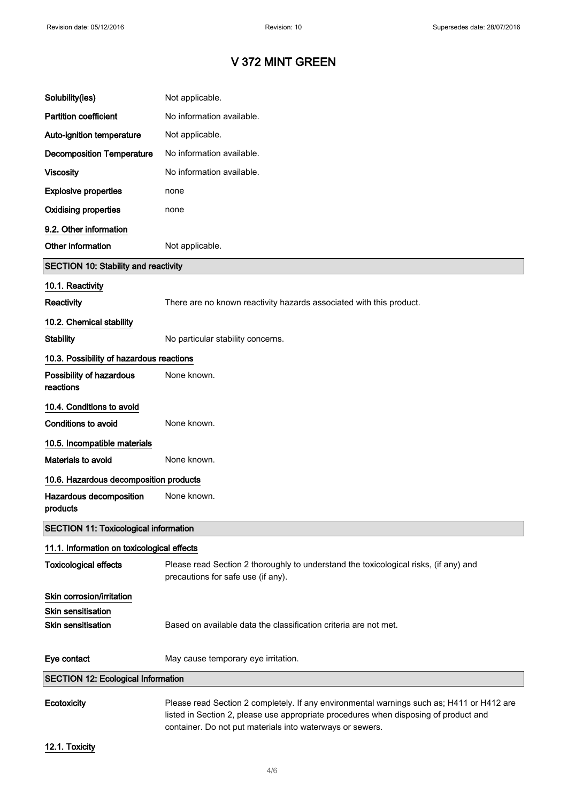| Solubility(ies)                              | Not applicable.                                                                                                                                                                   |
|----------------------------------------------|-----------------------------------------------------------------------------------------------------------------------------------------------------------------------------------|
| <b>Partition coefficient</b>                 | No information available.                                                                                                                                                         |
| Auto-ignition temperature                    | Not applicable.                                                                                                                                                                   |
| <b>Decomposition Temperature</b>             | No information available.                                                                                                                                                         |
| <b>Viscosity</b>                             | No information available.                                                                                                                                                         |
| <b>Explosive properties</b>                  | none                                                                                                                                                                              |
| <b>Oxidising properties</b>                  | none                                                                                                                                                                              |
| 9.2. Other information                       |                                                                                                                                                                                   |
| Other information                            | Not applicable.                                                                                                                                                                   |
| <b>SECTION 10: Stability and reactivity</b>  |                                                                                                                                                                                   |
| 10.1. Reactivity                             |                                                                                                                                                                                   |
| Reactivity                                   | There are no known reactivity hazards associated with this product.                                                                                                               |
| 10.2. Chemical stability                     |                                                                                                                                                                                   |
| <b>Stability</b>                             | No particular stability concerns.                                                                                                                                                 |
| 10.3. Possibility of hazardous reactions     |                                                                                                                                                                                   |
| Possibility of hazardous<br>reactions        | None known.                                                                                                                                                                       |
| 10.4. Conditions to avoid                    |                                                                                                                                                                                   |
| Conditions to avoid                          | None known.                                                                                                                                                                       |
| 10.5. Incompatible materials                 |                                                                                                                                                                                   |
| Materials to avoid                           | None known.                                                                                                                                                                       |
| 10.6. Hazardous decomposition products       |                                                                                                                                                                                   |
| Hazardous decomposition<br>products          | None known.                                                                                                                                                                       |
| <b>SECTION 11: Toxicological information</b> |                                                                                                                                                                                   |
| 11.1. Information on toxicological effects   |                                                                                                                                                                                   |
| <b>Toxicological effects</b>                 | Please read Section 2 thoroughly to understand the toxicological risks, (if any) and<br>precautions for safe use (if any).                                                        |
| Skin corrosion/irritation                    |                                                                                                                                                                                   |
| Skin sensitisation                           |                                                                                                                                                                                   |
| <b>Skin sensitisation</b>                    | Based on available data the classification criteria are not met.                                                                                                                  |
| Eye contact                                  | May cause temporary eye irritation.                                                                                                                                               |
| <b>SECTION 12: Ecological Information</b>    |                                                                                                                                                                                   |
| Ecotoxicity                                  | Please read Section 2 completely. If any environmental warnings such as; H411 or H412 are<br>listed in Section 2, please use appropriate procedures when disposing of product and |

12.1. Toxicity

container. Do not put materials into waterways or sewers.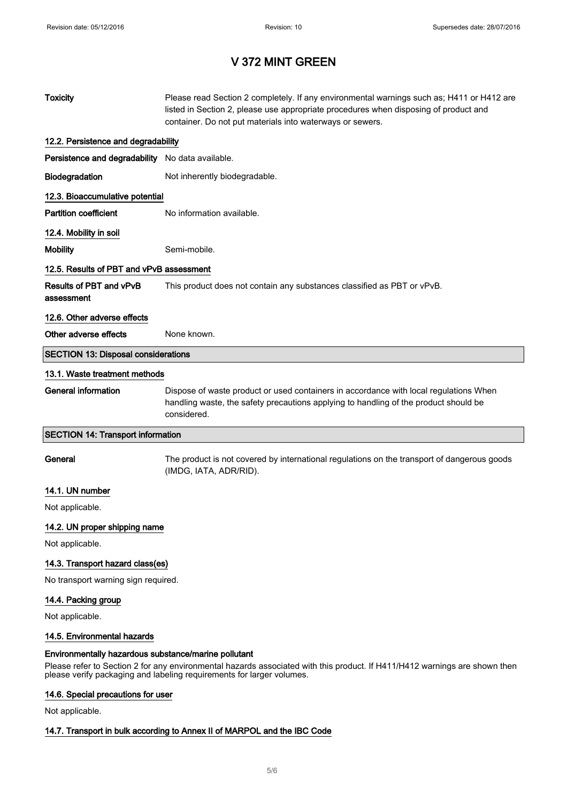| <b>Toxicity</b>                                                                                                                                                                                                                                             | Please read Section 2 completely. If any environmental warnings such as; H411 or H412 are<br>listed in Section 2, please use appropriate procedures when disposing of product and<br>container. Do not put materials into waterways or sewers. |  |
|-------------------------------------------------------------------------------------------------------------------------------------------------------------------------------------------------------------------------------------------------------------|------------------------------------------------------------------------------------------------------------------------------------------------------------------------------------------------------------------------------------------------|--|
| 12.2. Persistence and degradability                                                                                                                                                                                                                         |                                                                                                                                                                                                                                                |  |
| Persistence and degradability No data available.                                                                                                                                                                                                            |                                                                                                                                                                                                                                                |  |
| Biodegradation                                                                                                                                                                                                                                              | Not inherently biodegradable.                                                                                                                                                                                                                  |  |
| 12.3. Bioaccumulative potential                                                                                                                                                                                                                             |                                                                                                                                                                                                                                                |  |
| <b>Partition coefficient</b>                                                                                                                                                                                                                                | No information available.                                                                                                                                                                                                                      |  |
| 12.4. Mobility in soil                                                                                                                                                                                                                                      |                                                                                                                                                                                                                                                |  |
| <b>Mobility</b>                                                                                                                                                                                                                                             | Semi-mobile.                                                                                                                                                                                                                                   |  |
| 12.5. Results of PBT and vPvB assessment                                                                                                                                                                                                                    |                                                                                                                                                                                                                                                |  |
| Results of PBT and vPvB<br>assessment                                                                                                                                                                                                                       | This product does not contain any substances classified as PBT or vPvB.                                                                                                                                                                        |  |
| 12.6. Other adverse effects                                                                                                                                                                                                                                 |                                                                                                                                                                                                                                                |  |
| Other adverse effects                                                                                                                                                                                                                                       | None known.                                                                                                                                                                                                                                    |  |
| <b>SECTION 13: Disposal considerations</b>                                                                                                                                                                                                                  |                                                                                                                                                                                                                                                |  |
| 13.1. Waste treatment methods                                                                                                                                                                                                                               |                                                                                                                                                                                                                                                |  |
| <b>General information</b>                                                                                                                                                                                                                                  | Dispose of waste product or used containers in accordance with local regulations When<br>handling waste, the safety precautions applying to handling of the product should be<br>considered.                                                   |  |
| <b>SECTION 14: Transport information</b>                                                                                                                                                                                                                    |                                                                                                                                                                                                                                                |  |
| General                                                                                                                                                                                                                                                     | The product is not covered by international regulations on the transport of dangerous goods<br>(IMDG, IATA, ADR/RID).                                                                                                                          |  |
| 14.1. UN number                                                                                                                                                                                                                                             |                                                                                                                                                                                                                                                |  |
| Not applicable.                                                                                                                                                                                                                                             |                                                                                                                                                                                                                                                |  |
| 14.2. UN proper shipping name                                                                                                                                                                                                                               |                                                                                                                                                                                                                                                |  |
| Not applicable.                                                                                                                                                                                                                                             |                                                                                                                                                                                                                                                |  |
| 14.3. Transport hazard class(es)                                                                                                                                                                                                                            |                                                                                                                                                                                                                                                |  |
| No transport warning sign required.                                                                                                                                                                                                                         |                                                                                                                                                                                                                                                |  |
| 14.4. Packing group                                                                                                                                                                                                                                         |                                                                                                                                                                                                                                                |  |
| Not applicable.                                                                                                                                                                                                                                             |                                                                                                                                                                                                                                                |  |
| 14.5. Environmental hazards                                                                                                                                                                                                                                 |                                                                                                                                                                                                                                                |  |
| Environmentally hazardous substance/marine pollutant<br>Please refer to Section 2 for any environmental hazards associated with this product. If H411/H412 warnings are shown then<br>please verify packaging and labeling requirements for larger volumes. |                                                                                                                                                                                                                                                |  |

### 14.6. Special precautions for user

Not applicable.

### 14.7. Transport in bulk according to Annex II of MARPOL and the IBC Code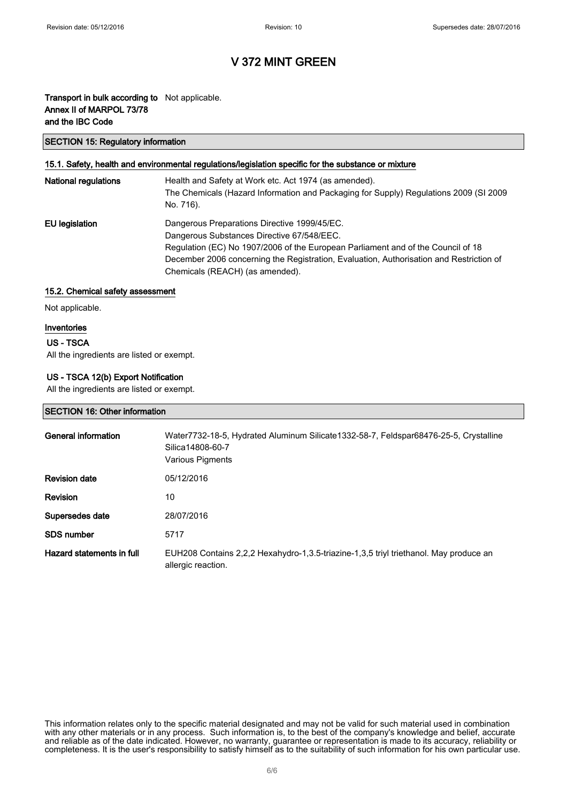### Transport in bulk according to Not applicable. Annex II of MARPOL 73/78 and the IBC Code

#### SECTION 15: Regulatory information

#### 15.1. Safety, health and environmental regulations/legislation specific for the substance or mixture

| <b>National regulations</b> | Health and Safety at Work etc. Act 1974 (as amended).<br>The Chemicals (Hazard Information and Packaging for Supply) Regulations 2009 (SI 2009<br>No. 716).                                                                                                                                                  |
|-----------------------------|--------------------------------------------------------------------------------------------------------------------------------------------------------------------------------------------------------------------------------------------------------------------------------------------------------------|
| EU legislation              | Dangerous Preparations Directive 1999/45/EC.<br>Dangerous Substances Directive 67/548/EEC.<br>Regulation (EC) No 1907/2006 of the European Parliament and of the Council of 18<br>December 2006 concerning the Registration, Evaluation, Authorisation and Restriction of<br>Chemicals (REACH) (as amended). |

#### 15.2. Chemical safety assessment

Not applicable.

#### Inventories

#### US - TSCA

All the ingredients are listed or exempt.

### US - TSCA 12(b) Export Notification

All the ingredients are listed or exempt.

#### SECTION 16: Other information

| General information       | Water7732-18-5, Hydrated Aluminum Silicate1332-58-7, Feldspar68476-25-5, Crystalline<br>Silica14808-60-7<br>Various Pigments |
|---------------------------|------------------------------------------------------------------------------------------------------------------------------|
| <b>Revision date</b>      | 05/12/2016                                                                                                                   |
| <b>Revision</b>           | 10                                                                                                                           |
| Supersedes date           | 28/07/2016                                                                                                                   |
| <b>SDS</b> number         | 5717                                                                                                                         |
| Hazard statements in full | EUH208 Contains 2,2,2 Hexahydro-1,3.5-triazine-1,3,5 triyl triethanol. May produce an<br>allergic reaction.                  |

This information relates only to the specific material designated and may not be valid for such material used in combination with any other materials or in any process. Such information is, to the best of the company's knowledge and belief, accurate and reliable as of the date indicated. However, no warranty, guarantee or representation is made to its accuracy, reliability or completeness. It is the user's responsibility to satisfy himself as to the suitability of such information for his own particular use.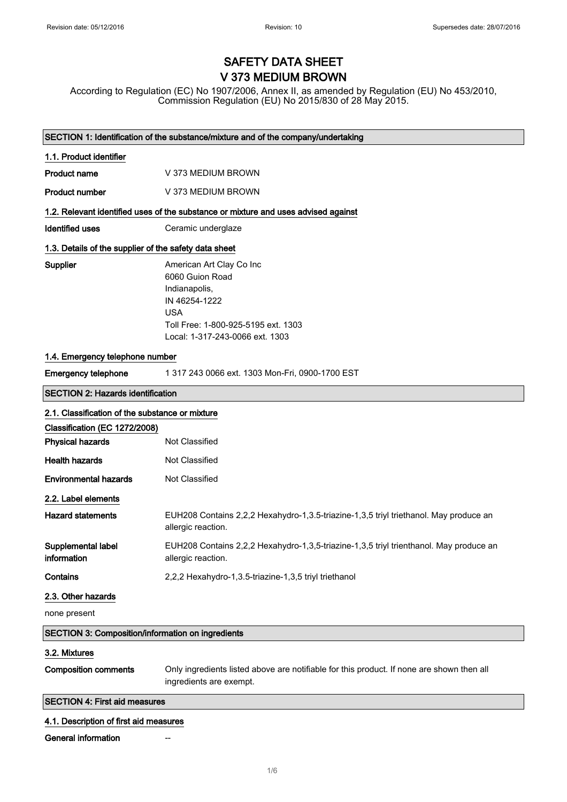# SAFETY DATA SHEET V 373 MEDIUM BROWN

According to Regulation (EC) No 1907/2006, Annex II, as amended by Regulation (EU) No 453/2010, Commission Regulation (EU) No 2015/830 of 28 May 2015.

|                                                                                    | SECTION 1: Identification of the substance/mixture and of the company/undertaking                                                                                     |  |
|------------------------------------------------------------------------------------|-----------------------------------------------------------------------------------------------------------------------------------------------------------------------|--|
| 1.1. Product identifier                                                            |                                                                                                                                                                       |  |
| <b>Product name</b>                                                                | V 373 MEDIUM BROWN                                                                                                                                                    |  |
| <b>Product number</b>                                                              | V 373 MEDIUM BROWN                                                                                                                                                    |  |
| 1.2. Relevant identified uses of the substance or mixture and uses advised against |                                                                                                                                                                       |  |
| <b>Identified uses</b>                                                             | Ceramic underglaze                                                                                                                                                    |  |
| 1.3. Details of the supplier of the safety data sheet                              |                                                                                                                                                                       |  |
| Supplier                                                                           | American Art Clay Co Inc<br>6060 Guion Road<br>Indianapolis,<br>IN 46254-1222<br><b>USA</b><br>Toll Free: 1-800-925-5195 ext. 1303<br>Local: 1-317-243-0066 ext. 1303 |  |
| 1.4. Emergency telephone number                                                    |                                                                                                                                                                       |  |
| <b>Emergency telephone</b>                                                         | 1 317 243 0066 ext. 1303 Mon-Fri, 0900-1700 EST                                                                                                                       |  |
| <b>SECTION 2: Hazards identification</b>                                           |                                                                                                                                                                       |  |
| 2.1. Classification of the substance or mixture                                    |                                                                                                                                                                       |  |
| Classification (EC 1272/2008)                                                      |                                                                                                                                                                       |  |
| <b>Physical hazards</b>                                                            | Not Classified                                                                                                                                                        |  |
| <b>Health hazards</b>                                                              | <b>Not Classified</b>                                                                                                                                                 |  |
| <b>Environmental hazards</b>                                                       | Not Classified                                                                                                                                                        |  |
| 2.2. Label elements                                                                |                                                                                                                                                                       |  |
| <b>Hazard statements</b>                                                           | EUH208 Contains 2,2,2 Hexahydro-1,3.5-triazine-1,3,5 triyl triethanol. May produce an<br>allergic reaction.                                                           |  |
| Supplemental label<br>information                                                  | EUH208 Contains 2,2,2 Hexahydro-1,3,5-triazine-1,3,5 triyl trienthanol. May produce an<br>allergic reaction.                                                          |  |
| Contains                                                                           | 2,2,2 Hexahydro-1,3.5-triazine-1,3,5 triyl triethanol                                                                                                                 |  |
| 2.3. Other hazards                                                                 |                                                                                                                                                                       |  |
| none present                                                                       |                                                                                                                                                                       |  |
| <b>SECTION 3: Composition/information on ingredients</b>                           |                                                                                                                                                                       |  |
| 3.2. Mixtures                                                                      |                                                                                                                                                                       |  |
| <b>Composition comments</b>                                                        | Only ingredients listed above are notifiable for this product. If none are shown then all<br>ingredients are exempt.                                                  |  |
| <b>SECTION 4: First aid measures</b>                                               |                                                                                                                                                                       |  |
| 4.1. Description of first aid measures                                             |                                                                                                                                                                       |  |
| <b>General information</b>                                                         |                                                                                                                                                                       |  |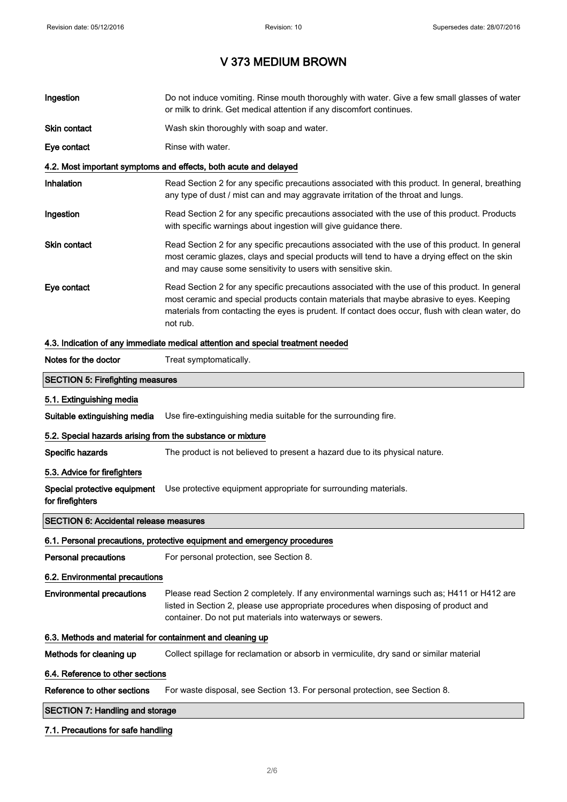| Ingestion                                                                       | Do not induce vomiting. Rinse mouth thoroughly with water. Give a few small glasses of water<br>or milk to drink. Get medical attention if any discomfort continues.                                                                                                                                        |  |
|---------------------------------------------------------------------------------|-------------------------------------------------------------------------------------------------------------------------------------------------------------------------------------------------------------------------------------------------------------------------------------------------------------|--|
| Skin contact                                                                    | Wash skin thoroughly with soap and water.                                                                                                                                                                                                                                                                   |  |
| Eye contact                                                                     | Rinse with water.                                                                                                                                                                                                                                                                                           |  |
|                                                                                 | 4.2. Most important symptoms and effects, both acute and delayed                                                                                                                                                                                                                                            |  |
| Inhalation                                                                      | Read Section 2 for any specific precautions associated with this product. In general, breathing<br>any type of dust / mist can and may aggravate irritation of the throat and lungs.                                                                                                                        |  |
| Ingestion                                                                       | Read Section 2 for any specific precautions associated with the use of this product. Products<br>with specific warnings about ingestion will give guidance there.                                                                                                                                           |  |
| Skin contact                                                                    | Read Section 2 for any specific precautions associated with the use of this product. In general<br>most ceramic glazes, clays and special products will tend to have a drying effect on the skin<br>and may cause some sensitivity to users with sensitive skin.                                            |  |
| Eye contact                                                                     | Read Section 2 for any specific precautions associated with the use of this product. In general<br>most ceramic and special products contain materials that maybe abrasive to eyes. Keeping<br>materials from contacting the eyes is prudent. If contact does occur, flush with clean water, do<br>not rub. |  |
| 4.3. Indication of any immediate medical attention and special treatment needed |                                                                                                                                                                                                                                                                                                             |  |
| Notes for the doctor                                                            | Treat symptomatically.                                                                                                                                                                                                                                                                                      |  |
| <b>SECTION 5: Firefighting measures</b>                                         |                                                                                                                                                                                                                                                                                                             |  |
| 5.1. Extinguishing media                                                        |                                                                                                                                                                                                                                                                                                             |  |
| Suitable extinguishing media                                                    | Use fire-extinguishing media suitable for the surrounding fire.                                                                                                                                                                                                                                             |  |
| 5.2. Special hazards arising from the substance or mixture                      |                                                                                                                                                                                                                                                                                                             |  |
| Specific hazards                                                                | The product is not believed to present a hazard due to its physical nature.                                                                                                                                                                                                                                 |  |
| 5.3. Advice for firefighters                                                    |                                                                                                                                                                                                                                                                                                             |  |
| Special protective equipment<br>for firefighters                                | Use protective equipment appropriate for surrounding materials.                                                                                                                                                                                                                                             |  |
| <b>SECTION 6: Accidental release measures</b>                                   |                                                                                                                                                                                                                                                                                                             |  |
|                                                                                 | 6.1. Personal precautions, protective equipment and emergency procedures                                                                                                                                                                                                                                    |  |
| <b>Personal precautions</b>                                                     | For personal protection, see Section 8.                                                                                                                                                                                                                                                                     |  |
| 6.2. Environmental precautions                                                  |                                                                                                                                                                                                                                                                                                             |  |
| <b>Environmental precautions</b>                                                | Please read Section 2 completely. If any environmental warnings such as; H411 or H412 are<br>listed in Section 2, please use appropriate procedures when disposing of product and<br>container. Do not put materials into waterways or sewers.                                                              |  |
| 6.3. Methods and material for containment and cleaning up                       |                                                                                                                                                                                                                                                                                                             |  |
| Methods for cleaning up                                                         | Collect spillage for reclamation or absorb in vermiculite, dry sand or similar material                                                                                                                                                                                                                     |  |
| 6.4. Reference to other sections                                                |                                                                                                                                                                                                                                                                                                             |  |
| Reference to other sections                                                     | For waste disposal, see Section 13. For personal protection, see Section 8.                                                                                                                                                                                                                                 |  |
| <b>SECTION 7: Handling and storage</b>                                          |                                                                                                                                                                                                                                                                                                             |  |

### 7.1. Precautions for safe handling

 $\Bigg]$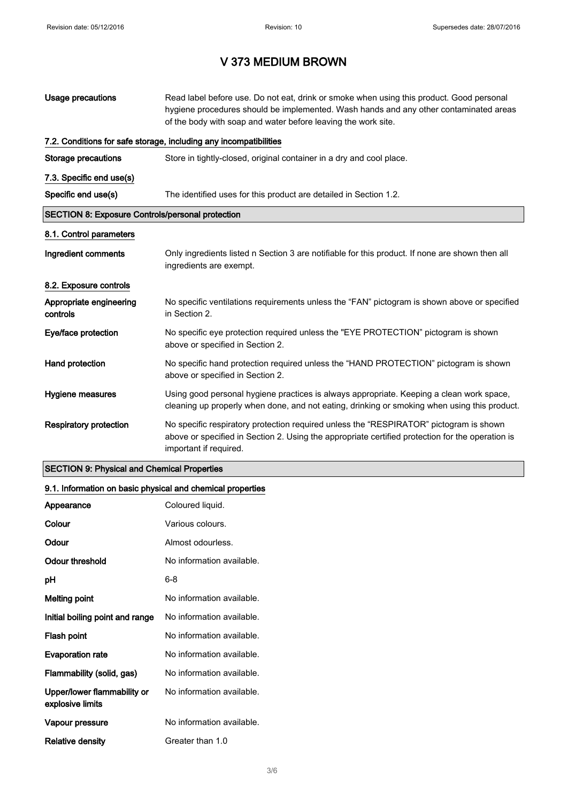| Usage precautions                                       | Read label before use. Do not eat, drink or smoke when using this product. Good personal<br>hygiene procedures should be implemented. Wash hands and any other contaminated areas<br>of the body with soap and water before leaving the work site. |  |
|---------------------------------------------------------|----------------------------------------------------------------------------------------------------------------------------------------------------------------------------------------------------------------------------------------------------|--|
|                                                         | 7.2. Conditions for safe storage, including any incompatibilities                                                                                                                                                                                  |  |
| <b>Storage precautions</b>                              | Store in tightly-closed, original container in a dry and cool place.                                                                                                                                                                               |  |
| 7.3. Specific end use(s)                                |                                                                                                                                                                                                                                                    |  |
| Specific end use(s)                                     | The identified uses for this product are detailed in Section 1.2.                                                                                                                                                                                  |  |
| <b>SECTION 8: Exposure Controls/personal protection</b> |                                                                                                                                                                                                                                                    |  |
| 8.1. Control parameters                                 |                                                                                                                                                                                                                                                    |  |
| Ingredient comments                                     | Only ingredients listed n Section 3 are notifiable for this product. If none are shown then all<br>ingredients are exempt.                                                                                                                         |  |
| 8.2. Exposure controls                                  |                                                                                                                                                                                                                                                    |  |
| Appropriate engineering<br>controls                     | No specific ventilations requirements unless the "FAN" pictogram is shown above or specified<br>in Section 2.                                                                                                                                      |  |
| Eye/face protection                                     | No specific eye protection required unless the "EYE PROTECTION" pictogram is shown<br>above or specified in Section 2.                                                                                                                             |  |
| Hand protection                                         | No specific hand protection required unless the "HAND PROTECTION" pictogram is shown<br>above or specified in Section 2.                                                                                                                           |  |
| Hygiene measures                                        | Using good personal hygiene practices is always appropriate. Keeping a clean work space,<br>cleaning up properly when done, and not eating, drinking or smoking when using this product.                                                           |  |
| <b>Respiratory protection</b>                           | No specific respiratory protection required unless the "RESPIRATOR" pictogram is shown<br>above or specified in Section 2. Using the appropriate certified protection for the operation is<br>important if required.                               |  |

### SECTION 9: Physical and Chemical Properties

### 9.1. Information on basic physical and chemical properties

| Appearance                                      | Coloured liquid.          |
|-------------------------------------------------|---------------------------|
| Colour                                          | Various colours.          |
| Odour                                           | Almost odourless.         |
| Odour threshold                                 | No information available. |
| рH                                              | 6-8                       |
| <b>Melting point</b>                            | No information available. |
| Initial boiling point and range                 | No information available. |
| Flash point                                     | No information available. |
| <b>Evaporation rate</b>                         | No information available. |
| Flammability (solid, gas)                       | No information available. |
| Upper/lower flammability or<br>explosive limits | No information available. |
| Vapour pressure                                 | No information available. |
| Relative density                                | Greater than 1.0          |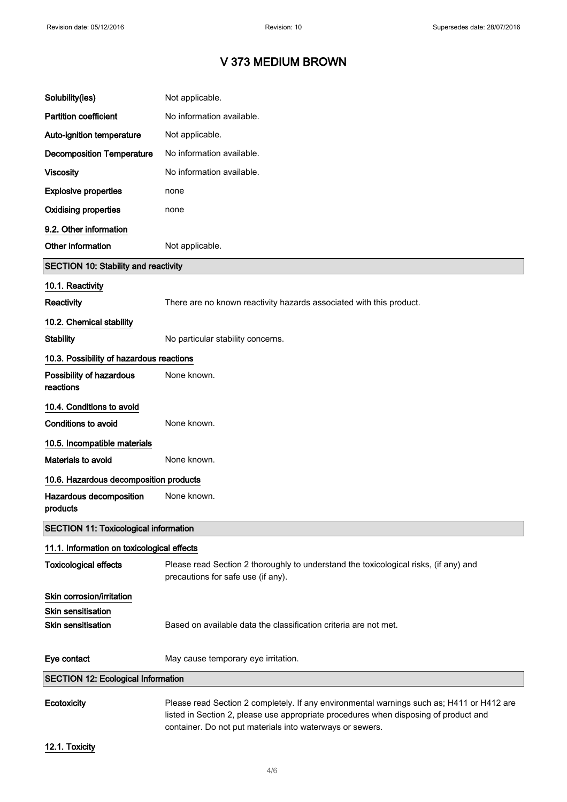| Solubility(ies)                              | Not applicable.                                                                                                                                                                   |
|----------------------------------------------|-----------------------------------------------------------------------------------------------------------------------------------------------------------------------------------|
| <b>Partition coefficient</b>                 | No information available.                                                                                                                                                         |
| Auto-ignition temperature                    | Not applicable.                                                                                                                                                                   |
| <b>Decomposition Temperature</b>             | No information available.                                                                                                                                                         |
| <b>Viscosity</b>                             | No information available.                                                                                                                                                         |
| <b>Explosive properties</b>                  | none                                                                                                                                                                              |
| <b>Oxidising properties</b>                  | none                                                                                                                                                                              |
| 9.2. Other information                       |                                                                                                                                                                                   |
| Other information                            | Not applicable.                                                                                                                                                                   |
| <b>SECTION 10: Stability and reactivity</b>  |                                                                                                                                                                                   |
| 10.1. Reactivity                             |                                                                                                                                                                                   |
| <b>Reactivity</b>                            | There are no known reactivity hazards associated with this product.                                                                                                               |
| 10.2. Chemical stability                     |                                                                                                                                                                                   |
| <b>Stability</b>                             | No particular stability concerns.                                                                                                                                                 |
| 10.3. Possibility of hazardous reactions     |                                                                                                                                                                                   |
| Possibility of hazardous<br>reactions        | None known.                                                                                                                                                                       |
| 10.4. Conditions to avoid                    |                                                                                                                                                                                   |
| Conditions to avoid                          | None known.                                                                                                                                                                       |
| 10.5. Incompatible materials                 |                                                                                                                                                                                   |
| Materials to avoid                           | None known.                                                                                                                                                                       |
| 10.6. Hazardous decomposition products       |                                                                                                                                                                                   |
| Hazardous decomposition<br>products          | None known.                                                                                                                                                                       |
| <b>SECTION 11: Toxicological information</b> |                                                                                                                                                                                   |
| 11.1. Information on toxicological effects   |                                                                                                                                                                                   |
| <b>Toxicological effects</b>                 | Please read Section 2 thoroughly to understand the toxicological risks, (if any) and<br>precautions for safe use (if any).                                                        |
| Skin corrosion/irritation                    |                                                                                                                                                                                   |
| Skin sensitisation                           |                                                                                                                                                                                   |
| <b>Skin sensitisation</b>                    | Based on available data the classification criteria are not met.                                                                                                                  |
| Eye contact                                  | May cause temporary eye irritation.                                                                                                                                               |
| <b>SECTION 12: Ecological Information</b>    |                                                                                                                                                                                   |
| Ecotoxicity                                  | Please read Section 2 completely. If any environmental warnings such as; H411 or H412 are<br>listed in Section 2, please use appropriate procedures when disposing of product and |

12.1. Toxicity

container. Do not put materials into waterways or sewers.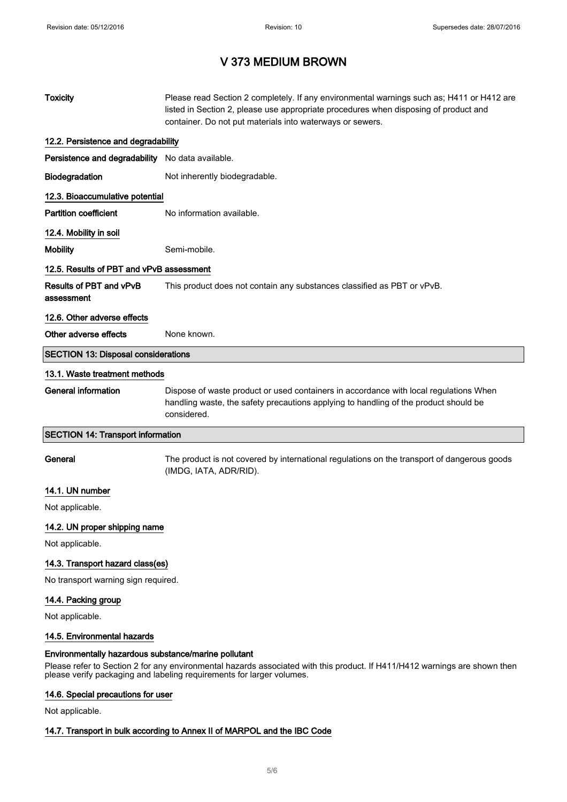| <b>Toxicity</b>                                      | Please read Section 2 completely. If any environmental warnings such as; H411 or H412 are<br>listed in Section 2, please use appropriate procedures when disposing of product and<br>container. Do not put materials into waterways or sewers. |
|------------------------------------------------------|------------------------------------------------------------------------------------------------------------------------------------------------------------------------------------------------------------------------------------------------|
| 12.2. Persistence and degradability                  |                                                                                                                                                                                                                                                |
| Persistence and degradability No data available.     |                                                                                                                                                                                                                                                |
| Biodegradation                                       | Not inherently biodegradable.                                                                                                                                                                                                                  |
| 12.3. Bioaccumulative potential                      |                                                                                                                                                                                                                                                |
| <b>Partition coefficient</b>                         | No information available.                                                                                                                                                                                                                      |
| 12.4. Mobility in soil                               |                                                                                                                                                                                                                                                |
| <b>Mobility</b>                                      | Semi-mobile.                                                                                                                                                                                                                                   |
| 12.5. Results of PBT and vPvB assessment             |                                                                                                                                                                                                                                                |
| Results of PBT and vPvB<br>assessment                | This product does not contain any substances classified as PBT or vPvB.                                                                                                                                                                        |
| 12.6. Other adverse effects                          |                                                                                                                                                                                                                                                |
| Other adverse effects                                | None known.                                                                                                                                                                                                                                    |
| <b>SECTION 13: Disposal considerations</b>           |                                                                                                                                                                                                                                                |
| 13.1. Waste treatment methods                        |                                                                                                                                                                                                                                                |
| <b>General information</b>                           | Dispose of waste product or used containers in accordance with local regulations When<br>handling waste, the safety precautions applying to handling of the product should be<br>considered.                                                   |
| <b>SECTION 14: Transport information</b>             |                                                                                                                                                                                                                                                |
| General                                              | The product is not covered by international regulations on the transport of dangerous goods<br>(IMDG, IATA, ADR/RID).                                                                                                                          |
| 14.1. UN number                                      |                                                                                                                                                                                                                                                |
| Not applicable.                                      |                                                                                                                                                                                                                                                |
| 14.2. UN proper shipping name                        |                                                                                                                                                                                                                                                |
| Not applicable.                                      |                                                                                                                                                                                                                                                |
| 14.3. Transport hazard class(es)                     |                                                                                                                                                                                                                                                |
| No transport warning sign required.                  |                                                                                                                                                                                                                                                |
| 14.4. Packing group<br>Not applicable.               |                                                                                                                                                                                                                                                |
| 14.5. Environmental hazards                          |                                                                                                                                                                                                                                                |
| Environmentally hazardous substance/marine pollutant | Please refer to Section 2 for any environmental hazards associated with this product. If H411/H412 warnings are shown then<br>please verify packaging and labeling requirements for larger volumes.                                            |

### 14.6. Special precautions for user

Not applicable.

### 14.7. Transport in bulk according to Annex II of MARPOL and the IBC Code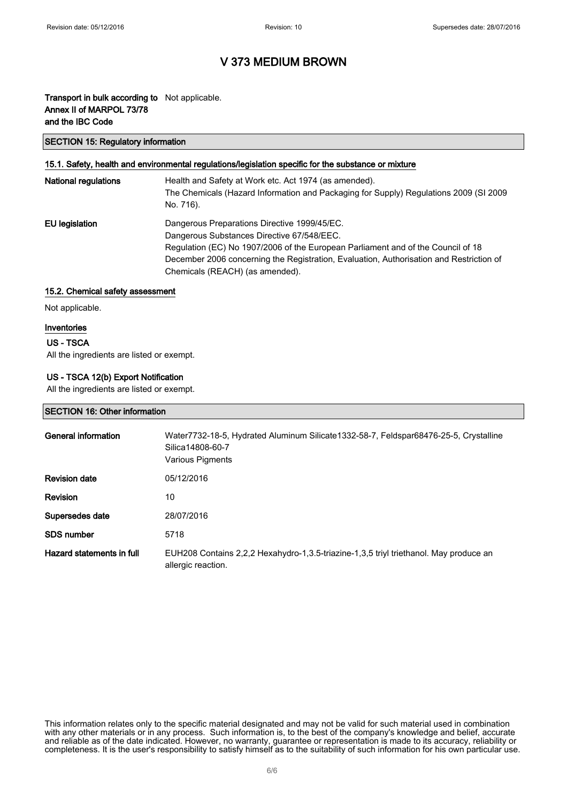### Transport in bulk according to Not applicable. Annex II of MARPOL 73/78 and the IBC Code

#### SECTION 15: Regulatory information

### 15.1. Safety, health and environmental regulations/legislation specific for the substance or mixture

| <b>National regulations</b> | Health and Safety at Work etc. Act 1974 (as amended).<br>The Chemicals (Hazard Information and Packaging for Supply) Regulations 2009 (SI 2009<br>No. 716).                                                                                                                                                  |
|-----------------------------|--------------------------------------------------------------------------------------------------------------------------------------------------------------------------------------------------------------------------------------------------------------------------------------------------------------|
| EU legislation              | Dangerous Preparations Directive 1999/45/EC.<br>Dangerous Substances Directive 67/548/EEC.<br>Regulation (EC) No 1907/2006 of the European Parliament and of the Council of 18<br>December 2006 concerning the Registration, Evaluation, Authorisation and Restriction of<br>Chemicals (REACH) (as amended). |

#### 15.2. Chemical safety assessment

Not applicable.

#### Inventories

### US - TSCA

All the ingredients are listed or exempt.

### US - TSCA 12(b) Export Notification

All the ingredients are listed or exempt.

#### SECTION 16: Other information

| General information       | Water7732-18-5, Hydrated Aluminum Silicate1332-58-7, Feldspar68476-25-5, Crystalline<br>Silica14808-60-7<br>Various Pigments |
|---------------------------|------------------------------------------------------------------------------------------------------------------------------|
| <b>Revision date</b>      | 05/12/2016                                                                                                                   |
| <b>Revision</b>           | 10                                                                                                                           |
| Supersedes date           | 28/07/2016                                                                                                                   |
| <b>SDS</b> number         | 5718                                                                                                                         |
| Hazard statements in full | EUH208 Contains 2,2,2 Hexahydro-1,3.5-triazine-1,3,5 triyl triethanol. May produce an<br>allergic reaction.                  |

This information relates only to the specific material designated and may not be valid for such material used in combination with any other materials or in any process. Such information is, to the best of the company's knowledge and belief, accurate and reliable as of the date indicated. However, no warranty, guarantee or representation is made to its accuracy, reliability or completeness. It is the user's responsibility to satisfy himself as to the suitability of such information for his own particular use.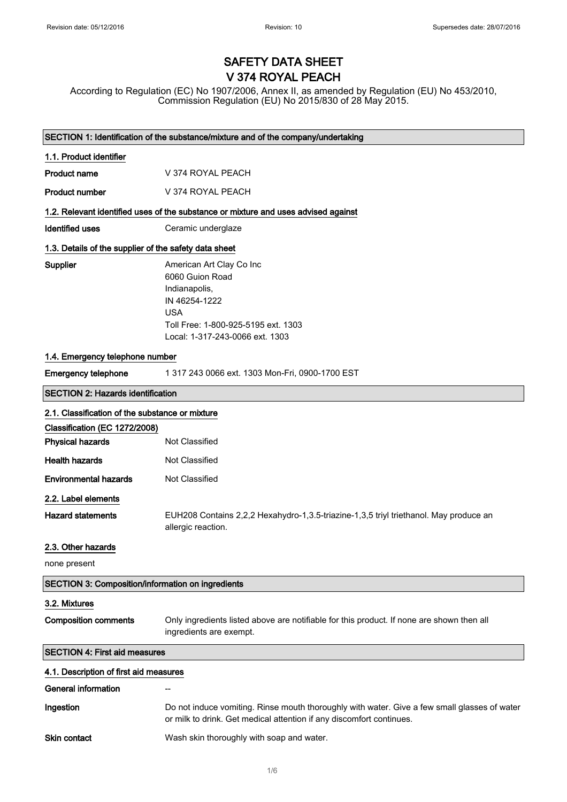# SAFETY DATA SHEET V 374 ROYAL PEACH

According to Regulation (EC) No 1907/2006, Annex II, as amended by Regulation (EU) No 453/2010, Commission Regulation (EU) No 2015/830 of 28 May 2015.

| SECTION 1: Identification of the substance/mixture and of the company/undertaking |                                                                                                                                                                       |  |
|-----------------------------------------------------------------------------------|-----------------------------------------------------------------------------------------------------------------------------------------------------------------------|--|
| 1.1. Product identifier                                                           |                                                                                                                                                                       |  |
| <b>Product name</b>                                                               | V 374 ROYAL PEACH                                                                                                                                                     |  |
| <b>Product number</b>                                                             | V 374 ROYAL PEACH                                                                                                                                                     |  |
|                                                                                   | 1.2. Relevant identified uses of the substance or mixture and uses advised against                                                                                    |  |
| <b>Identified uses</b>                                                            | Ceramic underglaze                                                                                                                                                    |  |
| 1.3. Details of the supplier of the safety data sheet                             |                                                                                                                                                                       |  |
| <b>Supplier</b>                                                                   | American Art Clay Co Inc<br>6060 Guion Road<br>Indianapolis,<br>IN 46254-1222<br><b>USA</b><br>Toll Free: 1-800-925-5195 ext. 1303<br>Local: 1-317-243-0066 ext. 1303 |  |
| 1.4. Emergency telephone number                                                   |                                                                                                                                                                       |  |
| <b>Emergency telephone</b>                                                        | 1 317 243 0066 ext. 1303 Mon-Fri, 0900-1700 EST                                                                                                                       |  |
| <b>SECTION 2: Hazards identification</b>                                          |                                                                                                                                                                       |  |
| 2.1. Classification of the substance or mixture                                   |                                                                                                                                                                       |  |
| Classification (EC 1272/2008)                                                     |                                                                                                                                                                       |  |
| <b>Physical hazards</b>                                                           | Not Classified                                                                                                                                                        |  |
| <b>Health hazards</b>                                                             | Not Classified                                                                                                                                                        |  |
| <b>Environmental hazards</b>                                                      | Not Classified                                                                                                                                                        |  |
| 2.2. Label elements                                                               |                                                                                                                                                                       |  |
| <b>Hazard statements</b>                                                          | EUH208 Contains 2,2,2 Hexahydro-1,3.5-triazine-1,3,5 triyl triethanol. May produce an<br>allergic reaction.                                                           |  |
| 2.3. Other hazards                                                                |                                                                                                                                                                       |  |
| none present                                                                      |                                                                                                                                                                       |  |
| <b>SECTION 3: Composition/information on ingredients</b>                          |                                                                                                                                                                       |  |
| 3.2. Mixtures                                                                     |                                                                                                                                                                       |  |
| <b>Composition comments</b>                                                       | Only ingredients listed above are notifiable for this product. If none are shown then all<br>ingredients are exempt.                                                  |  |
| <b>SECTION 4: First aid measures</b>                                              |                                                                                                                                                                       |  |
| 4.1. Description of first aid measures                                            |                                                                                                                                                                       |  |
| <b>General information</b>                                                        |                                                                                                                                                                       |  |
| Ingestion                                                                         | Do not induce vomiting. Rinse mouth thoroughly with water. Give a few small glasses of water<br>or milk to drink. Get medical attention if any discomfort continues.  |  |
| Skin contact                                                                      | Wash skin thoroughly with soap and water.                                                                                                                             |  |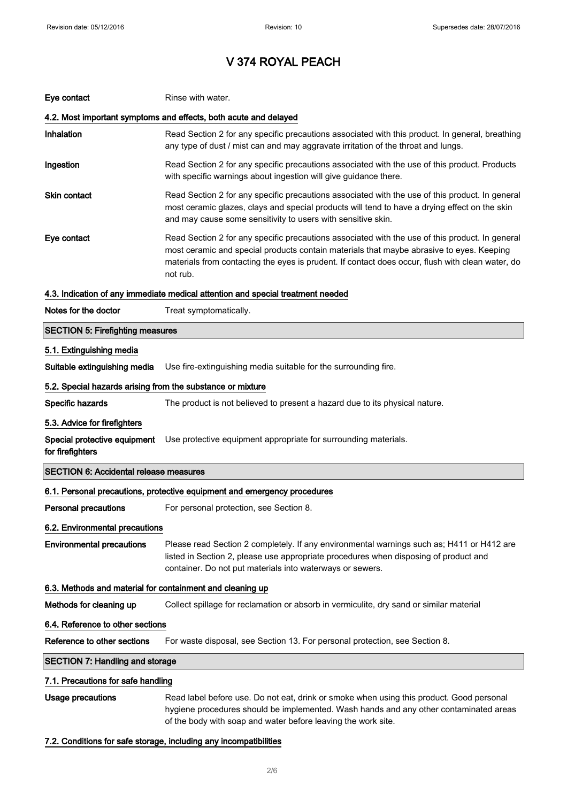| Eye contact                                                | Rinse with water.                                                                                                                                                                                                                                                                                           |
|------------------------------------------------------------|-------------------------------------------------------------------------------------------------------------------------------------------------------------------------------------------------------------------------------------------------------------------------------------------------------------|
|                                                            | 4.2. Most important symptoms and effects, both acute and delayed                                                                                                                                                                                                                                            |
| Inhalation                                                 | Read Section 2 for any specific precautions associated with this product. In general, breathing<br>any type of dust / mist can and may aggravate irritation of the throat and lungs.                                                                                                                        |
| Ingestion                                                  | Read Section 2 for any specific precautions associated with the use of this product. Products<br>with specific warnings about ingestion will give guidance there.                                                                                                                                           |
| <b>Skin contact</b>                                        | Read Section 2 for any specific precautions associated with the use of this product. In general<br>most ceramic glazes, clays and special products will tend to have a drying effect on the skin<br>and may cause some sensitivity to users with sensitive skin.                                            |
| Eye contact                                                | Read Section 2 for any specific precautions associated with the use of this product. In general<br>most ceramic and special products contain materials that maybe abrasive to eyes. Keeping<br>materials from contacting the eyes is prudent. If contact does occur, flush with clean water, do<br>not rub. |
|                                                            | 4.3. Indication of any immediate medical attention and special treatment needed                                                                                                                                                                                                                             |
| Notes for the doctor                                       | Treat symptomatically.                                                                                                                                                                                                                                                                                      |
| <b>SECTION 5: Firefighting measures</b>                    |                                                                                                                                                                                                                                                                                                             |
| 5.1. Extinguishing media                                   |                                                                                                                                                                                                                                                                                                             |
| Suitable extinguishing media                               | Use fire-extinguishing media suitable for the surrounding fire.                                                                                                                                                                                                                                             |
| 5.2. Special hazards arising from the substance or mixture |                                                                                                                                                                                                                                                                                                             |
| Specific hazards                                           | The product is not believed to present a hazard due to its physical nature.                                                                                                                                                                                                                                 |
| 5.3. Advice for firefighters                               |                                                                                                                                                                                                                                                                                                             |
| Special protective equipment<br>for firefighters           | Use protective equipment appropriate for surrounding materials.                                                                                                                                                                                                                                             |
| <b>SECTION 6: Accidental release measures</b>              |                                                                                                                                                                                                                                                                                                             |
|                                                            | 6.1. Personal precautions, protective equipment and emergency procedures                                                                                                                                                                                                                                    |
| <b>Personal precautions</b>                                | For personal protection, see Section 8.                                                                                                                                                                                                                                                                     |
| 6.2. Environmental precautions                             |                                                                                                                                                                                                                                                                                                             |
| <b>Environmental precautions</b>                           | Please read Section 2 completely. If any environmental warnings such as; H411 or H412 are<br>listed in Section 2, please use appropriate procedures when disposing of product and<br>container. Do not put materials into waterways or sewers.                                                              |
| 6.3. Methods and material for containment and cleaning up  |                                                                                                                                                                                                                                                                                                             |
| Methods for cleaning up                                    | Collect spillage for reclamation or absorb in vermiculite, dry sand or similar material                                                                                                                                                                                                                     |
| 6.4. Reference to other sections                           |                                                                                                                                                                                                                                                                                                             |
| Reference to other sections                                | For waste disposal, see Section 13. For personal protection, see Section 8.                                                                                                                                                                                                                                 |
| <b>SECTION 7: Handling and storage</b>                     |                                                                                                                                                                                                                                                                                                             |
| 7.1. Precautions for safe handling                         |                                                                                                                                                                                                                                                                                                             |
| <b>Usage precautions</b>                                   | Read label before use. Do not eat, drink or smoke when using this product. Good personal<br>hygiene procedures should be implemented. Wash hands and any other contaminated areas<br>of the body with soap and water before leaving the work site.                                                          |

### 7.2. Conditions for safe storage, including any incompatibilities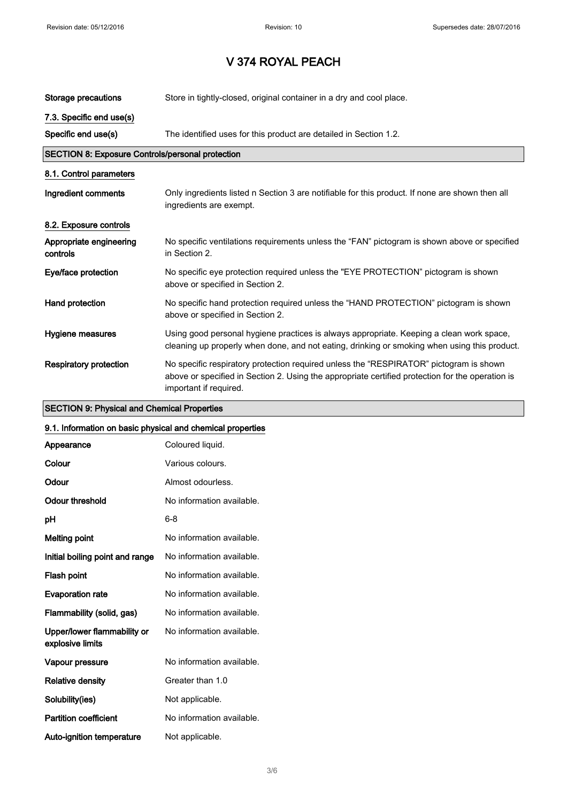| Storage precautions                              | Store in tightly-closed, original container in a dry and cool place.                                                                                                                                                 |
|--------------------------------------------------|----------------------------------------------------------------------------------------------------------------------------------------------------------------------------------------------------------------------|
| 7.3. Specific end use(s)                         |                                                                                                                                                                                                                      |
| Specific end use(s)                              | The identified uses for this product are detailed in Section 1.2.                                                                                                                                                    |
| SECTION 8: Exposure Controls/personal protection |                                                                                                                                                                                                                      |
| 8.1. Control parameters                          |                                                                                                                                                                                                                      |
| Ingredient comments                              | Only ingredients listed n Section 3 are notifiable for this product. If none are shown then all<br>ingredients are exempt.                                                                                           |
| 8.2. Exposure controls                           |                                                                                                                                                                                                                      |
| Appropriate engineering<br>controls              | No specific ventilations requirements unless the "FAN" pictogram is shown above or specified<br>in Section 2.                                                                                                        |
| Eye/face protection                              | No specific eye protection required unless the "EYE PROTECTION" pictogram is shown<br>above or specified in Section 2.                                                                                               |
| Hand protection                                  | No specific hand protection required unless the "HAND PROTECTION" pictogram is shown<br>above or specified in Section 2.                                                                                             |
| Hygiene measures                                 | Using good personal hygiene practices is always appropriate. Keeping a clean work space,<br>cleaning up properly when done, and not eating, drinking or smoking when using this product.                             |
| <b>Respiratory protection</b>                    | No specific respiratory protection required unless the "RESPIRATOR" pictogram is shown<br>above or specified in Section 2. Using the appropriate certified protection for the operation is<br>important if required. |

### SECTION 9: Physical and Chemical Properties

### 9.1. Information on basic physical and chemical properties

| Appearance                                      | Coloured liquid.          |
|-------------------------------------------------|---------------------------|
| Colour                                          | Various colours.          |
| Odour                                           | Almost odourless.         |
| Odour threshold                                 | No information available. |
| рH                                              | 6-8                       |
| <b>Melting point</b>                            | No information available. |
| Initial boiling point and range                 | No information available. |
| Flash point                                     | No information available. |
| <b>Evaporation rate</b>                         | No information available. |
| Flammability (solid, gas)                       | No information available. |
| Upper/lower flammability or<br>explosive limits | No information available. |
| Vapour pressure                                 | No information available. |
| <b>Relative density</b>                         | Greater than 1.0          |
| Solubility(ies)                                 | Not applicable.           |
| <b>Partition coefficient</b>                    | No information available. |
| <b>Auto-ignition temperature</b>                | Not applicable.           |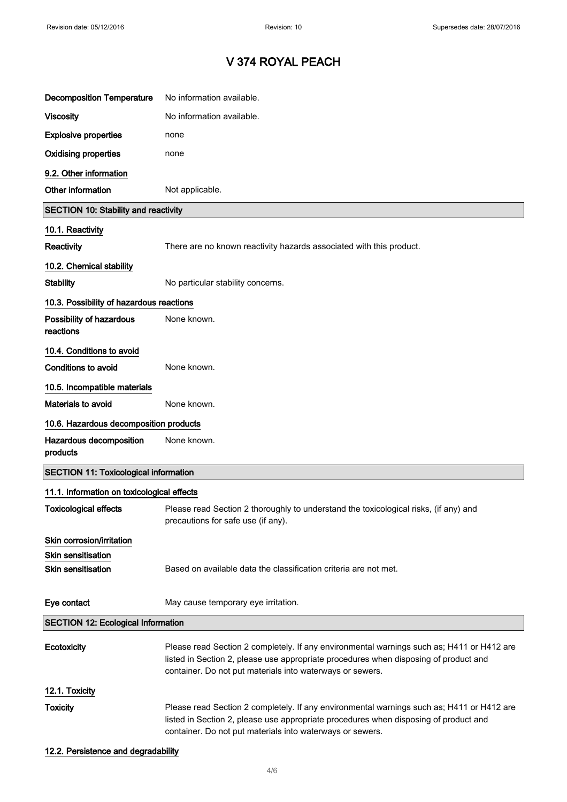| <b>Decomposition Temperature</b>                       | No information available.                                                                                                                                                                                                                      |  |
|--------------------------------------------------------|------------------------------------------------------------------------------------------------------------------------------------------------------------------------------------------------------------------------------------------------|--|
| <b>Viscosity</b>                                       | No information available.                                                                                                                                                                                                                      |  |
| <b>Explosive properties</b>                            | none                                                                                                                                                                                                                                           |  |
| <b>Oxidising properties</b>                            | none                                                                                                                                                                                                                                           |  |
| 9.2. Other information                                 |                                                                                                                                                                                                                                                |  |
| Other information                                      | Not applicable.                                                                                                                                                                                                                                |  |
| <b>SECTION 10: Stability and reactivity</b>            |                                                                                                                                                                                                                                                |  |
| 10.1. Reactivity                                       |                                                                                                                                                                                                                                                |  |
| Reactivity                                             | There are no known reactivity hazards associated with this product.                                                                                                                                                                            |  |
| 10.2. Chemical stability                               |                                                                                                                                                                                                                                                |  |
| <b>Stability</b>                                       | No particular stability concerns.                                                                                                                                                                                                              |  |
| 10.3. Possibility of hazardous reactions               |                                                                                                                                                                                                                                                |  |
| Possibility of hazardous<br>reactions                  | None known.                                                                                                                                                                                                                                    |  |
| 10.4. Conditions to avoid                              |                                                                                                                                                                                                                                                |  |
| <b>Conditions to avoid</b>                             | None known.                                                                                                                                                                                                                                    |  |
| 10.5. Incompatible materials                           |                                                                                                                                                                                                                                                |  |
| <b>Materials to avoid</b>                              | None known.                                                                                                                                                                                                                                    |  |
| 10.6. Hazardous decomposition products                 |                                                                                                                                                                                                                                                |  |
| Hazardous decomposition<br>products                    | None known.                                                                                                                                                                                                                                    |  |
| <b>SECTION 11: Toxicological information</b>           |                                                                                                                                                                                                                                                |  |
| 11.1. Information on toxicological effects             |                                                                                                                                                                                                                                                |  |
| <b>Toxicological effects</b>                           | Please read Section 2 thoroughly to understand the toxicological risks, (if any) and<br>precautions for safe use (if any).                                                                                                                     |  |
| Skin corrosion/irritation                              |                                                                                                                                                                                                                                                |  |
| <b>Skin sensitisation</b><br><b>Skin sensitisation</b> | Based on available data the classification criteria are not met.                                                                                                                                                                               |  |
| Eye contact                                            | May cause temporary eye irritation.                                                                                                                                                                                                            |  |
| <b>SECTION 12: Ecological Information</b>              |                                                                                                                                                                                                                                                |  |
| Ecotoxicity                                            | Please read Section 2 completely. If any environmental warnings such as; H411 or H412 are<br>listed in Section 2, please use appropriate procedures when disposing of product and<br>container. Do not put materials into waterways or sewers. |  |
| 12.1. Toxicity                                         |                                                                                                                                                                                                                                                |  |
| <b>Toxicity</b>                                        | Please read Section 2 completely. If any environmental warnings such as; H411 or H412 are<br>listed in Section 2, please use appropriate procedures when disposing of product and<br>container. Do not put materials into waterways or sewers. |  |

12.2. Persistence and degradability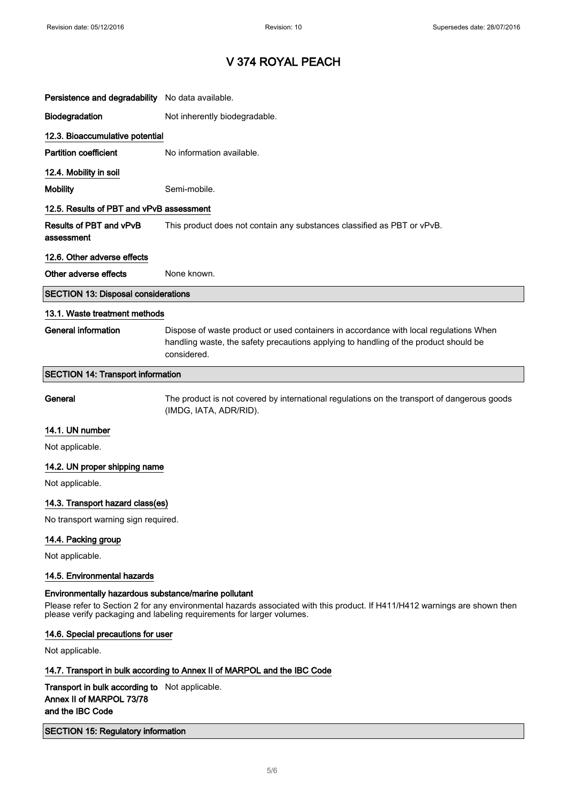$\Bigg]$ 

 $\begin{array}{c} \hline \end{array}$ 

# V 374 ROYAL PEACH

| Persistence and degradability No data available. |                                                                                                                                                                                              |
|--------------------------------------------------|----------------------------------------------------------------------------------------------------------------------------------------------------------------------------------------------|
| Biodegradation                                   | Not inherently biodegradable.                                                                                                                                                                |
| 12.3. Bioaccumulative potential                  |                                                                                                                                                                                              |
| <b>Partition coefficient</b>                     | No information available.                                                                                                                                                                    |
| 12.4. Mobility in soil                           |                                                                                                                                                                                              |
| <b>Mobility</b>                                  | Semi-mobile.                                                                                                                                                                                 |
| 12.5. Results of PBT and vPvB assessment         |                                                                                                                                                                                              |
| Results of PBT and vPvB<br>assessment            | This product does not contain any substances classified as PBT or vPvB.                                                                                                                      |
| 12.6. Other adverse effects                      |                                                                                                                                                                                              |
| Other adverse effects                            | None known.                                                                                                                                                                                  |
| <b>SECTION 13: Disposal considerations</b>       |                                                                                                                                                                                              |
| 13.1. Waste treatment methods                    |                                                                                                                                                                                              |
| <b>General information</b>                       | Dispose of waste product or used containers in accordance with local regulations When<br>handling waste, the safety precautions applying to handling of the product should be<br>considered. |
| <b>SECTION 14: Transport information</b>         |                                                                                                                                                                                              |
| General                                          | The product is not covered by international regulations on the transport of dangerous goods<br>(IMDG, IATA, ADR/RID).                                                                        |
| 14.1. UN number                                  |                                                                                                                                                                                              |
| Not applicable.                                  |                                                                                                                                                                                              |
| 14.2. UN proper shipping name                    |                                                                                                                                                                                              |
| Not applicable.                                  |                                                                                                                                                                                              |
| 14.3. Transport hazard class(es)                 |                                                                                                                                                                                              |
| No transport warning sign required.              |                                                                                                                                                                                              |
| 14.4. Packing group                              |                                                                                                                                                                                              |
| Not applicable.                                  |                                                                                                                                                                                              |
|                                                  |                                                                                                                                                                                              |
| 14.5. Environmental hazards                      |                                                                                                                                                                                              |

### 14.6. Special precautions for user

Not applicable.

### 14.7. Transport in bulk according to Annex II of MARPOL and the IBC Code

### Transport in bulk according to Not applicable. Annex II of MARPOL 73/78 and the IBC Code

### SECTION 15: Regulatory information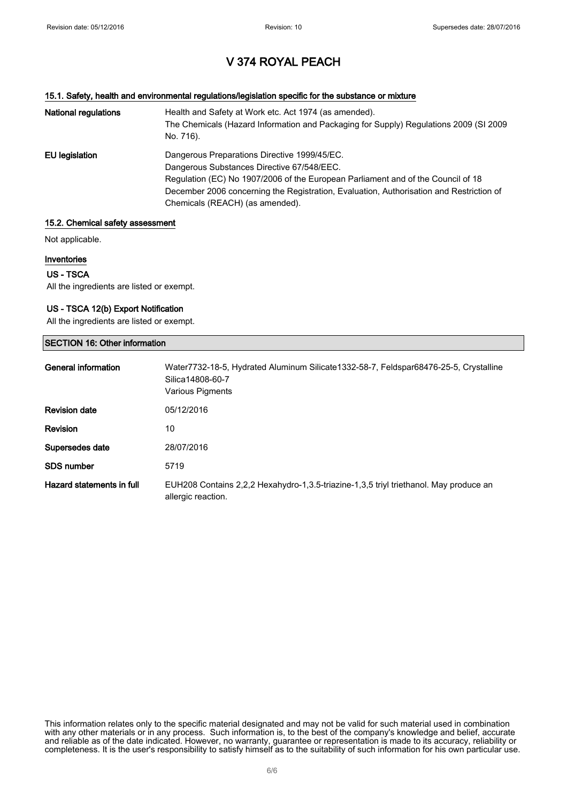#### 15.1. Safety, health and environmental regulations/legislation specific for the substance or mixture

| National regulations | Health and Safety at Work etc. Act 1974 (as amended).<br>The Chemicals (Hazard Information and Packaging for Supply) Regulations 2009 (SI 2009<br>No. 716). |
|----------------------|-------------------------------------------------------------------------------------------------------------------------------------------------------------|
| EU legislation       | Dangerous Preparations Directive 1999/45/EC.                                                                                                                |
|                      | Dangerous Substances Directive 67/548/EEC.                                                                                                                  |
|                      | Regulation (EC) No 1907/2006 of the European Parliament and of the Council of 18                                                                            |
|                      | December 2006 concerning the Registration, Evaluation, Authorisation and Restriction of                                                                     |
|                      | Chemicals (REACH) (as amended).                                                                                                                             |

#### 15.2. Chemical safety assessment

Not applicable.

#### Inventories

#### US - TSCA

All the ingredients are listed or exempt.

#### US - TSCA 12(b) Export Notification

All the ingredients are listed or exempt.

| <b>SECTION 16: Other information</b> |                                                                                                                                     |
|--------------------------------------|-------------------------------------------------------------------------------------------------------------------------------------|
| General information                  | Water7732-18-5, Hydrated Aluminum Silicate1332-58-7, Feldspar68476-25-5, Crystalline<br>Silica14808-60-7<br><b>Various Pigments</b> |
| <b>Revision date</b>                 | 05/12/2016                                                                                                                          |
| <b>Revision</b>                      | 10                                                                                                                                  |
| Supersedes date                      | 28/07/2016                                                                                                                          |
| <b>SDS number</b>                    | 5719                                                                                                                                |
| Hazard statements in full            | EUH208 Contains 2,2,2 Hexahydro-1,3.5-triazine-1,3,5 triyl triethanol. May produce an<br>allergic reaction.                         |

This information relates only to the specific material designated and may not be valid for such material used in combination with any other materials or in any process. Such information is, to the best of the company's knowledge and belief, accurate and reliable as of the date indicated. However, no warranty, guarantee or representation is made to its accuracy, reliability or completeness. It is the user's responsibility to satisfy himself as to the suitability of such information for his own particular use.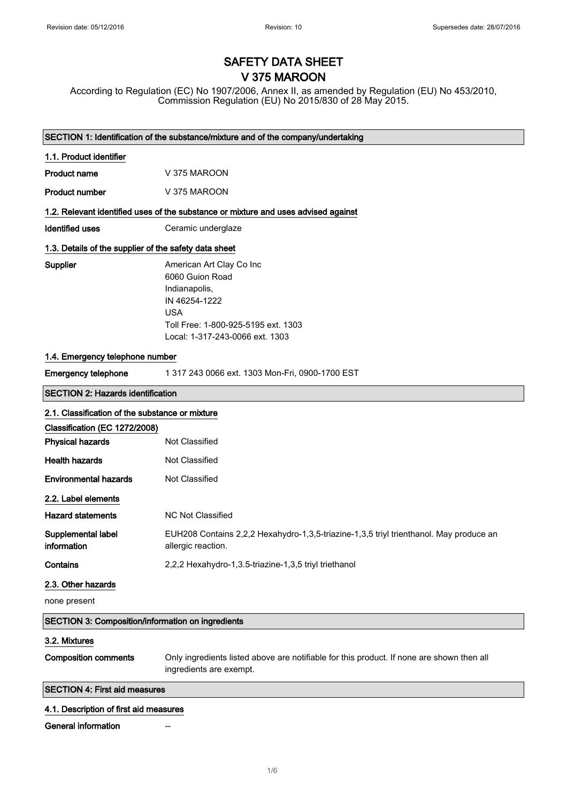# SAFETY DATA SHEET V 375 MAROON

According to Regulation (EC) No 1907/2006, Annex II, as amended by Regulation (EU) No 453/2010, Commission Regulation (EU) No 2015/830 of 28 May 2015.

| SECTION 1: Identification of the substance/mixture and of the company/undertaking |                                                                                                                                                                       |  |  |
|-----------------------------------------------------------------------------------|-----------------------------------------------------------------------------------------------------------------------------------------------------------------------|--|--|
| 1.1. Product identifier                                                           |                                                                                                                                                                       |  |  |
| <b>Product name</b>                                                               | V 375 MAROON                                                                                                                                                          |  |  |
| <b>Product number</b>                                                             | V 375 MAROON                                                                                                                                                          |  |  |
|                                                                                   | 1.2. Relevant identified uses of the substance or mixture and uses advised against                                                                                    |  |  |
| <b>Identified uses</b>                                                            | Ceramic underglaze                                                                                                                                                    |  |  |
| 1.3. Details of the supplier of the safety data sheet                             |                                                                                                                                                                       |  |  |
| Supplier                                                                          | American Art Clay Co Inc<br>6060 Guion Road<br>Indianapolis,<br>IN 46254-1222<br><b>USA</b><br>Toll Free: 1-800-925-5195 ext. 1303<br>Local: 1-317-243-0066 ext. 1303 |  |  |
| 1.4. Emergency telephone number                                                   |                                                                                                                                                                       |  |  |
| <b>Emergency telephone</b>                                                        | 1 317 243 0066 ext. 1303 Mon-Fri, 0900-1700 EST                                                                                                                       |  |  |
| <b>SECTION 2: Hazards identification</b>                                          |                                                                                                                                                                       |  |  |
| 2.1. Classification of the substance or mixture                                   |                                                                                                                                                                       |  |  |
| Classification (EC 1272/2008)                                                     |                                                                                                                                                                       |  |  |
| <b>Physical hazards</b>                                                           | Not Classified                                                                                                                                                        |  |  |
| <b>Health hazards</b>                                                             | Not Classified                                                                                                                                                        |  |  |
| <b>Environmental hazards</b>                                                      | Not Classified                                                                                                                                                        |  |  |
| 2.2. Label elements                                                               |                                                                                                                                                                       |  |  |
| <b>Hazard statements</b>                                                          | <b>NC Not Classified</b>                                                                                                                                              |  |  |
| Supplemental label<br>information                                                 | EUH208 Contains 2,2,2 Hexahydro-1,3,5-triazine-1,3,5 triyl trienthanol. May produce an<br>allergic reaction.                                                          |  |  |
| Contains                                                                          | 2,2,2 Hexahydro-1,3.5-triazine-1,3,5 triyl triethanol                                                                                                                 |  |  |
| 2.3. Other hazards                                                                |                                                                                                                                                                       |  |  |
| none present                                                                      |                                                                                                                                                                       |  |  |
| <b>SECTION 3: Composition/information on ingredients</b>                          |                                                                                                                                                                       |  |  |
| 3.2. Mixtures                                                                     |                                                                                                                                                                       |  |  |
| <b>Composition comments</b>                                                       | Only ingredients listed above are notifiable for this product. If none are shown then all<br>ingredients are exempt.                                                  |  |  |
| <b>SECTION 4: First aid measures</b>                                              |                                                                                                                                                                       |  |  |
| 4.1. Description of first aid measures                                            |                                                                                                                                                                       |  |  |

General information **--**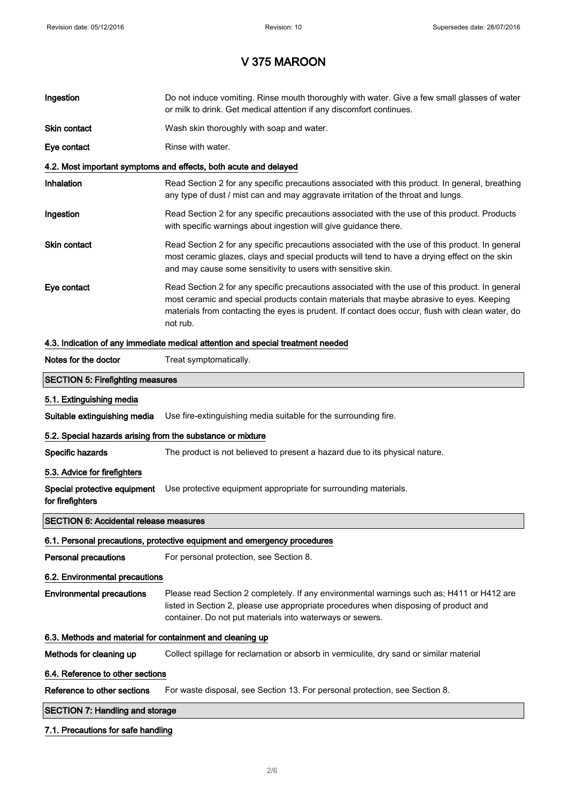| Ingestion                                                  | Do not induce vomiting. Rinse mouth thoroughly with water. Give a few small glasses of water<br>or milk to drink. Get medical attention if any discomfort continues.                                                                                                                                        |  |
|------------------------------------------------------------|-------------------------------------------------------------------------------------------------------------------------------------------------------------------------------------------------------------------------------------------------------------------------------------------------------------|--|
| Skin contact                                               | Wash skin thoroughly with soap and water.                                                                                                                                                                                                                                                                   |  |
| Eye contact                                                | Rinse with water.                                                                                                                                                                                                                                                                                           |  |
|                                                            | 4.2. Most important symptoms and effects, both acute and delayed                                                                                                                                                                                                                                            |  |
| Inhalation                                                 | Read Section 2 for any specific precautions associated with this product. In general, breathing<br>any type of dust / mist can and may aggravate irritation of the throat and lungs.                                                                                                                        |  |
| Ingestion                                                  | Read Section 2 for any specific precautions associated with the use of this product. Products<br>with specific warnings about ingestion will give guidance there.                                                                                                                                           |  |
| Skin contact                                               | Read Section 2 for any specific precautions associated with the use of this product. In general<br>most ceramic glazes, clays and special products will tend to have a drying effect on the skin<br>and may cause some sensitivity to users with sensitive skin.                                            |  |
| Eye contact                                                | Read Section 2 for any specific precautions associated with the use of this product. In general<br>most ceramic and special products contain materials that maybe abrasive to eyes. Keeping<br>materials from contacting the eyes is prudent. If contact does occur, flush with clean water, do<br>not rub. |  |
|                                                            | 4.3. Indication of any immediate medical attention and special treatment needed                                                                                                                                                                                                                             |  |
| Notes for the doctor                                       | Treat symptomatically.                                                                                                                                                                                                                                                                                      |  |
| <b>SECTION 5: Firefighting measures</b>                    |                                                                                                                                                                                                                                                                                                             |  |
| 5.1. Extinguishing media                                   |                                                                                                                                                                                                                                                                                                             |  |
| Suitable extinguishing media                               | Use fire-extinguishing media suitable for the surrounding fire.                                                                                                                                                                                                                                             |  |
| 5.2. Special hazards arising from the substance or mixture |                                                                                                                                                                                                                                                                                                             |  |
| Specific hazards                                           | The product is not believed to present a hazard due to its physical nature.                                                                                                                                                                                                                                 |  |
| 5.3. Advice for firefighters                               |                                                                                                                                                                                                                                                                                                             |  |
| Special protective equipment<br>for firefighters           | Use protective equipment appropriate for surrounding materials.                                                                                                                                                                                                                                             |  |
| <b>SECTION 6: Accidental release measures</b>              |                                                                                                                                                                                                                                                                                                             |  |
|                                                            | 6.1. Personal precautions, protective equipment and emergency procedures                                                                                                                                                                                                                                    |  |
| Personal precautions                                       | For personal protection, see Section 8.                                                                                                                                                                                                                                                                     |  |
| 6.2. Environmental precautions                             |                                                                                                                                                                                                                                                                                                             |  |
| <b>Environmental precautions</b>                           | Please read Section 2 completely. If any environmental warnings such as; H411 or H412 are<br>listed in Section 2, please use appropriate procedures when disposing of product and<br>container. Do not put materials into waterways or sewers.                                                              |  |
| 6.3. Methods and material for containment and cleaning up  |                                                                                                                                                                                                                                                                                                             |  |
| Methods for cleaning up                                    | Collect spillage for reclamation or absorb in vermiculite, dry sand or similar material                                                                                                                                                                                                                     |  |
| 6.4. Reference to other sections                           |                                                                                                                                                                                                                                                                                                             |  |
| Reference to other sections                                | For waste disposal, see Section 13. For personal protection, see Section 8.                                                                                                                                                                                                                                 |  |
| <b>SECTION 7: Handling and storage</b>                     |                                                                                                                                                                                                                                                                                                             |  |
|                                                            |                                                                                                                                                                                                                                                                                                             |  |

### 7.1. Precautions for safe handling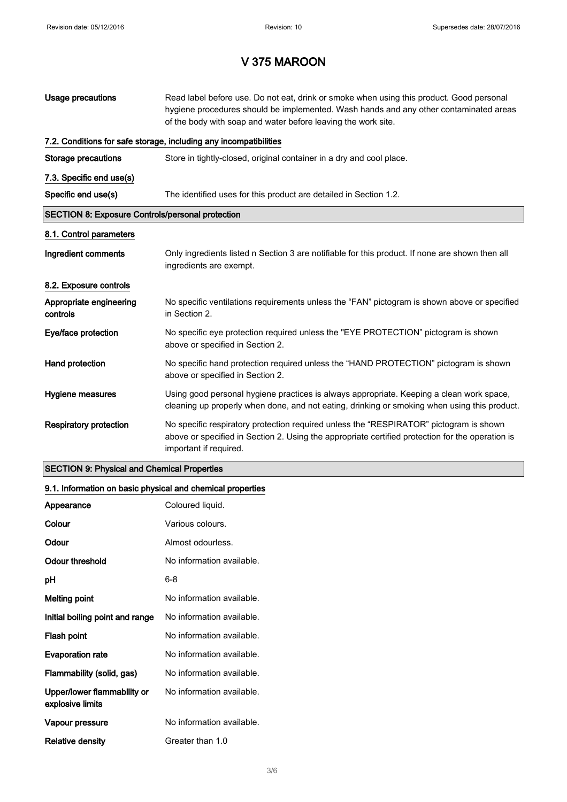| Usage precautions                                       | Read label before use. Do not eat, drink or smoke when using this product. Good personal<br>hygiene procedures should be implemented. Wash hands and any other contaminated areas<br>of the body with soap and water before leaving the work site. |  |
|---------------------------------------------------------|----------------------------------------------------------------------------------------------------------------------------------------------------------------------------------------------------------------------------------------------------|--|
|                                                         | 7.2. Conditions for safe storage, including any incompatibilities                                                                                                                                                                                  |  |
| <b>Storage precautions</b>                              | Store in tightly-closed, original container in a dry and cool place.                                                                                                                                                                               |  |
| 7.3. Specific end use(s)                                |                                                                                                                                                                                                                                                    |  |
| Specific end use(s)                                     | The identified uses for this product are detailed in Section 1.2.                                                                                                                                                                                  |  |
| <b>SECTION 8: Exposure Controls/personal protection</b> |                                                                                                                                                                                                                                                    |  |
| 8.1. Control parameters                                 |                                                                                                                                                                                                                                                    |  |
| Ingredient comments                                     | Only ingredients listed n Section 3 are notifiable for this product. If none are shown then all<br>ingredients are exempt.                                                                                                                         |  |
| 8.2. Exposure controls                                  |                                                                                                                                                                                                                                                    |  |
| Appropriate engineering<br>controls                     | No specific ventilations requirements unless the "FAN" pictogram is shown above or specified<br>in Section 2.                                                                                                                                      |  |
| Eye/face protection                                     | No specific eye protection required unless the "EYE PROTECTION" pictogram is shown<br>above or specified in Section 2.                                                                                                                             |  |
| Hand protection                                         | No specific hand protection required unless the "HAND PROTECTION" pictogram is shown<br>above or specified in Section 2.                                                                                                                           |  |
| Hygiene measures                                        | Using good personal hygiene practices is always appropriate. Keeping a clean work space,<br>cleaning up properly when done, and not eating, drinking or smoking when using this product.                                                           |  |
| <b>Respiratory protection</b>                           | No specific respiratory protection required unless the "RESPIRATOR" pictogram is shown<br>above or specified in Section 2. Using the appropriate certified protection for the operation is<br>important if required.                               |  |

### SECTION 9: Physical and Chemical Properties

### 9.1. Information on basic physical and chemical properties

| Appearance                                      | Coloured liquid.          |
|-------------------------------------------------|---------------------------|
| Colour                                          | Various colours.          |
| Odour                                           | Almost odourless.         |
| Odour threshold                                 | No information available. |
| рH                                              | 6-8                       |
| <b>Melting point</b>                            | No information available. |
| Initial boiling point and range                 | No information available. |
| Flash point                                     | No information available. |
| <b>Evaporation rate</b>                         | No information available. |
| Flammability (solid, gas)                       | No information available. |
| Upper/lower flammability or<br>explosive limits | No information available. |
| Vapour pressure                                 | No information available. |
| Relative density                                | Greater than 1.0          |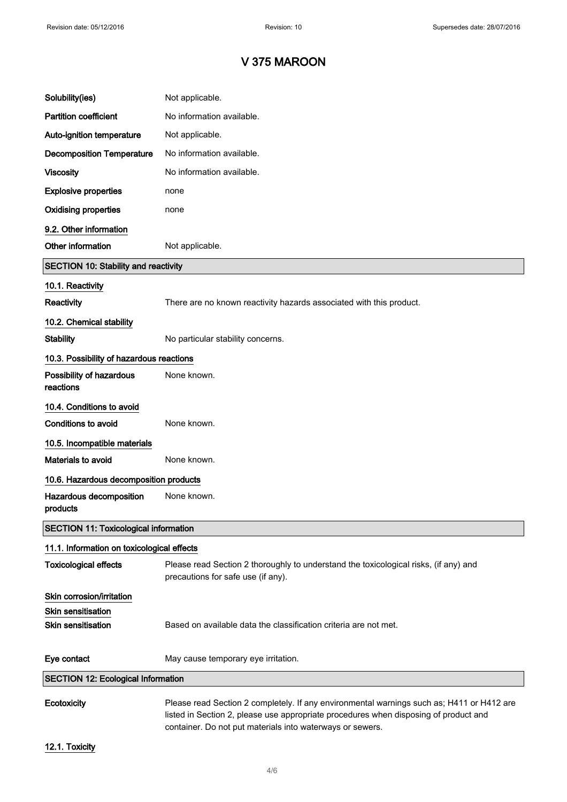| Solubility(ies)                              | Not applicable.                                                                                                                                                                   |
|----------------------------------------------|-----------------------------------------------------------------------------------------------------------------------------------------------------------------------------------|
| <b>Partition coefficient</b>                 | No information available.                                                                                                                                                         |
| Auto-ignition temperature                    | Not applicable.                                                                                                                                                                   |
| <b>Decomposition Temperature</b>             | No information available.                                                                                                                                                         |
| <b>Viscosity</b>                             | No information available.                                                                                                                                                         |
| <b>Explosive properties</b>                  | none                                                                                                                                                                              |
| <b>Oxidising properties</b>                  | none                                                                                                                                                                              |
| 9.2. Other information                       |                                                                                                                                                                                   |
| Other information                            | Not applicable.                                                                                                                                                                   |
| <b>SECTION 10: Stability and reactivity</b>  |                                                                                                                                                                                   |
| 10.1. Reactivity                             |                                                                                                                                                                                   |
| Reactivity                                   | There are no known reactivity hazards associated with this product.                                                                                                               |
| 10.2. Chemical stability                     |                                                                                                                                                                                   |
| <b>Stability</b>                             | No particular stability concerns.                                                                                                                                                 |
| 10.3. Possibility of hazardous reactions     |                                                                                                                                                                                   |
| Possibility of hazardous<br>reactions        | None known.                                                                                                                                                                       |
| 10.4. Conditions to avoid                    |                                                                                                                                                                                   |
| <b>Conditions to avoid</b>                   | None known.                                                                                                                                                                       |
| 10.5. Incompatible materials                 |                                                                                                                                                                                   |
| <b>Materials to avoid</b>                    | None known.                                                                                                                                                                       |
| 10.6. Hazardous decomposition products       |                                                                                                                                                                                   |
| Hazardous decomposition<br>products          | None known.                                                                                                                                                                       |
| <b>SECTION 11: Toxicological information</b> |                                                                                                                                                                                   |
| 11.1. Information on toxicological effects   |                                                                                                                                                                                   |
| <b>Toxicological effects</b>                 | Please read Section 2 thoroughly to understand the toxicological risks, (if any) and<br>precautions for safe use (if any).                                                        |
| Skin corrosion/irritation                    |                                                                                                                                                                                   |
| <b>Skin sensitisation</b>                    |                                                                                                                                                                                   |
| <b>Skin sensitisation</b>                    | Based on available data the classification criteria are not met.                                                                                                                  |
| Eye contact                                  | May cause temporary eye irritation.                                                                                                                                               |
| <b>SECTION 12: Ecological Information</b>    |                                                                                                                                                                                   |
| Ecotoxicity                                  | Please read Section 2 completely. If any environmental warnings such as; H411 or H412 are<br>listed in Section 2, please use appropriate procedures when disposing of product and |

12.1. Toxicity

container. Do not put materials into waterways or sewers.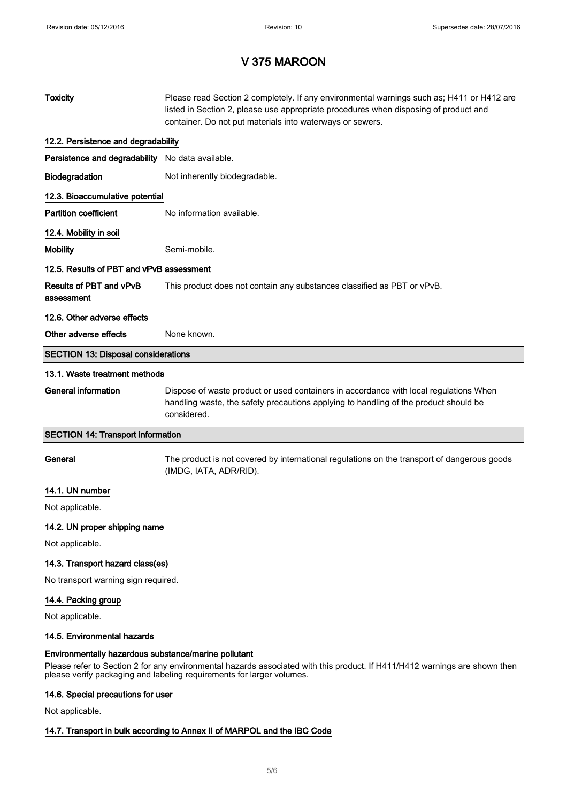| <b>Toxicity</b>                                  | Please read Section 2 completely. If any environmental warnings such as; H411 or H412 are<br>listed in Section 2, please use appropriate procedures when disposing of product and<br>container. Do not put materials into waterways or sewers. |  |  |
|--------------------------------------------------|------------------------------------------------------------------------------------------------------------------------------------------------------------------------------------------------------------------------------------------------|--|--|
| 12.2. Persistence and degradability              |                                                                                                                                                                                                                                                |  |  |
| Persistence and degradability No data available. |                                                                                                                                                                                                                                                |  |  |
| Biodegradation                                   | Not inherently biodegradable.                                                                                                                                                                                                                  |  |  |
| 12.3. Bioaccumulative potential                  |                                                                                                                                                                                                                                                |  |  |
| <b>Partition coefficient</b>                     | No information available.                                                                                                                                                                                                                      |  |  |
| 12.4. Mobility in soil                           |                                                                                                                                                                                                                                                |  |  |
| <b>Mobility</b>                                  | Semi-mobile.                                                                                                                                                                                                                                   |  |  |
| 12.5. Results of PBT and vPvB assessment         |                                                                                                                                                                                                                                                |  |  |
| Results of PBT and vPvB<br>assessment            | This product does not contain any substances classified as PBT or vPvB.                                                                                                                                                                        |  |  |
| 12.6. Other adverse effects                      |                                                                                                                                                                                                                                                |  |  |
| Other adverse effects                            | None known.                                                                                                                                                                                                                                    |  |  |
| <b>SECTION 13: Disposal considerations</b>       |                                                                                                                                                                                                                                                |  |  |
| 13.1. Waste treatment methods                    |                                                                                                                                                                                                                                                |  |  |
| <b>General information</b>                       | Dispose of waste product or used containers in accordance with local regulations When<br>handling waste, the safety precautions applying to handling of the product should be<br>considered.                                                   |  |  |
|                                                  | <b>SECTION 14: Transport information</b>                                                                                                                                                                                                       |  |  |
|                                                  |                                                                                                                                                                                                                                                |  |  |
| General                                          | The product is not covered by international regulations on the transport of dangerous goods<br>(IMDG, IATA, ADR/RID).                                                                                                                          |  |  |
| 14.1. UN number                                  |                                                                                                                                                                                                                                                |  |  |
| Not applicable.                                  |                                                                                                                                                                                                                                                |  |  |
| 14.2. UN proper shipping name                    |                                                                                                                                                                                                                                                |  |  |
| Not applicable.                                  |                                                                                                                                                                                                                                                |  |  |
| 14.3. Transport hazard class(es)                 |                                                                                                                                                                                                                                                |  |  |
| No transport warning sign required.              |                                                                                                                                                                                                                                                |  |  |
| 14.4. Packing group                              |                                                                                                                                                                                                                                                |  |  |
| Not applicable.                                  |                                                                                                                                                                                                                                                |  |  |
| 14.5. Environmental hazards                      |                                                                                                                                                                                                                                                |  |  |

# 14.6. Special precautions for user

Not applicable.

### 14.7. Transport in bulk according to Annex II of MARPOL and the IBC Code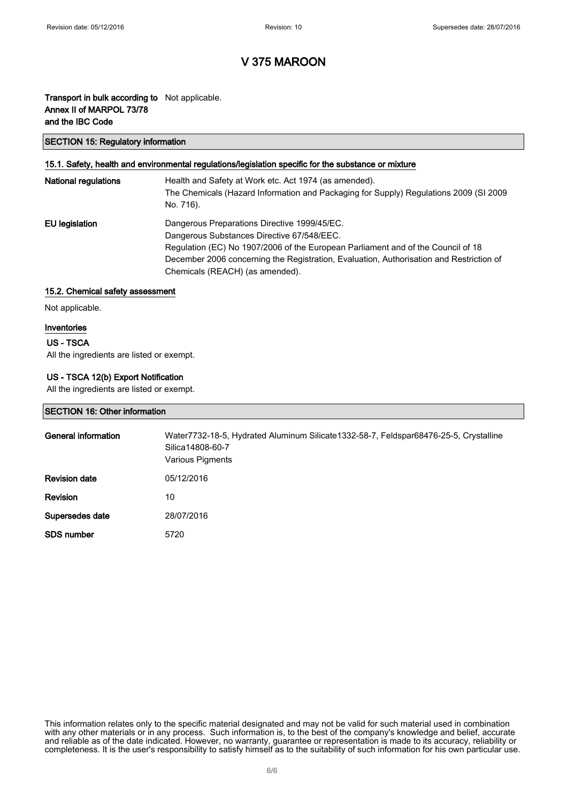### Transport in bulk according to Not applicable. Annex II of MARPOL 73/78 and the IBC Code

#### SECTION 15: Regulatory information

#### 15.1. Safety, health and environmental regulations/legislation specific for the substance or mixture

| <b>National regulations</b> | Health and Safety at Work etc. Act 1974 (as amended).<br>The Chemicals (Hazard Information and Packaging for Supply) Regulations 2009 (SI 2009<br>No. 716).                                                                                                                                                  |
|-----------------------------|--------------------------------------------------------------------------------------------------------------------------------------------------------------------------------------------------------------------------------------------------------------------------------------------------------------|
| EU legislation              | Dangerous Preparations Directive 1999/45/EC.<br>Dangerous Substances Directive 67/548/EEC.<br>Regulation (EC) No 1907/2006 of the European Parliament and of the Council of 18<br>December 2006 concerning the Registration, Evaluation, Authorisation and Restriction of<br>Chemicals (REACH) (as amended). |

#### 15.2. Chemical safety assessment

Not applicable.

#### Inventories

### US - TSCA

All the ingredients are listed or exempt.

### US - TSCA 12(b) Export Notification

All the ingredients are listed or exempt.

#### SECTION 16: Other information

| General information  | Water7732-18-5, Hydrated Aluminum Silicate1332-58-7, Feldspar68476-25-5, Crystalline<br>Silica 14808-60-7<br>Various Pigments |
|----------------------|-------------------------------------------------------------------------------------------------------------------------------|
| <b>Revision date</b> | 05/12/2016                                                                                                                    |
| <b>Revision</b>      | 10                                                                                                                            |
| Supersedes date      | 28/07/2016                                                                                                                    |
| <b>SDS number</b>    | 5720                                                                                                                          |

This information relates only to the specific material designated and may not be valid for such material used in combination with any other materials or in any process. Such information is, to the best of the company's knowledge and belief, accurate and reliable as of the date indicated. However, no warranty, guarantee or representation is made to its accuracy, reliability or completeness. It is the user's responsibility to satisfy himself as to the suitability of such information for his own particular use.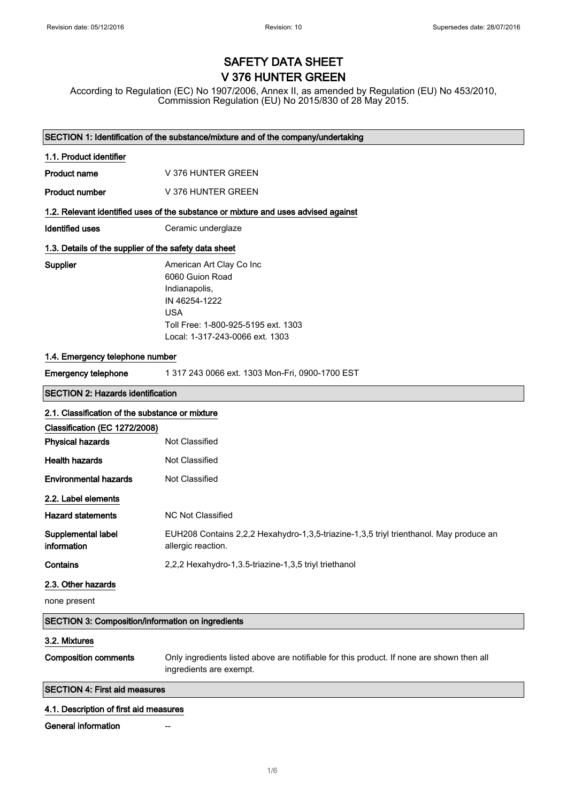# SAFETY DATA SHEET V 376 HUNTER GREEN

According to Regulation (EC) No 1907/2006, Annex II, as amended by Regulation (EU) No 453/2010, Commission Regulation (EU) No 2015/830 of 28 May 2015.

| SECTION 1: Identification of the substance/mixture and of the company/undertaking |                                                                                                                                                                       |  |
|-----------------------------------------------------------------------------------|-----------------------------------------------------------------------------------------------------------------------------------------------------------------------|--|
| 1.1. Product identifier                                                           |                                                                                                                                                                       |  |
| <b>Product name</b>                                                               | V 376 HUNTER GREEN                                                                                                                                                    |  |
| <b>Product number</b>                                                             | V 376 HUNTER GREEN                                                                                                                                                    |  |
|                                                                                   | 1.2. Relevant identified uses of the substance or mixture and uses advised against                                                                                    |  |
| <b>Identified uses</b>                                                            | Ceramic underglaze                                                                                                                                                    |  |
| 1.3. Details of the supplier of the safety data sheet                             |                                                                                                                                                                       |  |
| Supplier                                                                          | American Art Clay Co Inc<br>6060 Guion Road<br>Indianapolis,<br>IN 46254-1222<br><b>USA</b><br>Toll Free: 1-800-925-5195 ext. 1303<br>Local: 1-317-243-0066 ext. 1303 |  |
| 1.4. Emergency telephone number                                                   |                                                                                                                                                                       |  |
| <b>Emergency telephone</b>                                                        | 1 317 243 0066 ext. 1303 Mon-Fri, 0900-1700 EST                                                                                                                       |  |
| <b>SECTION 2: Hazards identification</b>                                          |                                                                                                                                                                       |  |
| 2.1. Classification of the substance or mixture                                   |                                                                                                                                                                       |  |
| Classification (EC 1272/2008)                                                     |                                                                                                                                                                       |  |
| <b>Physical hazards</b>                                                           | Not Classified                                                                                                                                                        |  |
| <b>Health hazards</b>                                                             | Not Classified                                                                                                                                                        |  |
| <b>Environmental hazards</b>                                                      | Not Classified                                                                                                                                                        |  |
| 2.2. Label elements                                                               |                                                                                                                                                                       |  |
| <b>Hazard statements</b>                                                          | <b>NC Not Classified</b>                                                                                                                                              |  |
| Supplemental label<br>information                                                 | EUH208 Contains 2,2,2 Hexahydro-1,3,5-triazine-1,3,5 triyl trienthanol. May produce an<br>allergic reaction.                                                          |  |
| Contains                                                                          | 2,2,2 Hexahydro-1,3.5-triazine-1,3,5 triyl triethanol                                                                                                                 |  |
| 2.3. Other hazards                                                                |                                                                                                                                                                       |  |
| none present                                                                      |                                                                                                                                                                       |  |
| SECTION 3: Composition/information on ingredients                                 |                                                                                                                                                                       |  |
| 3.2. Mixtures                                                                     |                                                                                                                                                                       |  |
| <b>Composition comments</b>                                                       | Only ingredients listed above are notifiable for this product. If none are shown then all<br>ingredients are exempt.                                                  |  |
| <b>SECTION 4: First aid measures</b>                                              |                                                                                                                                                                       |  |
|                                                                                   |                                                                                                                                                                       |  |

### 4.1. Description of first aid measures

**General information**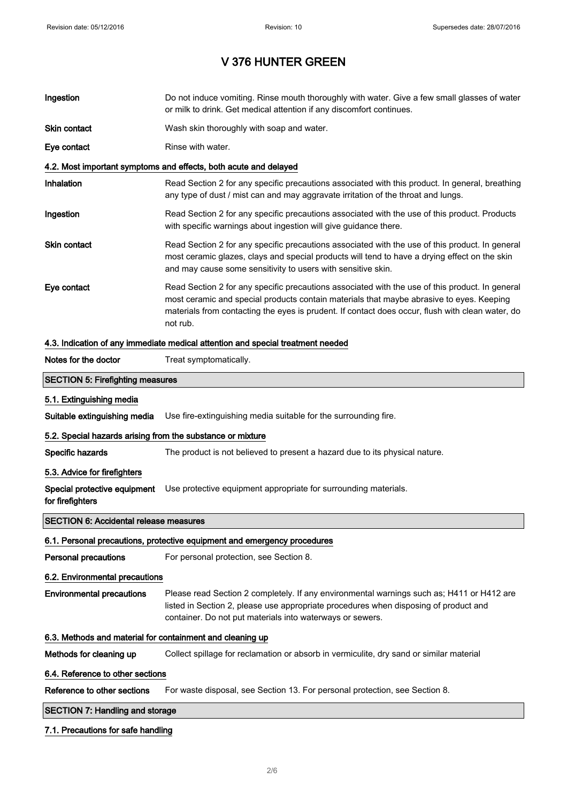| Ingestion                                                  | Do not induce vomiting. Rinse mouth thoroughly with water. Give a few small glasses of water<br>or milk to drink. Get medical attention if any discomfort continues.                                                                                                                                        |  |
|------------------------------------------------------------|-------------------------------------------------------------------------------------------------------------------------------------------------------------------------------------------------------------------------------------------------------------------------------------------------------------|--|
| Skin contact                                               | Wash skin thoroughly with soap and water.                                                                                                                                                                                                                                                                   |  |
| Eye contact                                                | Rinse with water.                                                                                                                                                                                                                                                                                           |  |
|                                                            | 4.2. Most important symptoms and effects, both acute and delayed                                                                                                                                                                                                                                            |  |
| Inhalation                                                 | Read Section 2 for any specific precautions associated with this product. In general, breathing<br>any type of dust / mist can and may aggravate irritation of the throat and lungs.                                                                                                                        |  |
| Ingestion                                                  | Read Section 2 for any specific precautions associated with the use of this product. Products<br>with specific warnings about ingestion will give guidance there.                                                                                                                                           |  |
| Skin contact                                               | Read Section 2 for any specific precautions associated with the use of this product. In general<br>most ceramic glazes, clays and special products will tend to have a drying effect on the skin<br>and may cause some sensitivity to users with sensitive skin.                                            |  |
| Eye contact                                                | Read Section 2 for any specific precautions associated with the use of this product. In general<br>most ceramic and special products contain materials that maybe abrasive to eyes. Keeping<br>materials from contacting the eyes is prudent. If contact does occur, flush with clean water, do<br>not rub. |  |
|                                                            | 4.3. Indication of any immediate medical attention and special treatment needed                                                                                                                                                                                                                             |  |
| Notes for the doctor                                       | Treat symptomatically.                                                                                                                                                                                                                                                                                      |  |
| <b>SECTION 5: Firefighting measures</b>                    |                                                                                                                                                                                                                                                                                                             |  |
| 5.1. Extinguishing media                                   |                                                                                                                                                                                                                                                                                                             |  |
| Suitable extinguishing media                               | Use fire-extinguishing media suitable for the surrounding fire.                                                                                                                                                                                                                                             |  |
| 5.2. Special hazards arising from the substance or mixture |                                                                                                                                                                                                                                                                                                             |  |
| Specific hazards                                           | The product is not believed to present a hazard due to its physical nature.                                                                                                                                                                                                                                 |  |
| 5.3. Advice for firefighters                               |                                                                                                                                                                                                                                                                                                             |  |
| for firefighters                                           | Special protective equipment Use protective equipment appropriate for surrounding materials.                                                                                                                                                                                                                |  |
| <b>SECTION 6: Accidental release measures</b>              |                                                                                                                                                                                                                                                                                                             |  |
|                                                            | 6.1. Personal precautions, protective equipment and emergency procedures                                                                                                                                                                                                                                    |  |
| Personal precautions                                       | For personal protection, see Section 8.                                                                                                                                                                                                                                                                     |  |
| 6.2. Environmental precautions                             |                                                                                                                                                                                                                                                                                                             |  |
| <b>Environmental precautions</b>                           | Please read Section 2 completely. If any environmental warnings such as; H411 or H412 are<br>listed in Section 2, please use appropriate procedures when disposing of product and<br>container. Do not put materials into waterways or sewers.                                                              |  |
| 6.3. Methods and material for containment and cleaning up  |                                                                                                                                                                                                                                                                                                             |  |
| Methods for cleaning up                                    | Collect spillage for reclamation or absorb in vermiculite, dry sand or similar material                                                                                                                                                                                                                     |  |
| 6.4. Reference to other sections                           |                                                                                                                                                                                                                                                                                                             |  |
| Reference to other sections                                | For waste disposal, see Section 13. For personal protection, see Section 8.                                                                                                                                                                                                                                 |  |
| <b>SECTION 7: Handling and storage</b>                     |                                                                                                                                                                                                                                                                                                             |  |
|                                                            |                                                                                                                                                                                                                                                                                                             |  |

### 7.1. Precautions for safe handling

 $\overline{\phantom{a}}$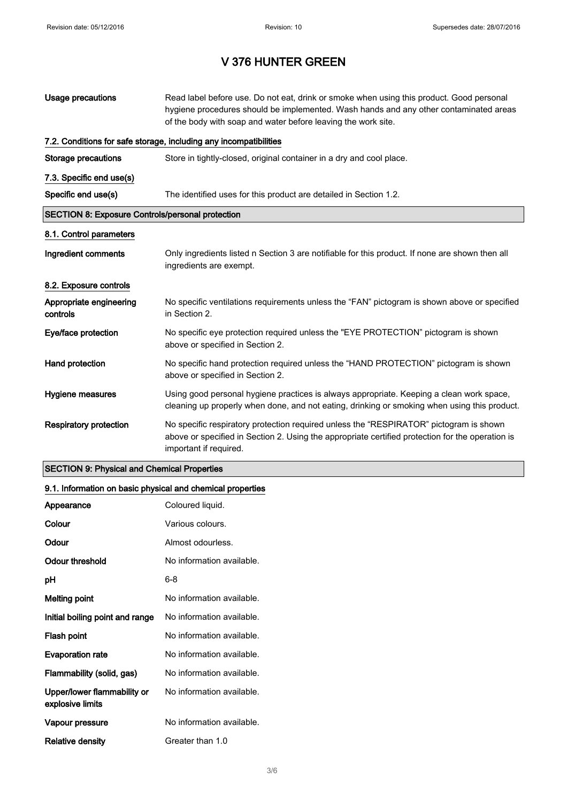| Usage precautions                                       | Read label before use. Do not eat, drink or smoke when using this product. Good personal<br>hygiene procedures should be implemented. Wash hands and any other contaminated areas<br>of the body with soap and water before leaving the work site. |  |
|---------------------------------------------------------|----------------------------------------------------------------------------------------------------------------------------------------------------------------------------------------------------------------------------------------------------|--|
|                                                         | 7.2. Conditions for safe storage, including any incompatibilities                                                                                                                                                                                  |  |
| Storage precautions                                     | Store in tightly-closed, original container in a dry and cool place.                                                                                                                                                                               |  |
| 7.3. Specific end use(s)                                |                                                                                                                                                                                                                                                    |  |
| Specific end use(s)                                     | The identified uses for this product are detailed in Section 1.2.                                                                                                                                                                                  |  |
| <b>SECTION 8: Exposure Controls/personal protection</b> |                                                                                                                                                                                                                                                    |  |
| 8.1. Control parameters                                 |                                                                                                                                                                                                                                                    |  |
| Ingredient comments                                     | Only ingredients listed n Section 3 are notifiable for this product. If none are shown then all<br>ingredients are exempt.                                                                                                                         |  |
| 8.2. Exposure controls                                  |                                                                                                                                                                                                                                                    |  |
| Appropriate engineering<br>controls                     | No specific ventilations requirements unless the "FAN" pictogram is shown above or specified<br>in Section 2.                                                                                                                                      |  |
| Eye/face protection                                     | No specific eye protection required unless the "EYE PROTECTION" pictogram is shown<br>above or specified in Section 2.                                                                                                                             |  |
| Hand protection                                         | No specific hand protection required unless the "HAND PROTECTION" pictogram is shown<br>above or specified in Section 2.                                                                                                                           |  |
| Hygiene measures                                        | Using good personal hygiene practices is always appropriate. Keeping a clean work space,<br>cleaning up properly when done, and not eating, drinking or smoking when using this product.                                                           |  |
| <b>Respiratory protection</b>                           | No specific respiratory protection required unless the "RESPIRATOR" pictogram is shown<br>above or specified in Section 2. Using the appropriate certified protection for the operation is<br>important if required.                               |  |

### SECTION 9: Physical and Chemical Properties

### 9.1. Information on basic physical and chemical properties

| Appearance                                      | Coloured liquid.          |
|-------------------------------------------------|---------------------------|
| Colour                                          | Various colours.          |
| Odour                                           | Almost odourless.         |
| Odour threshold                                 | No information available. |
| рH                                              | 6-8                       |
| <b>Melting point</b>                            | No information available. |
| Initial boiling point and range                 | No information available. |
| Flash point                                     | No information available. |
| <b>Evaporation rate</b>                         | No information available. |
| Flammability (solid, gas)                       | No information available. |
| Upper/lower flammability or<br>explosive limits | No information available. |
| Vapour pressure                                 | No information available. |
| Relative density                                | Greater than 1.0          |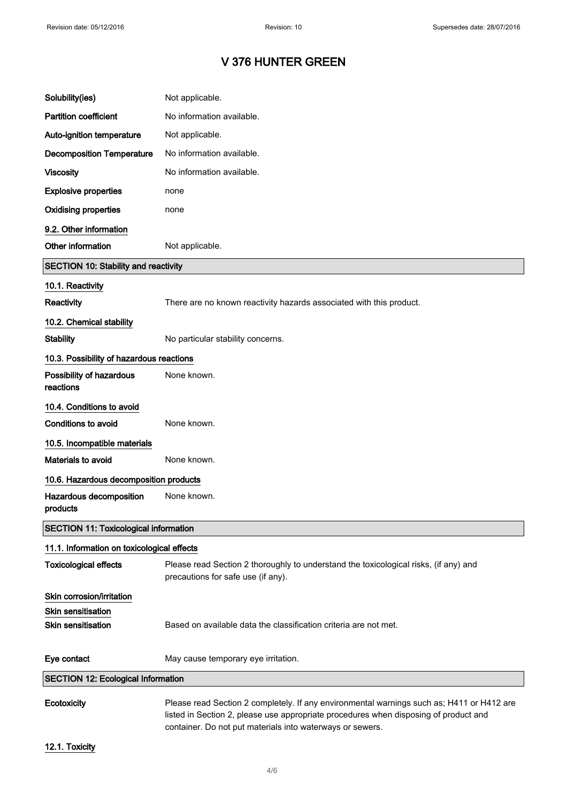| Solubility(ies)                              | Not applicable.                                                                                                                                                                   |
|----------------------------------------------|-----------------------------------------------------------------------------------------------------------------------------------------------------------------------------------|
| <b>Partition coefficient</b>                 | No information available.                                                                                                                                                         |
| Auto-ignition temperature                    | Not applicable.                                                                                                                                                                   |
| <b>Decomposition Temperature</b>             | No information available.                                                                                                                                                         |
| <b>Viscosity</b>                             | No information available.                                                                                                                                                         |
| <b>Explosive properties</b>                  | none                                                                                                                                                                              |
| <b>Oxidising properties</b>                  | none                                                                                                                                                                              |
| 9.2. Other information                       |                                                                                                                                                                                   |
| Other information                            | Not applicable.                                                                                                                                                                   |
| <b>SECTION 10: Stability and reactivity</b>  |                                                                                                                                                                                   |
| 10.1. Reactivity                             |                                                                                                                                                                                   |
| <b>Reactivity</b>                            | There are no known reactivity hazards associated with this product.                                                                                                               |
| 10.2. Chemical stability                     |                                                                                                                                                                                   |
| <b>Stability</b>                             | No particular stability concerns.                                                                                                                                                 |
| 10.3. Possibility of hazardous reactions     |                                                                                                                                                                                   |
| Possibility of hazardous<br>reactions        | None known.                                                                                                                                                                       |
| 10.4. Conditions to avoid                    |                                                                                                                                                                                   |
| <b>Conditions to avoid</b>                   | None known.                                                                                                                                                                       |
| 10.5. Incompatible materials                 |                                                                                                                                                                                   |
| Materials to avoid                           | None known.                                                                                                                                                                       |
| 10.6. Hazardous decomposition products       |                                                                                                                                                                                   |
| Hazardous decomposition<br>products          | None known.                                                                                                                                                                       |
| <b>SECTION 11: Toxicological information</b> |                                                                                                                                                                                   |
| 11.1. Information on toxicological effects   |                                                                                                                                                                                   |
| <b>Toxicological effects</b>                 | Please read Section 2 thoroughly to understand the toxicological risks, (if any) and<br>precautions for safe use (if any).                                                        |
| Skin corrosion/irritation                    |                                                                                                                                                                                   |
| <b>Skin sensitisation</b>                    |                                                                                                                                                                                   |
| <b>Skin sensitisation</b>                    | Based on available data the classification criteria are not met.                                                                                                                  |
| Eye contact                                  | May cause temporary eye irritation.                                                                                                                                               |
| <b>SECTION 12: Ecological Information</b>    |                                                                                                                                                                                   |
| Ecotoxicity                                  | Please read Section 2 completely. If any environmental warnings such as; H411 or H412 are<br>listed in Section 2, please use appropriate procedures when disposing of product and |

12.1. Toxicity

container. Do not put materials into waterways or sewers.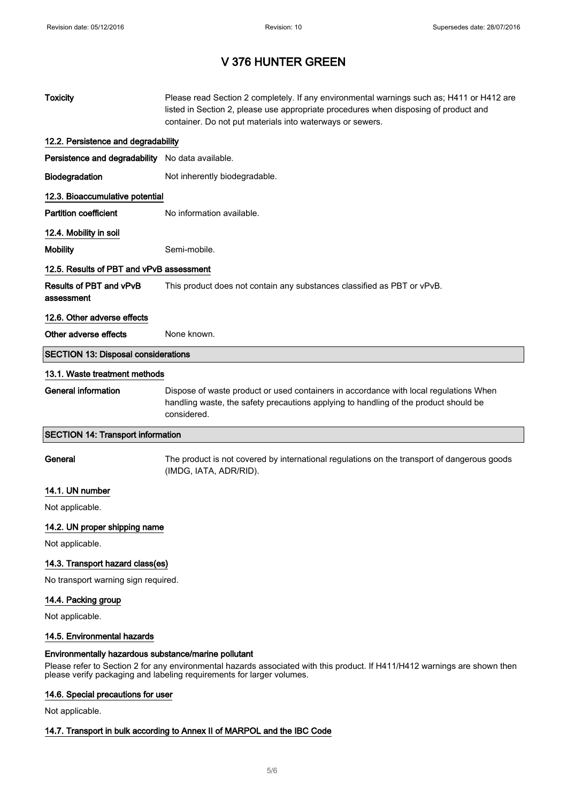| <b>Toxicity</b>                                  | Please read Section 2 completely. If any environmental warnings such as; H411 or H412 are<br>listed in Section 2, please use appropriate procedures when disposing of product and<br>container. Do not put materials into waterways or sewers. |  |
|--------------------------------------------------|------------------------------------------------------------------------------------------------------------------------------------------------------------------------------------------------------------------------------------------------|--|
| 12.2. Persistence and degradability              |                                                                                                                                                                                                                                                |  |
| Persistence and degradability No data available. |                                                                                                                                                                                                                                                |  |
| Biodegradation                                   | Not inherently biodegradable.                                                                                                                                                                                                                  |  |
| 12.3. Bioaccumulative potential                  |                                                                                                                                                                                                                                                |  |
| <b>Partition coefficient</b>                     | No information available.                                                                                                                                                                                                                      |  |
| 12.4. Mobility in soil                           |                                                                                                                                                                                                                                                |  |
| <b>Mobility</b>                                  | Semi-mobile.                                                                                                                                                                                                                                   |  |
| 12.5. Results of PBT and vPvB assessment         |                                                                                                                                                                                                                                                |  |
| Results of PBT and vPvB<br>assessment            | This product does not contain any substances classified as PBT or vPvB.                                                                                                                                                                        |  |
| 12.6. Other adverse effects                      |                                                                                                                                                                                                                                                |  |
| Other adverse effects                            | None known.                                                                                                                                                                                                                                    |  |
| <b>SECTION 13: Disposal considerations</b>       |                                                                                                                                                                                                                                                |  |
| 13.1. Waste treatment methods                    |                                                                                                                                                                                                                                                |  |
| <b>General information</b>                       | Dispose of waste product or used containers in accordance with local regulations When<br>handling waste, the safety precautions applying to handling of the product should be<br>considered.                                                   |  |
| <b>SECTION 14: Transport information</b>         |                                                                                                                                                                                                                                                |  |
|                                                  |                                                                                                                                                                                                                                                |  |
| General                                          | The product is not covered by international regulations on the transport of dangerous goods<br>(IMDG, IATA, ADR/RID).                                                                                                                          |  |
| 14.1. UN number                                  |                                                                                                                                                                                                                                                |  |
| Not applicable.                                  |                                                                                                                                                                                                                                                |  |
| 14.2. UN proper shipping name                    |                                                                                                                                                                                                                                                |  |
| Not applicable.                                  |                                                                                                                                                                                                                                                |  |
| 14.3. Transport hazard class(es)                 |                                                                                                                                                                                                                                                |  |
| No transport warning sign required.              |                                                                                                                                                                                                                                                |  |
| 14.4. Packing group                              |                                                                                                                                                                                                                                                |  |
| Not applicable.                                  |                                                                                                                                                                                                                                                |  |
| 14.5. Environmental hazards                      |                                                                                                                                                                                                                                                |  |

### 14.6. Special precautions for user

Not applicable.

### 14.7. Transport in bulk according to Annex II of MARPOL and the IBC Code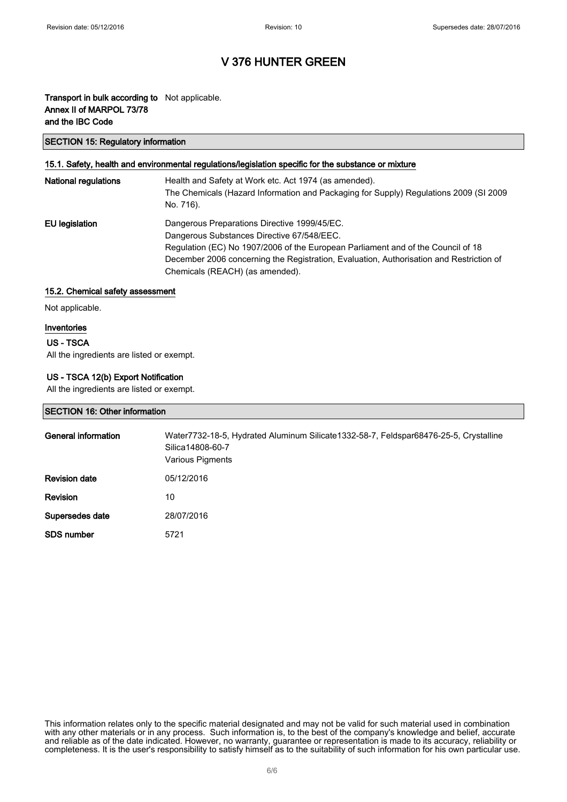### Transport in bulk according to Not applicable. Annex II of MARPOL 73/78 and the IBC Code

#### SECTION 15: Regulatory information

### 15.1. Safety, health and environmental regulations/legislation specific for the substance or mixture

| <b>National regulations</b> | Health and Safety at Work etc. Act 1974 (as amended).<br>The Chemicals (Hazard Information and Packaging for Supply) Regulations 2009 (SI 2009<br>No. 716).                                                                                                                                                  |
|-----------------------------|--------------------------------------------------------------------------------------------------------------------------------------------------------------------------------------------------------------------------------------------------------------------------------------------------------------|
| EU legislation              | Dangerous Preparations Directive 1999/45/EC.<br>Dangerous Substances Directive 67/548/EEC.<br>Regulation (EC) No 1907/2006 of the European Parliament and of the Council of 18<br>December 2006 concerning the Registration, Evaluation, Authorisation and Restriction of<br>Chemicals (REACH) (as amended). |

#### 15.2. Chemical safety assessment

Not applicable.

#### Inventories

### US - TSCA

All the ingredients are listed or exempt.

### US - TSCA 12(b) Export Notification

All the ingredients are listed or exempt.

#### SECTION 16: Other information

| <b>General information</b> | Water7732-18-5, Hydrated Aluminum Silicate1332-58-7, Feldspar68476-25-5, Crystalline<br>Silica 14808-60-7<br>Various Pigments |
|----------------------------|-------------------------------------------------------------------------------------------------------------------------------|
| <b>Revision date</b>       | 05/12/2016                                                                                                                    |
| <b>Revision</b>            | 10                                                                                                                            |
| Supersedes date            | 28/07/2016                                                                                                                    |
| <b>SDS</b> number          | 5721                                                                                                                          |

This information relates only to the specific material designated and may not be valid for such material used in combination with any other materials or in any process. Such information is, to the best of the company's knowledge and belief, accurate and reliable as of the date indicated. However, no warranty, guarantee or representation is made to its accuracy, reliability or completeness. It is the user's responsibility to satisfy himself as to the suitability of such information for his own particular use.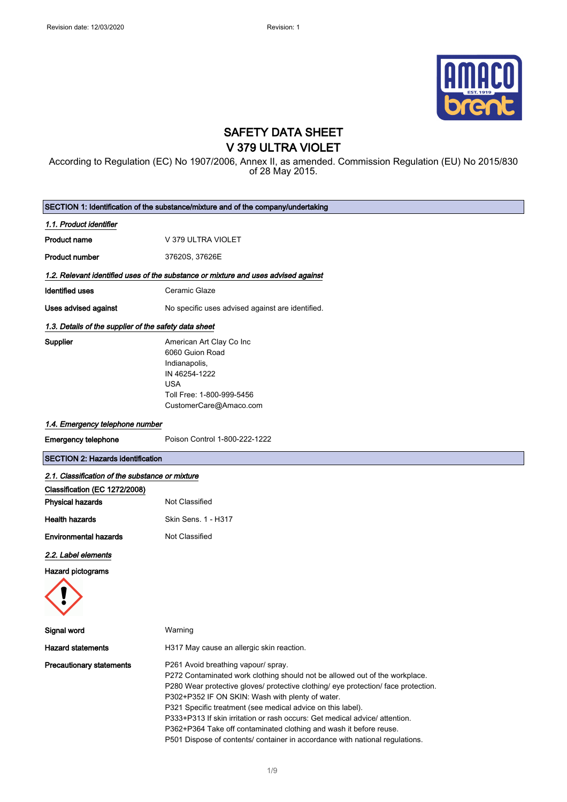

### SAFETY DATA SHEET V 379 ULTRA VIOLET

According to Regulation (EC) No 1907/2006, Annex II, as amended. Commission Regulation (EU) No 2015/830 of 28 May 2015.

| SECTION 1: Identification of the substance/mixture and of the company/undertaking |                                                                                                                                                                                                                                                                                                                                                                                                                                                                                                                                                                  |  |
|-----------------------------------------------------------------------------------|------------------------------------------------------------------------------------------------------------------------------------------------------------------------------------------------------------------------------------------------------------------------------------------------------------------------------------------------------------------------------------------------------------------------------------------------------------------------------------------------------------------------------------------------------------------|--|
| 1.1. Product identifier                                                           |                                                                                                                                                                                                                                                                                                                                                                                                                                                                                                                                                                  |  |
| <b>Product name</b>                                                               | V 379 ULTRA VIOLET                                                                                                                                                                                                                                                                                                                                                                                                                                                                                                                                               |  |
| <b>Product number</b>                                                             | 37620S, 37626E                                                                                                                                                                                                                                                                                                                                                                                                                                                                                                                                                   |  |
|                                                                                   | 1.2. Relevant identified uses of the substance or mixture and uses advised against                                                                                                                                                                                                                                                                                                                                                                                                                                                                               |  |
| <b>Identified uses</b>                                                            | Ceramic Glaze                                                                                                                                                                                                                                                                                                                                                                                                                                                                                                                                                    |  |
| Uses advised against                                                              | No specific uses advised against are identified.                                                                                                                                                                                                                                                                                                                                                                                                                                                                                                                 |  |
| 1.3. Details of the supplier of the safety data sheet                             |                                                                                                                                                                                                                                                                                                                                                                                                                                                                                                                                                                  |  |
| <b>Supplier</b>                                                                   | American Art Clay Co Inc<br>6060 Guion Road<br>Indianapolis,<br>IN 46254-1222<br><b>USA</b><br>Toll Free: 1-800-999-5456<br>CustomerCare@Amaco.com                                                                                                                                                                                                                                                                                                                                                                                                               |  |
| 1.4. Emergency telephone number                                                   |                                                                                                                                                                                                                                                                                                                                                                                                                                                                                                                                                                  |  |
| <b>Emergency telephone</b>                                                        | Poison Control 1-800-222-1222                                                                                                                                                                                                                                                                                                                                                                                                                                                                                                                                    |  |
| <b>SECTION 2: Hazards identification</b>                                          |                                                                                                                                                                                                                                                                                                                                                                                                                                                                                                                                                                  |  |
| 2.1. Classification of the substance or mixture                                   |                                                                                                                                                                                                                                                                                                                                                                                                                                                                                                                                                                  |  |
| Classification (EC 1272/2008)<br><b>Physical hazards</b>                          | Not Classified                                                                                                                                                                                                                                                                                                                                                                                                                                                                                                                                                   |  |
| <b>Health hazards</b>                                                             | Skin Sens. 1 - H317                                                                                                                                                                                                                                                                                                                                                                                                                                                                                                                                              |  |
| <b>Environmental hazards</b>                                                      | Not Classified                                                                                                                                                                                                                                                                                                                                                                                                                                                                                                                                                   |  |
| 2.2. Label elements                                                               |                                                                                                                                                                                                                                                                                                                                                                                                                                                                                                                                                                  |  |
| <b>Hazard pictograms</b>                                                          |                                                                                                                                                                                                                                                                                                                                                                                                                                                                                                                                                                  |  |
| Signal word                                                                       | Warning                                                                                                                                                                                                                                                                                                                                                                                                                                                                                                                                                          |  |
| <b>Hazard statements</b>                                                          | H317 May cause an allergic skin reaction.                                                                                                                                                                                                                                                                                                                                                                                                                                                                                                                        |  |
| <b>Precautionary statements</b>                                                   | P261 Avoid breathing vapour/ spray.<br>P272 Contaminated work clothing should not be allowed out of the workplace.<br>P280 Wear protective gloves/ protective clothing/ eye protection/ face protection.<br>P302+P352 IF ON SKIN: Wash with plenty of water.<br>P321 Specific treatment (see medical advice on this label).<br>P333+P313 If skin irritation or rash occurs: Get medical advice/ attention.<br>P362+P364 Take off contaminated clothing and wash it before reuse.<br>P501 Dispose of contents/ container in accordance with national regulations. |  |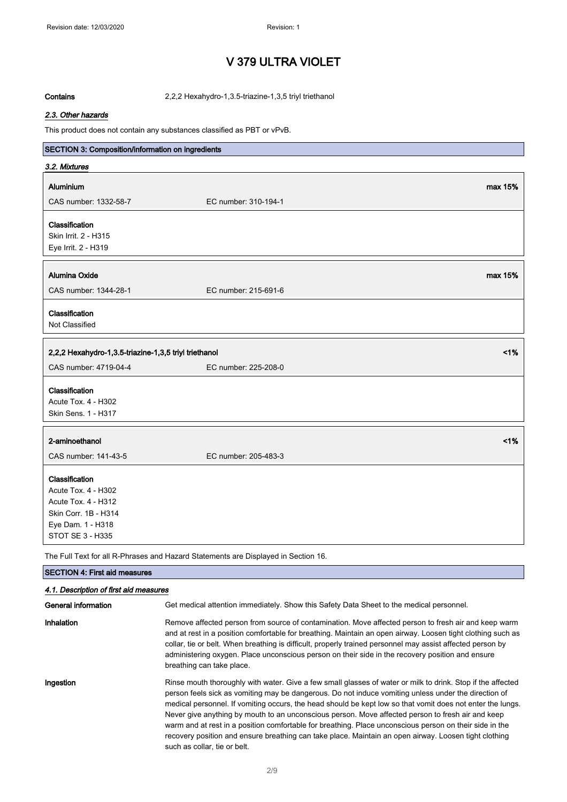Contains 2,2,2 Hexahydro-1,3.5-triazine-1,3,5 triyl triethanol

#### 2.3. Other hazards

This product does not contain any substances classified as PBT or vPvB.

| SECTION 3: Composition/information on ingredients     |                                                                                    |         |
|-------------------------------------------------------|------------------------------------------------------------------------------------|---------|
| 3.2. Mixtures                                         |                                                                                    |         |
| Aluminium                                             |                                                                                    | max 15% |
| CAS number: 1332-58-7                                 | EC number: 310-194-1                                                               |         |
| Classification                                        |                                                                                    |         |
| Skin Irrit. 2 - H315                                  |                                                                                    |         |
| Eye Irrit. 2 - H319                                   |                                                                                    |         |
|                                                       |                                                                                    |         |
| <b>Alumina Oxide</b>                                  |                                                                                    | max 15% |
| CAS number: 1344-28-1                                 | EC number: 215-691-6                                                               |         |
| Classification                                        |                                                                                    |         |
| Not Classified                                        |                                                                                    |         |
|                                                       |                                                                                    |         |
| 2,2,2 Hexahydro-1,3.5-triazine-1,3,5 triyl triethanol |                                                                                    | 1%      |
| CAS number: 4719-04-4                                 | EC number: 225-208-0                                                               |         |
| Classification                                        |                                                                                    |         |
| <b>Acute Tox. 4 - H302</b>                            |                                                                                    |         |
| Skin Sens. 1 - H317                                   |                                                                                    |         |
| 2-aminoethanol                                        |                                                                                    | 1%      |
| CAS number: 141-43-5                                  | EC number: 205-483-3                                                               |         |
|                                                       |                                                                                    |         |
| Classification                                        |                                                                                    |         |
| Acute Tox. 4 - H302                                   |                                                                                    |         |
| Acute Tox. 4 - H312                                   |                                                                                    |         |
| Skin Corr. 1B - H314                                  |                                                                                    |         |
| Eye Dam. 1 - H318                                     |                                                                                    |         |
| STOT SE 3 - H335                                      |                                                                                    |         |
|                                                       | The Full Text for all R-Phrases and Hazard Statements are Displayed in Section 16. |         |

### SECTION 4: First aid measures 4.1. Description of first aid measures General information Get medical attention immediately. Show this Safety Data Sheet to the medical personnel. Inhalation **Remove affected person from source of contamination**. Move affected person to fresh air and keep warm and at rest in a position comfortable for breathing. Maintain an open airway. Loosen tight clothing such as collar, tie or belt. When breathing is difficult, properly trained personnel may assist affected person by administering oxygen. Place unconscious person on their side in the recovery position and ensure breathing can take place. Ingestion **Rinse mouth thoroughly with water.** Give a few small glasses of water or milk to drink. Stop if the affected person feels sick as vomiting may be dangerous. Do not induce vomiting unless under the direction of medical personnel. If vomiting occurs, the head should be kept low so that vomit does not enter the lungs. Never give anything by mouth to an unconscious person. Move affected person to fresh air and keep warm and at rest in a position comfortable for breathing. Place unconscious person on their side in the recovery position and ensure breathing can take place. Maintain an open airway. Loosen tight clothing such as collar, tie or belt.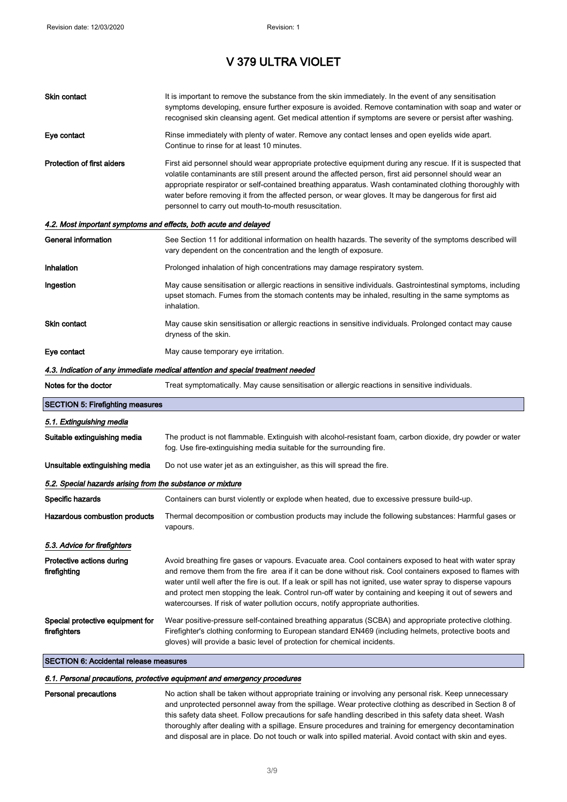| Skin contact                                                     | It is important to remove the substance from the skin immediately. In the event of any sensitisation<br>symptoms developing, ensure further exposure is avoided. Remove contamination with soap and water or                                                                                                                                                                                                                                                                                                                          |
|------------------------------------------------------------------|---------------------------------------------------------------------------------------------------------------------------------------------------------------------------------------------------------------------------------------------------------------------------------------------------------------------------------------------------------------------------------------------------------------------------------------------------------------------------------------------------------------------------------------|
|                                                                  | recognised skin cleansing agent. Get medical attention if symptoms are severe or persist after washing.                                                                                                                                                                                                                                                                                                                                                                                                                               |
| Eye contact                                                      | Rinse immediately with plenty of water. Remove any contact lenses and open eyelids wide apart.<br>Continue to rinse for at least 10 minutes.                                                                                                                                                                                                                                                                                                                                                                                          |
| Protection of first aiders                                       | First aid personnel should wear appropriate protective equipment during any rescue. If it is suspected that<br>volatile contaminants are still present around the affected person, first aid personnel should wear an<br>appropriate respirator or self-contained breathing apparatus. Wash contaminated clothing thoroughly with<br>water before removing it from the affected person, or wear gloves. It may be dangerous for first aid<br>personnel to carry out mouth-to-mouth resuscitation.                                     |
| 4.2. Most important symptoms and effects, both acute and delayed |                                                                                                                                                                                                                                                                                                                                                                                                                                                                                                                                       |
| General information                                              | See Section 11 for additional information on health hazards. The severity of the symptoms described will<br>vary dependent on the concentration and the length of exposure.                                                                                                                                                                                                                                                                                                                                                           |
| Inhalation                                                       | Prolonged inhalation of high concentrations may damage respiratory system.                                                                                                                                                                                                                                                                                                                                                                                                                                                            |
| Ingestion                                                        | May cause sensitisation or allergic reactions in sensitive individuals. Gastrointestinal symptoms, including<br>upset stomach. Fumes from the stomach contents may be inhaled, resulting in the same symptoms as<br>inhalation.                                                                                                                                                                                                                                                                                                       |
| Skin contact                                                     | May cause skin sensitisation or allergic reactions in sensitive individuals. Prolonged contact may cause<br>dryness of the skin.                                                                                                                                                                                                                                                                                                                                                                                                      |
| Eye contact                                                      | May cause temporary eye irritation.                                                                                                                                                                                                                                                                                                                                                                                                                                                                                                   |
|                                                                  | 4.3. Indication of any immediate medical attention and special treatment needed                                                                                                                                                                                                                                                                                                                                                                                                                                                       |
| Notes for the doctor                                             | Treat symptomatically. May cause sensitisation or allergic reactions in sensitive individuals.                                                                                                                                                                                                                                                                                                                                                                                                                                        |
| <b>SECTION 5: Firefighting measures</b>                          |                                                                                                                                                                                                                                                                                                                                                                                                                                                                                                                                       |
| 5.1. Extinguishing media                                         |                                                                                                                                                                                                                                                                                                                                                                                                                                                                                                                                       |
| Suitable extinguishing media                                     | The product is not flammable. Extinguish with alcohol-resistant foam, carbon dioxide, dry powder or water<br>fog. Use fire-extinguishing media suitable for the surrounding fire.                                                                                                                                                                                                                                                                                                                                                     |
| Unsuitable extinguishing media                                   | Do not use water jet as an extinguisher, as this will spread the fire.                                                                                                                                                                                                                                                                                                                                                                                                                                                                |
| 5.2. Special hazards arising from the substance or mixture       |                                                                                                                                                                                                                                                                                                                                                                                                                                                                                                                                       |
| Specific hazards                                                 | Containers can burst violently or explode when heated, due to excessive pressure build-up.                                                                                                                                                                                                                                                                                                                                                                                                                                            |
| Hazardous combustion products                                    | Thermal decomposition or combustion products may include the following substances: Harmful gases or<br>vapours.                                                                                                                                                                                                                                                                                                                                                                                                                       |
| 5.3. Advice for firefighters                                     |                                                                                                                                                                                                                                                                                                                                                                                                                                                                                                                                       |
| Protective actions during<br>firefighting                        | Avoid breathing fire gases or vapours. Evacuate area. Cool containers exposed to heat with water spray<br>and remove them from the fire area if it can be done without risk. Cool containers exposed to flames with<br>water until well after the fire is out. If a leak or spill has not ignited, use water spray to disperse vapours<br>and protect men stopping the leak. Control run-off water by containing and keeping it out of sewers and<br>watercourses. If risk of water pollution occurs, notify appropriate authorities. |
| Special protective equipment for<br>firefighters                 | Wear positive-pressure self-contained breathing apparatus (SCBA) and appropriate protective clothing.<br>Firefighter's clothing conforming to European standard EN469 (including helmets, protective boots and<br>gloves) will provide a basic level of protection for chemical incidents.                                                                                                                                                                                                                                            |
| <b>SECTION 6: Accidental release measures</b>                    |                                                                                                                                                                                                                                                                                                                                                                                                                                                                                                                                       |

#### 6.1. Personal precautions, protective equipment and emergency procedures

Personal precautions No action shall be taken without appropriate training or involving any personal risk. Keep unnecessary and unprotected personnel away from the spillage. Wear protective clothing as described in Section 8 of this safety data sheet. Follow precautions for safe handling described in this safety data sheet. Wash thoroughly after dealing with a spillage. Ensure procedures and training for emergency decontamination and disposal are in place. Do not touch or walk into spilled material. Avoid contact with skin and eyes.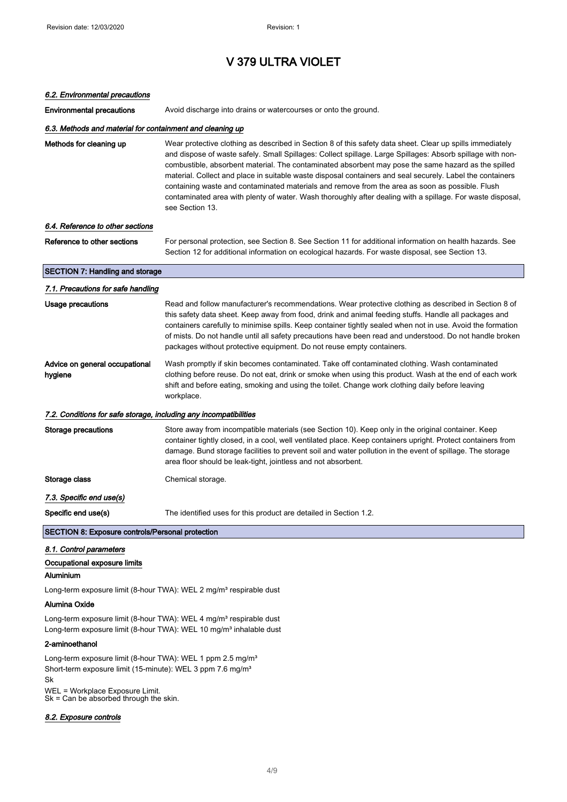| 6.2. Environmental precautions                                                                                                                                                                                                        |                                                                                                                                                                                                                                                                                                                                                                                                                                                                                                                                                                                                                                                                                 |
|---------------------------------------------------------------------------------------------------------------------------------------------------------------------------------------------------------------------------------------|---------------------------------------------------------------------------------------------------------------------------------------------------------------------------------------------------------------------------------------------------------------------------------------------------------------------------------------------------------------------------------------------------------------------------------------------------------------------------------------------------------------------------------------------------------------------------------------------------------------------------------------------------------------------------------|
| <b>Environmental precautions</b>                                                                                                                                                                                                      | Avoid discharge into drains or watercourses or onto the ground.                                                                                                                                                                                                                                                                                                                                                                                                                                                                                                                                                                                                                 |
| 6.3. Methods and material for containment and cleaning up                                                                                                                                                                             |                                                                                                                                                                                                                                                                                                                                                                                                                                                                                                                                                                                                                                                                                 |
| Methods for cleaning up                                                                                                                                                                                                               | Wear protective clothing as described in Section 8 of this safety data sheet. Clear up spills immediately<br>and dispose of waste safely. Small Spillages: Collect spillage. Large Spillages: Absorb spillage with non-<br>combustible, absorbent material. The contaminated absorbent may pose the same hazard as the spilled<br>material. Collect and place in suitable waste disposal containers and seal securely. Label the containers<br>containing waste and contaminated materials and remove from the area as soon as possible. Flush<br>contaminated area with plenty of water. Wash thoroughly after dealing with a spillage. For waste disposal,<br>see Section 13. |
| 6.4. Reference to other sections                                                                                                                                                                                                      |                                                                                                                                                                                                                                                                                                                                                                                                                                                                                                                                                                                                                                                                                 |
| Reference to other sections                                                                                                                                                                                                           | For personal protection, see Section 8. See Section 11 for additional information on health hazards. See<br>Section 12 for additional information on ecological hazards. For waste disposal, see Section 13.                                                                                                                                                                                                                                                                                                                                                                                                                                                                    |
| <b>SECTION 7: Handling and storage</b>                                                                                                                                                                                                |                                                                                                                                                                                                                                                                                                                                                                                                                                                                                                                                                                                                                                                                                 |
| 7.1. Precautions for safe handling                                                                                                                                                                                                    |                                                                                                                                                                                                                                                                                                                                                                                                                                                                                                                                                                                                                                                                                 |
| <b>Usage precautions</b>                                                                                                                                                                                                              | Read and follow manufacturer's recommendations. Wear protective clothing as described in Section 8 of<br>this safety data sheet. Keep away from food, drink and animal feeding stuffs. Handle all packages and<br>containers carefully to minimise spills. Keep container tightly sealed when not in use. Avoid the formation<br>of mists. Do not handle until all safety precautions have been read and understood. Do not handle broken<br>packages without protective equipment. Do not reuse empty containers.                                                                                                                                                              |
| Advice on general occupational<br>hygiene                                                                                                                                                                                             | Wash promptly if skin becomes contaminated. Take off contaminated clothing. Wash contaminated<br>clothing before reuse. Do not eat, drink or smoke when using this product. Wash at the end of each work<br>shift and before eating, smoking and using the toilet. Change work clothing daily before leaving<br>workplace.                                                                                                                                                                                                                                                                                                                                                      |
| 7.2. Conditions for safe storage, including any incompatibilities                                                                                                                                                                     |                                                                                                                                                                                                                                                                                                                                                                                                                                                                                                                                                                                                                                                                                 |
| <b>Storage precautions</b>                                                                                                                                                                                                            | Store away from incompatible materials (see Section 10). Keep only in the original container. Keep<br>container tightly closed, in a cool, well ventilated place. Keep containers upright. Protect containers from<br>damage. Bund storage facilities to prevent soil and water pollution in the event of spillage. The storage<br>area floor should be leak-tight, jointless and not absorbent.                                                                                                                                                                                                                                                                                |
| Storage class                                                                                                                                                                                                                         | Chemical storage.                                                                                                                                                                                                                                                                                                                                                                                                                                                                                                                                                                                                                                                               |
| 7.3. Specific end use(s)                                                                                                                                                                                                              |                                                                                                                                                                                                                                                                                                                                                                                                                                                                                                                                                                                                                                                                                 |
| Specific end use(s)                                                                                                                                                                                                                   | The identified uses for this product are detailed in Section 1.2                                                                                                                                                                                                                                                                                                                                                                                                                                                                                                                                                                                                                |
| <b>SECTION 8: Exposure controls/Personal protection</b>                                                                                                                                                                               |                                                                                                                                                                                                                                                                                                                                                                                                                                                                                                                                                                                                                                                                                 |
| 8.1. Control parameters                                                                                                                                                                                                               |                                                                                                                                                                                                                                                                                                                                                                                                                                                                                                                                                                                                                                                                                 |
| Occupational exposure limits                                                                                                                                                                                                          |                                                                                                                                                                                                                                                                                                                                                                                                                                                                                                                                                                                                                                                                                 |
| Aluminium                                                                                                                                                                                                                             |                                                                                                                                                                                                                                                                                                                                                                                                                                                                                                                                                                                                                                                                                 |
|                                                                                                                                                                                                                                       | Long-term exposure limit (8-hour TWA): WEL 2 mg/m <sup>3</sup> respirable dust                                                                                                                                                                                                                                                                                                                                                                                                                                                                                                                                                                                                  |
| <b>Alumina Oxide</b>                                                                                                                                                                                                                  |                                                                                                                                                                                                                                                                                                                                                                                                                                                                                                                                                                                                                                                                                 |
| Long-term exposure limit (8-hour TWA): WEL 4 mg/m <sup>3</sup> respirable dust<br>Long-term exposure limit (8-hour TWA): WEL 10 mg/m <sup>3</sup> inhalable dust                                                                      |                                                                                                                                                                                                                                                                                                                                                                                                                                                                                                                                                                                                                                                                                 |
| 2-aminoethanol                                                                                                                                                                                                                        |                                                                                                                                                                                                                                                                                                                                                                                                                                                                                                                                                                                                                                                                                 |
| Long-term exposure limit (8-hour TWA): WEL 1 ppm 2.5 mg/m <sup>3</sup><br>Short-term exposure limit (15-minute): WEL 3 ppm 7.6 mg/m <sup>3</sup><br>Sk<br>WEL = Workplace Exposure Limit.<br>$Sk = Can be$ absorbed through the skin. |                                                                                                                                                                                                                                                                                                                                                                                                                                                                                                                                                                                                                                                                                 |

### 8.2. Exposure controls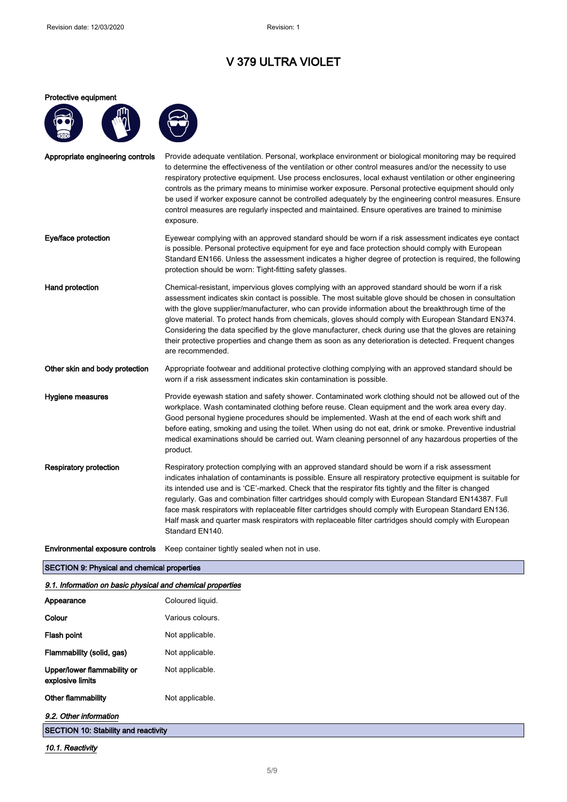### Protective equipment



| Appropriate engineering controls | Provide adequate ventilation. Personal, workplace environment or biological monitoring may be required<br>to determine the effectiveness of the ventilation or other control measures and/or the necessity to use<br>respiratory protective equipment. Use process enclosures, local exhaust ventilation or other engineering<br>controls as the primary means to minimise worker exposure. Personal protective equipment should only<br>be used if worker exposure cannot be controlled adequately by the engineering control measures. Ensure<br>control measures are regularly inspected and maintained. Ensure operatives are trained to minimise<br>exposure.     |
|----------------------------------|------------------------------------------------------------------------------------------------------------------------------------------------------------------------------------------------------------------------------------------------------------------------------------------------------------------------------------------------------------------------------------------------------------------------------------------------------------------------------------------------------------------------------------------------------------------------------------------------------------------------------------------------------------------------|
| Eye/face protection              | Eyewear complying with an approved standard should be worn if a risk assessment indicates eye contact<br>is possible. Personal protective equipment for eye and face protection should comply with European<br>Standard EN166. Unless the assessment indicates a higher degree of protection is required, the following<br>protection should be worn: Tight-fitting safety glasses.                                                                                                                                                                                                                                                                                    |
| Hand protection                  | Chemical-resistant, impervious gloves complying with an approved standard should be worn if a risk<br>assessment indicates skin contact is possible. The most suitable glove should be chosen in consultation<br>with the glove supplier/manufacturer, who can provide information about the breakthrough time of the<br>glove material. To protect hands from chemicals, gloves should comply with European Standard EN374.<br>Considering the data specified by the glove manufacturer, check during use that the gloves are retaining<br>their protective properties and change them as soon as any deterioration is detected. Frequent changes<br>are recommended. |
| Other skin and body protection   | Appropriate footwear and additional protective clothing complying with an approved standard should be<br>worn if a risk assessment indicates skin contamination is possible.                                                                                                                                                                                                                                                                                                                                                                                                                                                                                           |
| Hygiene measures                 | Provide eyewash station and safety shower. Contaminated work clothing should not be allowed out of the<br>workplace. Wash contaminated clothing before reuse. Clean equipment and the work area every day.<br>Good personal hygiene procedures should be implemented. Wash at the end of each work shift and<br>before eating, smoking and using the toilet. When using do not eat, drink or smoke. Preventive industrial<br>medical examinations should be carried out. Warn cleaning personnel of any hazardous properties of the<br>product.                                                                                                                        |
| <b>Respiratory protection</b>    | Respiratory protection complying with an approved standard should be worn if a risk assessment<br>indicates inhalation of contaminants is possible. Ensure all respiratory protective equipment is suitable for<br>its intended use and is 'CE'-marked. Check that the respirator fits tightly and the filter is changed<br>regularly. Gas and combination filter cartridges should comply with European Standard EN14387. Full<br>face mask respirators with replaceable filter cartridges should comply with European Standard EN136.<br>Half mask and quarter mask respirators with replaceable filter cartridges should comply with European<br>Standard EN140.    |
| Environmental exposure controls  | Keep container tightly sealed when not in use.                                                                                                                                                                                                                                                                                                                                                                                                                                                                                                                                                                                                                         |

### SECTION 9: Physical and chemical properties

| 9.1. Information on basic physical and chemical properties |                  |
|------------------------------------------------------------|------------------|
| Appearance                                                 | Coloured liquid. |
| Colour                                                     | Various colours. |
| Flash point                                                | Not applicable.  |
| Flammability (solid, gas)                                  | Not applicable.  |
| Upper/lower flammability or<br>explosive limits            | Not applicable.  |
| Other flammability                                         | Not applicable.  |
| 9.2. Other information                                     |                  |
| <b>SECTION 10: Stability and reactivity</b>                |                  |

10.1. Reactivity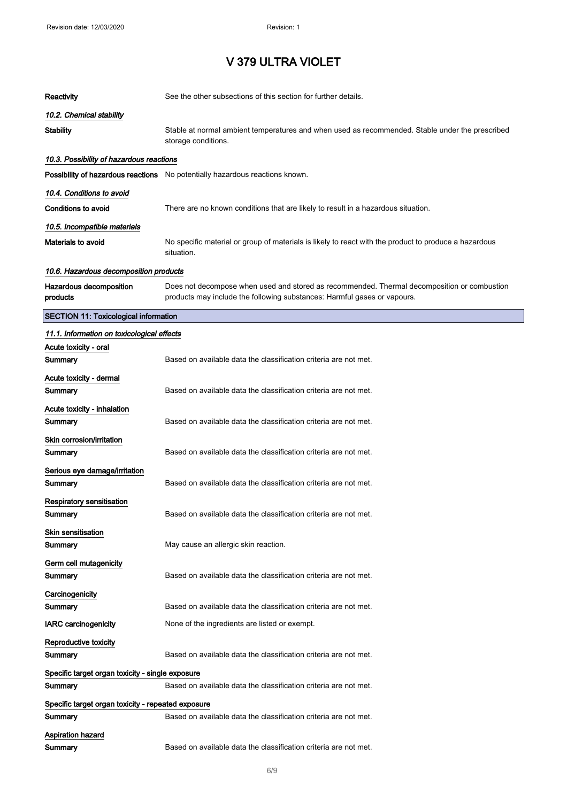| Reactivity                                         | See the other subsections of this section for further details.                                                                                                          |
|----------------------------------------------------|-------------------------------------------------------------------------------------------------------------------------------------------------------------------------|
| 10.2. Chemical stability                           |                                                                                                                                                                         |
| Stability                                          | Stable at normal ambient temperatures and when used as recommended. Stable under the prescribed<br>storage conditions.                                                  |
| 10.3. Possibility of hazardous reactions           |                                                                                                                                                                         |
|                                                    | <b>Possibility of hazardous reactions</b> No potentially hazardous reactions known.                                                                                     |
| 10.4. Conditions to avoid                          |                                                                                                                                                                         |
| Conditions to avoid                                | There are no known conditions that are likely to result in a hazardous situation.                                                                                       |
| 10.5. Incompatible materials                       |                                                                                                                                                                         |
| Materials to avoid                                 | No specific material or group of materials is likely to react with the product to produce a hazardous<br>situation.                                                     |
| 10.6. Hazardous decomposition products             |                                                                                                                                                                         |
| Hazardous decomposition<br>products                | Does not decompose when used and stored as recommended. Thermal decomposition or combustion<br>products may include the following substances: Harmful gases or vapours. |
| <b>SECTION 11: Toxicological information</b>       |                                                                                                                                                                         |
| 11.1. Information on toxicological effects         |                                                                                                                                                                         |
| Acute toxicity - oral<br>Summary                   | Based on available data the classification criteria are not met.                                                                                                        |
| Acute toxicity - dermal                            |                                                                                                                                                                         |
| Summary                                            | Based on available data the classification criteria are not met.                                                                                                        |
| Acute toxicity - inhalation                        |                                                                                                                                                                         |
| Summary                                            | Based on available data the classification criteria are not met.                                                                                                        |
| Skin corrosion/irritation                          |                                                                                                                                                                         |
| Summary                                            | Based on available data the classification criteria are not met.                                                                                                        |
| Serious eye damage/irritation<br>Summary           | Based on available data the classification criteria are not met.                                                                                                        |
| Respiratory sensitisation                          |                                                                                                                                                                         |
| Summary                                            | Based on available data the classification criteria are not met.                                                                                                        |
| Skin sensitisation<br>Summary                      | May cause an allergic skin reaction.                                                                                                                                    |
| Germ cell mutagenicity                             |                                                                                                                                                                         |
| Summary                                            | Based on available data the classification criteria are not met.                                                                                                        |
| Carcinogenicity                                    |                                                                                                                                                                         |
| Summary                                            | Based on available data the classification criteria are not met.                                                                                                        |
| <b>IARC carcinogenicity</b>                        | None of the ingredients are listed or exempt.                                                                                                                           |
| Reproductive toxicity<br>Summary                   | Based on available data the classification criteria are not met.                                                                                                        |
| Specific target organ toxicity - single exposure   |                                                                                                                                                                         |
| Summary                                            | Based on available data the classification criteria are not met.                                                                                                        |
| Specific target organ toxicity - repeated exposure |                                                                                                                                                                         |
| Summary                                            | Based on available data the classification criteria are not met.                                                                                                        |
| Aspiration hazard                                  |                                                                                                                                                                         |
| Summary                                            | Based on available data the classification criteria are not met.                                                                                                        |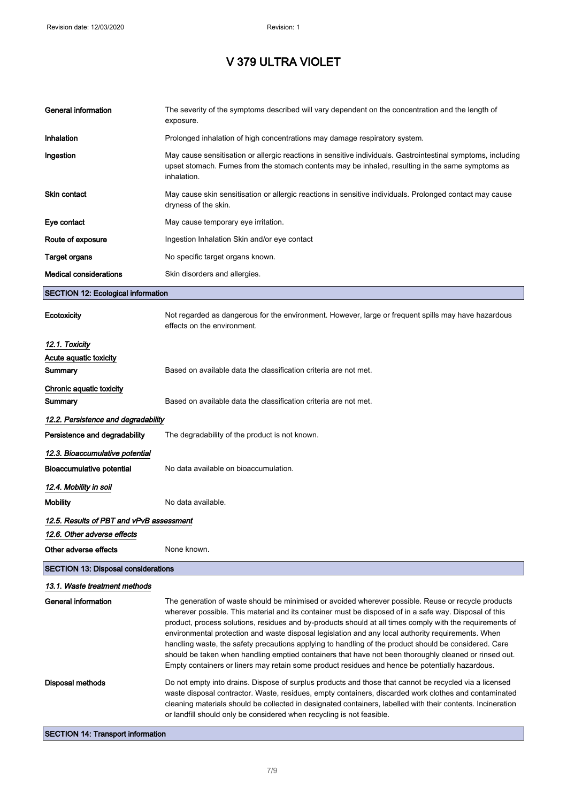# V 379 ULTRA VIOLET

| General information                                 | The severity of the symptoms described will vary dependent on the concentration and the length of<br>exposure.                                                                                                                                                                                                                                                                                                                                                                                                                                                                                                                                                                                                                                       |
|-----------------------------------------------------|------------------------------------------------------------------------------------------------------------------------------------------------------------------------------------------------------------------------------------------------------------------------------------------------------------------------------------------------------------------------------------------------------------------------------------------------------------------------------------------------------------------------------------------------------------------------------------------------------------------------------------------------------------------------------------------------------------------------------------------------------|
| Inhalation                                          | Prolonged inhalation of high concentrations may damage respiratory system.                                                                                                                                                                                                                                                                                                                                                                                                                                                                                                                                                                                                                                                                           |
| Ingestion                                           | May cause sensitisation or allergic reactions in sensitive individuals. Gastrointestinal symptoms, including<br>upset stomach. Fumes from the stomach contents may be inhaled, resulting in the same symptoms as<br>inhalation.                                                                                                                                                                                                                                                                                                                                                                                                                                                                                                                      |
| <b>Skin contact</b>                                 | May cause skin sensitisation or allergic reactions in sensitive individuals. Prolonged contact may cause<br>dryness of the skin.                                                                                                                                                                                                                                                                                                                                                                                                                                                                                                                                                                                                                     |
| Eye contact                                         | May cause temporary eye irritation.                                                                                                                                                                                                                                                                                                                                                                                                                                                                                                                                                                                                                                                                                                                  |
| Route of exposure                                   | Ingestion Inhalation Skin and/or eye contact                                                                                                                                                                                                                                                                                                                                                                                                                                                                                                                                                                                                                                                                                                         |
| <b>Target organs</b>                                | No specific target organs known.                                                                                                                                                                                                                                                                                                                                                                                                                                                                                                                                                                                                                                                                                                                     |
| <b>Medical considerations</b>                       | Skin disorders and allergies.                                                                                                                                                                                                                                                                                                                                                                                                                                                                                                                                                                                                                                                                                                                        |
| <b>SECTION 12: Ecological information</b>           |                                                                                                                                                                                                                                                                                                                                                                                                                                                                                                                                                                                                                                                                                                                                                      |
| Ecotoxicity                                         | Not regarded as dangerous for the environment. However, large or frequent spills may have hazardous<br>effects on the environment.                                                                                                                                                                                                                                                                                                                                                                                                                                                                                                                                                                                                                   |
| 12.1. Toxicity<br>Acute aquatic toxicity<br>Summary | Based on available data the classification criteria are not met.                                                                                                                                                                                                                                                                                                                                                                                                                                                                                                                                                                                                                                                                                     |
| Chronic aquatic toxicity<br>Summary                 | Based on available data the classification criteria are not met.                                                                                                                                                                                                                                                                                                                                                                                                                                                                                                                                                                                                                                                                                     |
| 12.2. Persistence and degradability                 |                                                                                                                                                                                                                                                                                                                                                                                                                                                                                                                                                                                                                                                                                                                                                      |
| Persistence and degradability                       | The degradability of the product is not known.                                                                                                                                                                                                                                                                                                                                                                                                                                                                                                                                                                                                                                                                                                       |
| 12.3. Bioaccumulative potential                     |                                                                                                                                                                                                                                                                                                                                                                                                                                                                                                                                                                                                                                                                                                                                                      |
| Bioaccumulative potential                           | No data available on bioaccumulation.                                                                                                                                                                                                                                                                                                                                                                                                                                                                                                                                                                                                                                                                                                                |
| 12.4. Mobility in soil                              |                                                                                                                                                                                                                                                                                                                                                                                                                                                                                                                                                                                                                                                                                                                                                      |
| <b>Mobility</b>                                     | No data available.                                                                                                                                                                                                                                                                                                                                                                                                                                                                                                                                                                                                                                                                                                                                   |
| 12.5. Results of PBT and vPvB assessment            |                                                                                                                                                                                                                                                                                                                                                                                                                                                                                                                                                                                                                                                                                                                                                      |
| 12.6. Other adverse effects                         |                                                                                                                                                                                                                                                                                                                                                                                                                                                                                                                                                                                                                                                                                                                                                      |
| Other adverse effects                               | None known.                                                                                                                                                                                                                                                                                                                                                                                                                                                                                                                                                                                                                                                                                                                                          |
| <b>SECTION 13: Disposal considerations</b>          |                                                                                                                                                                                                                                                                                                                                                                                                                                                                                                                                                                                                                                                                                                                                                      |
| 13.1. Waste treatment methods                       |                                                                                                                                                                                                                                                                                                                                                                                                                                                                                                                                                                                                                                                                                                                                                      |
| General information                                 | The generation of waste should be minimised or avoided wherever possible. Reuse or recycle products<br>wherever possible. This material and its container must be disposed of in a safe way. Disposal of this<br>product, process solutions, residues and by-products should at all times comply with the requirements of<br>environmental protection and waste disposal legislation and any local authority requirements. When<br>handling waste, the safety precautions applying to handling of the product should be considered. Care<br>should be taken when handling emptied containers that have not been thoroughly cleaned or rinsed out.<br>Empty containers or liners may retain some product residues and hence be potentially hazardous. |
| Disposal methods                                    | Do not empty into drains. Dispose of surplus products and those that cannot be recycled via a licensed<br>waste disposal contractor. Waste, residues, empty containers, discarded work clothes and contaminated<br>cleaning materials should be collected in designated containers, labelled with their contents. Incineration<br>or landfill should only be considered when recycling is not feasible.                                                                                                                                                                                                                                                                                                                                              |
| <b>SECTION 14: Transport information</b>            |                                                                                                                                                                                                                                                                                                                                                                                                                                                                                                                                                                                                                                                                                                                                                      |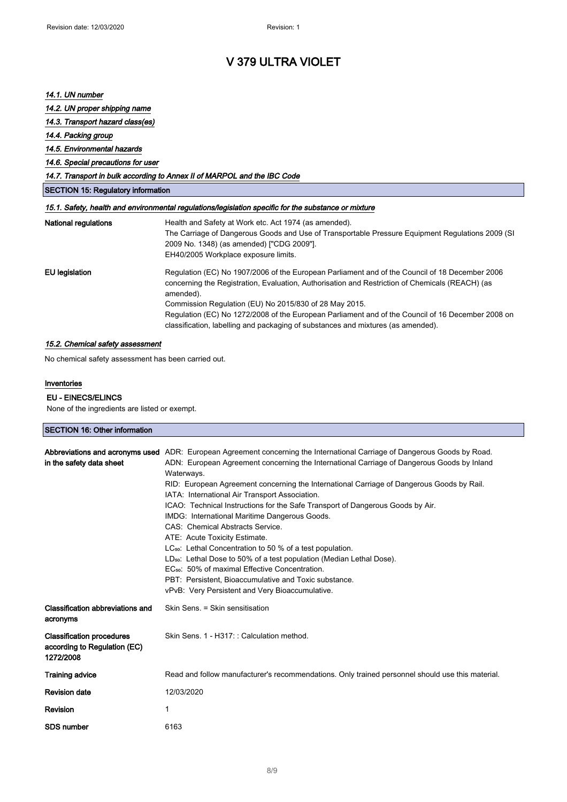## V 379 ULTRA VIOLET

## 14.1. UN number

### 14.2. UN proper shipping name

### 14.3. Transport hazard class(es)

## 14.4. Packing group

### 14.5. Environmental hazards

### 14.6. Special precautions for user

### 14.7. Transport in bulk according to Annex II of MARPOL and the IBC Code

|  | <b>SECTION 15: Regulatory information</b> |  |
|--|-------------------------------------------|--|
|  |                                           |  |

### 15.1. Safety, health and environmental regulations/legislation specific for the substance or mixture

| National regulations | Health and Safety at Work etc. Act 1974 (as amended).<br>The Carriage of Dangerous Goods and Use of Transportable Pressure Equipment Regulations 2009 (SI<br>2009 No. 1348) (as amended) ["CDG 2009"].<br>EH40/2005 Workplace exposure limits.                           |
|----------------------|--------------------------------------------------------------------------------------------------------------------------------------------------------------------------------------------------------------------------------------------------------------------------|
| EU legislation       | Regulation (EC) No 1907/2006 of the European Parliament and of the Council of 18 December 2006<br>concerning the Registration, Evaluation, Authorisation and Restriction of Chemicals (REACH) (as<br>amended).<br>Commission Regulation (EU) No 2015/830 of 28 May 2015. |
|                      | Regulation (EC) No 1272/2008 of the European Parliament and of the Council of 16 December 2008 on<br>classification, labelling and packaging of substances and mixtures (as amended).                                                                                    |

### 15.2. Chemical safety assessment

No chemical safety assessment has been carried out.

### Inventories

#### EU - EINECS/ELINCS

None of the ingredients are listed or exempt.

### SECTION 16: Other information

| in the safety data sheet                                                      | Abbreviations and acronyms used ADR: European Agreement concerning the International Carriage of Dangerous Goods by Road.<br>ADN: European Agreement concerning the International Carriage of Dangerous Goods by Inland<br>Waterways.<br>RID: European Agreement concerning the International Carriage of Dangerous Goods by Rail.<br>IATA: International Air Transport Association.<br>ICAO: Technical Instructions for the Safe Transport of Dangerous Goods by Air.<br>IMDG: International Maritime Dangerous Goods.<br>CAS: Chemical Abstracts Service.<br>ATE: Acute Toxicity Estimate.<br>LC <sub>50</sub> : Lethal Concentration to 50 % of a test population.<br>LD <sub>50</sub> : Lethal Dose to 50% of a test population (Median Lethal Dose).<br>EC <sub>50</sub> : 50% of maximal Effective Concentration.<br>PBT: Persistent. Bioaccumulative and Toxic substance.<br>vPvB: Very Persistent and Very Bioaccumulative. |
|-------------------------------------------------------------------------------|-------------------------------------------------------------------------------------------------------------------------------------------------------------------------------------------------------------------------------------------------------------------------------------------------------------------------------------------------------------------------------------------------------------------------------------------------------------------------------------------------------------------------------------------------------------------------------------------------------------------------------------------------------------------------------------------------------------------------------------------------------------------------------------------------------------------------------------------------------------------------------------------------------------------------------------|
| Classification abbreviations and<br>acronyms                                  | Skin Sens. = Skin sensitisation                                                                                                                                                                                                                                                                                                                                                                                                                                                                                                                                                                                                                                                                                                                                                                                                                                                                                                     |
| <b>Classification procedures</b><br>according to Regulation (EC)<br>1272/2008 | Skin Sens. 1 - H317:: Calculation method.                                                                                                                                                                                                                                                                                                                                                                                                                                                                                                                                                                                                                                                                                                                                                                                                                                                                                           |
| <b>Training advice</b>                                                        | Read and follow manufacturer's recommendations. Only trained personnel should use this material.                                                                                                                                                                                                                                                                                                                                                                                                                                                                                                                                                                                                                                                                                                                                                                                                                                    |
| <b>Revision date</b>                                                          | 12/03/2020                                                                                                                                                                                                                                                                                                                                                                                                                                                                                                                                                                                                                                                                                                                                                                                                                                                                                                                          |
| Revision                                                                      | 1                                                                                                                                                                                                                                                                                                                                                                                                                                                                                                                                                                                                                                                                                                                                                                                                                                                                                                                                   |
| <b>SDS number</b>                                                             | 6163                                                                                                                                                                                                                                                                                                                                                                                                                                                                                                                                                                                                                                                                                                                                                                                                                                                                                                                                |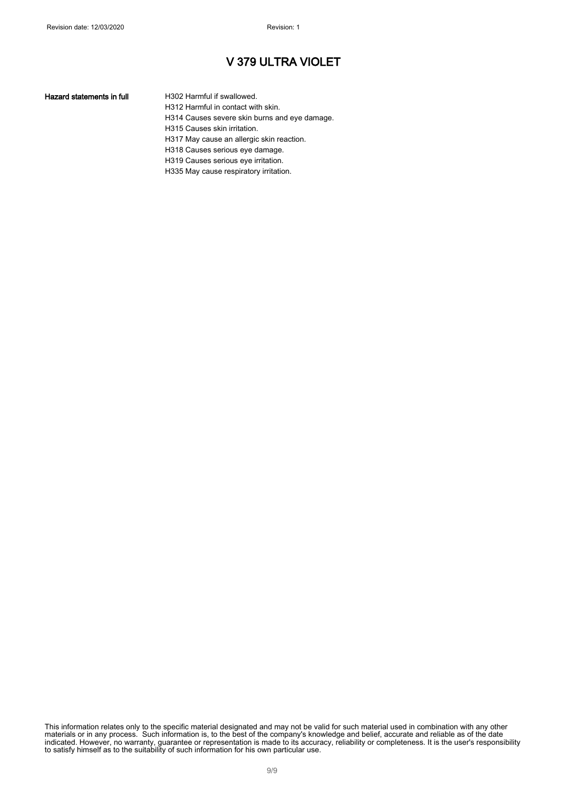## V 379 ULTRA VIOLET

#### Hazard statements in full **H302 Harmful if swallowed.**

H312 Harmful in contact with skin. H314 Causes severe skin burns and eye damage. H315 Causes skin irritation. H317 May cause an allergic skin reaction. H318 Causes serious eye damage. H319 Causes serious eye irritation.

H335 May cause respiratory irritation.

This information relates only to the specific material designated and may not be valid for such material used in combination with any other materials or in any process. Such information is, to the best of the company's knowledge and belief, accurate and reliable as of the date indicated. However, no warranty, guarantee or representation is made to its accuracy, reliability or completeness. It is the user's responsibility to satisfy himself as to the suitability of such information for his own particular use.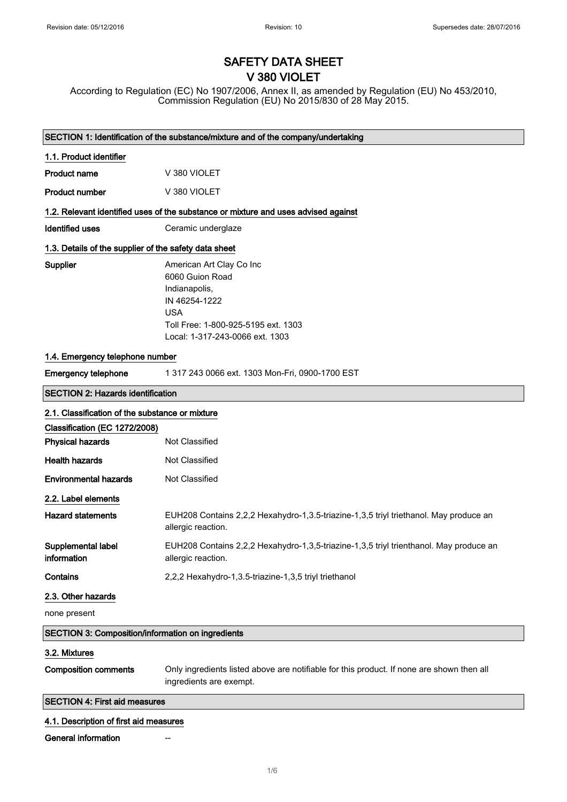# SAFETY DATA SHEET V 380 VIOLET

According to Regulation (EC) No 1907/2006, Annex II, as amended by Regulation (EU) No 453/2010, Commission Regulation (EU) No 2015/830 of 28 May 2015.

| SECTION 1: Identification of the substance/mixture and of the company/undertaking |                                                                                                                                                                       |  |
|-----------------------------------------------------------------------------------|-----------------------------------------------------------------------------------------------------------------------------------------------------------------------|--|
| 1.1. Product identifier                                                           |                                                                                                                                                                       |  |
| <b>Product name</b>                                                               | V 380 VIOLET                                                                                                                                                          |  |
| <b>Product number</b>                                                             | V 380 VIOLET                                                                                                                                                          |  |
|                                                                                   | 1.2. Relevant identified uses of the substance or mixture and uses advised against                                                                                    |  |
| <b>Identified uses</b>                                                            | Ceramic underglaze                                                                                                                                                    |  |
| 1.3. Details of the supplier of the safety data sheet                             |                                                                                                                                                                       |  |
| Supplier                                                                          | American Art Clay Co Inc<br>6060 Guion Road<br>Indianapolis,<br>IN 46254-1222<br><b>USA</b><br>Toll Free: 1-800-925-5195 ext. 1303<br>Local: 1-317-243-0066 ext. 1303 |  |
| 1.4. Emergency telephone number                                                   |                                                                                                                                                                       |  |
| <b>Emergency telephone</b>                                                        | 1 317 243 0066 ext. 1303 Mon-Fri, 0900-1700 EST                                                                                                                       |  |
| <b>SECTION 2: Hazards identification</b>                                          |                                                                                                                                                                       |  |
| 2.1. Classification of the substance or mixture                                   |                                                                                                                                                                       |  |
| Classification (EC 1272/2008)                                                     |                                                                                                                                                                       |  |
| <b>Physical hazards</b>                                                           | Not Classified                                                                                                                                                        |  |
| <b>Health hazards</b>                                                             | Not Classified                                                                                                                                                        |  |
| <b>Environmental hazards</b>                                                      | Not Classified                                                                                                                                                        |  |
| 2.2. Label elements                                                               |                                                                                                                                                                       |  |
| <b>Hazard statements</b>                                                          | EUH208 Contains 2,2,2 Hexahydro-1,3.5-triazine-1,3,5 triyl triethanol. May produce an<br>allergic reaction.                                                           |  |
| Supplemental label<br>information                                                 | EUH208 Contains 2,2,2 Hexahydro-1,3,5-triazine-1,3,5 triyl trienthanol. May produce an<br>allergic reaction.                                                          |  |
| Contains                                                                          | 2,2,2 Hexahydro-1,3.5-triazine-1,3,5 triyl triethanol                                                                                                                 |  |
| 2.3. Other hazards                                                                |                                                                                                                                                                       |  |
| none present                                                                      |                                                                                                                                                                       |  |
| <b>SECTION 3: Composition/information on ingredients</b>                          |                                                                                                                                                                       |  |
| 3.2. Mixtures                                                                     |                                                                                                                                                                       |  |
| <b>Composition comments</b>                                                       | Only ingredients listed above are notifiable for this product. If none are shown then all<br>ingredients are exempt.                                                  |  |
| <b>SECTION 4: First aid measures</b>                                              |                                                                                                                                                                       |  |
| 4.1. Description of first aid measures                                            |                                                                                                                                                                       |  |
| General information                                                               |                                                                                                                                                                       |  |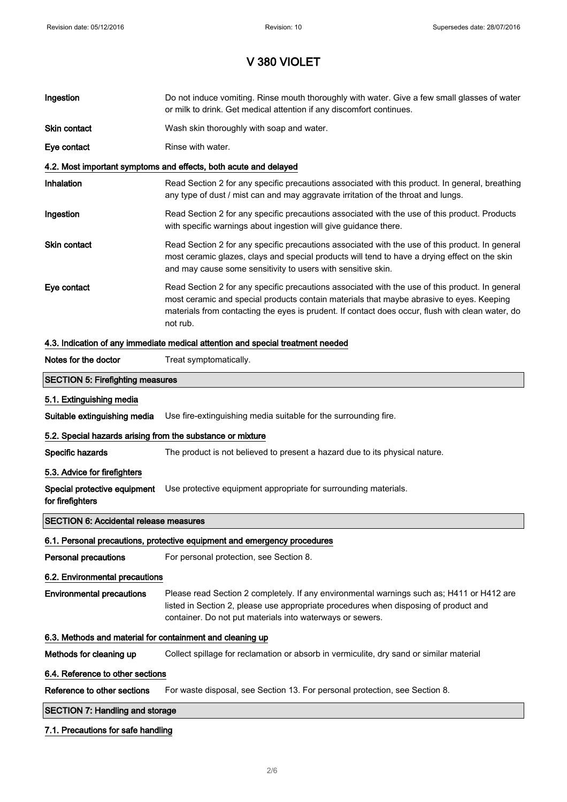| Ingestion                                                  | Do not induce vomiting. Rinse mouth thoroughly with water. Give a few small glasses of water<br>or milk to drink. Get medical attention if any discomfort continues.                                                                                                                                        |
|------------------------------------------------------------|-------------------------------------------------------------------------------------------------------------------------------------------------------------------------------------------------------------------------------------------------------------------------------------------------------------|
| <b>Skin contact</b>                                        | Wash skin thoroughly with soap and water.                                                                                                                                                                                                                                                                   |
| Eye contact                                                | Rinse with water.                                                                                                                                                                                                                                                                                           |
|                                                            | 4.2. Most important symptoms and effects, both acute and delayed                                                                                                                                                                                                                                            |
| Inhalation                                                 | Read Section 2 for any specific precautions associated with this product. In general, breathing<br>any type of dust / mist can and may aggravate irritation of the throat and lungs.                                                                                                                        |
| Ingestion                                                  | Read Section 2 for any specific precautions associated with the use of this product. Products<br>with specific warnings about ingestion will give guidance there.                                                                                                                                           |
| <b>Skin contact</b>                                        | Read Section 2 for any specific precautions associated with the use of this product. In general<br>most ceramic glazes, clays and special products will tend to have a drying effect on the skin<br>and may cause some sensitivity to users with sensitive skin.                                            |
| Eye contact                                                | Read Section 2 for any specific precautions associated with the use of this product. In general<br>most ceramic and special products contain materials that maybe abrasive to eyes. Keeping<br>materials from contacting the eyes is prudent. If contact does occur, flush with clean water, do<br>not rub. |
|                                                            | 4.3. Indication of any immediate medical attention and special treatment needed                                                                                                                                                                                                                             |
| Notes for the doctor                                       | Treat symptomatically.                                                                                                                                                                                                                                                                                      |
| <b>SECTION 5: Firefighting measures</b>                    |                                                                                                                                                                                                                                                                                                             |
| 5.1. Extinguishing media                                   |                                                                                                                                                                                                                                                                                                             |
| Suitable extinguishing media                               | Use fire-extinguishing media suitable for the surrounding fire.                                                                                                                                                                                                                                             |
| 5.2. Special hazards arising from the substance or mixture |                                                                                                                                                                                                                                                                                                             |
| Specific hazards                                           | The product is not believed to present a hazard due to its physical nature.                                                                                                                                                                                                                                 |
| 5.3. Advice for firefighters                               |                                                                                                                                                                                                                                                                                                             |
| Special protective equipment<br>for firefighters           | Use protective equipment appropriate for surrounding materials.                                                                                                                                                                                                                                             |
| <b>SECTION 6: Accidental release measures</b>              |                                                                                                                                                                                                                                                                                                             |
|                                                            | 6.1. Personal precautions, protective equipment and emergency procedures                                                                                                                                                                                                                                    |
| <b>Personal precautions</b>                                | For personal protection, see Section 8.                                                                                                                                                                                                                                                                     |
| 6.2. Environmental precautions                             |                                                                                                                                                                                                                                                                                                             |
| <b>Environmental precautions</b>                           | Please read Section 2 completely. If any environmental warnings such as; H411 or H412 are<br>listed in Section 2, please use appropriate procedures when disposing of product and<br>container. Do not put materials into waterways or sewers.                                                              |
| 6.3. Methods and material for containment and cleaning up  |                                                                                                                                                                                                                                                                                                             |
| Methods for cleaning up                                    | Collect spillage for reclamation or absorb in vermiculite, dry sand or similar material                                                                                                                                                                                                                     |
| 6.4. Reference to other sections                           |                                                                                                                                                                                                                                                                                                             |
| Reference to other sections                                | For waste disposal, see Section 13. For personal protection, see Section 8.                                                                                                                                                                                                                                 |
| <b>SECTION 7: Handling and storage</b>                     |                                                                                                                                                                                                                                                                                                             |
| 7.1. Precautions for safe handling                         |                                                                                                                                                                                                                                                                                                             |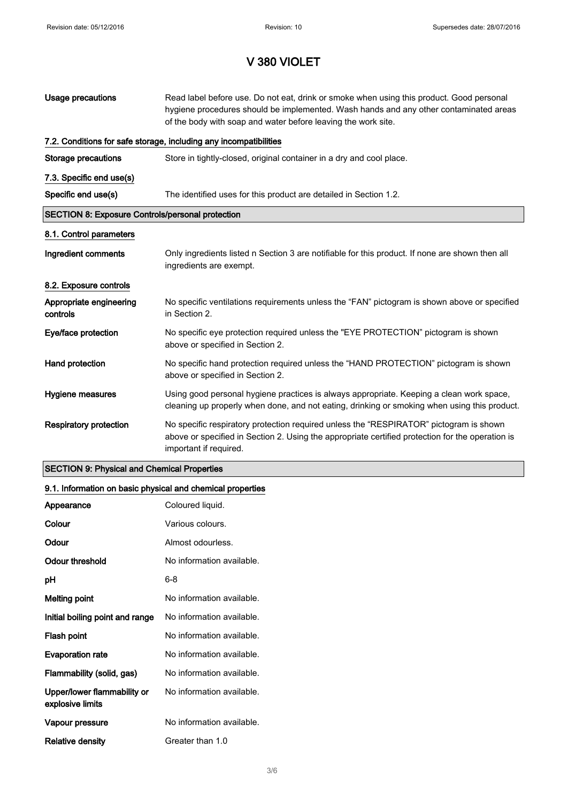| Usage precautions                                       | Read label before use. Do not eat, drink or smoke when using this product. Good personal<br>hygiene procedures should be implemented. Wash hands and any other contaminated areas<br>of the body with soap and water before leaving the work site. |
|---------------------------------------------------------|----------------------------------------------------------------------------------------------------------------------------------------------------------------------------------------------------------------------------------------------------|
|                                                         | 7.2. Conditions for safe storage, including any incompatibilities                                                                                                                                                                                  |
| Storage precautions                                     | Store in tightly-closed, original container in a dry and cool place.                                                                                                                                                                               |
| 7.3. Specific end use(s)                                |                                                                                                                                                                                                                                                    |
| Specific end use(s)                                     | The identified uses for this product are detailed in Section 1.2.                                                                                                                                                                                  |
| <b>SECTION 8: Exposure Controls/personal protection</b> |                                                                                                                                                                                                                                                    |
| 8.1. Control parameters                                 |                                                                                                                                                                                                                                                    |
| Ingredient comments                                     | Only ingredients listed n Section 3 are notifiable for this product. If none are shown then all<br>ingredients are exempt.                                                                                                                         |
| 8.2. Exposure controls                                  |                                                                                                                                                                                                                                                    |
| Appropriate engineering<br>controls                     | No specific ventilations requirements unless the "FAN" pictogram is shown above or specified<br>in Section 2.                                                                                                                                      |
| Eye/face protection                                     | No specific eye protection required unless the "EYE PROTECTION" pictogram is shown<br>above or specified in Section 2.                                                                                                                             |
| Hand protection                                         | No specific hand protection required unless the "HAND PROTECTION" pictogram is shown<br>above or specified in Section 2.                                                                                                                           |
| Hygiene measures                                        | Using good personal hygiene practices is always appropriate. Keeping a clean work space,<br>cleaning up properly when done, and not eating, drinking or smoking when using this product.                                                           |
| <b>Respiratory protection</b>                           | No specific respiratory protection required unless the "RESPIRATOR" pictogram is shown<br>above or specified in Section 2. Using the appropriate certified protection for the operation is<br>important if required.                               |

## SECTION 9: Physical and Chemical Properties

## 9.1. Information on basic physical and chemical properties

| Appearance                                      | Coloured liquid.          |
|-------------------------------------------------|---------------------------|
| Colour                                          | Various colours.          |
| Odour                                           | Almost odourless.         |
| Odour threshold                                 | No information available. |
| рH                                              | 6-8                       |
| <b>Melting point</b>                            | No information available. |
| Initial boiling point and range                 | No information available. |
| Flash point                                     | No information available. |
| <b>Evaporation rate</b>                         | No information available. |
| Flammability (solid, gas)                       | No information available. |
| Upper/lower flammability or<br>explosive limits | No information available. |
| Vapour pressure                                 | No information available. |
| Relative density                                | Greater than 1.0          |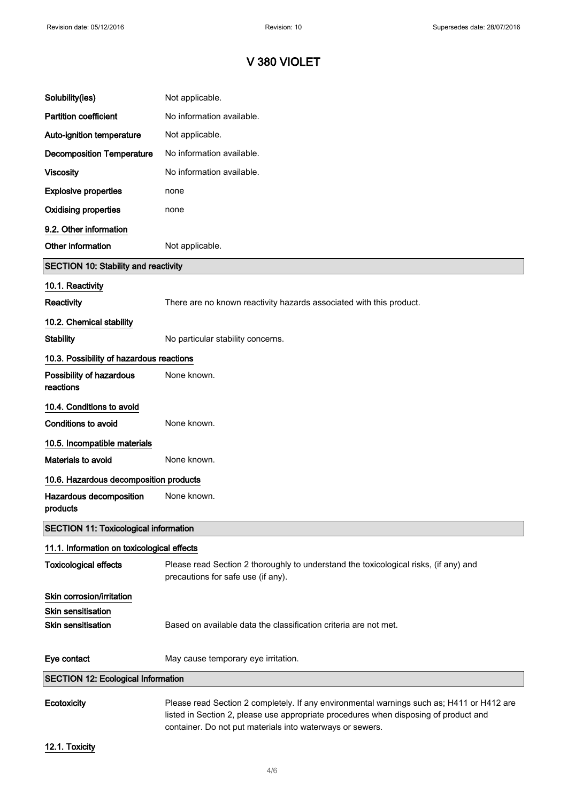| Solubility(ies)                              | Not applicable.                                                                                                                                                                                                                                |  |
|----------------------------------------------|------------------------------------------------------------------------------------------------------------------------------------------------------------------------------------------------------------------------------------------------|--|
| <b>Partition coefficient</b>                 | No information available.                                                                                                                                                                                                                      |  |
| Auto-ignition temperature                    | Not applicable.                                                                                                                                                                                                                                |  |
| <b>Decomposition Temperature</b>             | No information available.                                                                                                                                                                                                                      |  |
| <b>Viscosity</b>                             | No information available.                                                                                                                                                                                                                      |  |
| <b>Explosive properties</b>                  | none                                                                                                                                                                                                                                           |  |
| <b>Oxidising properties</b>                  | none                                                                                                                                                                                                                                           |  |
| 9.2. Other information                       |                                                                                                                                                                                                                                                |  |
| Other information                            | Not applicable.                                                                                                                                                                                                                                |  |
| <b>SECTION 10: Stability and reactivity</b>  |                                                                                                                                                                                                                                                |  |
| 10.1. Reactivity                             |                                                                                                                                                                                                                                                |  |
| <b>Reactivity</b>                            | There are no known reactivity hazards associated with this product.                                                                                                                                                                            |  |
| 10.2. Chemical stability                     |                                                                                                                                                                                                                                                |  |
| <b>Stability</b>                             | No particular stability concerns.                                                                                                                                                                                                              |  |
| 10.3. Possibility of hazardous reactions     |                                                                                                                                                                                                                                                |  |
| Possibility of hazardous<br>reactions        | None known.                                                                                                                                                                                                                                    |  |
| 10.4. Conditions to avoid                    |                                                                                                                                                                                                                                                |  |
| <b>Conditions to avoid</b>                   | None known.                                                                                                                                                                                                                                    |  |
| 10.5. Incompatible materials                 |                                                                                                                                                                                                                                                |  |
| Materials to avoid                           | None known.                                                                                                                                                                                                                                    |  |
| 10.6. Hazardous decomposition products       |                                                                                                                                                                                                                                                |  |
| Hazardous decomposition<br>products          | None known.                                                                                                                                                                                                                                    |  |
| <b>SECTION 11: Toxicological information</b> |                                                                                                                                                                                                                                                |  |
| 11.1. Information on toxicological effects   |                                                                                                                                                                                                                                                |  |
| <b>Toxicological effects</b>                 | Please read Section 2 thoroughly to understand the toxicological risks, (if any) and<br>precautions for safe use (if any).                                                                                                                     |  |
| Skin corrosion/irritation                    |                                                                                                                                                                                                                                                |  |
| <b>Skin sensitisation</b>                    |                                                                                                                                                                                                                                                |  |
| <b>Skin sensitisation</b>                    | Based on available data the classification criteria are not met.                                                                                                                                                                               |  |
| Eye contact                                  | May cause temporary eye irritation.                                                                                                                                                                                                            |  |
| <b>SECTION 12: Ecological Information</b>    |                                                                                                                                                                                                                                                |  |
| Ecotoxicity                                  | Please read Section 2 completely. If any environmental warnings such as; H411 or H412 are<br>listed in Section 2, please use appropriate procedures when disposing of product and<br>container. Do not put materials into waterways or sewers. |  |

12.1. Toxicity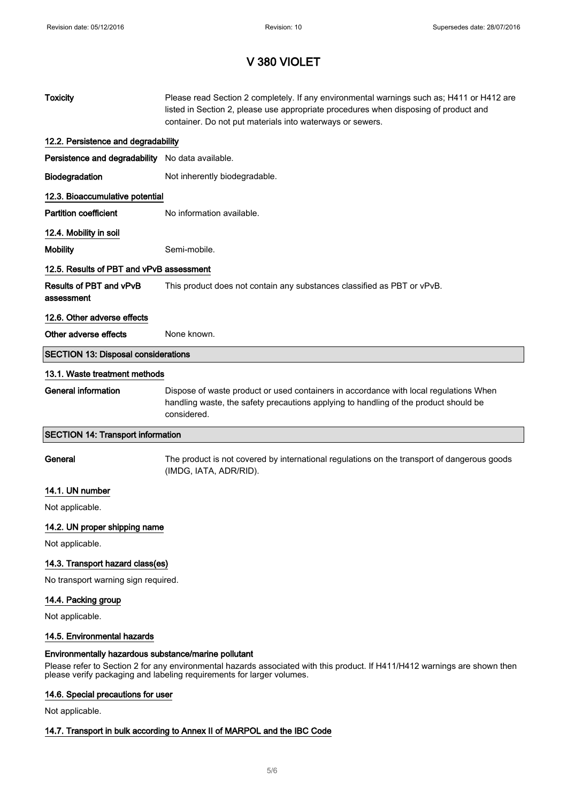| <b>Toxicity</b>                                      | Please read Section 2 completely. If any environmental warnings such as; H411 or H412 are<br>listed in Section 2, please use appropriate procedures when disposing of product and<br>container. Do not put materials into waterways or sewers. |  |
|------------------------------------------------------|------------------------------------------------------------------------------------------------------------------------------------------------------------------------------------------------------------------------------------------------|--|
| 12.2. Persistence and degradability                  |                                                                                                                                                                                                                                                |  |
| Persistence and degradability No data available.     |                                                                                                                                                                                                                                                |  |
| Biodegradation                                       | Not inherently biodegradable.                                                                                                                                                                                                                  |  |
| 12.3. Bioaccumulative potential                      |                                                                                                                                                                                                                                                |  |
| <b>Partition coefficient</b>                         | No information available.                                                                                                                                                                                                                      |  |
| 12.4. Mobility in soil                               |                                                                                                                                                                                                                                                |  |
| <b>Mobility</b>                                      | Semi-mobile.                                                                                                                                                                                                                                   |  |
| 12.5. Results of PBT and vPvB assessment             |                                                                                                                                                                                                                                                |  |
| Results of PBT and vPvB<br>assessment                | This product does not contain any substances classified as PBT or vPvB.                                                                                                                                                                        |  |
| 12.6. Other adverse effects                          |                                                                                                                                                                                                                                                |  |
| Other adverse effects                                | None known.                                                                                                                                                                                                                                    |  |
| <b>SECTION 13: Disposal considerations</b>           |                                                                                                                                                                                                                                                |  |
| 13.1. Waste treatment methods                        |                                                                                                                                                                                                                                                |  |
| <b>General information</b>                           | Dispose of waste product or used containers in accordance with local regulations When<br>handling waste, the safety precautions applying to handling of the product should be<br>considered.                                                   |  |
| <b>SECTION 14: Transport information</b>             |                                                                                                                                                                                                                                                |  |
| General                                              | The product is not covered by international regulations on the transport of dangerous goods<br>(IMDG, IATA, ADR/RID).                                                                                                                          |  |
| 14.1. UN number                                      |                                                                                                                                                                                                                                                |  |
| Not applicable.                                      |                                                                                                                                                                                                                                                |  |
| 14.2. UN proper shipping name                        |                                                                                                                                                                                                                                                |  |
| Not applicable.                                      |                                                                                                                                                                                                                                                |  |
| 14.3. Transport hazard class(es)                     |                                                                                                                                                                                                                                                |  |
| No transport warning sign required.                  |                                                                                                                                                                                                                                                |  |
| 14.4. Packing group                                  |                                                                                                                                                                                                                                                |  |
| Not applicable.                                      |                                                                                                                                                                                                                                                |  |
| 14.5. Environmental hazards                          |                                                                                                                                                                                                                                                |  |
| Environmentally hazardous substance/marine pollutant | Please refer to Section 2 for any environmental hazards associated with this product. If H411/H412 warnings are shown then<br>please verify packaging and labeling requirements for larger volumes.                                            |  |

# 14.6. Special precautions for user

Not applicable.

## 14.7. Transport in bulk according to Annex II of MARPOL and the IBC Code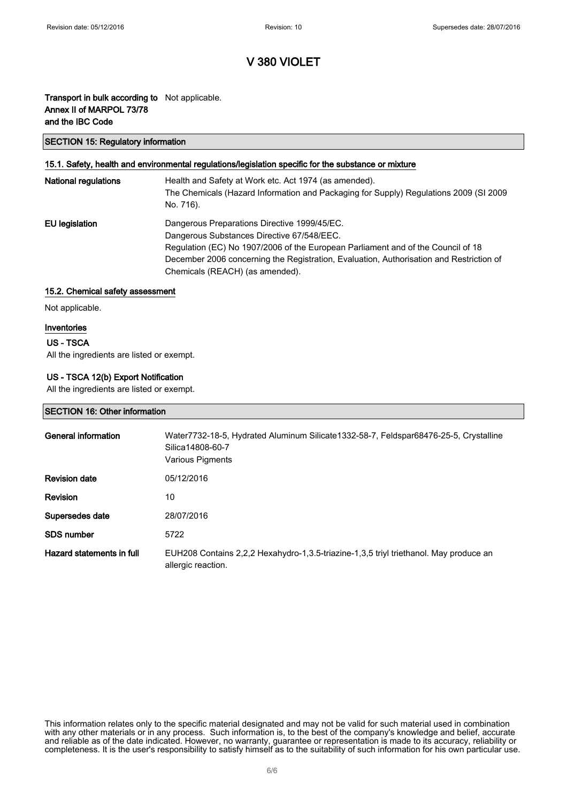### Transport in bulk according to Not applicable. Annex II of MARPOL 73/78 and the IBC Code

### SECTION 15: Regulatory information

### 15.1. Safety, health and environmental regulations/legislation specific for the substance or mixture

| <b>National regulations</b> | Health and Safety at Work etc. Act 1974 (as amended).<br>The Chemicals (Hazard Information and Packaging for Supply) Regulations 2009 (SI 2009<br>No. 716).                                                                                                                                                  |
|-----------------------------|--------------------------------------------------------------------------------------------------------------------------------------------------------------------------------------------------------------------------------------------------------------------------------------------------------------|
| EU legislation              | Dangerous Preparations Directive 1999/45/EC.<br>Dangerous Substances Directive 67/548/EEC.<br>Regulation (EC) No 1907/2006 of the European Parliament and of the Council of 18<br>December 2006 concerning the Registration, Evaluation, Authorisation and Restriction of<br>Chemicals (REACH) (as amended). |

### 15.2. Chemical safety assessment

Not applicable.

### Inventories

### US - TSCA

All the ingredients are listed or exempt.

### US - TSCA 12(b) Export Notification

All the ingredients are listed or exempt.

### SECTION 16: Other information

| General information       | Water7732-18-5, Hydrated Aluminum Silicate1332-58-7, Feldspar68476-25-5, Crystalline<br>Silica14808-60-7<br>Various Pigments |
|---------------------------|------------------------------------------------------------------------------------------------------------------------------|
| <b>Revision date</b>      | 05/12/2016                                                                                                                   |
| <b>Revision</b>           | 10                                                                                                                           |
| Supersedes date           | 28/07/2016                                                                                                                   |
| <b>SDS number</b>         | 5722                                                                                                                         |
| Hazard statements in full | EUH208 Contains 2,2,2 Hexahydro-1,3.5-triazine-1,3,5 triyl triethanol. May produce an<br>allergic reaction.                  |

This information relates only to the specific material designated and may not be valid for such material used in combination with any other materials or in any process. Such information is, to the best of the company's knowledge and belief, accurate and reliable as of the date indicated. However, no warranty, guarantee or representation is made to its accuracy, reliability or completeness. It is the user's responsibility to satisfy himself as to the suitability of such information for his own particular use.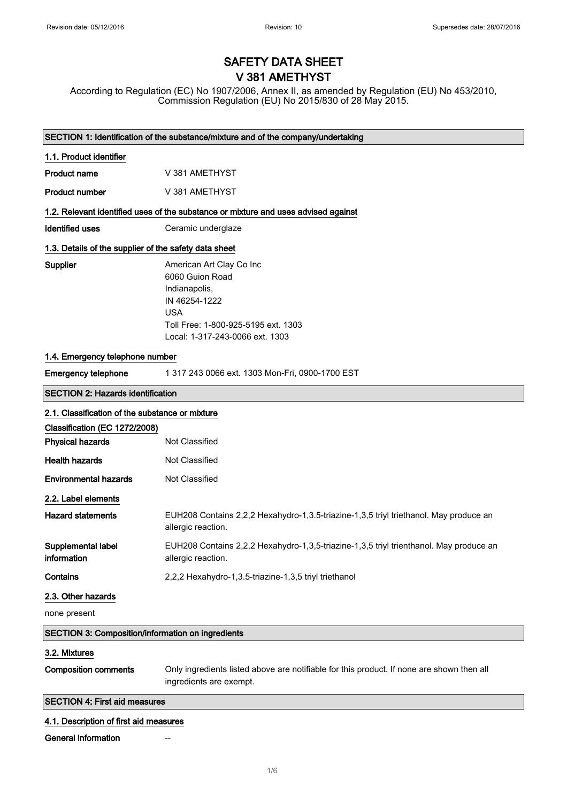# SAFETY DATA SHEET V 381 AMETHYST

According to Regulation (EC) No 1907/2006, Annex II, as amended by Regulation (EU) No 453/2010, Commission Regulation (EU) No 2015/830 of 28 May 2015.

|                                                                                    | SECTION 1: Identification of the substance/mixture and of the company/undertaking                                                                                     |  |
|------------------------------------------------------------------------------------|-----------------------------------------------------------------------------------------------------------------------------------------------------------------------|--|
| 1.1. Product identifier                                                            |                                                                                                                                                                       |  |
| <b>Product name</b>                                                                | V 381 AMETHYST                                                                                                                                                        |  |
| <b>Product number</b>                                                              | V 381 AMETHYST                                                                                                                                                        |  |
| 1.2. Relevant identified uses of the substance or mixture and uses advised against |                                                                                                                                                                       |  |
| <b>Identified uses</b>                                                             | Ceramic underglaze                                                                                                                                                    |  |
| 1.3. Details of the supplier of the safety data sheet                              |                                                                                                                                                                       |  |
| Supplier                                                                           | American Art Clay Co Inc<br>6060 Guion Road<br>Indianapolis,<br>IN 46254-1222<br><b>USA</b><br>Toll Free: 1-800-925-5195 ext. 1303<br>Local: 1-317-243-0066 ext. 1303 |  |
| 1.4. Emergency telephone number                                                    |                                                                                                                                                                       |  |
| <b>Emergency telephone</b>                                                         | 1 317 243 0066 ext. 1303 Mon-Fri, 0900-1700 EST                                                                                                                       |  |
| <b>SECTION 2: Hazards identification</b>                                           |                                                                                                                                                                       |  |
| 2.1. Classification of the substance or mixture                                    |                                                                                                                                                                       |  |
| Classification (EC 1272/2008)                                                      |                                                                                                                                                                       |  |
| <b>Physical hazards</b>                                                            | Not Classified                                                                                                                                                        |  |
| <b>Health hazards</b>                                                              | Not Classified                                                                                                                                                        |  |
| <b>Environmental hazards</b>                                                       | Not Classified                                                                                                                                                        |  |
| 2.2. Label elements                                                                |                                                                                                                                                                       |  |
| <b>Hazard statements</b>                                                           | EUH208 Contains 2,2,2 Hexahydro-1,3.5-triazine-1,3,5 triyl triethanol. May produce an<br>allergic reaction.                                                           |  |
| Supplemental label<br>information                                                  | EUH208 Contains 2,2,2 Hexahydro-1,3,5-triazine-1,3,5 triyl trienthanol. May produce an<br>allergic reaction.                                                          |  |
| Contains                                                                           | 2,2,2 Hexahydro-1,3.5-triazine-1,3,5 triyl triethanol                                                                                                                 |  |
| 2.3. Other hazards                                                                 |                                                                                                                                                                       |  |
| none present                                                                       |                                                                                                                                                                       |  |
| <b>SECTION 3: Composition/information on ingredients</b>                           |                                                                                                                                                                       |  |
| 3.2. Mixtures                                                                      |                                                                                                                                                                       |  |
| <b>Composition comments</b>                                                        | Only ingredients listed above are notifiable for this product. If none are shown then all<br>ingredients are exempt.                                                  |  |
| <b>SECTION 4: First aid measures</b>                                               |                                                                                                                                                                       |  |
| 4.1. Description of first aid measures                                             |                                                                                                                                                                       |  |
| <b>General information</b>                                                         |                                                                                                                                                                       |  |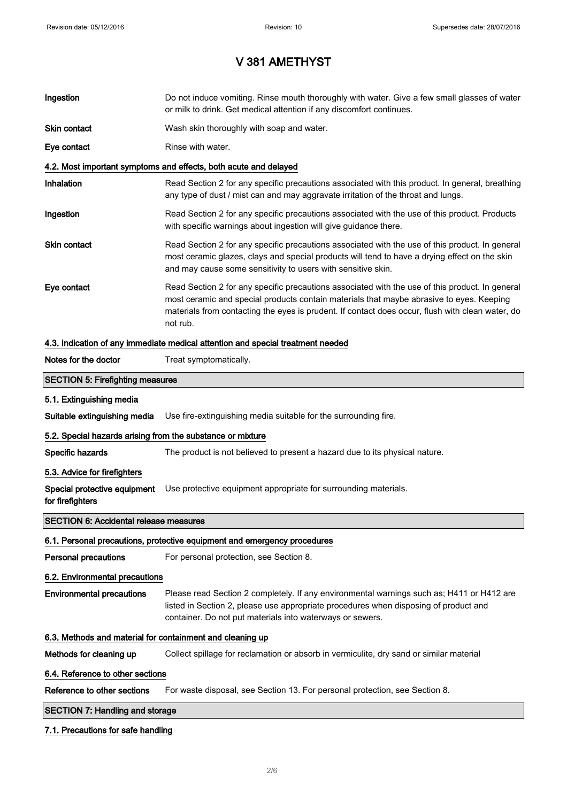| Ingestion                                                                       | Do not induce vomiting. Rinse mouth thoroughly with water. Give a few small glasses of water<br>or milk to drink. Get medical attention if any discomfort continues.                                                                                                                                        |  |
|---------------------------------------------------------------------------------|-------------------------------------------------------------------------------------------------------------------------------------------------------------------------------------------------------------------------------------------------------------------------------------------------------------|--|
| Skin contact                                                                    | Wash skin thoroughly with soap and water.                                                                                                                                                                                                                                                                   |  |
| Eye contact                                                                     | Rinse with water.                                                                                                                                                                                                                                                                                           |  |
|                                                                                 | 4.2. Most important symptoms and effects, both acute and delayed                                                                                                                                                                                                                                            |  |
| Inhalation                                                                      | Read Section 2 for any specific precautions associated with this product. In general, breathing<br>any type of dust / mist can and may aggravate irritation of the throat and lungs.                                                                                                                        |  |
| Ingestion                                                                       | Read Section 2 for any specific precautions associated with the use of this product. Products<br>with specific warnings about ingestion will give guidance there.                                                                                                                                           |  |
| Skin contact                                                                    | Read Section 2 for any specific precautions associated with the use of this product. In general<br>most ceramic glazes, clays and special products will tend to have a drying effect on the skin<br>and may cause some sensitivity to users with sensitive skin.                                            |  |
| Eye contact                                                                     | Read Section 2 for any specific precautions associated with the use of this product. In general<br>most ceramic and special products contain materials that maybe abrasive to eyes. Keeping<br>materials from contacting the eyes is prudent. If contact does occur, flush with clean water, do<br>not rub. |  |
| 4.3. Indication of any immediate medical attention and special treatment needed |                                                                                                                                                                                                                                                                                                             |  |
| Notes for the doctor                                                            | Treat symptomatically.                                                                                                                                                                                                                                                                                      |  |
| <b>SECTION 5: Firefighting measures</b>                                         |                                                                                                                                                                                                                                                                                                             |  |
| 5.1. Extinguishing media                                                        |                                                                                                                                                                                                                                                                                                             |  |
| Suitable extinguishing media                                                    | Use fire-extinguishing media suitable for the surrounding fire.                                                                                                                                                                                                                                             |  |
| 5.2. Special hazards arising from the substance or mixture                      |                                                                                                                                                                                                                                                                                                             |  |
| Specific hazards                                                                | The product is not believed to present a hazard due to its physical nature.                                                                                                                                                                                                                                 |  |
| 5.3. Advice for firefighters                                                    |                                                                                                                                                                                                                                                                                                             |  |
| Special protective equipment<br>for firefighters                                | Use protective equipment appropriate for surrounding materials.                                                                                                                                                                                                                                             |  |
| <b>SECTION 6: Accidental release measures</b>                                   |                                                                                                                                                                                                                                                                                                             |  |
|                                                                                 | 6.1. Personal precautions, protective equipment and emergency procedures                                                                                                                                                                                                                                    |  |
| Personal precautions                                                            | For personal protection, see Section 8.                                                                                                                                                                                                                                                                     |  |
| 6.2. Environmental precautions                                                  |                                                                                                                                                                                                                                                                                                             |  |
| <b>Environmental precautions</b>                                                | Please read Section 2 completely. If any environmental warnings such as; H411 or H412 are<br>listed in Section 2, please use appropriate procedures when disposing of product and<br>container. Do not put materials into waterways or sewers.                                                              |  |
| 6.3. Methods and material for containment and cleaning up                       |                                                                                                                                                                                                                                                                                                             |  |
| Methods for cleaning up                                                         | Collect spillage for reclamation or absorb in vermiculite, dry sand or similar material                                                                                                                                                                                                                     |  |
| 6.4. Reference to other sections                                                |                                                                                                                                                                                                                                                                                                             |  |
| Reference to other sections                                                     | For waste disposal, see Section 13. For personal protection, see Section 8.                                                                                                                                                                                                                                 |  |
| <b>SECTION 7: Handling and storage</b>                                          |                                                                                                                                                                                                                                                                                                             |  |

### 7.1. Precautions for safe handling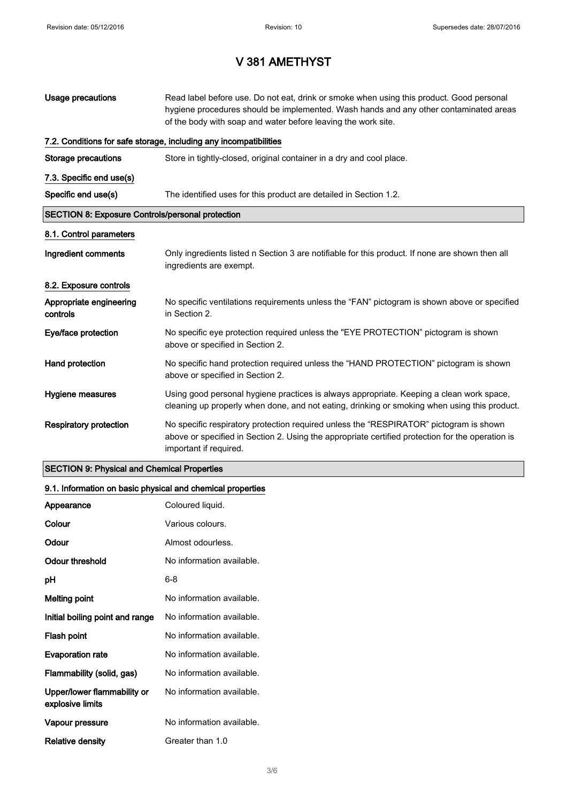| Usage precautions                                       | Read label before use. Do not eat, drink or smoke when using this product. Good personal<br>hygiene procedures should be implemented. Wash hands and any other contaminated areas<br>of the body with soap and water before leaving the work site. |  |
|---------------------------------------------------------|----------------------------------------------------------------------------------------------------------------------------------------------------------------------------------------------------------------------------------------------------|--|
|                                                         | 7.2. Conditions for safe storage, including any incompatibilities                                                                                                                                                                                  |  |
| <b>Storage precautions</b>                              | Store in tightly-closed, original container in a dry and cool place.                                                                                                                                                                               |  |
| 7.3. Specific end use(s)                                |                                                                                                                                                                                                                                                    |  |
| Specific end use(s)                                     | The identified uses for this product are detailed in Section 1.2.                                                                                                                                                                                  |  |
| <b>SECTION 8: Exposure Controls/personal protection</b> |                                                                                                                                                                                                                                                    |  |
| 8.1. Control parameters                                 |                                                                                                                                                                                                                                                    |  |
| Ingredient comments                                     | Only ingredients listed n Section 3 are notifiable for this product. If none are shown then all<br>ingredients are exempt.                                                                                                                         |  |
| 8.2. Exposure controls                                  |                                                                                                                                                                                                                                                    |  |
| Appropriate engineering<br>controls                     | No specific ventilations requirements unless the "FAN" pictogram is shown above or specified<br>in Section 2.                                                                                                                                      |  |
| Eye/face protection                                     | No specific eye protection required unless the "EYE PROTECTION" pictogram is shown<br>above or specified in Section 2.                                                                                                                             |  |
| Hand protection                                         | No specific hand protection required unless the "HAND PROTECTION" pictogram is shown<br>above or specified in Section 2.                                                                                                                           |  |
| Hygiene measures                                        | Using good personal hygiene practices is always appropriate. Keeping a clean work space,<br>cleaning up properly when done, and not eating, drinking or smoking when using this product.                                                           |  |
| <b>Respiratory protection</b>                           | No specific respiratory protection required unless the "RESPIRATOR" pictogram is shown<br>above or specified in Section 2. Using the appropriate certified protection for the operation is<br>important if required.                               |  |

## SECTION 9: Physical and Chemical Properties

## 9.1. Information on basic physical and chemical properties

| Appearance                                      | Coloured liquid.          |
|-------------------------------------------------|---------------------------|
| Colour                                          | Various colours.          |
| Odour                                           | Almost odourless.         |
| Odour threshold                                 | No information available. |
| рH                                              | 6-8                       |
| <b>Melting point</b>                            | No information available. |
| Initial boiling point and range                 | No information available. |
| Flash point                                     | No information available. |
| <b>Evaporation rate</b>                         | No information available. |
| Flammability (solid, gas)                       | No information available. |
| Upper/lower flammability or<br>explosive limits | No information available. |
| Vapour pressure                                 | No information available. |
| Relative density                                | Greater than 1.0          |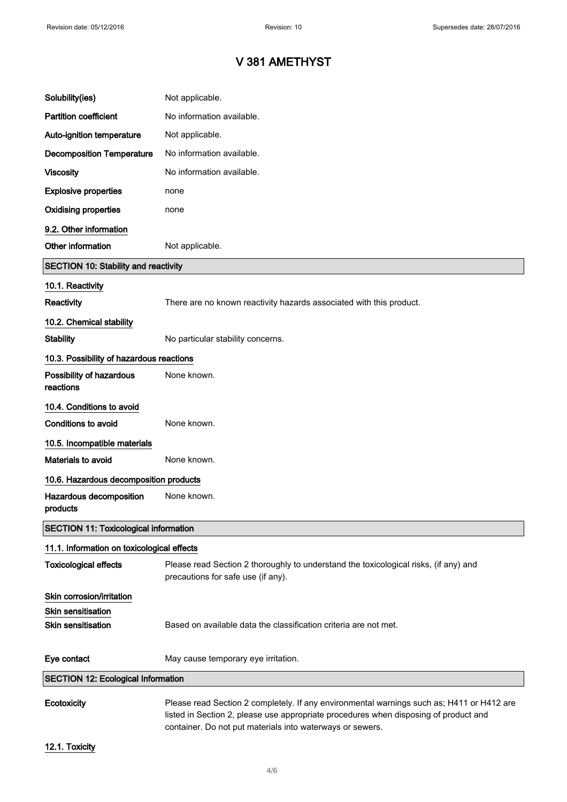| Solubility(ies)                              | Not applicable.                                                                                                                                                                   |
|----------------------------------------------|-----------------------------------------------------------------------------------------------------------------------------------------------------------------------------------|
| <b>Partition coefficient</b>                 | No information available.                                                                                                                                                         |
| Auto-ignition temperature                    | Not applicable.                                                                                                                                                                   |
| <b>Decomposition Temperature</b>             | No information available.                                                                                                                                                         |
| <b>Viscosity</b>                             | No information available.                                                                                                                                                         |
| <b>Explosive properties</b>                  | none                                                                                                                                                                              |
| <b>Oxidising properties</b>                  | none                                                                                                                                                                              |
| 9.2. Other information                       |                                                                                                                                                                                   |
| Other information                            | Not applicable.                                                                                                                                                                   |
| <b>SECTION 10: Stability and reactivity</b>  |                                                                                                                                                                                   |
| 10.1. Reactivity                             |                                                                                                                                                                                   |
| <b>Reactivity</b>                            | There are no known reactivity hazards associated with this product.                                                                                                               |
| 10.2. Chemical stability                     |                                                                                                                                                                                   |
| <b>Stability</b>                             | No particular stability concerns.                                                                                                                                                 |
| 10.3. Possibility of hazardous reactions     |                                                                                                                                                                                   |
| Possibility of hazardous<br>reactions        | None known.                                                                                                                                                                       |
| 10.4. Conditions to avoid                    |                                                                                                                                                                                   |
| <b>Conditions to avoid</b>                   | None known.                                                                                                                                                                       |
| 10.5. Incompatible materials                 |                                                                                                                                                                                   |
| <b>Materials to avoid</b>                    | None known.                                                                                                                                                                       |
| 10.6. Hazardous decomposition products       |                                                                                                                                                                                   |
| Hazardous decomposition<br>products          | None known.                                                                                                                                                                       |
| <b>SECTION 11: Toxicological information</b> |                                                                                                                                                                                   |
| 11.1. Information on toxicological effects   |                                                                                                                                                                                   |
| <b>Toxicological effects</b>                 | Please read Section 2 thoroughly to understand the toxicological risks, (if any) and<br>precautions for safe use (if any).                                                        |
| Skin corrosion/irritation                    |                                                                                                                                                                                   |
| <b>Skin sensitisation</b>                    |                                                                                                                                                                                   |
| <b>Skin sensitisation</b>                    | Based on available data the classification criteria are not met.                                                                                                                  |
| Eye contact                                  | May cause temporary eye irritation.                                                                                                                                               |
| <b>SECTION 12: Ecological Information</b>    |                                                                                                                                                                                   |
| Ecotoxicity                                  | Please read Section 2 completely. If any environmental warnings such as; H411 or H412 are<br>listed in Section 2, please use appropriate procedures when disposing of product and |

container. Do not put materials into waterways or sewers.

12.1. Toxicity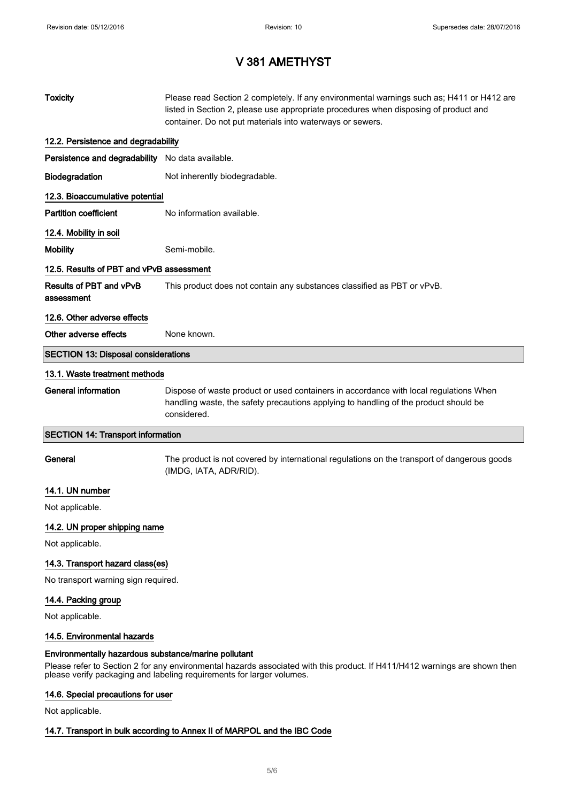| <b>Toxicity</b>                                                                                                                                                                                                                                             | Please read Section 2 completely. If any environmental warnings such as; H411 or H412 are<br>listed in Section 2, please use appropriate procedures when disposing of product and<br>container. Do not put materials into waterways or sewers. |  |  |
|-------------------------------------------------------------------------------------------------------------------------------------------------------------------------------------------------------------------------------------------------------------|------------------------------------------------------------------------------------------------------------------------------------------------------------------------------------------------------------------------------------------------|--|--|
| 12.2. Persistence and degradability                                                                                                                                                                                                                         |                                                                                                                                                                                                                                                |  |  |
| Persistence and degradability No data available.                                                                                                                                                                                                            |                                                                                                                                                                                                                                                |  |  |
| Biodegradation                                                                                                                                                                                                                                              | Not inherently biodegradable.                                                                                                                                                                                                                  |  |  |
| 12.3. Bioaccumulative potential                                                                                                                                                                                                                             |                                                                                                                                                                                                                                                |  |  |
| <b>Partition coefficient</b>                                                                                                                                                                                                                                | No information available.                                                                                                                                                                                                                      |  |  |
| 12.4. Mobility in soil                                                                                                                                                                                                                                      |                                                                                                                                                                                                                                                |  |  |
| <b>Mobility</b>                                                                                                                                                                                                                                             | Semi-mobile.                                                                                                                                                                                                                                   |  |  |
| 12.5. Results of PBT and vPvB assessment                                                                                                                                                                                                                    |                                                                                                                                                                                                                                                |  |  |
| Results of PBT and vPvB<br>assessment                                                                                                                                                                                                                       | This product does not contain any substances classified as PBT or vPvB.                                                                                                                                                                        |  |  |
| 12.6. Other adverse effects                                                                                                                                                                                                                                 |                                                                                                                                                                                                                                                |  |  |
| Other adverse effects                                                                                                                                                                                                                                       | None known.                                                                                                                                                                                                                                    |  |  |
| <b>SECTION 13: Disposal considerations</b>                                                                                                                                                                                                                  |                                                                                                                                                                                                                                                |  |  |
| 13.1. Waste treatment methods                                                                                                                                                                                                                               |                                                                                                                                                                                                                                                |  |  |
| <b>General information</b>                                                                                                                                                                                                                                  | Dispose of waste product or used containers in accordance with local regulations When<br>handling waste, the safety precautions applying to handling of the product should be<br>considered.                                                   |  |  |
| <b>SECTION 14: Transport information</b>                                                                                                                                                                                                                    |                                                                                                                                                                                                                                                |  |  |
| General                                                                                                                                                                                                                                                     | The product is not covered by international regulations on the transport of dangerous goods<br>(IMDG, IATA, ADR/RID).                                                                                                                          |  |  |
| 14.1. UN number                                                                                                                                                                                                                                             |                                                                                                                                                                                                                                                |  |  |
| Not applicable.                                                                                                                                                                                                                                             |                                                                                                                                                                                                                                                |  |  |
| 14.2. UN proper shipping name                                                                                                                                                                                                                               |                                                                                                                                                                                                                                                |  |  |
| Not applicable.                                                                                                                                                                                                                                             |                                                                                                                                                                                                                                                |  |  |
| 14.3. Transport hazard class(es)                                                                                                                                                                                                                            |                                                                                                                                                                                                                                                |  |  |
| No transport warning sign required.                                                                                                                                                                                                                         |                                                                                                                                                                                                                                                |  |  |
| 14.4. Packing group                                                                                                                                                                                                                                         |                                                                                                                                                                                                                                                |  |  |
| Not applicable.                                                                                                                                                                                                                                             |                                                                                                                                                                                                                                                |  |  |
| 14.5. Environmental hazards                                                                                                                                                                                                                                 |                                                                                                                                                                                                                                                |  |  |
| Environmentally hazardous substance/marine pollutant<br>Please refer to Section 2 for any environmental hazards associated with this product. If H411/H412 warnings are shown then<br>please verify packaging and labeling requirements for larger volumes. |                                                                                                                                                                                                                                                |  |  |

# 14.6. Special precautions for user

Not applicable.

## 14.7. Transport in bulk according to Annex II of MARPOL and the IBC Code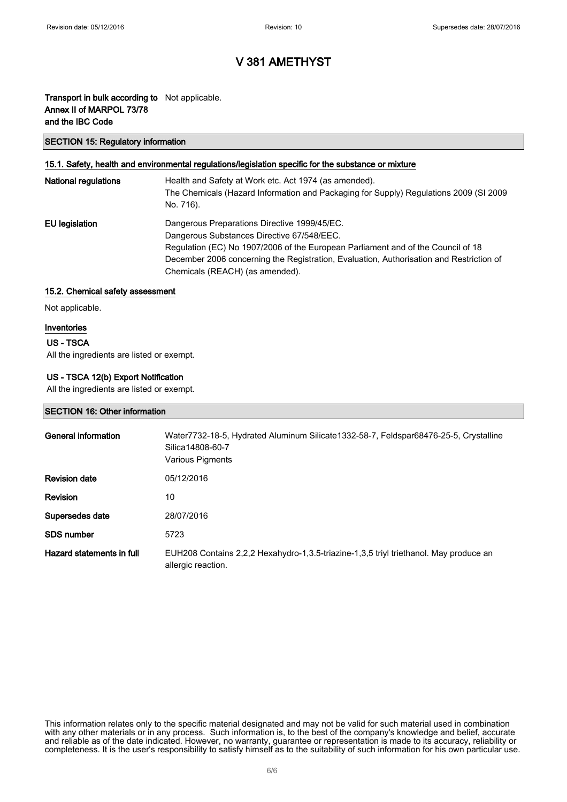## Transport in bulk according to Not applicable. Annex II of MARPOL 73/78 and the IBC Code

### SECTION 15: Regulatory information

### 15.1. Safety, health and environmental regulations/legislation specific for the substance or mixture

| <b>National regulations</b> | Health and Safety at Work etc. Act 1974 (as amended).<br>The Chemicals (Hazard Information and Packaging for Supply) Regulations 2009 (SI 2009<br>No. 716).                                                                                                                                                  |
|-----------------------------|--------------------------------------------------------------------------------------------------------------------------------------------------------------------------------------------------------------------------------------------------------------------------------------------------------------|
| EU legislation              | Dangerous Preparations Directive 1999/45/EC.<br>Dangerous Substances Directive 67/548/EEC.<br>Regulation (EC) No 1907/2006 of the European Parliament and of the Council of 18<br>December 2006 concerning the Registration, Evaluation, Authorisation and Restriction of<br>Chemicals (REACH) (as amended). |

### 15.2. Chemical safety assessment

Not applicable.

### Inventories

### US - TSCA

All the ingredients are listed or exempt.

### US - TSCA 12(b) Export Notification

All the ingredients are listed or exempt.

### SECTION 16: Other information

| General information       | Water7732-18-5, Hydrated Aluminum Silicate1332-58-7, Feldspar68476-25-5, Crystalline<br>Silica14808-60-7<br>Various Pigments |
|---------------------------|------------------------------------------------------------------------------------------------------------------------------|
| <b>Revision date</b>      | 05/12/2016                                                                                                                   |
| <b>Revision</b>           | 10                                                                                                                           |
| Supersedes date           | 28/07/2016                                                                                                                   |
| <b>SDS number</b>         | 5723                                                                                                                         |
| Hazard statements in full | EUH208 Contains 2,2,2 Hexahydro-1,3.5-triazine-1,3,5 triyl triethanol. May produce an<br>allergic reaction.                  |

This information relates only to the specific material designated and may not be valid for such material used in combination with any other materials or in any process. Such information is, to the best of the company's knowledge and belief, accurate and reliable as of the date indicated. However, no warranty, guarantee or representation is made to its accuracy, reliability or completeness. It is the user's responsibility to satisfy himself as to the suitability of such information for his own particular use.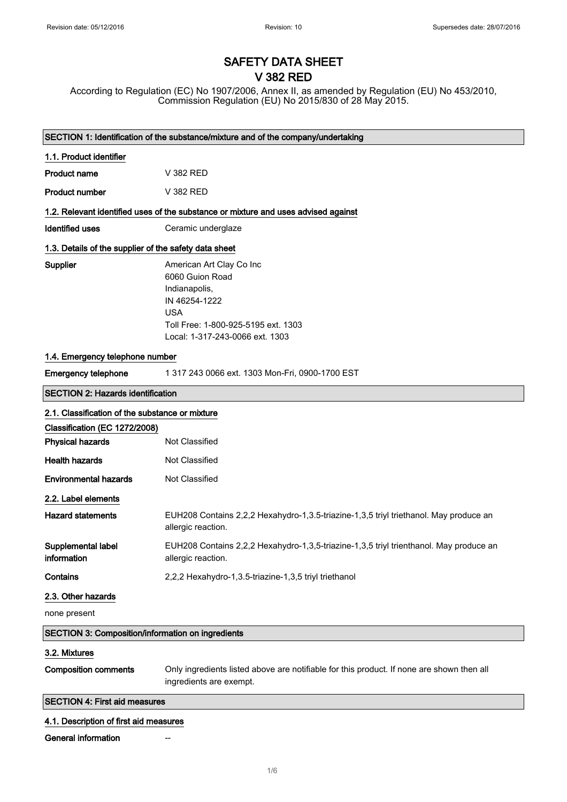## SAFETY DATA SHEET V 382 RED

According to Regulation (EC) No 1907/2006, Annex II, as amended by Regulation (EU) No 453/2010, Commission Regulation (EU) No 2015/830 of 28 May 2015.

| SECTION 1: Identification of the substance/mixture and of the company/undertaking |                                                                                                                                                                       |  |  |
|-----------------------------------------------------------------------------------|-----------------------------------------------------------------------------------------------------------------------------------------------------------------------|--|--|
| 1.1. Product identifier                                                           |                                                                                                                                                                       |  |  |
| <b>Product name</b>                                                               | V 382 RED                                                                                                                                                             |  |  |
| <b>Product number</b>                                                             | V 382 RED                                                                                                                                                             |  |  |
|                                                                                   | 1.2. Relevant identified uses of the substance or mixture and uses advised against                                                                                    |  |  |
| <b>Identified uses</b>                                                            | Ceramic underglaze                                                                                                                                                    |  |  |
| 1.3. Details of the supplier of the safety data sheet                             |                                                                                                                                                                       |  |  |
| Supplier                                                                          | American Art Clay Co Inc<br>6060 Guion Road<br>Indianapolis,<br>IN 46254-1222<br><b>USA</b><br>Toll Free: 1-800-925-5195 ext. 1303<br>Local: 1-317-243-0066 ext. 1303 |  |  |
| 1.4. Emergency telephone number                                                   |                                                                                                                                                                       |  |  |
| <b>Emergency telephone</b>                                                        | 1 317 243 0066 ext. 1303 Mon-Fri, 0900-1700 EST                                                                                                                       |  |  |
| <b>SECTION 2: Hazards identification</b>                                          |                                                                                                                                                                       |  |  |
| 2.1. Classification of the substance or mixture                                   |                                                                                                                                                                       |  |  |
| Classification (EC 1272/2008)                                                     |                                                                                                                                                                       |  |  |
| <b>Physical hazards</b>                                                           | <b>Not Classified</b>                                                                                                                                                 |  |  |
| <b>Health hazards</b>                                                             | <b>Not Classified</b>                                                                                                                                                 |  |  |
| <b>Environmental hazards</b>                                                      | Not Classified                                                                                                                                                        |  |  |
| 2.2. Label elements                                                               |                                                                                                                                                                       |  |  |
| <b>Hazard statements</b>                                                          | EUH208 Contains 2,2,2 Hexahydro-1,3.5-triazine-1,3,5 triyl triethanol. May produce an<br>allergic reaction.                                                           |  |  |
| Supplemental label<br>information                                                 | EUH208 Contains 2,2,2 Hexahydro-1,3,5-triazine-1,3,5 triyl trienthanol. May produce an<br>allergic reaction.                                                          |  |  |
| Contains                                                                          | 2,2,2 Hexahydro-1,3.5-triazine-1,3,5 triyl triethanol                                                                                                                 |  |  |
| 2.3. Other hazards                                                                |                                                                                                                                                                       |  |  |
| none present                                                                      |                                                                                                                                                                       |  |  |
| <b>SECTION 3: Composition/information on ingredients</b>                          |                                                                                                                                                                       |  |  |
| 3.2. Mixtures                                                                     |                                                                                                                                                                       |  |  |
| <b>Composition comments</b>                                                       | Only ingredients listed above are notifiable for this product. If none are shown then all<br>ingredients are exempt.                                                  |  |  |
| <b>SECTION 4: First aid measures</b>                                              |                                                                                                                                                                       |  |  |
| 4.1. Description of first aid measures                                            |                                                                                                                                                                       |  |  |
| General information                                                               |                                                                                                                                                                       |  |  |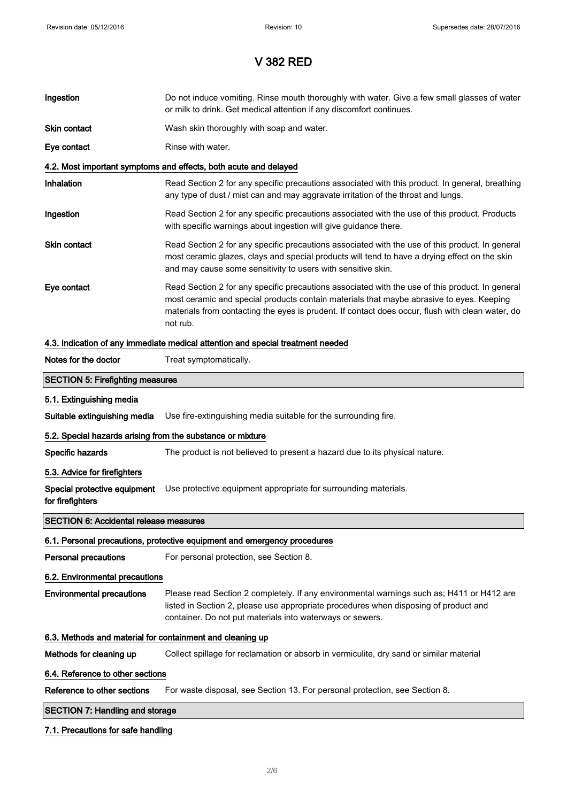| Ingestion                                                  | Do not induce vomiting. Rinse mouth thoroughly with water. Give a few small glasses of water<br>or milk to drink. Get medical attention if any discomfort continues.                                                                                                                                        |  |
|------------------------------------------------------------|-------------------------------------------------------------------------------------------------------------------------------------------------------------------------------------------------------------------------------------------------------------------------------------------------------------|--|
| Skin contact                                               | Wash skin thoroughly with soap and water.                                                                                                                                                                                                                                                                   |  |
| Eye contact                                                | Rinse with water.                                                                                                                                                                                                                                                                                           |  |
|                                                            | 4.2. Most important symptoms and effects, both acute and delayed                                                                                                                                                                                                                                            |  |
| <b>Inhalation</b>                                          | Read Section 2 for any specific precautions associated with this product. In general, breathing<br>any type of dust / mist can and may aggravate irritation of the throat and lungs.                                                                                                                        |  |
| Ingestion                                                  | Read Section 2 for any specific precautions associated with the use of this product. Products<br>with specific warnings about ingestion will give guidance there.                                                                                                                                           |  |
| Skin contact                                               | Read Section 2 for any specific precautions associated with the use of this product. In general<br>most ceramic glazes, clays and special products will tend to have a drying effect on the skin<br>and may cause some sensitivity to users with sensitive skin.                                            |  |
| Eye contact                                                | Read Section 2 for any specific precautions associated with the use of this product. In general<br>most ceramic and special products contain materials that maybe abrasive to eyes. Keeping<br>materials from contacting the eyes is prudent. If contact does occur, flush with clean water, do<br>not rub. |  |
|                                                            | 4.3. Indication of any immediate medical attention and special treatment needed                                                                                                                                                                                                                             |  |
| Notes for the doctor                                       | Treat symptomatically.                                                                                                                                                                                                                                                                                      |  |
| <b>SECTION 5: Firefighting measures</b>                    |                                                                                                                                                                                                                                                                                                             |  |
| 5.1. Extinguishing media                                   |                                                                                                                                                                                                                                                                                                             |  |
| Suitable extinguishing media                               | Use fire-extinguishing media suitable for the surrounding fire.                                                                                                                                                                                                                                             |  |
| 5.2. Special hazards arising from the substance or mixture |                                                                                                                                                                                                                                                                                                             |  |
| Specific hazards                                           | The product is not believed to present a hazard due to its physical nature.                                                                                                                                                                                                                                 |  |
| 5.3. Advice for firefighters                               |                                                                                                                                                                                                                                                                                                             |  |
| Special protective equipment<br>for firefighters           | Use protective equipment appropriate for surrounding materials.                                                                                                                                                                                                                                             |  |
| <b>SECTION 6: Accidental release measures</b>              |                                                                                                                                                                                                                                                                                                             |  |
|                                                            | 6.1. Personal precautions, protective equipment and emergency procedures                                                                                                                                                                                                                                    |  |
| <b>Personal precautions</b>                                | For personal protection, see Section 8.                                                                                                                                                                                                                                                                     |  |
| 6.2. Environmental precautions                             |                                                                                                                                                                                                                                                                                                             |  |
| <b>Environmental precautions</b>                           | Please read Section 2 completely. If any environmental warnings such as; H411 or H412 are<br>listed in Section 2, please use appropriate procedures when disposing of product and<br>container. Do not put materials into waterways or sewers.                                                              |  |
| 6.3. Methods and material for containment and cleaning up  |                                                                                                                                                                                                                                                                                                             |  |
| Methods for cleaning up                                    | Collect spillage for reclamation or absorb in vermiculite, dry sand or similar material                                                                                                                                                                                                                     |  |
| 6.4. Reference to other sections                           |                                                                                                                                                                                                                                                                                                             |  |
| Reference to other sections                                | For waste disposal, see Section 13. For personal protection, see Section 8.                                                                                                                                                                                                                                 |  |
| <b>SECTION 7: Handling and storage</b>                     |                                                                                                                                                                                                                                                                                                             |  |
| 7.1. Precautions for safe handling                         |                                                                                                                                                                                                                                                                                                             |  |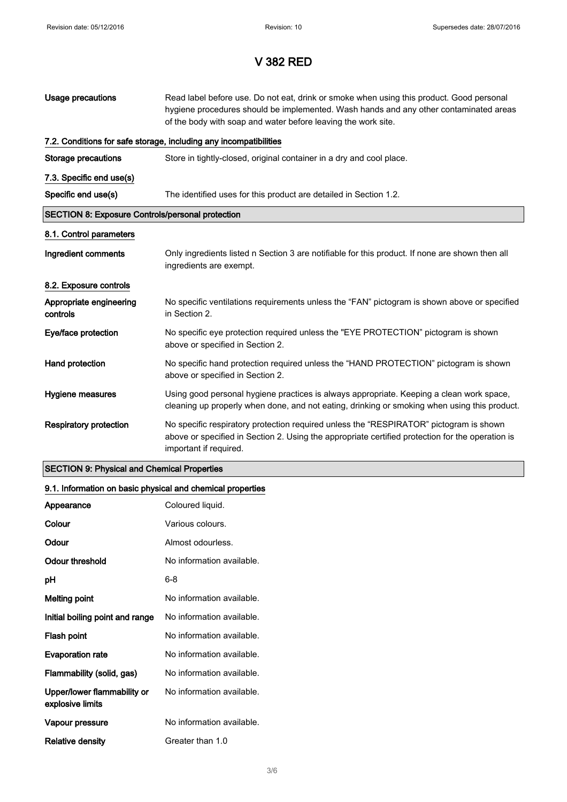| Usage precautions                                       | Read label before use. Do not eat, drink or smoke when using this product. Good personal<br>hygiene procedures should be implemented. Wash hands and any other contaminated areas<br>of the body with soap and water before leaving the work site. |  |
|---------------------------------------------------------|----------------------------------------------------------------------------------------------------------------------------------------------------------------------------------------------------------------------------------------------------|--|
|                                                         | 7.2. Conditions for safe storage, including any incompatibilities                                                                                                                                                                                  |  |
| Storage precautions                                     | Store in tightly-closed, original container in a dry and cool place.                                                                                                                                                                               |  |
| 7.3. Specific end use(s)                                |                                                                                                                                                                                                                                                    |  |
| Specific end use(s)                                     | The identified uses for this product are detailed in Section 1.2.                                                                                                                                                                                  |  |
| <b>SECTION 8: Exposure Controls/personal protection</b> |                                                                                                                                                                                                                                                    |  |
| 8.1. Control parameters                                 |                                                                                                                                                                                                                                                    |  |
| Ingredient comments                                     | Only ingredients listed n Section 3 are notifiable for this product. If none are shown then all<br>ingredients are exempt.                                                                                                                         |  |
| 8.2. Exposure controls                                  |                                                                                                                                                                                                                                                    |  |
| Appropriate engineering<br>controls                     | No specific ventilations requirements unless the "FAN" pictogram is shown above or specified<br>in Section 2.                                                                                                                                      |  |
| Eye/face protection                                     | No specific eye protection required unless the "EYE PROTECTION" pictogram is shown<br>above or specified in Section 2.                                                                                                                             |  |
| Hand protection                                         | No specific hand protection required unless the "HAND PROTECTION" pictogram is shown<br>above or specified in Section 2.                                                                                                                           |  |
| Hygiene measures                                        | Using good personal hygiene practices is always appropriate. Keeping a clean work space,<br>cleaning up properly when done, and not eating, drinking or smoking when using this product.                                                           |  |
| <b>Respiratory protection</b>                           | No specific respiratory protection required unless the "RESPIRATOR" pictogram is shown<br>above or specified in Section 2. Using the appropriate certified protection for the operation is<br>important if required.                               |  |

## SECTION 9: Physical and Chemical Properties

## 9.1. Information on basic physical and chemical properties

| Appearance                                      | Coloured liquid.          |
|-------------------------------------------------|---------------------------|
| Colour                                          | Various colours.          |
| Odour                                           | Almost odourless.         |
| Odour threshold                                 | No information available. |
| рH                                              | 6-8                       |
| <b>Melting point</b>                            | No information available. |
| Initial boiling point and range                 | No information available. |
| Flash point                                     | No information available. |
| <b>Evaporation rate</b>                         | No information available. |
| Flammability (solid, gas)                       | No information available. |
| Upper/lower flammability or<br>explosive limits | No information available. |
| Vapour pressure                                 | No information available. |
| Relative density                                | Greater than 1.0          |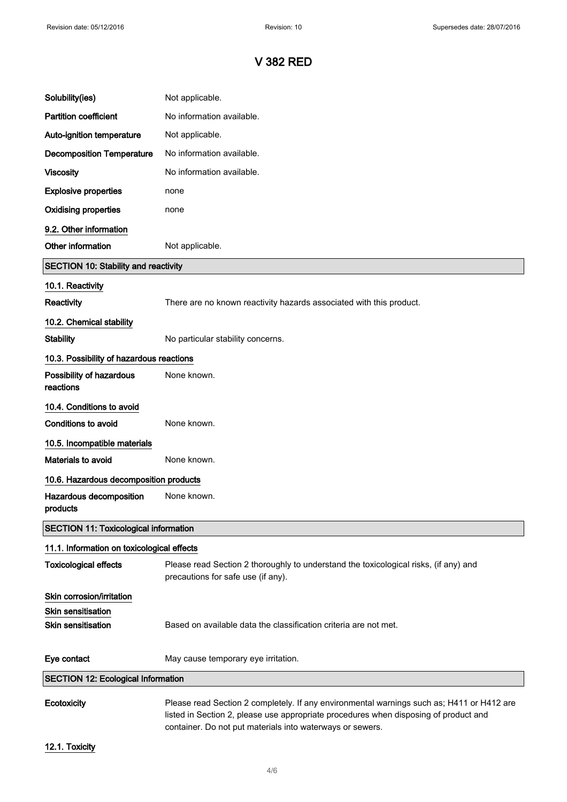| Solubility(ies)                              | Not applicable.                                                                                                                                                                                                                                |  |
|----------------------------------------------|------------------------------------------------------------------------------------------------------------------------------------------------------------------------------------------------------------------------------------------------|--|
| <b>Partition coefficient</b>                 | No information available.                                                                                                                                                                                                                      |  |
| Auto-ignition temperature                    | Not applicable.                                                                                                                                                                                                                                |  |
| <b>Decomposition Temperature</b>             | No information available.                                                                                                                                                                                                                      |  |
| <b>Viscosity</b>                             | No information available.                                                                                                                                                                                                                      |  |
| <b>Explosive properties</b>                  | none                                                                                                                                                                                                                                           |  |
| <b>Oxidising properties</b>                  | none                                                                                                                                                                                                                                           |  |
| 9.2. Other information                       |                                                                                                                                                                                                                                                |  |
| Other information                            | Not applicable.                                                                                                                                                                                                                                |  |
| <b>SECTION 10: Stability and reactivity</b>  |                                                                                                                                                                                                                                                |  |
| 10.1. Reactivity                             |                                                                                                                                                                                                                                                |  |
| Reactivity                                   | There are no known reactivity hazards associated with this product.                                                                                                                                                                            |  |
| 10.2. Chemical stability                     |                                                                                                                                                                                                                                                |  |
| <b>Stability</b>                             | No particular stability concerns.                                                                                                                                                                                                              |  |
| 10.3. Possibility of hazardous reactions     |                                                                                                                                                                                                                                                |  |
| Possibility of hazardous<br>reactions        | None known.                                                                                                                                                                                                                                    |  |
| 10.4. Conditions to avoid                    |                                                                                                                                                                                                                                                |  |
| <b>Conditions to avoid</b>                   | None known.                                                                                                                                                                                                                                    |  |
| 10.5. Incompatible materials                 |                                                                                                                                                                                                                                                |  |
| <b>Materials to avoid</b>                    | None known.                                                                                                                                                                                                                                    |  |
| 10.6. Hazardous decomposition products       |                                                                                                                                                                                                                                                |  |
| Hazardous decomposition<br>products          | None known.                                                                                                                                                                                                                                    |  |
| <b>SECTION 11: Toxicological information</b> |                                                                                                                                                                                                                                                |  |
| 11.1. Information on toxicological effects   |                                                                                                                                                                                                                                                |  |
| <b>Toxicological effects</b>                 | Please read Section 2 thoroughly to understand the toxicological risks, (if any) and<br>precautions for safe use (if any).                                                                                                                     |  |
| Skin corrosion/irritation                    |                                                                                                                                                                                                                                                |  |
| Skin sensitisation                           |                                                                                                                                                                                                                                                |  |
| <b>Skin sensitisation</b>                    | Based on available data the classification criteria are not met.                                                                                                                                                                               |  |
| Eye contact                                  | May cause temporary eye irritation.                                                                                                                                                                                                            |  |
| <b>SECTION 12: Ecological Information</b>    |                                                                                                                                                                                                                                                |  |
| Ecotoxicity                                  | Please read Section 2 completely. If any environmental warnings such as; H411 or H412 are<br>listed in Section 2, please use appropriate procedures when disposing of product and<br>container. Do not put materials into waterways or sewers. |  |

12.1. Toxicity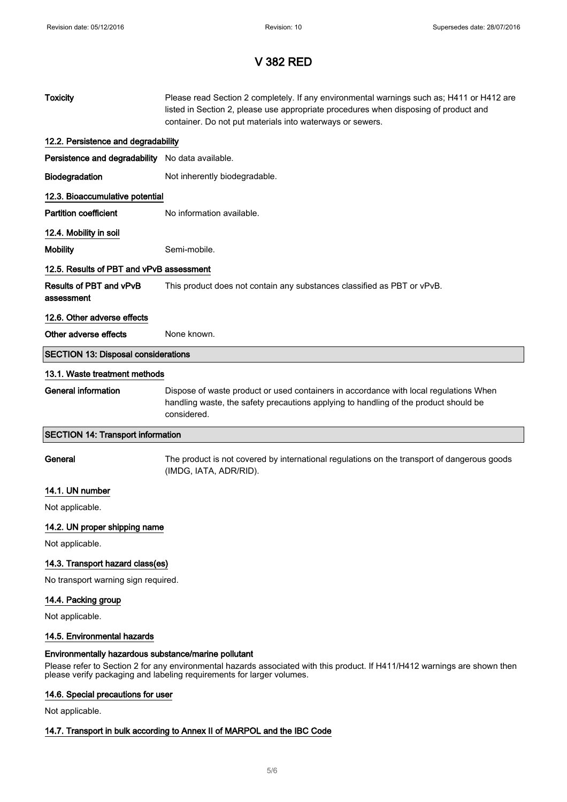| <b>Toxicity</b>                                                                                                                                                                    | Please read Section 2 completely. If any environmental warnings such as; H411 or H412 are<br>listed in Section 2, please use appropriate procedures when disposing of product and<br>container. Do not put materials into waterways or sewers. |  |
|------------------------------------------------------------------------------------------------------------------------------------------------------------------------------------|------------------------------------------------------------------------------------------------------------------------------------------------------------------------------------------------------------------------------------------------|--|
| 12.2. Persistence and degradability                                                                                                                                                |                                                                                                                                                                                                                                                |  |
| Persistence and degradability No data available.                                                                                                                                   |                                                                                                                                                                                                                                                |  |
| Biodegradation                                                                                                                                                                     | Not inherently biodegradable.                                                                                                                                                                                                                  |  |
| 12.3. Bioaccumulative potential                                                                                                                                                    |                                                                                                                                                                                                                                                |  |
| <b>Partition coefficient</b>                                                                                                                                                       | No information available.                                                                                                                                                                                                                      |  |
| 12.4. Mobility in soil                                                                                                                                                             |                                                                                                                                                                                                                                                |  |
| <b>Mobility</b>                                                                                                                                                                    | Semi-mobile.                                                                                                                                                                                                                                   |  |
| 12.5. Results of PBT and vPvB assessment                                                                                                                                           |                                                                                                                                                                                                                                                |  |
| <b>Results of PBT and vPvB</b><br>assessment                                                                                                                                       | This product does not contain any substances classified as PBT or vPvB.                                                                                                                                                                        |  |
| 12.6. Other adverse effects                                                                                                                                                        |                                                                                                                                                                                                                                                |  |
| Other adverse effects                                                                                                                                                              | None known.                                                                                                                                                                                                                                    |  |
| <b>SECTION 13: Disposal considerations</b>                                                                                                                                         |                                                                                                                                                                                                                                                |  |
| 13.1. Waste treatment methods                                                                                                                                                      |                                                                                                                                                                                                                                                |  |
| <b>General information</b>                                                                                                                                                         | Dispose of waste product or used containers in accordance with local regulations When<br>handling waste, the safety precautions applying to handling of the product should be<br>considered.                                                   |  |
| <b>SECTION 14: Transport information</b>                                                                                                                                           |                                                                                                                                                                                                                                                |  |
| General                                                                                                                                                                            | The product is not covered by international regulations on the transport of dangerous goods<br>(IMDG, IATA, ADR/RID).                                                                                                                          |  |
| 14.1. UN number                                                                                                                                                                    |                                                                                                                                                                                                                                                |  |
| Not applicable.                                                                                                                                                                    |                                                                                                                                                                                                                                                |  |
| 14.2. UN proper shipping name                                                                                                                                                      |                                                                                                                                                                                                                                                |  |
| Not applicable.                                                                                                                                                                    |                                                                                                                                                                                                                                                |  |
| 14.3. Transport hazard class(es)                                                                                                                                                   |                                                                                                                                                                                                                                                |  |
| No transport warning sign required.                                                                                                                                                |                                                                                                                                                                                                                                                |  |
| 14.4. Packing group                                                                                                                                                                |                                                                                                                                                                                                                                                |  |
| Not applicable.                                                                                                                                                                    |                                                                                                                                                                                                                                                |  |
| 14.5. Environmental hazards                                                                                                                                                        |                                                                                                                                                                                                                                                |  |
| Environmentally hazardous substance/marine pollutant<br>Please refer to Section 2 for any environmental hazards associated with this product. If H411/H412 warnings are shown then |                                                                                                                                                                                                                                                |  |

## 14.6. Special precautions for user

Not applicable.

## 14.7. Transport in bulk according to Annex II of MARPOL and the IBC Code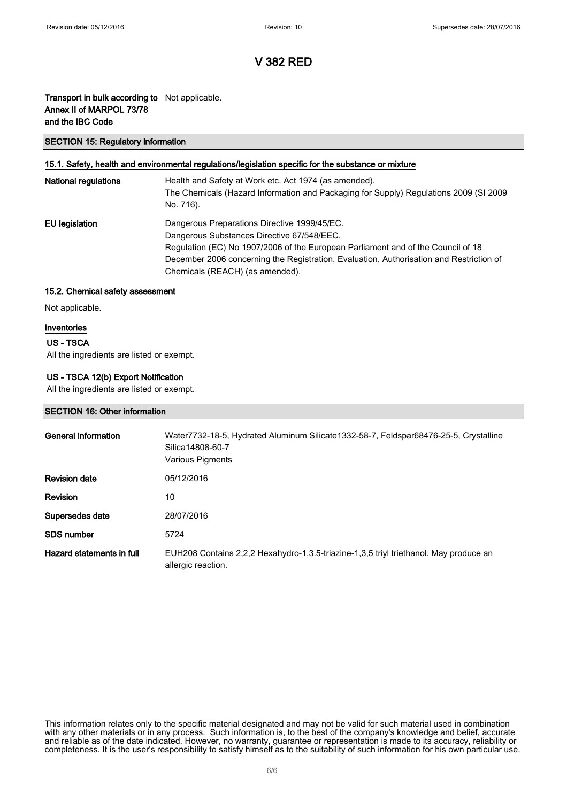### Transport in bulk according to Not applicable. Annex II of MARPOL 73/78 and the IBC Code

### SECTION 15: Regulatory information

### 15.1. Safety, health and environmental regulations/legislation specific for the substance or mixture

| <b>National regulations</b> | Health and Safety at Work etc. Act 1974 (as amended).<br>The Chemicals (Hazard Information and Packaging for Supply) Regulations 2009 (SI 2009<br>No. 716).                                                                                                                                                  |
|-----------------------------|--------------------------------------------------------------------------------------------------------------------------------------------------------------------------------------------------------------------------------------------------------------------------------------------------------------|
| EU legislation              | Dangerous Preparations Directive 1999/45/EC.<br>Dangerous Substances Directive 67/548/EEC.<br>Regulation (EC) No 1907/2006 of the European Parliament and of the Council of 18<br>December 2006 concerning the Registration, Evaluation, Authorisation and Restriction of<br>Chemicals (REACH) (as amended). |

### 15.2. Chemical safety assessment

Not applicable.

### Inventories

### US - TSCA

All the ingredients are listed or exempt.

### US - TSCA 12(b) Export Notification

All the ingredients are listed or exempt.

### SECTION 16: Other information

| General information       | Water7732-18-5, Hydrated Aluminum Silicate1332-58-7, Feldspar68476-25-5, Crystalline<br>Silica14808-60-7<br>Various Pigments |
|---------------------------|------------------------------------------------------------------------------------------------------------------------------|
| <b>Revision date</b>      | 05/12/2016                                                                                                                   |
| <b>Revision</b>           | 10                                                                                                                           |
| Supersedes date           | 28/07/2016                                                                                                                   |
| <b>SDS number</b>         | 5724                                                                                                                         |
| Hazard statements in full | EUH208 Contains 2,2,2 Hexahydro-1,3.5-triazine-1,3,5 triyl triethanol. May produce an<br>allergic reaction.                  |

This information relates only to the specific material designated and may not be valid for such material used in combination with any other materials or in any process. Such information is, to the best of the company's knowledge and belief, accurate and reliable as of the date indicated. However, no warranty, guarantee or representation is made to its accuracy, reliability or completeness. It is the user's responsibility to satisfy himself as to the suitability of such information for his own particular use.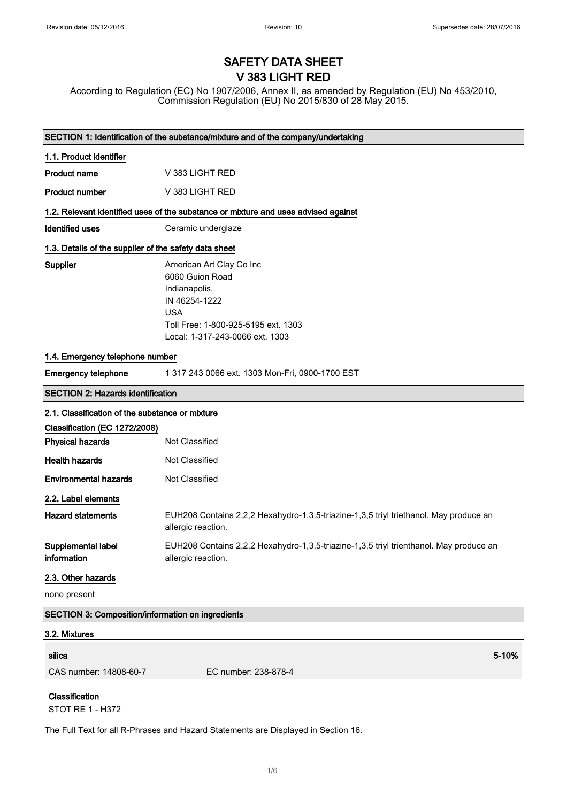# SAFETY DATA SHEET V 383 LIGHT RED

According to Regulation (EC) No 1907/2006, Annex II, as amended by Regulation (EU) No 453/2010, Commission Regulation (EU) No 2015/830 of 28 May 2015.

|                                                          | SECTION 1: Identification of the substance/mixture and of the company/undertaking                                                                                     |  |
|----------------------------------------------------------|-----------------------------------------------------------------------------------------------------------------------------------------------------------------------|--|
| 1.1. Product identifier                                  |                                                                                                                                                                       |  |
| <b>Product name</b>                                      | V 383 LIGHT RED                                                                                                                                                       |  |
| <b>Product number</b>                                    | V 383 LIGHT RED                                                                                                                                                       |  |
|                                                          | 1.2. Relevant identified uses of the substance or mixture and uses advised against                                                                                    |  |
| <b>Identified uses</b>                                   | Ceramic underglaze                                                                                                                                                    |  |
| 1.3. Details of the supplier of the safety data sheet    |                                                                                                                                                                       |  |
| Supplier                                                 | American Art Clay Co Inc<br>6060 Guion Road<br>Indianapolis,<br>IN 46254-1222<br><b>USA</b><br>Toll Free: 1-800-925-5195 ext. 1303<br>Local: 1-317-243-0066 ext. 1303 |  |
| 1.4. Emergency telephone number                          |                                                                                                                                                                       |  |
| <b>Emergency telephone</b>                               | 1 317 243 0066 ext. 1303 Mon-Fri, 0900-1700 EST                                                                                                                       |  |
| <b>SECTION 2: Hazards identification</b>                 |                                                                                                                                                                       |  |
| 2.1. Classification of the substance or mixture          |                                                                                                                                                                       |  |
| Classification (EC 1272/2008)                            |                                                                                                                                                                       |  |
| <b>Physical hazards</b>                                  | Not Classified                                                                                                                                                        |  |
| <b>Health hazards</b>                                    | Not Classified                                                                                                                                                        |  |
| <b>Environmental hazards</b>                             | Not Classified                                                                                                                                                        |  |
| 2.2. Label elements                                      |                                                                                                                                                                       |  |
| <b>Hazard statements</b>                                 | EUH208 Contains 2,2,2 Hexahydro-1,3.5-triazine-1,3,5 triyl triethanol. May produce an<br>allergic reaction.                                                           |  |
| Supplemental label<br>information                        | EUH208 Contains 2,2,2 Hexahydro-1,3,5-triazine-1,3,5 triyl trienthanol. May produce an<br>allergic reaction.                                                          |  |
| 2.3. Other hazards                                       |                                                                                                                                                                       |  |
| none present                                             |                                                                                                                                                                       |  |
| <b>SECTION 3: Composition/information on ingredients</b> |                                                                                                                                                                       |  |
| 3.2. Mixtures                                            |                                                                                                                                                                       |  |
| silica                                                   | 5-10%                                                                                                                                                                 |  |
| CAS number: 14808-60-7                                   | EC number: 238-878-4                                                                                                                                                  |  |
| Classification<br>STOT RE 1 - H372                       |                                                                                                                                                                       |  |
|                                                          |                                                                                                                                                                       |  |

The Full Text for all R-Phrases and Hazard Statements are Displayed in Section 16.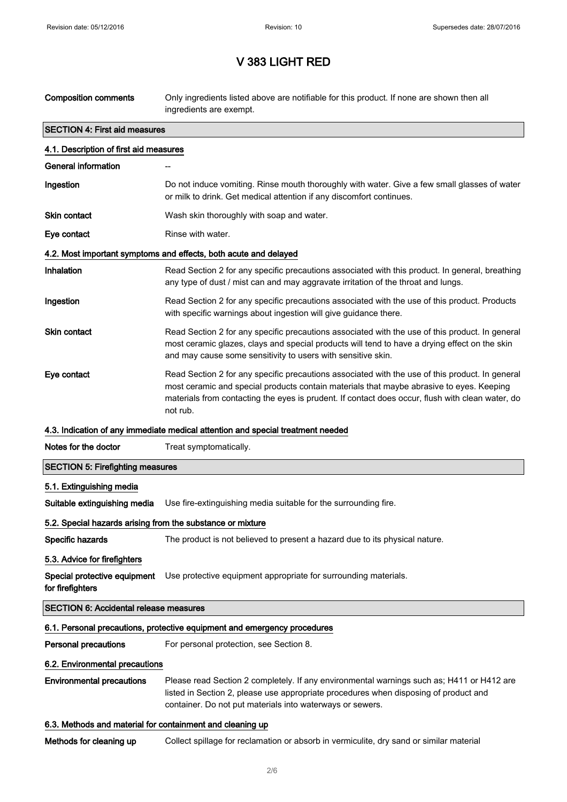| <b>Composition comments</b>                                              | Only ingredients listed above are notifiable for this product. If none are shown then all<br>ingredients are exempt.                                                                                                                                                                                        |  |
|--------------------------------------------------------------------------|-------------------------------------------------------------------------------------------------------------------------------------------------------------------------------------------------------------------------------------------------------------------------------------------------------------|--|
| <b>SECTION 4: First aid measures</b>                                     |                                                                                                                                                                                                                                                                                                             |  |
| 4.1. Description of first aid measures                                   |                                                                                                                                                                                                                                                                                                             |  |
| <b>General information</b>                                               |                                                                                                                                                                                                                                                                                                             |  |
| Ingestion                                                                | Do not induce vomiting. Rinse mouth thoroughly with water. Give a few small glasses of water<br>or milk to drink. Get medical attention if any discomfort continues.                                                                                                                                        |  |
| <b>Skin contact</b>                                                      | Wash skin thoroughly with soap and water.                                                                                                                                                                                                                                                                   |  |
| Eye contact                                                              | Rinse with water.                                                                                                                                                                                                                                                                                           |  |
|                                                                          | 4.2. Most important symptoms and effects, both acute and delayed                                                                                                                                                                                                                                            |  |
| Inhalation                                                               | Read Section 2 for any specific precautions associated with this product. In general, breathing<br>any type of dust / mist can and may aggravate irritation of the throat and lungs.                                                                                                                        |  |
| Ingestion                                                                | Read Section 2 for any specific precautions associated with the use of this product. Products<br>with specific warnings about ingestion will give guidance there.                                                                                                                                           |  |
| <b>Skin contact</b>                                                      | Read Section 2 for any specific precautions associated with the use of this product. In general<br>most ceramic glazes, clays and special products will tend to have a drying effect on the skin<br>and may cause some sensitivity to users with sensitive skin.                                            |  |
| Eye contact                                                              | Read Section 2 for any specific precautions associated with the use of this product. In general<br>most ceramic and special products contain materials that maybe abrasive to eyes. Keeping<br>materials from contacting the eyes is prudent. If contact does occur, flush with clean water, do<br>not rub. |  |
|                                                                          | 4.3. Indication of any immediate medical attention and special treatment needed                                                                                                                                                                                                                             |  |
| Notes for the doctor                                                     | Treat symptomatically.                                                                                                                                                                                                                                                                                      |  |
| <b>SECTION 5: Firefighting measures</b>                                  |                                                                                                                                                                                                                                                                                                             |  |
| 5.1. Extinguishing media                                                 |                                                                                                                                                                                                                                                                                                             |  |
| Suitable extinguishing media                                             | Use fire-extinguishing media suitable for the surrounding fire.                                                                                                                                                                                                                                             |  |
| 5.2. Special hazards arising from the substance or mixture               |                                                                                                                                                                                                                                                                                                             |  |
| Specific hazards                                                         | The product is not believed to present a hazard due to its physical nature.                                                                                                                                                                                                                                 |  |
| 5.3. Advice for firefighters                                             |                                                                                                                                                                                                                                                                                                             |  |
| Special protective equipment<br>for firefighters                         | Use protective equipment appropriate for surrounding materials.                                                                                                                                                                                                                                             |  |
| <b>SECTION 6: Accidental release measures</b>                            |                                                                                                                                                                                                                                                                                                             |  |
| 6.1. Personal precautions, protective equipment and emergency procedures |                                                                                                                                                                                                                                                                                                             |  |
| <b>Personal precautions</b>                                              | For personal protection, see Section 8.                                                                                                                                                                                                                                                                     |  |
| 6.2. Environmental precautions                                           |                                                                                                                                                                                                                                                                                                             |  |
| <b>Environmental precautions</b>                                         | Please read Section 2 completely. If any environmental warnings such as; H411 or H412 are<br>listed in Section 2, please use appropriate procedures when disposing of product and<br>container. Do not put materials into waterways or sewers.                                                              |  |
| 6.3. Methods and material for containment and cleaning up                |                                                                                                                                                                                                                                                                                                             |  |

Methods for cleaning up Collect spillage for reclamation or absorb in vermiculite, dry sand or similar material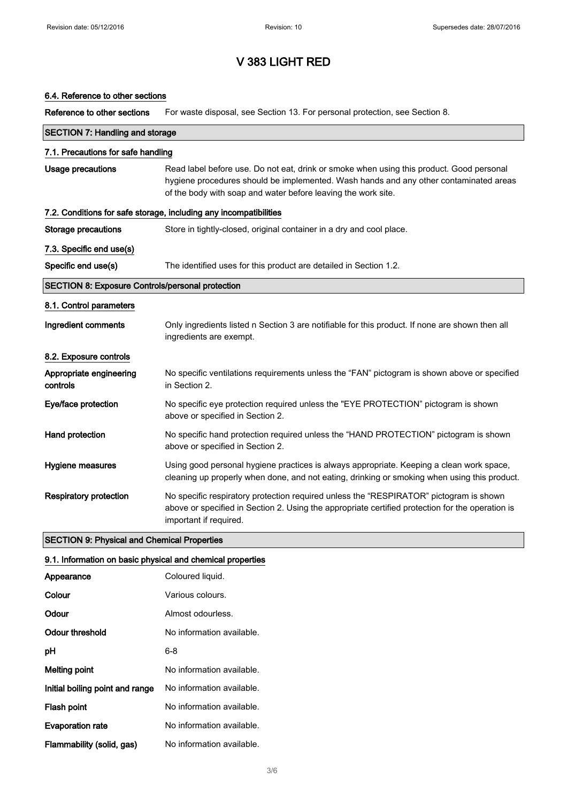### 6.4. Reference to other sections

Reference to other sections For waste disposal, see Section 13. For personal protection, see Section 8.

| <b>SECTION 7: Handling and storage</b>                  |                                                                                                                                                                                                                                                    |  |
|---------------------------------------------------------|----------------------------------------------------------------------------------------------------------------------------------------------------------------------------------------------------------------------------------------------------|--|
| 7.1. Precautions for safe handling                      |                                                                                                                                                                                                                                                    |  |
| <b>Usage precautions</b>                                | Read label before use. Do not eat, drink or smoke when using this product. Good personal<br>hygiene procedures should be implemented. Wash hands and any other contaminated areas<br>of the body with soap and water before leaving the work site. |  |
|                                                         | 7.2. Conditions for safe storage, including any incompatibilities                                                                                                                                                                                  |  |
| <b>Storage precautions</b>                              | Store in tightly-closed, original container in a dry and cool place.                                                                                                                                                                               |  |
| 7.3. Specific end use(s)                                |                                                                                                                                                                                                                                                    |  |
| Specific end use(s)                                     | The identified uses for this product are detailed in Section 1.2.                                                                                                                                                                                  |  |
| <b>SECTION 8: Exposure Controls/personal protection</b> |                                                                                                                                                                                                                                                    |  |
| 8.1. Control parameters                                 |                                                                                                                                                                                                                                                    |  |
| Ingredient comments                                     | Only ingredients listed n Section 3 are notifiable for this product. If none are shown then all<br>ingredients are exempt.                                                                                                                         |  |
| 8.2. Exposure controls                                  |                                                                                                                                                                                                                                                    |  |
| Appropriate engineering<br>controls                     | No specific ventilations requirements unless the "FAN" pictogram is shown above or specified<br>in Section 2.                                                                                                                                      |  |
| Eye/face protection                                     | No specific eye protection required unless the "EYE PROTECTION" pictogram is shown<br>above or specified in Section 2.                                                                                                                             |  |
| Hand protection                                         | No specific hand protection required unless the "HAND PROTECTION" pictogram is shown<br>above or specified in Section 2.                                                                                                                           |  |
| Hygiene measures                                        | Using good personal hygiene practices is always appropriate. Keeping a clean work space,<br>cleaning up properly when done, and not eating, drinking or smoking when using this product.                                                           |  |
| <b>Respiratory protection</b>                           | No specific respiratory protection required unless the "RESPIRATOR" pictogram is shown<br>above or specified in Section 2. Using the appropriate certified protection for the operation is<br>important if required.                               |  |

### SECTION 9: Physical and Chemical Properties

### 9.1. Information on basic physical and chemical properties

| Appearance                      | Coloured liquid.          |
|---------------------------------|---------------------------|
| Colour                          | Various colours.          |
| Odour                           | Almost odourless.         |
| Odour threshold                 | No information available. |
| рH                              | 6-8                       |
| Melting point                   | No information available. |
| Initial boiling point and range | No information available. |
| Flash point                     | No information available. |
| <b>Evaporation rate</b>         | No information available. |
| Flammability (solid, gas)       | No information available. |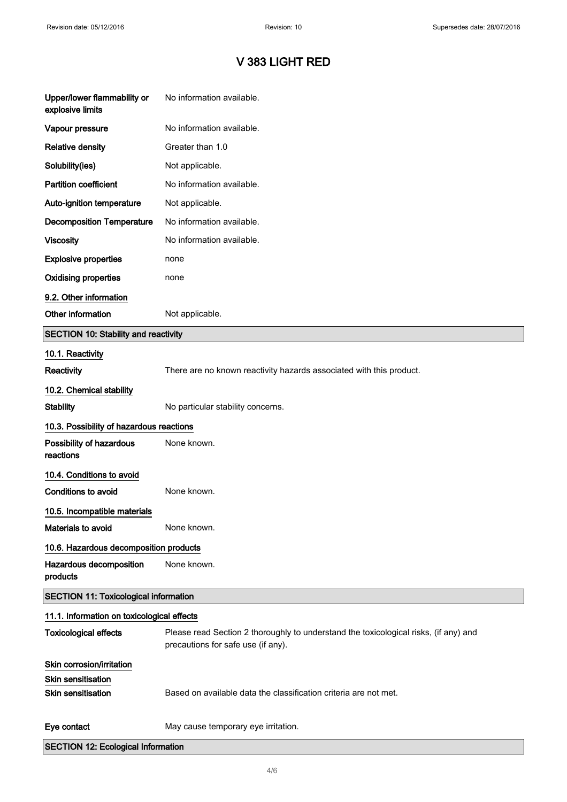| Upper/lower flammability or<br>explosive limits | No information available.                                                                                                  |
|-------------------------------------------------|----------------------------------------------------------------------------------------------------------------------------|
| Vapour pressure                                 | No information available.                                                                                                  |
| <b>Relative density</b>                         | Greater than 1.0                                                                                                           |
| Solubility(ies)                                 | Not applicable.                                                                                                            |
| <b>Partition coefficient</b>                    | No information available.                                                                                                  |
| Auto-ignition temperature                       | Not applicable.                                                                                                            |
| <b>Decomposition Temperature</b>                | No information available.                                                                                                  |
| <b>Viscosity</b>                                | No information available.                                                                                                  |
| <b>Explosive properties</b>                     | none                                                                                                                       |
| <b>Oxidising properties</b>                     | none                                                                                                                       |
| 9.2. Other information                          |                                                                                                                            |
| Other information                               | Not applicable.                                                                                                            |
| <b>SECTION 10: Stability and reactivity</b>     |                                                                                                                            |
| 10.1. Reactivity                                |                                                                                                                            |
| Reactivity                                      | There are no known reactivity hazards associated with this product.                                                        |
| 10.2. Chemical stability                        |                                                                                                                            |
| <b>Stability</b>                                | No particular stability concerns.                                                                                          |
| 10.3. Possibility of hazardous reactions        |                                                                                                                            |
| Possibility of hazardous<br>reactions           | None known.                                                                                                                |
| 10.4. Conditions to avoid                       |                                                                                                                            |
| <b>Conditions to avoid</b>                      | None known.                                                                                                                |
| 10.5. Incompatible materials                    |                                                                                                                            |
| Materials to avoid                              | None known.                                                                                                                |
| 10.6. Hazardous decomposition products          |                                                                                                                            |
| Hazardous decomposition<br>products             | None known.                                                                                                                |
| <b>SECTION 11: Toxicological information</b>    |                                                                                                                            |
| 11.1. Information on toxicological effects      |                                                                                                                            |
| <b>Toxicological effects</b>                    | Please read Section 2 thoroughly to understand the toxicological risks, (if any) and<br>precautions for safe use (if any). |
| Skin corrosion/irritation                       |                                                                                                                            |
| Skin sensitisation                              |                                                                                                                            |
| <b>Skin sensitisation</b>                       | Based on available data the classification criteria are not met.                                                           |
| Eye contact                                     | May cause temporary eye irritation.                                                                                        |
| <b>SECTION 12: Ecological Information</b>       |                                                                                                                            |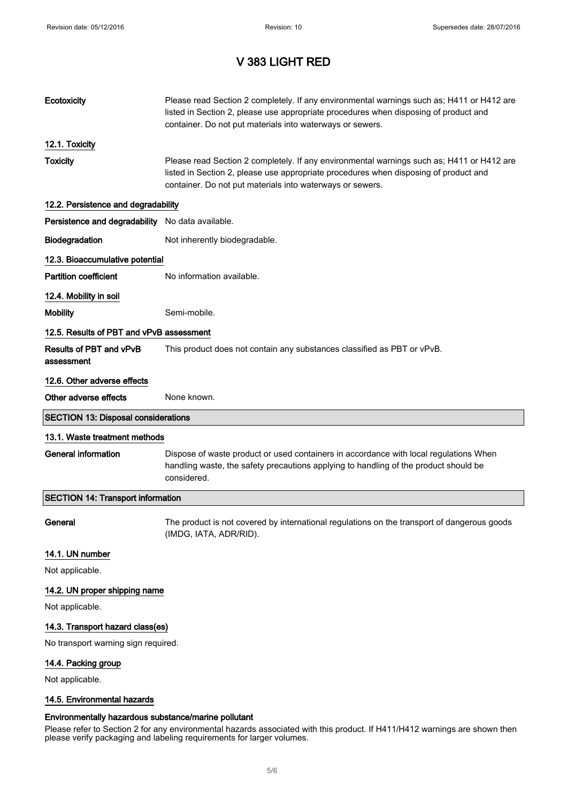$\begin{array}{c} \hline \end{array}$ 

 $\overline{\phantom{a}}$ 

# V 383 LIGHT RED

| Ecotoxicity                                      | Please read Section 2 completely. If any environmental warnings such as; H411 or H412 are<br>listed in Section 2, please use appropriate procedures when disposing of product and<br>container. Do not put materials into waterways or sewers. |
|--------------------------------------------------|------------------------------------------------------------------------------------------------------------------------------------------------------------------------------------------------------------------------------------------------|
| 12.1. Toxicity                                   |                                                                                                                                                                                                                                                |
| <b>Toxicity</b>                                  | Please read Section 2 completely. If any environmental warnings such as; H411 or H412 are<br>listed in Section 2, please use appropriate procedures when disposing of product and<br>container. Do not put materials into waterways or sewers. |
| 12.2. Persistence and degradability              |                                                                                                                                                                                                                                                |
| Persistence and degradability No data available. |                                                                                                                                                                                                                                                |
| Biodegradation                                   | Not inherently biodegradable.                                                                                                                                                                                                                  |
| 12.3. Bioaccumulative potential                  |                                                                                                                                                                                                                                                |
| <b>Partition coefficient</b>                     | No information available.                                                                                                                                                                                                                      |
| 12.4. Mobility in soil                           |                                                                                                                                                                                                                                                |
| <b>Mobility</b>                                  | Semi-mobile.                                                                                                                                                                                                                                   |
| 12.5. Results of PBT and vPvB assessment         |                                                                                                                                                                                                                                                |
| <b>Results of PBT and vPvB</b><br>assessment     | This product does not contain any substances classified as PBT or vPvB.                                                                                                                                                                        |
| 12.6. Other adverse effects                      |                                                                                                                                                                                                                                                |
| Other adverse effects                            | None known.                                                                                                                                                                                                                                    |
| <b>SECTION 13: Disposal considerations</b>       |                                                                                                                                                                                                                                                |
| 13.1. Waste treatment methods                    |                                                                                                                                                                                                                                                |
| <b>General information</b>                       | Dispose of waste product or used containers in accordance with local regulations When<br>handling waste, the safety precautions applying to handling of the product should be<br>considered.                                                   |
| <b>SECTION 14: Transport information</b>         |                                                                                                                                                                                                                                                |
| General                                          | The product is not covered by international regulations on the transport of dangerous goods<br>(IMDG, IATA, ADR/RID).                                                                                                                          |
| 14.1. UN number                                  |                                                                                                                                                                                                                                                |
| Not applicable.                                  |                                                                                                                                                                                                                                                |
| 14.2. UN proper shipping name                    |                                                                                                                                                                                                                                                |
| Not applicable.                                  |                                                                                                                                                                                                                                                |
| 14.3. Transport hazard class(es)                 |                                                                                                                                                                                                                                                |
| No transport warning sign required.              |                                                                                                                                                                                                                                                |
| 14.4. Packing group                              |                                                                                                                                                                                                                                                |
| Not applicable.                                  |                                                                                                                                                                                                                                                |
| 14.5. Environmental hazards                      |                                                                                                                                                                                                                                                |

## Environmentally hazardous substance/marine pollutant

Please refer to Section 2 for any environmental hazards associated with this product. If H411/H412 warnings are shown then please verify packaging and labeling requirements for larger volumes.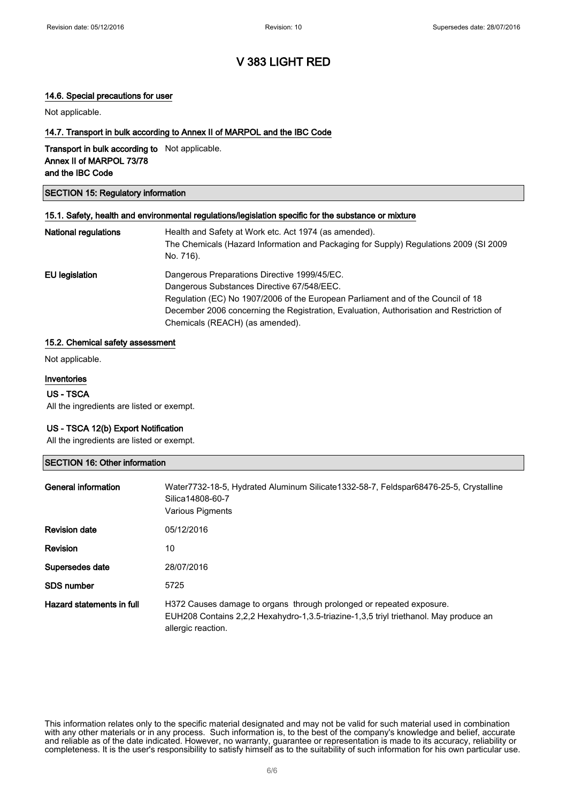### 14.6. Special precautions for user

Not applicable.

### 14.7. Transport in bulk according to Annex II of MARPOL and the IBC Code

Transport in bulk according to Not applicable. Annex II of MARPOL 73/78 and the IBC Code

### SECTION 15: Regulatory information

### 15.1. Safety, health and environmental regulations/legislation specific for the substance or mixture

| National regulations  | Health and Safety at Work etc. Act 1974 (as amended).                                   |
|-----------------------|-----------------------------------------------------------------------------------------|
|                       | The Chemicals (Hazard Information and Packaging for Supply) Regulations 2009 (SI 2009   |
|                       | No. 716).                                                                               |
| <b>EU</b> legislation | Dangerous Preparations Directive 1999/45/EC.                                            |
|                       | Dangerous Substances Directive 67/548/EEC.                                              |
|                       | Regulation (EC) No 1907/2006 of the European Parliament and of the Council of 18        |
|                       | December 2006 concerning the Registration, Evaluation, Authorisation and Restriction of |
|                       | Chemicals (REACH) (as amended).                                                         |

#### 15.2. Chemical safety assessment

Not applicable.

### Inventories

US - TSCA All the ingredients are listed or exempt.

### US - TSCA 12(b) Export Notification

All the ingredients are listed or exempt.

| <b>SECTION 16: Other information</b> |                                                                                                                                                                                     |  |
|--------------------------------------|-------------------------------------------------------------------------------------------------------------------------------------------------------------------------------------|--|
| <b>General information</b>           | Water7732-18-5, Hydrated Aluminum Silicate1332-58-7, Feldspar68476-25-5, Crystalline<br>Silica14808-60-7<br>Various Pigments                                                        |  |
| <b>Revision date</b>                 | 05/12/2016                                                                                                                                                                          |  |
| <b>Revision</b>                      | 10                                                                                                                                                                                  |  |
| Supersedes date                      | 28/07/2016                                                                                                                                                                          |  |
| <b>SDS number</b>                    | 5725                                                                                                                                                                                |  |
| Hazard statements in full            | H372 Causes damage to organs through prolonged or repeated exposure.<br>EUH208 Contains 2,2,2 Hexahydro-1,3.5-triazine-1,3,5 triyl triethanol. May produce an<br>allergic reaction. |  |

This information relates only to the specific material designated and may not be valid for such material used in combination with any other materials or in any process. Such information is, to the best of the company's knowledge and belief, accurate and reliable as of the date indicated. However, no warranty, guarantee or representation is made to its accuracy, reliability or completeness. It is the user's responsibility to satisfy himself as to the suitability of such information for his own particular use.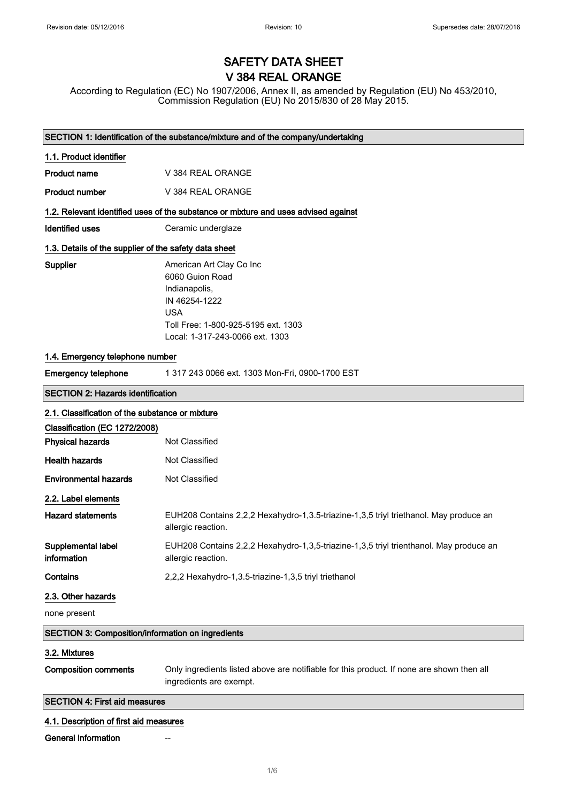# SAFETY DATA SHEET V 384 REAL ORANGE

According to Regulation (EC) No 1907/2006, Annex II, as amended by Regulation (EU) No 453/2010, Commission Regulation (EU) No 2015/830 of 28 May 2015.

|                                                          | SECTION 1: Identification of the substance/mixture and of the company/undertaking                                                                                     |  |
|----------------------------------------------------------|-----------------------------------------------------------------------------------------------------------------------------------------------------------------------|--|
| 1.1. Product identifier                                  |                                                                                                                                                                       |  |
| <b>Product name</b>                                      | V 384 REAL ORANGE                                                                                                                                                     |  |
| <b>Product number</b>                                    | V 384 REAL ORANGE                                                                                                                                                     |  |
|                                                          | 1.2. Relevant identified uses of the substance or mixture and uses advised against                                                                                    |  |
| <b>Identified uses</b>                                   | Ceramic underglaze                                                                                                                                                    |  |
| 1.3. Details of the supplier of the safety data sheet    |                                                                                                                                                                       |  |
| Supplier                                                 | American Art Clay Co Inc<br>6060 Guion Road<br>Indianapolis,<br>IN 46254-1222<br><b>USA</b><br>Toll Free: 1-800-925-5195 ext. 1303<br>Local: 1-317-243-0066 ext. 1303 |  |
| 1.4. Emergency telephone number                          |                                                                                                                                                                       |  |
| <b>Emergency telephone</b>                               | 1 317 243 0066 ext. 1303 Mon-Fri, 0900-1700 EST                                                                                                                       |  |
| <b>SECTION 2: Hazards identification</b>                 |                                                                                                                                                                       |  |
| 2.1. Classification of the substance or mixture          |                                                                                                                                                                       |  |
| Classification (EC 1272/2008)                            |                                                                                                                                                                       |  |
| <b>Physical hazards</b>                                  | Not Classified                                                                                                                                                        |  |
| <b>Health hazards</b>                                    | Not Classified                                                                                                                                                        |  |
| <b>Environmental hazards</b>                             | Not Classified                                                                                                                                                        |  |
| 2.2. Label elements                                      |                                                                                                                                                                       |  |
| <b>Hazard statements</b>                                 | EUH208 Contains 2,2,2 Hexahydro-1,3.5-triazine-1,3,5 triyl triethanol. May produce an<br>allergic reaction.                                                           |  |
| Supplemental label<br>information                        | EUH208 Contains 2,2,2 Hexahydro-1,3,5-triazine-1,3,5 triyl trienthanol. May produce an<br>allergic reaction.                                                          |  |
| Contains                                                 | 2,2,2 Hexahydro-1,3.5-triazine-1,3,5 triyl triethanol                                                                                                                 |  |
| 2.3. Other hazards                                       |                                                                                                                                                                       |  |
| none present                                             |                                                                                                                                                                       |  |
| <b>SECTION 3: Composition/information on ingredients</b> |                                                                                                                                                                       |  |
| 3.2. Mixtures                                            |                                                                                                                                                                       |  |
| <b>Composition comments</b>                              | Only ingredients listed above are notifiable for this product. If none are shown then all<br>ingredients are exempt.                                                  |  |
| <b>SECTION 4: First aid measures</b>                     |                                                                                                                                                                       |  |
| 4.1. Description of first aid measures                   |                                                                                                                                                                       |  |
| General information                                      |                                                                                                                                                                       |  |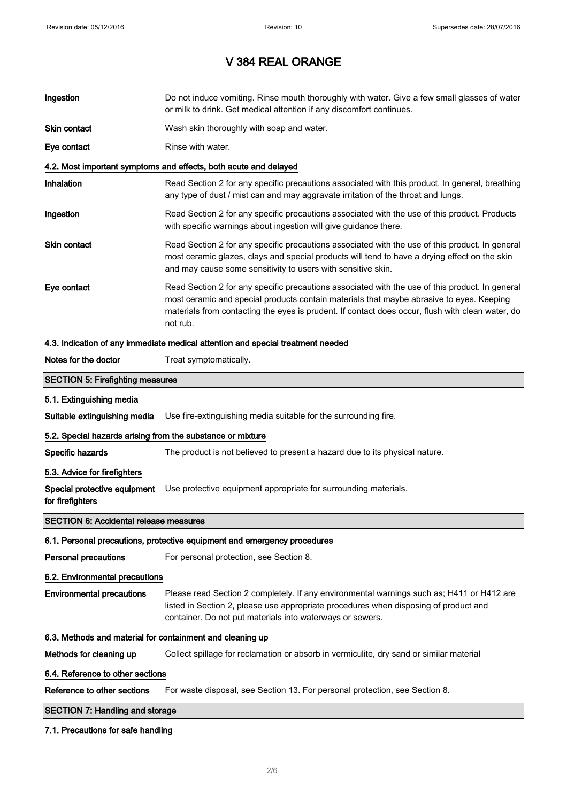| Ingestion                                                  | Do not induce vomiting. Rinse mouth thoroughly with water. Give a few small glasses of water<br>or milk to drink. Get medical attention if any discomfort continues.                                                                                                                                        |
|------------------------------------------------------------|-------------------------------------------------------------------------------------------------------------------------------------------------------------------------------------------------------------------------------------------------------------------------------------------------------------|
| Skin contact                                               | Wash skin thoroughly with soap and water.                                                                                                                                                                                                                                                                   |
| Eye contact                                                | Rinse with water.                                                                                                                                                                                                                                                                                           |
|                                                            | 4.2. Most important symptoms and effects, both acute and delayed                                                                                                                                                                                                                                            |
| <b>Inhalation</b>                                          | Read Section 2 for any specific precautions associated with this product. In general, breathing<br>any type of dust / mist can and may aggravate irritation of the throat and lungs.                                                                                                                        |
| Ingestion                                                  | Read Section 2 for any specific precautions associated with the use of this product. Products<br>with specific warnings about ingestion will give guidance there.                                                                                                                                           |
| Skin contact                                               | Read Section 2 for any specific precautions associated with the use of this product. In general<br>most ceramic glazes, clays and special products will tend to have a drying effect on the skin<br>and may cause some sensitivity to users with sensitive skin.                                            |
| Eye contact                                                | Read Section 2 for any specific precautions associated with the use of this product. In general<br>most ceramic and special products contain materials that maybe abrasive to eyes. Keeping<br>materials from contacting the eyes is prudent. If contact does occur, flush with clean water, do<br>not rub. |
|                                                            | 4.3. Indication of any immediate medical attention and special treatment needed                                                                                                                                                                                                                             |
| Notes for the doctor                                       | Treat symptomatically.                                                                                                                                                                                                                                                                                      |
| <b>SECTION 5: Firefighting measures</b>                    |                                                                                                                                                                                                                                                                                                             |
| 5.1. Extinguishing media                                   |                                                                                                                                                                                                                                                                                                             |
| Suitable extinguishing media                               | Use fire-extinguishing media suitable for the surrounding fire.                                                                                                                                                                                                                                             |
| 5.2. Special hazards arising from the substance or mixture |                                                                                                                                                                                                                                                                                                             |
| Specific hazards                                           | The product is not believed to present a hazard due to its physical nature.                                                                                                                                                                                                                                 |
| 5.3. Advice for firefighters                               |                                                                                                                                                                                                                                                                                                             |
| for firefighters                                           | Special protective equipment Use protective equipment appropriate for surrounding materials.                                                                                                                                                                                                                |
| <b>SECTION 6: Accidental release measures</b>              |                                                                                                                                                                                                                                                                                                             |
|                                                            | 6.1. Personal precautions, protective equipment and emergency procedures                                                                                                                                                                                                                                    |
| <b>Personal precautions</b>                                | For personal protection, see Section 8.                                                                                                                                                                                                                                                                     |
| 6.2. Environmental precautions                             |                                                                                                                                                                                                                                                                                                             |
| <b>Environmental precautions</b>                           | Please read Section 2 completely. If any environmental warnings such as; H411 or H412 are<br>listed in Section 2, please use appropriate procedures when disposing of product and<br>container. Do not put materials into waterways or sewers.                                                              |
| 6.3. Methods and material for containment and cleaning up  |                                                                                                                                                                                                                                                                                                             |
| Methods for cleaning up                                    | Collect spillage for reclamation or absorb in vermiculite, dry sand or similar material                                                                                                                                                                                                                     |
| 6.4. Reference to other sections                           |                                                                                                                                                                                                                                                                                                             |
| Reference to other sections                                | For waste disposal, see Section 13. For personal protection, see Section 8.                                                                                                                                                                                                                                 |
| <b>SECTION 7: Handling and storage</b>                     |                                                                                                                                                                                                                                                                                                             |
|                                                            |                                                                                                                                                                                                                                                                                                             |

## 7.1. Precautions for safe handling

 $\overline{\phantom{a}}$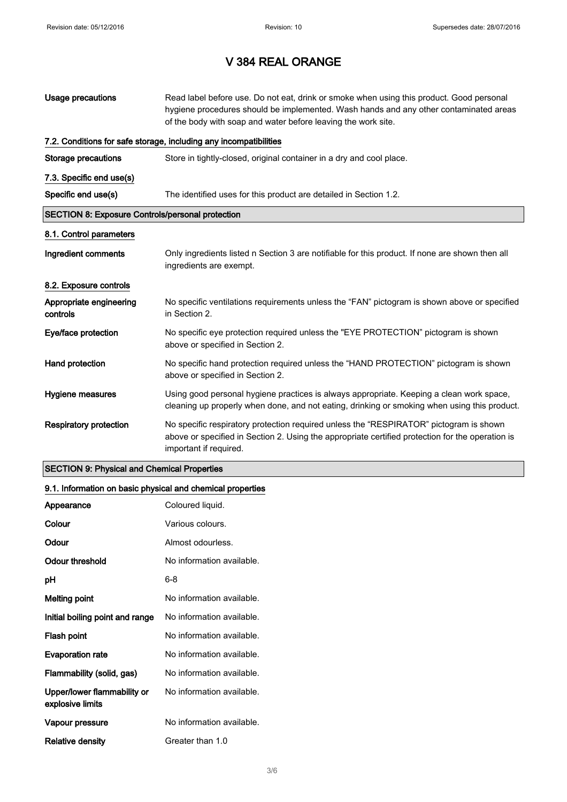| Usage precautions                                       | Read label before use. Do not eat, drink or smoke when using this product. Good personal<br>hygiene procedures should be implemented. Wash hands and any other contaminated areas<br>of the body with soap and water before leaving the work site. |
|---------------------------------------------------------|----------------------------------------------------------------------------------------------------------------------------------------------------------------------------------------------------------------------------------------------------|
|                                                         | 7.2. Conditions for safe storage, including any incompatibilities                                                                                                                                                                                  |
| <b>Storage precautions</b>                              | Store in tightly-closed, original container in a dry and cool place.                                                                                                                                                                               |
| 7.3. Specific end use(s)                                |                                                                                                                                                                                                                                                    |
| Specific end use(s)                                     | The identified uses for this product are detailed in Section 1.2.                                                                                                                                                                                  |
| <b>SECTION 8: Exposure Controls/personal protection</b> |                                                                                                                                                                                                                                                    |
| 8.1. Control parameters                                 |                                                                                                                                                                                                                                                    |
| Ingredient comments                                     | Only ingredients listed n Section 3 are notifiable for this product. If none are shown then all<br>ingredients are exempt.                                                                                                                         |
| 8.2. Exposure controls                                  |                                                                                                                                                                                                                                                    |
| Appropriate engineering<br>controls                     | No specific ventilations requirements unless the "FAN" pictogram is shown above or specified<br>in Section 2.                                                                                                                                      |
| Eye/face protection                                     | No specific eye protection required unless the "EYE PROTECTION" pictogram is shown<br>above or specified in Section 2.                                                                                                                             |
| Hand protection                                         | No specific hand protection required unless the "HAND PROTECTION" pictogram is shown<br>above or specified in Section 2.                                                                                                                           |
| Hygiene measures                                        | Using good personal hygiene practices is always appropriate. Keeping a clean work space,<br>cleaning up properly when done, and not eating, drinking or smoking when using this product.                                                           |
| <b>Respiratory protection</b>                           | No specific respiratory protection required unless the "RESPIRATOR" pictogram is shown<br>above or specified in Section 2. Using the appropriate certified protection for the operation is<br>important if required.                               |

## SECTION 9: Physical and Chemical Properties

## 9.1. Information on basic physical and chemical properties

| Appearance                                      | Coloured liquid.          |
|-------------------------------------------------|---------------------------|
| Colour                                          | Various colours.          |
| Odour                                           | Almost odourless.         |
| Odour threshold                                 | No information available. |
| рH                                              | 6-8                       |
| <b>Melting point</b>                            | No information available. |
| Initial boiling point and range                 | No information available. |
| Flash point                                     | No information available. |
| <b>Evaporation rate</b>                         | No information available. |
| Flammability (solid, gas)                       | No information available. |
| Upper/lower flammability or<br>explosive limits | No information available. |
| Vapour pressure                                 | No information available. |
| Relative density                                | Greater than 1.0          |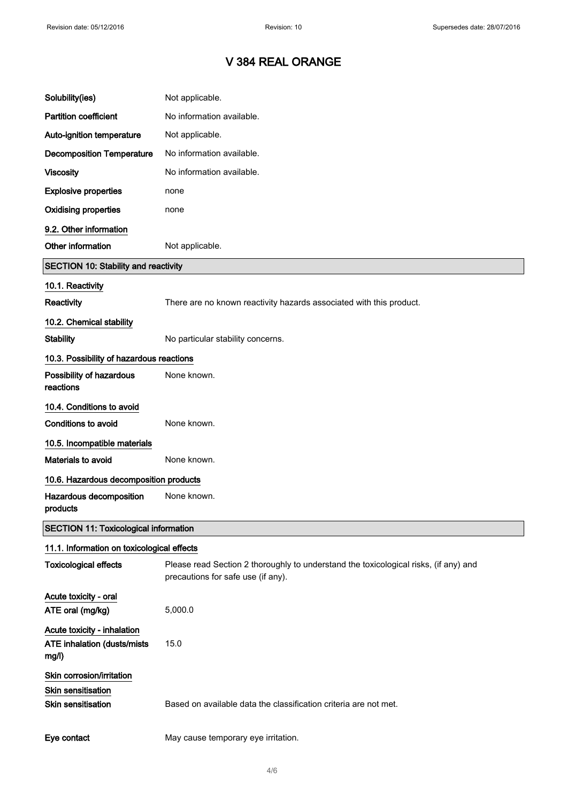| Solubility(ies)                                                             | Not applicable.                                                                                                            |
|-----------------------------------------------------------------------------|----------------------------------------------------------------------------------------------------------------------------|
| <b>Partition coefficient</b>                                                | No information available.                                                                                                  |
| Auto-ignition temperature                                                   | Not applicable.                                                                                                            |
| <b>Decomposition Temperature</b>                                            | No information available.                                                                                                  |
| <b>Viscosity</b>                                                            | No information available.                                                                                                  |
| <b>Explosive properties</b>                                                 | none                                                                                                                       |
| <b>Oxidising properties</b>                                                 | none                                                                                                                       |
| 9.2. Other information                                                      |                                                                                                                            |
| Other information                                                           | Not applicable.                                                                                                            |
| <b>SECTION 10: Stability and reactivity</b>                                 |                                                                                                                            |
| 10.1. Reactivity                                                            |                                                                                                                            |
| Reactivity                                                                  | There are no known reactivity hazards associated with this product.                                                        |
| 10.2. Chemical stability                                                    |                                                                                                                            |
| <b>Stability</b>                                                            | No particular stability concerns.                                                                                          |
| 10.3. Possibility of hazardous reactions                                    |                                                                                                                            |
| Possibility of hazardous<br>reactions                                       | None known.                                                                                                                |
| 10.4. Conditions to avoid                                                   |                                                                                                                            |
| Conditions to avoid                                                         | None known.                                                                                                                |
| 10.5. Incompatible materials                                                |                                                                                                                            |
| Materials to avoid                                                          | None known.                                                                                                                |
| 10.6. Hazardous decomposition products                                      |                                                                                                                            |
| Hazardous decomposition<br>products                                         | None known.                                                                                                                |
| <b>SECTION 11: Toxicological information</b>                                |                                                                                                                            |
| 11.1. Information on toxicological effects                                  |                                                                                                                            |
| <b>Toxicological effects</b>                                                | Please read Section 2 thoroughly to understand the toxicological risks, (if any) and<br>precautions for safe use (if any). |
| Acute toxicity - oral<br>ATE oral (mg/kg)                                   | 5,000.0                                                                                                                    |
| Acute toxicity - inhalation<br><b>ATE inhalation (dusts/mists)</b><br>mg/l) | 15.0                                                                                                                       |
| Skin corrosion/irritation<br><b>Skin sensitisation</b>                      |                                                                                                                            |
| <b>Skin sensitisation</b>                                                   | Based on available data the classification criteria are not met.                                                           |
| Eye contact                                                                 | May cause temporary eye irritation.                                                                                        |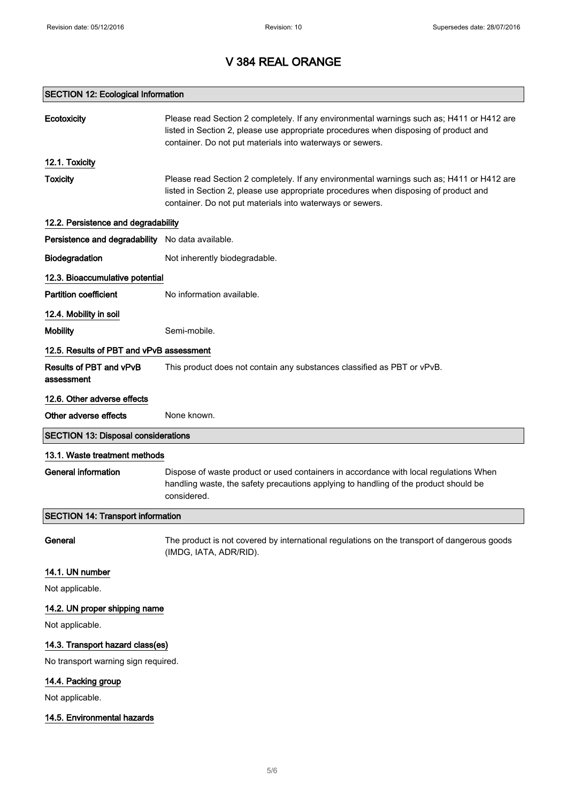## SECTION 12: Ecological Information

| Ecotoxicity                                      | Please read Section 2 completely. If any environmental warnings such as; H411 or H412 are<br>listed in Section 2, please use appropriate procedures when disposing of product and<br>container. Do not put materials into waterways or sewers. |  |
|--------------------------------------------------|------------------------------------------------------------------------------------------------------------------------------------------------------------------------------------------------------------------------------------------------|--|
| 12.1. Toxicity                                   |                                                                                                                                                                                                                                                |  |
| <b>Toxicity</b>                                  | Please read Section 2 completely. If any environmental warnings such as; H411 or H412 are<br>listed in Section 2, please use appropriate procedures when disposing of product and<br>container. Do not put materials into waterways or sewers. |  |
| 12.2. Persistence and degradability              |                                                                                                                                                                                                                                                |  |
| Persistence and degradability No data available. |                                                                                                                                                                                                                                                |  |
| Biodegradation                                   | Not inherently biodegradable.                                                                                                                                                                                                                  |  |
| 12.3. Bioaccumulative potential                  |                                                                                                                                                                                                                                                |  |
| <b>Partition coefficient</b>                     | No information available.                                                                                                                                                                                                                      |  |
| 12.4. Mobility in soil                           |                                                                                                                                                                                                                                                |  |
| <b>Mobility</b>                                  | Semi-mobile.                                                                                                                                                                                                                                   |  |
| 12.5. Results of PBT and vPvB assessment         |                                                                                                                                                                                                                                                |  |
| Results of PBT and vPvB<br>assessment            | This product does not contain any substances classified as PBT or vPvB.                                                                                                                                                                        |  |
| 12.6. Other adverse effects                      |                                                                                                                                                                                                                                                |  |
| Other adverse effects                            | None known.                                                                                                                                                                                                                                    |  |
| <b>SECTION 13: Disposal considerations</b>       |                                                                                                                                                                                                                                                |  |
| 13.1. Waste treatment methods                    |                                                                                                                                                                                                                                                |  |
| <b>General information</b>                       | Dispose of waste product or used containers in accordance with local regulations When<br>handling waste, the safety precautions applying to handling of the product should be<br>considered.                                                   |  |
| <b>SECTION 14: Transport information</b>         |                                                                                                                                                                                                                                                |  |
| General                                          | The product is not covered by international regulations on the transport of dangerous goods<br>(IMDG, IATA, ADR/RID).                                                                                                                          |  |
| 14.1. UN number                                  |                                                                                                                                                                                                                                                |  |
| Not applicable.                                  |                                                                                                                                                                                                                                                |  |
| 14.2. UN proper shipping name                    |                                                                                                                                                                                                                                                |  |
| Not applicable.                                  |                                                                                                                                                                                                                                                |  |
| 14.3. Transport hazard class(es)                 |                                                                                                                                                                                                                                                |  |
| No transport warning sign required.              |                                                                                                                                                                                                                                                |  |
| 14.4. Packing group                              |                                                                                                                                                                                                                                                |  |
| Not applicable.                                  |                                                                                                                                                                                                                                                |  |
| 14.5. Environmental hazards                      |                                                                                                                                                                                                                                                |  |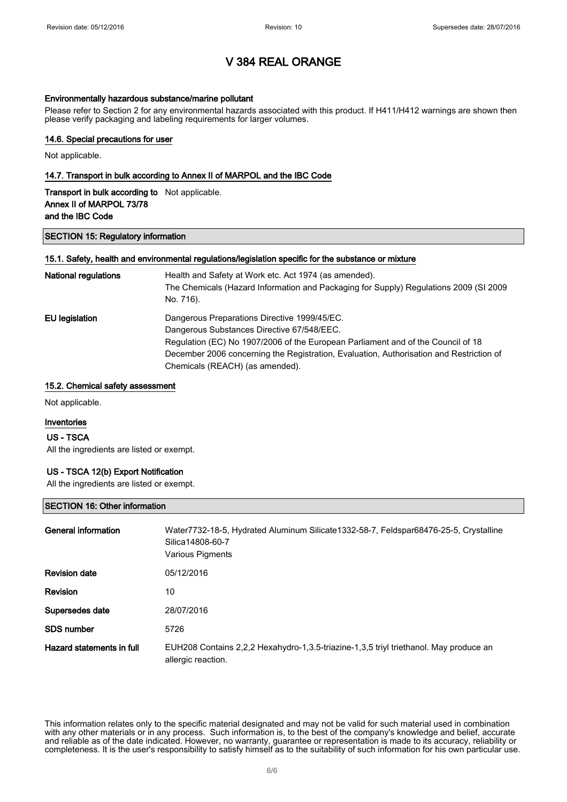### Environmentally hazardous substance/marine pollutant

Please refer to Section 2 for any environmental hazards associated with this product. If H411/H412 warnings are shown then please verify packaging and labeling requirements for larger volumes.

### 14.6. Special precautions for user

Not applicable.

### 14.7. Transport in bulk according to Annex II of MARPOL and the IBC Code

| <b>Transport in bulk according to</b> Not applicable. |  |
|-------------------------------------------------------|--|
| Annex II of MARPOL 73/78                              |  |
| and the IBC Code                                      |  |

### SECTION 15: Regulatory information

### 15.1. Safety, health and environmental regulations/legislation specific for the substance or mixture

| <b>National regulations</b> | Health and Safety at Work etc. Act 1974 (as amended).<br>The Chemicals (Hazard Information and Packaging for Supply) Regulations 2009 (SI 2009<br>No. 716). |
|-----------------------------|-------------------------------------------------------------------------------------------------------------------------------------------------------------|
| EU legislation              | Dangerous Preparations Directive 1999/45/EC.                                                                                                                |
|                             | Dangerous Substances Directive 67/548/EEC.                                                                                                                  |
|                             | Regulation (EC) No 1907/2006 of the European Parliament and of the Council of 18                                                                            |
|                             | December 2006 concerning the Registration, Evaluation, Authorisation and Restriction of                                                                     |
|                             | Chemicals (REACH) (as amended).                                                                                                                             |

### 15.2. Chemical safety assessment

Not applicable.

### Inventories

### US - TSCA

All the ingredients are listed or exempt.

### US - TSCA 12(b) Export Notification

All the ingredients are listed or exempt.

### SECTION 16: Other information

| General information       | Water7732-18-5, Hydrated Aluminum Silicate1332-58-7, Feldspar68476-25-5, Crystalline<br>Silica14808-60-7<br>Various Pigments |
|---------------------------|------------------------------------------------------------------------------------------------------------------------------|
| <b>Revision date</b>      | 05/12/2016                                                                                                                   |
| <b>Revision</b>           | 10                                                                                                                           |
| Supersedes date           | 28/07/2016                                                                                                                   |
| SDS number                | 5726                                                                                                                         |
| Hazard statements in full | EUH208 Contains 2,2,2 Hexahydro-1,3.5-triazine-1,3,5 triyl triethanol. May produce an<br>allergic reaction.                  |

This information relates only to the specific material designated and may not be valid for such material used in combination with any other materials or in any process. Such information is, to the best of the company's knowledge and belief, accurate and reliable as of the date indicated. However, no warranty, guarantee or representation is made to its accuracy, reliability or completeness. It is the user's responsibility to satisfy himself as to the suitability of such information for his own particular use.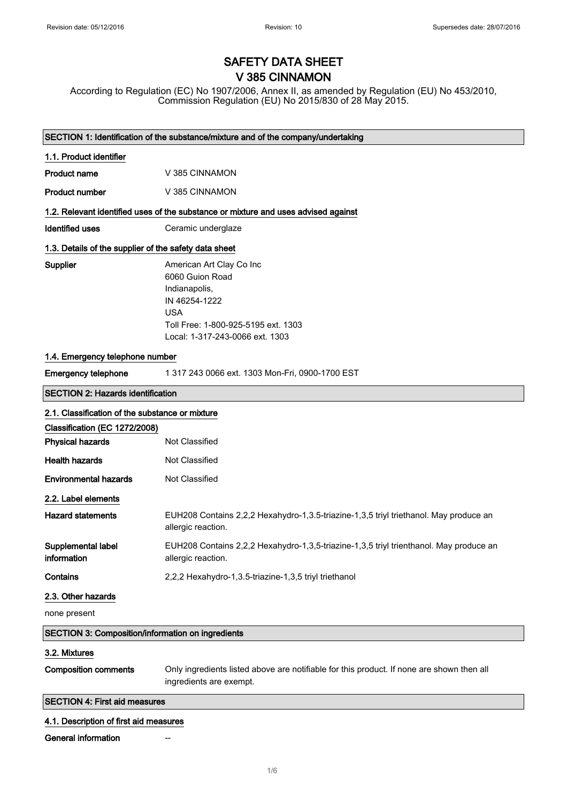# SAFETY DATA SHEET V 385 CINNAMON

According to Regulation (EC) No 1907/2006, Annex II, as amended by Regulation (EU) No 453/2010, Commission Regulation (EU) No 2015/830 of 28 May 2015.

| SECTION 1: Identification of the substance/mixture and of the company/undertaking |                                                                                                                                                                       |  |
|-----------------------------------------------------------------------------------|-----------------------------------------------------------------------------------------------------------------------------------------------------------------------|--|
| 1.1. Product identifier                                                           |                                                                                                                                                                       |  |
| <b>Product name</b>                                                               | V 385 CINNAMON                                                                                                                                                        |  |
| <b>Product number</b>                                                             | V 385 CINNAMON                                                                                                                                                        |  |
|                                                                                   | 1.2. Relevant identified uses of the substance or mixture and uses advised against                                                                                    |  |
| <b>Identified uses</b>                                                            | Ceramic underglaze                                                                                                                                                    |  |
| 1.3. Details of the supplier of the safety data sheet                             |                                                                                                                                                                       |  |
| Supplier                                                                          | American Art Clay Co Inc<br>6060 Guion Road<br>Indianapolis,<br>IN 46254-1222<br><b>USA</b><br>Toll Free: 1-800-925-5195 ext. 1303<br>Local: 1-317-243-0066 ext. 1303 |  |
| 1.4. Emergency telephone number                                                   |                                                                                                                                                                       |  |
| <b>Emergency telephone</b>                                                        | 1 317 243 0066 ext. 1303 Mon-Fri, 0900-1700 EST                                                                                                                       |  |
| <b>SECTION 2: Hazards identification</b>                                          |                                                                                                                                                                       |  |
| 2.1. Classification of the substance or mixture                                   |                                                                                                                                                                       |  |
| Classification (EC 1272/2008)                                                     |                                                                                                                                                                       |  |
| <b>Physical hazards</b>                                                           | Not Classified                                                                                                                                                        |  |
| <b>Health hazards</b>                                                             | Not Classified                                                                                                                                                        |  |
| <b>Environmental hazards</b>                                                      | Not Classified                                                                                                                                                        |  |
| 2.2. Label elements                                                               |                                                                                                                                                                       |  |
| <b>Hazard statements</b>                                                          | EUH208 Contains 2,2,2 Hexahydro-1,3.5-triazine-1,3,5 triyl triethanol. May produce an<br>allergic reaction.                                                           |  |
| Supplemental label<br>information                                                 | EUH208 Contains 2,2,2 Hexahydro-1,3,5-triazine-1,3,5 triyl trienthanol. May produce an<br>allergic reaction.                                                          |  |
| Contains                                                                          | 2,2,2 Hexahydro-1,3.5-triazine-1,3,5 triyl triethanol                                                                                                                 |  |
| 2.3. Other hazards                                                                |                                                                                                                                                                       |  |
| none present                                                                      |                                                                                                                                                                       |  |
| <b>SECTION 3: Composition/information on ingredients</b>                          |                                                                                                                                                                       |  |
| 3.2. Mixtures                                                                     |                                                                                                                                                                       |  |
| <b>Composition comments</b>                                                       | Only ingredients listed above are notifiable for this product. If none are shown then all<br>ingredients are exempt.                                                  |  |
| <b>SECTION 4: First aid measures</b>                                              |                                                                                                                                                                       |  |
| 4.1. Description of first aid measures                                            |                                                                                                                                                                       |  |
| General information                                                               |                                                                                                                                                                       |  |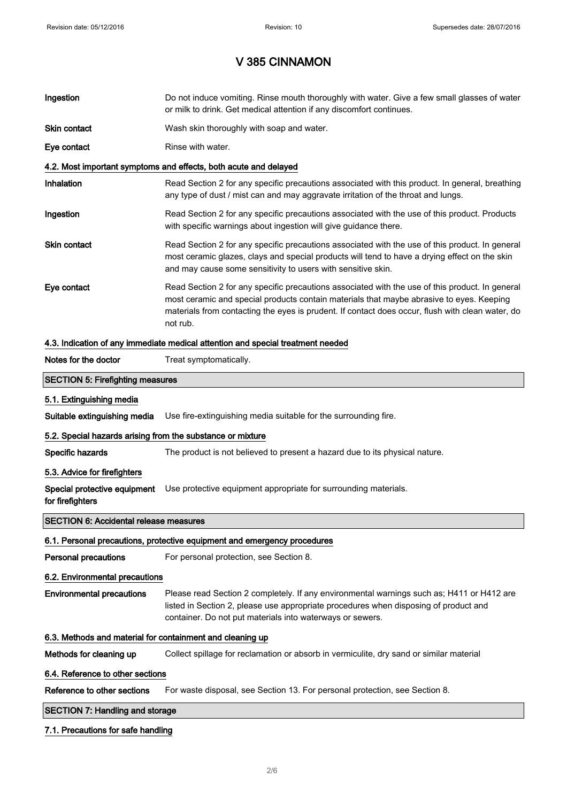# V 385 CINNAMON

| Ingestion                                                 | Do not induce vomiting. Rinse mouth thoroughly with water. Give a few small glasses of water<br>or milk to drink. Get medical attention if any discomfort continues.                                                                                                                                        |  |  |
|-----------------------------------------------------------|-------------------------------------------------------------------------------------------------------------------------------------------------------------------------------------------------------------------------------------------------------------------------------------------------------------|--|--|
| Skin contact                                              | Wash skin thoroughly with soap and water.                                                                                                                                                                                                                                                                   |  |  |
| Eye contact                                               | Rinse with water.                                                                                                                                                                                                                                                                                           |  |  |
|                                                           | 4.2. Most important symptoms and effects, both acute and delayed                                                                                                                                                                                                                                            |  |  |
| Inhalation                                                | Read Section 2 for any specific precautions associated with this product. In general, breathing<br>any type of dust / mist can and may aggravate irritation of the throat and lungs.                                                                                                                        |  |  |
| Ingestion                                                 | Read Section 2 for any specific precautions associated with the use of this product. Products<br>with specific warnings about ingestion will give guidance there.                                                                                                                                           |  |  |
| Skin contact                                              | Read Section 2 for any specific precautions associated with the use of this product. In general<br>most ceramic glazes, clays and special products will tend to have a drying effect on the skin<br>and may cause some sensitivity to users with sensitive skin.                                            |  |  |
| Eye contact                                               | Read Section 2 for any specific precautions associated with the use of this product. In general<br>most ceramic and special products contain materials that maybe abrasive to eyes. Keeping<br>materials from contacting the eyes is prudent. If contact does occur, flush with clean water, do<br>not rub. |  |  |
|                                                           | 4.3. Indication of any immediate medical attention and special treatment needed                                                                                                                                                                                                                             |  |  |
| Notes for the doctor                                      | Treat symptomatically.                                                                                                                                                                                                                                                                                      |  |  |
| <b>SECTION 5: Firefighting measures</b>                   |                                                                                                                                                                                                                                                                                                             |  |  |
| 5.1. Extinguishing media                                  |                                                                                                                                                                                                                                                                                                             |  |  |
| Suitable extinguishing media                              | Use fire-extinguishing media suitable for the surrounding fire.                                                                                                                                                                                                                                             |  |  |
|                                                           | 5.2. Special hazards arising from the substance or mixture                                                                                                                                                                                                                                                  |  |  |
| Specific hazards                                          | The product is not believed to present a hazard due to its physical nature.                                                                                                                                                                                                                                 |  |  |
| 5.3. Advice for firefighters                              |                                                                                                                                                                                                                                                                                                             |  |  |
| Special protective equipment<br>for firefighters          | Use protective equipment appropriate for surrounding materials.                                                                                                                                                                                                                                             |  |  |
| <b>SECTION 6: Accidental release measures</b>             |                                                                                                                                                                                                                                                                                                             |  |  |
|                                                           | 6.1. Personal precautions, protective equipment and emergency procedures                                                                                                                                                                                                                                    |  |  |
| <b>Personal precautions</b>                               | For personal protection, see Section 8.                                                                                                                                                                                                                                                                     |  |  |
| 6.2. Environmental precautions                            |                                                                                                                                                                                                                                                                                                             |  |  |
| <b>Environmental precautions</b>                          | Please read Section 2 completely. If any environmental warnings such as; H411 or H412 are<br>listed in Section 2, please use appropriate procedures when disposing of product and<br>container. Do not put materials into waterways or sewers.                                                              |  |  |
| 6.3. Methods and material for containment and cleaning up |                                                                                                                                                                                                                                                                                                             |  |  |
| Methods for cleaning up                                   | Collect spillage for reclamation or absorb in vermiculite, dry sand or similar material                                                                                                                                                                                                                     |  |  |
| 6.4. Reference to other sections                          |                                                                                                                                                                                                                                                                                                             |  |  |
| Reference to other sections                               | For waste disposal, see Section 13. For personal protection, see Section 8.                                                                                                                                                                                                                                 |  |  |
| <b>SECTION 7: Handling and storage</b>                    |                                                                                                                                                                                                                                                                                                             |  |  |
|                                                           |                                                                                                                                                                                                                                                                                                             |  |  |

## 7.1. Precautions for safe handling

 $\overline{\phantom{a}}$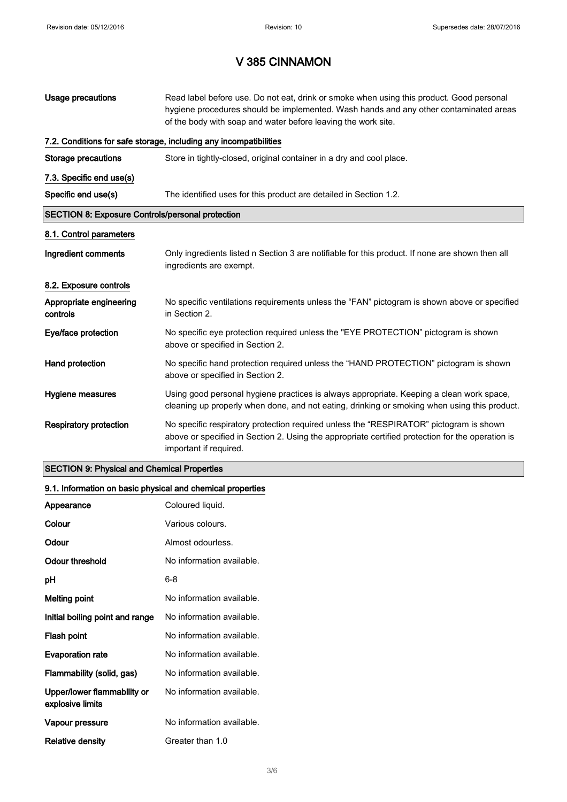# V 385 CINNAMON

| Usage precautions                                       | Read label before use. Do not eat, drink or smoke when using this product. Good personal<br>hygiene procedures should be implemented. Wash hands and any other contaminated areas<br>of the body with soap and water before leaving the work site. |  |
|---------------------------------------------------------|----------------------------------------------------------------------------------------------------------------------------------------------------------------------------------------------------------------------------------------------------|--|
|                                                         | 7.2. Conditions for safe storage, including any incompatibilities                                                                                                                                                                                  |  |
| <b>Storage precautions</b>                              | Store in tightly-closed, original container in a dry and cool place.                                                                                                                                                                               |  |
| 7.3. Specific end use(s)                                |                                                                                                                                                                                                                                                    |  |
| Specific end use(s)                                     | The identified uses for this product are detailed in Section 1.2.                                                                                                                                                                                  |  |
| <b>SECTION 8: Exposure Controls/personal protection</b> |                                                                                                                                                                                                                                                    |  |
| 8.1. Control parameters                                 |                                                                                                                                                                                                                                                    |  |
| Ingredient comments                                     | Only ingredients listed n Section 3 are notifiable for this product. If none are shown then all<br>ingredients are exempt.                                                                                                                         |  |
| 8.2. Exposure controls                                  |                                                                                                                                                                                                                                                    |  |
| Appropriate engineering<br>controls                     | No specific ventilations requirements unless the "FAN" pictogram is shown above or specified<br>in Section 2.                                                                                                                                      |  |
| Eye/face protection                                     | No specific eye protection required unless the "EYE PROTECTION" pictogram is shown<br>above or specified in Section 2.                                                                                                                             |  |
| Hand protection                                         | No specific hand protection required unless the "HAND PROTECTION" pictogram is shown<br>above or specified in Section 2.                                                                                                                           |  |
| Hygiene measures                                        | Using good personal hygiene practices is always appropriate. Keeping a clean work space,<br>cleaning up properly when done, and not eating, drinking or smoking when using this product.                                                           |  |
| <b>Respiratory protection</b>                           | No specific respiratory protection required unless the "RESPIRATOR" pictogram is shown<br>above or specified in Section 2. Using the appropriate certified protection for the operation is<br>important if required.                               |  |

## SECTION 9: Physical and Chemical Properties

## 9.1. Information on basic physical and chemical properties

| Appearance                                      | Coloured liquid.          |
|-------------------------------------------------|---------------------------|
| Colour                                          | Various colours.          |
| Odour                                           | Almost odourless.         |
| Odour threshold                                 | No information available. |
| рH                                              | 6-8                       |
| <b>Melting point</b>                            | No information available. |
| Initial boiling point and range                 | No information available. |
| Flash point                                     | No information available. |
| <b>Evaporation rate</b>                         | No information available. |
| Flammability (solid, gas)                       | No information available. |
| Upper/lower flammability or<br>explosive limits | No information available. |
| Vapour pressure                                 | No information available. |
| Relative density                                | Greater than 1.0          |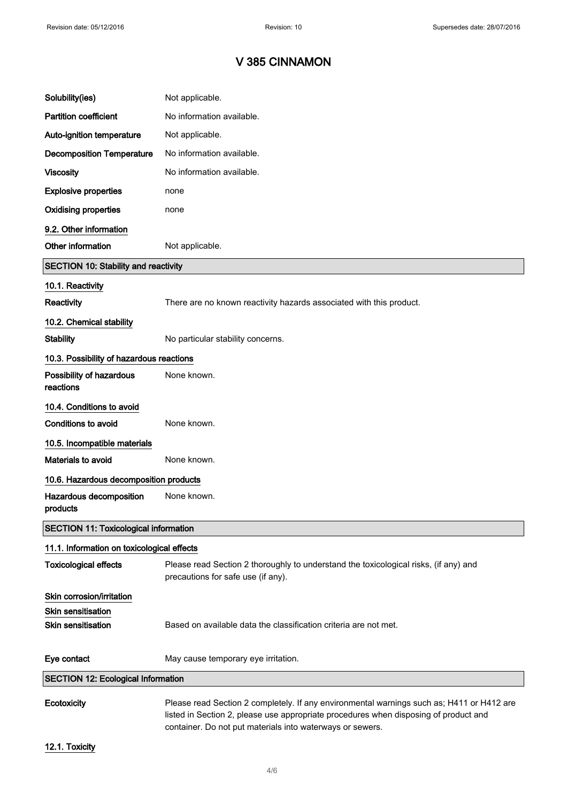# V 385 CINNAMON

| Solubility(ies)                              | Not applicable.                                                                                                                                                                   |
|----------------------------------------------|-----------------------------------------------------------------------------------------------------------------------------------------------------------------------------------|
| <b>Partition coefficient</b>                 | No information available.                                                                                                                                                         |
| Auto-ignition temperature                    | Not applicable.                                                                                                                                                                   |
| <b>Decomposition Temperature</b>             | No information available.                                                                                                                                                         |
| <b>Viscosity</b>                             | No information available.                                                                                                                                                         |
| <b>Explosive properties</b>                  | none                                                                                                                                                                              |
| <b>Oxidising properties</b>                  | none                                                                                                                                                                              |
| 9.2. Other information                       |                                                                                                                                                                                   |
| Other information                            | Not applicable.                                                                                                                                                                   |
| <b>SECTION 10: Stability and reactivity</b>  |                                                                                                                                                                                   |
| 10.1. Reactivity                             |                                                                                                                                                                                   |
| <b>Reactivity</b>                            | There are no known reactivity hazards associated with this product.                                                                                                               |
| 10.2. Chemical stability                     |                                                                                                                                                                                   |
| <b>Stability</b>                             | No particular stability concerns.                                                                                                                                                 |
| 10.3. Possibility of hazardous reactions     |                                                                                                                                                                                   |
| Possibility of hazardous<br>reactions        | None known.                                                                                                                                                                       |
| 10.4. Conditions to avoid                    |                                                                                                                                                                                   |
| Conditions to avoid                          | None known.                                                                                                                                                                       |
| 10.5. Incompatible materials                 |                                                                                                                                                                                   |
| Materials to avoid                           | None known.                                                                                                                                                                       |
| 10.6. Hazardous decomposition products       |                                                                                                                                                                                   |
| Hazardous decomposition<br>products          | None known.                                                                                                                                                                       |
| <b>SECTION 11: Toxicological information</b> |                                                                                                                                                                                   |
| 11.1. Information on toxicological effects   |                                                                                                                                                                                   |
| <b>Toxicological effects</b>                 | Please read Section 2 thoroughly to understand the toxicological risks, (if any) and<br>precautions for safe use (if any).                                                        |
| Skin corrosion/irritation                    |                                                                                                                                                                                   |
| <b>Skin sensitisation</b>                    |                                                                                                                                                                                   |
| <b>Skin sensitisation</b>                    | Based on available data the classification criteria are not met.                                                                                                                  |
| Eye contact                                  | May cause temporary eye irritation.                                                                                                                                               |
| <b>SECTION 12: Ecological Information</b>    |                                                                                                                                                                                   |
| Ecotoxicity                                  | Please read Section 2 completely. If any environmental warnings such as; H411 or H412 are<br>listed in Section 2, please use appropriate procedures when disposing of product and |

12.1. Toxicity

container. Do not put materials into waterways or sewers.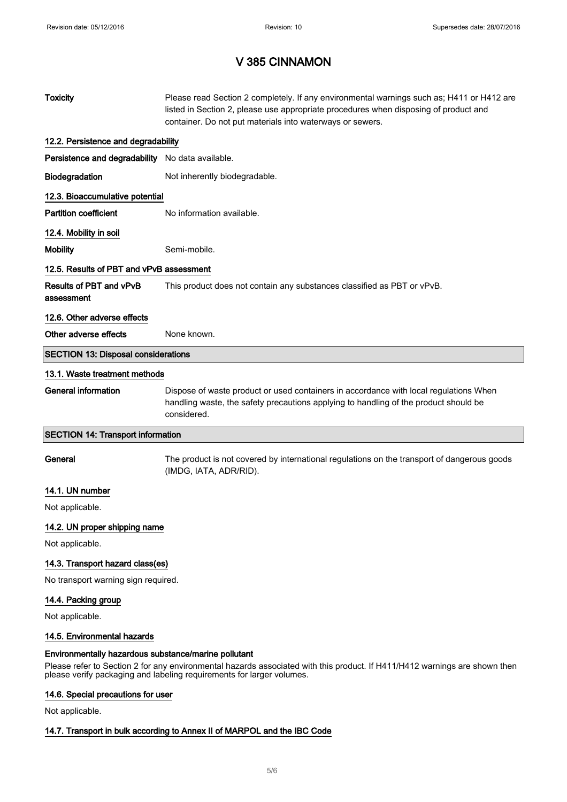# V 385 CINNAMON

| <b>Toxicity</b>                                      | Please read Section 2 completely. If any environmental warnings such as; H411 or H412 are<br>listed in Section 2, please use appropriate procedures when disposing of product and<br>container. Do not put materials into waterways or sewers. |  |
|------------------------------------------------------|------------------------------------------------------------------------------------------------------------------------------------------------------------------------------------------------------------------------------------------------|--|
| 12.2. Persistence and degradability                  |                                                                                                                                                                                                                                                |  |
| Persistence and degradability No data available.     |                                                                                                                                                                                                                                                |  |
| Biodegradation                                       | Not inherently biodegradable.                                                                                                                                                                                                                  |  |
| 12.3. Bioaccumulative potential                      |                                                                                                                                                                                                                                                |  |
| <b>Partition coefficient</b>                         | No information available.                                                                                                                                                                                                                      |  |
| 12.4. Mobility in soil                               |                                                                                                                                                                                                                                                |  |
| <b>Mobility</b>                                      | Semi-mobile.                                                                                                                                                                                                                                   |  |
| 12.5. Results of PBT and vPvB assessment             |                                                                                                                                                                                                                                                |  |
| Results of PBT and vPvB<br>assessment                | This product does not contain any substances classified as PBT or vPvB.                                                                                                                                                                        |  |
| 12.6. Other adverse effects                          |                                                                                                                                                                                                                                                |  |
| Other adverse effects                                | None known.                                                                                                                                                                                                                                    |  |
| <b>SECTION 13: Disposal considerations</b>           |                                                                                                                                                                                                                                                |  |
| 13.1. Waste treatment methods                        |                                                                                                                                                                                                                                                |  |
| <b>General information</b>                           | Dispose of waste product or used containers in accordance with local regulations When<br>handling waste, the safety precautions applying to handling of the product should be<br>considered.                                                   |  |
| <b>SECTION 14: Transport information</b>             |                                                                                                                                                                                                                                                |  |
| General                                              | The product is not covered by international regulations on the transport of dangerous goods<br>(IMDG, IATA, ADR/RID).                                                                                                                          |  |
| 14.1. UN number                                      |                                                                                                                                                                                                                                                |  |
| Not applicable.                                      |                                                                                                                                                                                                                                                |  |
| 14.2. UN proper shipping name                        |                                                                                                                                                                                                                                                |  |
| Not applicable.                                      |                                                                                                                                                                                                                                                |  |
| 14.3. Transport hazard class(es)                     |                                                                                                                                                                                                                                                |  |
| No transport warning sign required.                  |                                                                                                                                                                                                                                                |  |
| 14.4. Packing group<br>Not applicable.               |                                                                                                                                                                                                                                                |  |
| 14.5. Environmental hazards                          |                                                                                                                                                                                                                                                |  |
| Environmentally hazardous substance/marine pollutant |                                                                                                                                                                                                                                                |  |
|                                                      | Please refer to Section 2 for any environmental hazards associated with this product. If H411/H412 warnings are shown then<br>please verify packaging and labeling requirements for larger volumes.                                            |  |

## 14.6. Special precautions for user

Not applicable.

### 14.7. Transport in bulk according to Annex II of MARPOL and the IBC Code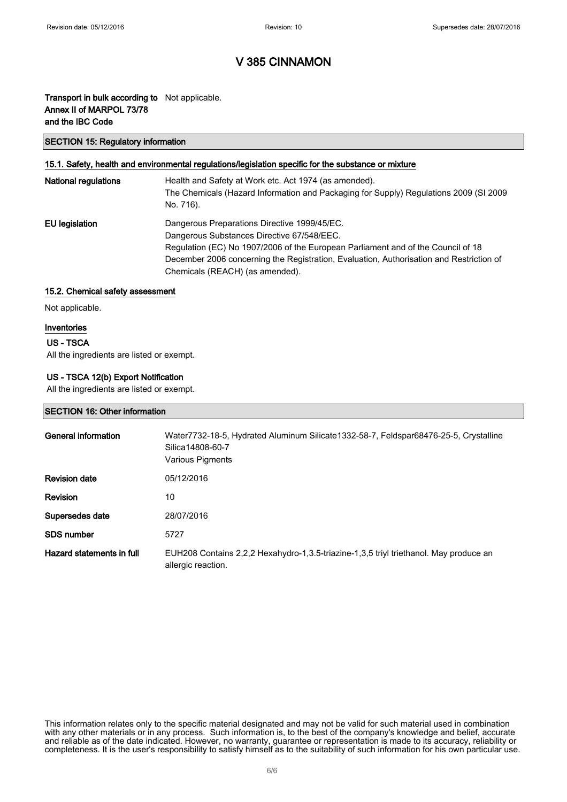### V 385 CINNAMON

### Transport in bulk according to Not applicable. Annex II of MARPOL 73/78 and the IBC Code

#### SECTION 15: Regulatory information

#### 15.1. Safety, health and environmental regulations/legislation specific for the substance or mixture

| <b>National regulations</b> | Health and Safety at Work etc. Act 1974 (as amended).<br>The Chemicals (Hazard Information and Packaging for Supply) Regulations 2009 (SI 2009<br>No. 716).                                                                                                                                                  |
|-----------------------------|--------------------------------------------------------------------------------------------------------------------------------------------------------------------------------------------------------------------------------------------------------------------------------------------------------------|
| EU legislation              | Dangerous Preparations Directive 1999/45/EC.<br>Dangerous Substances Directive 67/548/EEC.<br>Regulation (EC) No 1907/2006 of the European Parliament and of the Council of 18<br>December 2006 concerning the Registration, Evaluation, Authorisation and Restriction of<br>Chemicals (REACH) (as amended). |

#### 15.2. Chemical safety assessment

Not applicable.

#### Inventories

#### US - TSCA

All the ingredients are listed or exempt.

#### US - TSCA 12(b) Export Notification

All the ingredients are listed or exempt.

#### SECTION 16: Other information

| General information       | Water7732-18-5, Hydrated Aluminum Silicate1332-58-7, Feldspar68476-25-5, Crystalline<br>Silica14808-60-7<br>Various Pigments |
|---------------------------|------------------------------------------------------------------------------------------------------------------------------|
| <b>Revision date</b>      | 05/12/2016                                                                                                                   |
| <b>Revision</b>           | 10                                                                                                                           |
| Supersedes date           | 28/07/2016                                                                                                                   |
| <b>SDS number</b>         | 5727                                                                                                                         |
| Hazard statements in full | EUH208 Contains 2,2,2 Hexahydro-1,3.5-triazine-1,3,5 triyl triethanol. May produce an<br>allergic reaction.                  |

This information relates only to the specific material designated and may not be valid for such material used in combination with any other materials or in any process. Such information is, to the best of the company's knowledge and belief, accurate and reliable as of the date indicated. However, no warranty, guarantee or representation is made to its accuracy, reliability or completeness. It is the user's responsibility to satisfy himself as to the suitability of such information for his own particular use.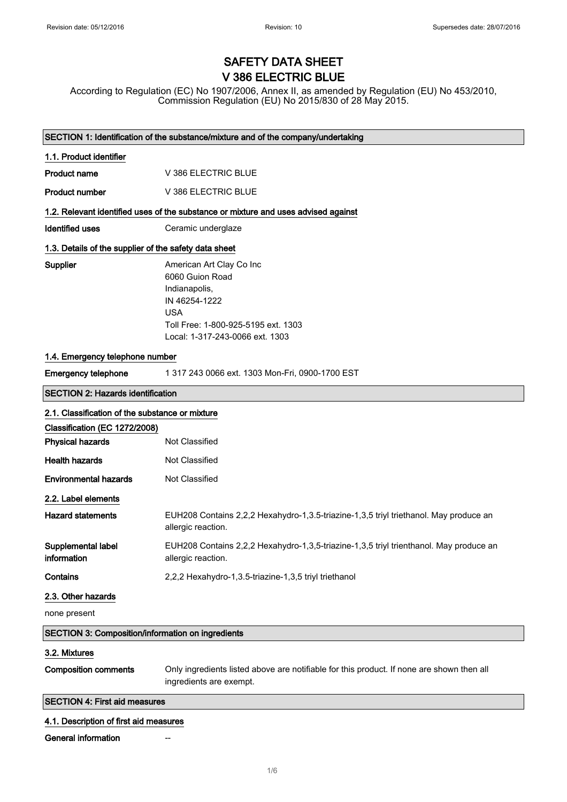# SAFETY DATA SHEET V 386 ELECTRIC BLUE

According to Regulation (EC) No 1907/2006, Annex II, as amended by Regulation (EU) No 453/2010, Commission Regulation (EU) No 2015/830 of 28 May 2015.

|                                                          | SECTION 1: Identification of the substance/mixture and of the company/undertaking                                                                                     |  |
|----------------------------------------------------------|-----------------------------------------------------------------------------------------------------------------------------------------------------------------------|--|
| 1.1. Product identifier                                  |                                                                                                                                                                       |  |
| Product name                                             | V 386 ELECTRIC BLUE                                                                                                                                                   |  |
| <b>Product number</b>                                    | V 386 ELECTRIC BLUE                                                                                                                                                   |  |
|                                                          | 1.2. Relevant identified uses of the substance or mixture and uses advised against                                                                                    |  |
| <b>Identified uses</b>                                   | Ceramic underglaze                                                                                                                                                    |  |
| 1.3. Details of the supplier of the safety data sheet    |                                                                                                                                                                       |  |
| Supplier                                                 | American Art Clay Co Inc<br>6060 Guion Road<br>Indianapolis,<br>IN 46254-1222<br><b>USA</b><br>Toll Free: 1-800-925-5195 ext. 1303<br>Local: 1-317-243-0066 ext. 1303 |  |
| 1.4. Emergency telephone number                          |                                                                                                                                                                       |  |
| <b>Emergency telephone</b>                               | 1 317 243 0066 ext. 1303 Mon-Fri, 0900-1700 EST                                                                                                                       |  |
| <b>SECTION 2: Hazards identification</b>                 |                                                                                                                                                                       |  |
| 2.1. Classification of the substance or mixture          |                                                                                                                                                                       |  |
| Classification (EC 1272/2008)                            |                                                                                                                                                                       |  |
| <b>Physical hazards</b>                                  | Not Classified                                                                                                                                                        |  |
| <b>Health hazards</b>                                    | Not Classified                                                                                                                                                        |  |
| <b>Environmental hazards</b>                             | Not Classified                                                                                                                                                        |  |
| 2.2. Label elements                                      |                                                                                                                                                                       |  |
| <b>Hazard statements</b>                                 | EUH208 Contains 2,2,2 Hexahydro-1,3.5-triazine-1,3,5 triyl triethanol. May produce an<br>allergic reaction.                                                           |  |
| Supplemental label<br>information                        | EUH208 Contains 2,2,2 Hexahydro-1,3,5-triazine-1,3,5 triyl trienthanol. May produce an<br>allergic reaction.                                                          |  |
| Contains                                                 | 2,2,2 Hexahydro-1,3.5-triazine-1,3,5 triyl triethanol                                                                                                                 |  |
| 2.3. Other hazards                                       |                                                                                                                                                                       |  |
| none present                                             |                                                                                                                                                                       |  |
| <b>SECTION 3: Composition/information on ingredients</b> |                                                                                                                                                                       |  |
| 3.2. Mixtures                                            |                                                                                                                                                                       |  |
| <b>Composition comments</b>                              | Only ingredients listed above are notifiable for this product. If none are shown then all<br>ingredients are exempt.                                                  |  |
| <b>SECTION 4: First aid measures</b>                     |                                                                                                                                                                       |  |
| 4.1. Description of first aid measures                   |                                                                                                                                                                       |  |
| General information                                      |                                                                                                                                                                       |  |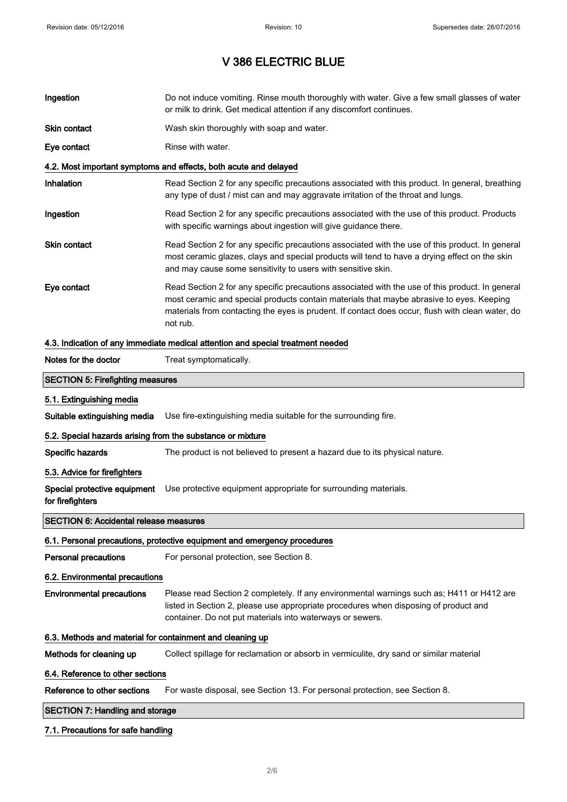| Ingestion                                                                       | Do not induce vomiting. Rinse mouth thoroughly with water. Give a few small glasses of water<br>or milk to drink. Get medical attention if any discomfort continues.                                                                                                                                        |  |
|---------------------------------------------------------------------------------|-------------------------------------------------------------------------------------------------------------------------------------------------------------------------------------------------------------------------------------------------------------------------------------------------------------|--|
| Skin contact                                                                    | Wash skin thoroughly with soap and water.                                                                                                                                                                                                                                                                   |  |
| Eye contact                                                                     | Rinse with water.                                                                                                                                                                                                                                                                                           |  |
|                                                                                 | 4.2. Most important symptoms and effects, both acute and delayed                                                                                                                                                                                                                                            |  |
| Inhalation                                                                      | Read Section 2 for any specific precautions associated with this product. In general, breathing<br>any type of dust / mist can and may aggravate irritation of the throat and lungs.                                                                                                                        |  |
| Ingestion                                                                       | Read Section 2 for any specific precautions associated with the use of this product. Products<br>with specific warnings about ingestion will give guidance there.                                                                                                                                           |  |
| Skin contact                                                                    | Read Section 2 for any specific precautions associated with the use of this product. In general<br>most ceramic glazes, clays and special products will tend to have a drying effect on the skin<br>and may cause some sensitivity to users with sensitive skin.                                            |  |
| Eye contact                                                                     | Read Section 2 for any specific precautions associated with the use of this product. In general<br>most ceramic and special products contain materials that maybe abrasive to eyes. Keeping<br>materials from contacting the eyes is prudent. If contact does occur, flush with clean water, do<br>not rub. |  |
| 4.3. Indication of any immediate medical attention and special treatment needed |                                                                                                                                                                                                                                                                                                             |  |
| Notes for the doctor                                                            | Treat symptomatically.                                                                                                                                                                                                                                                                                      |  |
| <b>SECTION 5: Firefighting measures</b>                                         |                                                                                                                                                                                                                                                                                                             |  |
| 5.1. Extinguishing media                                                        |                                                                                                                                                                                                                                                                                                             |  |
| Suitable extinguishing media                                                    | Use fire-extinguishing media suitable for the surrounding fire.                                                                                                                                                                                                                                             |  |
| 5.2. Special hazards arising from the substance or mixture                      |                                                                                                                                                                                                                                                                                                             |  |
| Specific hazards                                                                | The product is not believed to present a hazard due to its physical nature.                                                                                                                                                                                                                                 |  |
| 5.3. Advice for firefighters                                                    |                                                                                                                                                                                                                                                                                                             |  |
| Special protective equipment<br>for firefighters                                | Use protective equipment appropriate for surrounding materials.                                                                                                                                                                                                                                             |  |
| <b>SECTION 6: Accidental release measures</b>                                   |                                                                                                                                                                                                                                                                                                             |  |
|                                                                                 | 6.1. Personal precautions, protective equipment and emergency procedures                                                                                                                                                                                                                                    |  |
| <b>Personal precautions</b>                                                     | For personal protection, see Section 8.                                                                                                                                                                                                                                                                     |  |
| 6.2. Environmental precautions                                                  |                                                                                                                                                                                                                                                                                                             |  |
| <b>Environmental precautions</b>                                                | Please read Section 2 completely. If any environmental warnings such as; H411 or H412 are<br>listed in Section 2, please use appropriate procedures when disposing of product and<br>container. Do not put materials into waterways or sewers.                                                              |  |
| 6.3. Methods and material for containment and cleaning up                       |                                                                                                                                                                                                                                                                                                             |  |
| Methods for cleaning up                                                         | Collect spillage for reclamation or absorb in vermiculite, dry sand or similar material                                                                                                                                                                                                                     |  |
| 6.4. Reference to other sections                                                |                                                                                                                                                                                                                                                                                                             |  |
| Reference to other sections                                                     | For waste disposal, see Section 13. For personal protection, see Section 8.                                                                                                                                                                                                                                 |  |
| <b>SECTION 7: Handling and storage</b>                                          |                                                                                                                                                                                                                                                                                                             |  |
|                                                                                 |                                                                                                                                                                                                                                                                                                             |  |

### 7.1. Precautions for safe handling

 $\overline{\phantom{a}}$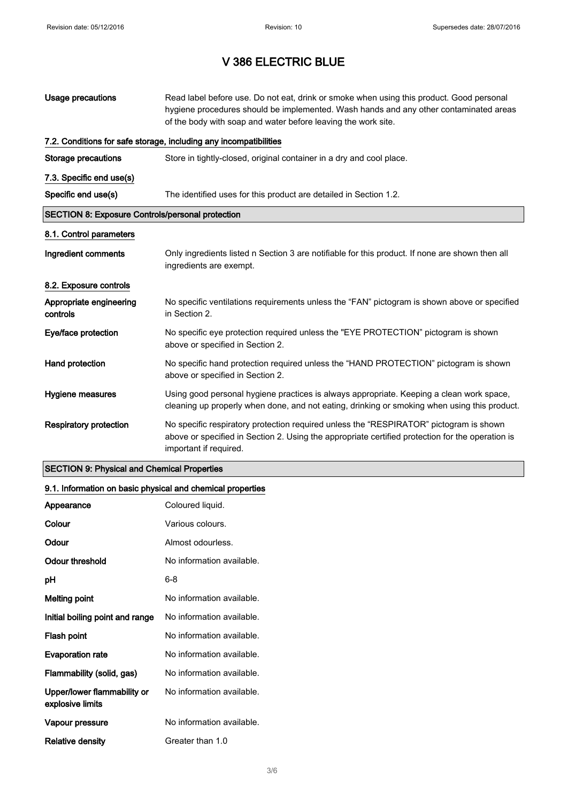| Usage precautions                                       | Read label before use. Do not eat, drink or smoke when using this product. Good personal<br>hygiene procedures should be implemented. Wash hands and any other contaminated areas<br>of the body with soap and water before leaving the work site. |  |
|---------------------------------------------------------|----------------------------------------------------------------------------------------------------------------------------------------------------------------------------------------------------------------------------------------------------|--|
|                                                         | 7.2. Conditions for safe storage, including any incompatibilities                                                                                                                                                                                  |  |
| Storage precautions                                     | Store in tightly-closed, original container in a dry and cool place.                                                                                                                                                                               |  |
| 7.3. Specific end use(s)                                |                                                                                                                                                                                                                                                    |  |
| Specific end use(s)                                     | The identified uses for this product are detailed in Section 1.2.                                                                                                                                                                                  |  |
| <b>SECTION 8: Exposure Controls/personal protection</b> |                                                                                                                                                                                                                                                    |  |
| 8.1. Control parameters                                 |                                                                                                                                                                                                                                                    |  |
| Ingredient comments                                     | Only ingredients listed n Section 3 are notifiable for this product. If none are shown then all<br>ingredients are exempt.                                                                                                                         |  |
| 8.2. Exposure controls                                  |                                                                                                                                                                                                                                                    |  |
| Appropriate engineering<br>controls                     | No specific ventilations requirements unless the "FAN" pictogram is shown above or specified<br>in Section 2.                                                                                                                                      |  |
| Eye/face protection                                     | No specific eye protection required unless the "EYE PROTECTION" pictogram is shown<br>above or specified in Section 2.                                                                                                                             |  |
| Hand protection                                         | No specific hand protection required unless the "HAND PROTECTION" pictogram is shown<br>above or specified in Section 2.                                                                                                                           |  |
| Hygiene measures                                        | Using good personal hygiene practices is always appropriate. Keeping a clean work space,<br>cleaning up properly when done, and not eating, drinking or smoking when using this product.                                                           |  |
| <b>Respiratory protection</b>                           | No specific respiratory protection required unless the "RESPIRATOR" pictogram is shown<br>above or specified in Section 2. Using the appropriate certified protection for the operation is<br>important if required.                               |  |

### SECTION 9: Physical and Chemical Properties

### 9.1. Information on basic physical and chemical properties

| Appearance                                      | Coloured liquid.          |
|-------------------------------------------------|---------------------------|
| Colour                                          | Various colours.          |
| Odour                                           | Almost odourless.         |
| Odour threshold                                 | No information available. |
| рH                                              | 6-8                       |
| <b>Melting point</b>                            | No information available. |
| Initial boiling point and range                 | No information available. |
| Flash point                                     | No information available. |
| <b>Evaporation rate</b>                         | No information available. |
| Flammability (solid, gas)                       | No information available. |
| Upper/lower flammability or<br>explosive limits | No information available. |
| Vapour pressure                                 | No information available. |
| Relative density                                | Greater than 1.0          |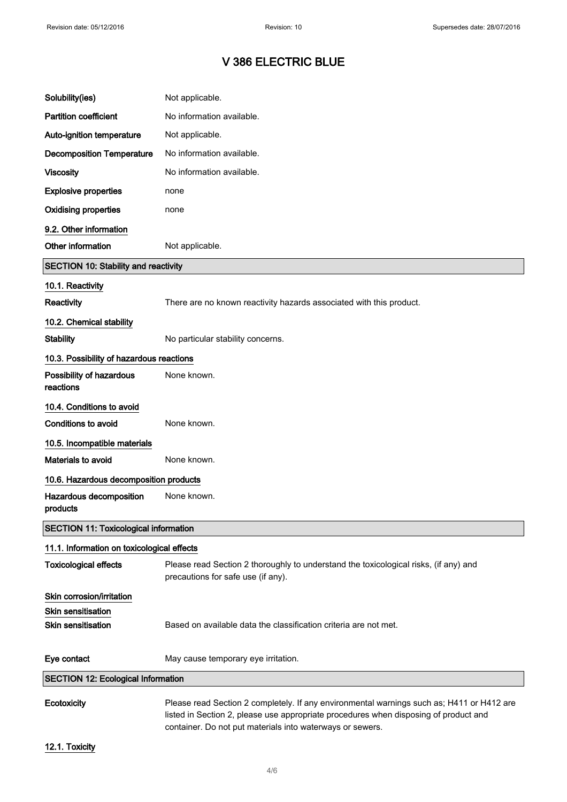| Solubility(ies)                              | Not applicable.                                                                                                                                                                   |
|----------------------------------------------|-----------------------------------------------------------------------------------------------------------------------------------------------------------------------------------|
| <b>Partition coefficient</b>                 | No information available.                                                                                                                                                         |
| Auto-ignition temperature                    | Not applicable.                                                                                                                                                                   |
| <b>Decomposition Temperature</b>             | No information available.                                                                                                                                                         |
| <b>Viscosity</b>                             | No information available.                                                                                                                                                         |
| <b>Explosive properties</b>                  | none                                                                                                                                                                              |
| <b>Oxidising properties</b>                  | none                                                                                                                                                                              |
| 9.2. Other information                       |                                                                                                                                                                                   |
| Other information                            | Not applicable.                                                                                                                                                                   |
| <b>SECTION 10: Stability and reactivity</b>  |                                                                                                                                                                                   |
| 10.1. Reactivity                             |                                                                                                                                                                                   |
| <b>Reactivity</b>                            | There are no known reactivity hazards associated with this product.                                                                                                               |
| 10.2. Chemical stability                     |                                                                                                                                                                                   |
| <b>Stability</b>                             | No particular stability concerns.                                                                                                                                                 |
| 10.3. Possibility of hazardous reactions     |                                                                                                                                                                                   |
| Possibility of hazardous<br>reactions        | None known.                                                                                                                                                                       |
| 10.4. Conditions to avoid                    |                                                                                                                                                                                   |
| Conditions to avoid                          | None known.                                                                                                                                                                       |
| 10.5. Incompatible materials                 |                                                                                                                                                                                   |
| Materials to avoid                           | None known.                                                                                                                                                                       |
| 10.6. Hazardous decomposition products       |                                                                                                                                                                                   |
| Hazardous decomposition<br>products          | None known.                                                                                                                                                                       |
| <b>SECTION 11: Toxicological information</b> |                                                                                                                                                                                   |
| 11.1. Information on toxicological effects   |                                                                                                                                                                                   |
| <b>Toxicological effects</b>                 | Please read Section 2 thoroughly to understand the toxicological risks, (if any) and<br>precautions for safe use (if any).                                                        |
| Skin corrosion/irritation                    |                                                                                                                                                                                   |
| <b>Skin sensitisation</b>                    |                                                                                                                                                                                   |
| <b>Skin sensitisation</b>                    | Based on available data the classification criteria are not met.                                                                                                                  |
| Eye contact                                  | May cause temporary eye irritation.                                                                                                                                               |
| <b>SECTION 12: Ecological Information</b>    |                                                                                                                                                                                   |
| Ecotoxicity                                  | Please read Section 2 completely. If any environmental warnings such as; H411 or H412 are<br>listed in Section 2, please use appropriate procedures when disposing of product and |

12.1. Toxicity

container. Do not put materials into waterways or sewers.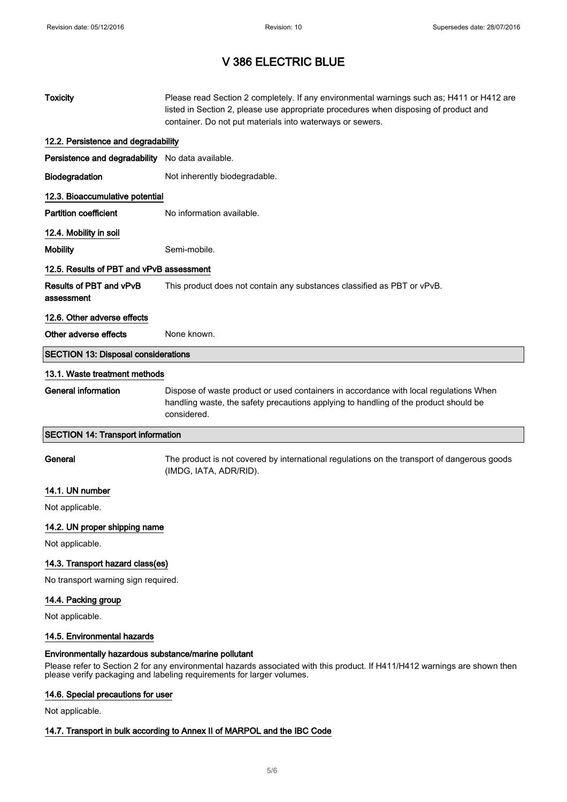| <b>Toxicity</b>                                      | Please read Section 2 completely. If any environmental warnings such as; H411 or H412 are<br>listed in Section 2, please use appropriate procedures when disposing of product and<br>container. Do not put materials into waterways or sewers. |  |
|------------------------------------------------------|------------------------------------------------------------------------------------------------------------------------------------------------------------------------------------------------------------------------------------------------|--|
| 12.2. Persistence and degradability                  |                                                                                                                                                                                                                                                |  |
| Persistence and degradability No data available.     |                                                                                                                                                                                                                                                |  |
| Biodegradation                                       | Not inherently biodegradable.                                                                                                                                                                                                                  |  |
| 12.3. Bioaccumulative potential                      |                                                                                                                                                                                                                                                |  |
| <b>Partition coefficient</b>                         | No information available.                                                                                                                                                                                                                      |  |
| 12.4. Mobility in soil                               |                                                                                                                                                                                                                                                |  |
| <b>Mobility</b>                                      | Semi-mobile.                                                                                                                                                                                                                                   |  |
| 12.5. Results of PBT and vPvB assessment             |                                                                                                                                                                                                                                                |  |
| Results of PBT and vPvB<br>assessment                | This product does not contain any substances classified as PBT or vPvB.                                                                                                                                                                        |  |
| 12.6. Other adverse effects                          |                                                                                                                                                                                                                                                |  |
| Other adverse effects                                | None known.                                                                                                                                                                                                                                    |  |
| <b>SECTION 13: Disposal considerations</b>           |                                                                                                                                                                                                                                                |  |
| 13.1. Waste treatment methods                        |                                                                                                                                                                                                                                                |  |
| <b>General information</b>                           | Dispose of waste product or used containers in accordance with local regulations When<br>handling waste, the safety precautions applying to handling of the product should be<br>considered.                                                   |  |
| <b>SECTION 14: Transport information</b>             |                                                                                                                                                                                                                                                |  |
| General                                              | The product is not covered by international regulations on the transport of dangerous goods<br>(IMDG, IATA, ADR/RID).                                                                                                                          |  |
| 14.1. UN number                                      |                                                                                                                                                                                                                                                |  |
| Not applicable.                                      |                                                                                                                                                                                                                                                |  |
| 14.2. UN proper shipping name                        |                                                                                                                                                                                                                                                |  |
| Not applicable.                                      |                                                                                                                                                                                                                                                |  |
| 14.3. Transport hazard class(es)                     |                                                                                                                                                                                                                                                |  |
| No transport warning sign required.                  |                                                                                                                                                                                                                                                |  |
| 14.4. Packing group                                  |                                                                                                                                                                                                                                                |  |
| Not applicable.                                      |                                                                                                                                                                                                                                                |  |
| 14.5. Environmental hazards                          |                                                                                                                                                                                                                                                |  |
| Environmentally hazardous substance/marine pollutant | Please refer to Section 2 for any environmental hazards associated with this product. If H411/H412 warnings are shown then<br>please verify packaging and labeling requirements for larger volumes.                                            |  |

## 14.6. Special precautions for user

Not applicable.

### 14.7. Transport in bulk according to Annex II of MARPOL and the IBC Code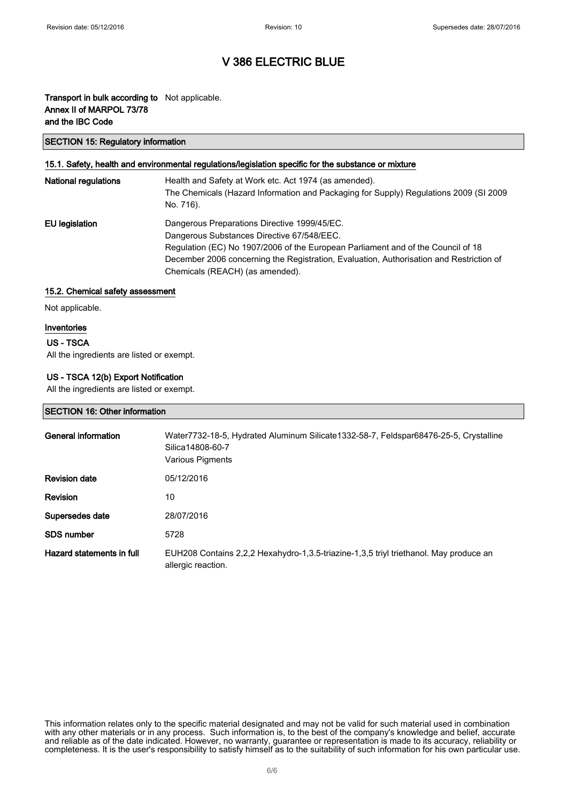### Transport in bulk according to Not applicable. Annex II of MARPOL 73/78 and the IBC Code

#### SECTION 15: Regulatory information

#### 15.1. Safety, health and environmental regulations/legislation specific for the substance or mixture

| <b>National regulations</b> | Health and Safety at Work etc. Act 1974 (as amended).<br>The Chemicals (Hazard Information and Packaging for Supply) Regulations 2009 (SI 2009<br>No. 716).                                                                                                                                                  |
|-----------------------------|--------------------------------------------------------------------------------------------------------------------------------------------------------------------------------------------------------------------------------------------------------------------------------------------------------------|
| EU legislation              | Dangerous Preparations Directive 1999/45/EC.<br>Dangerous Substances Directive 67/548/EEC.<br>Regulation (EC) No 1907/2006 of the European Parliament and of the Council of 18<br>December 2006 concerning the Registration, Evaluation, Authorisation and Restriction of<br>Chemicals (REACH) (as amended). |

#### 15.2. Chemical safety assessment

Not applicable.

#### Inventories

#### US - TSCA

All the ingredients are listed or exempt.

#### US - TSCA 12(b) Export Notification

All the ingredients are listed or exempt.

#### SECTION 16: Other information

| General information       | Water7732-18-5, Hydrated Aluminum Silicate1332-58-7, Feldspar68476-25-5, Crystalline<br>Silica14808-60-7<br>Various Pigments |
|---------------------------|------------------------------------------------------------------------------------------------------------------------------|
| <b>Revision date</b>      | 05/12/2016                                                                                                                   |
| <b>Revision</b>           | 10                                                                                                                           |
| Supersedes date           | 28/07/2016                                                                                                                   |
| <b>SDS number</b>         | 5728                                                                                                                         |
| Hazard statements in full | EUH208 Contains 2,2,2 Hexahydro-1,3.5-triazine-1,3,5 triyl triethanol. May produce an<br>allergic reaction.                  |

This information relates only to the specific material designated and may not be valid for such material used in combination with any other materials or in any process. Such information is, to the best of the company's knowledge and belief, accurate and reliable as of the date indicated. However, no warranty, guarantee or representation is made to its accuracy, reliability or completeness. It is the user's responsibility to satisfy himself as to the suitability of such information for his own particular use.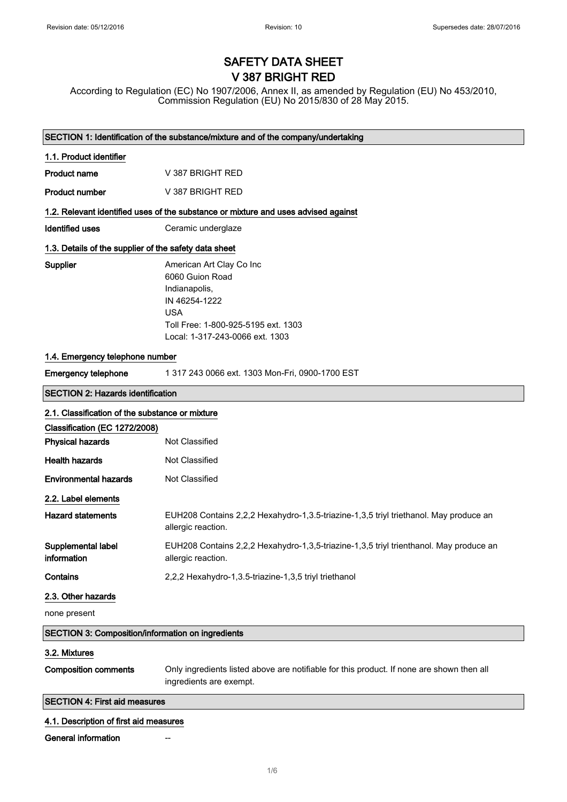# SAFETY DATA SHEET V 387 BRIGHT RED

According to Regulation (EC) No 1907/2006, Annex II, as amended by Regulation (EU) No 453/2010, Commission Regulation (EU) No 2015/830 of 28 May 2015.

|                                                          | SECTION 1: Identification of the substance/mixture and of the company/undertaking                                                                                     |  |
|----------------------------------------------------------|-----------------------------------------------------------------------------------------------------------------------------------------------------------------------|--|
| 1.1. Product identifier                                  |                                                                                                                                                                       |  |
| <b>Product name</b>                                      | V 387 BRIGHT RED                                                                                                                                                      |  |
| <b>Product number</b>                                    | V 387 BRIGHT RED                                                                                                                                                      |  |
|                                                          | 1.2. Relevant identified uses of the substance or mixture and uses advised against                                                                                    |  |
| <b>Identified uses</b>                                   | Ceramic underglaze                                                                                                                                                    |  |
| 1.3. Details of the supplier of the safety data sheet    |                                                                                                                                                                       |  |
| Supplier                                                 | American Art Clay Co Inc<br>6060 Guion Road<br>Indianapolis,<br>IN 46254-1222<br><b>USA</b><br>Toll Free: 1-800-925-5195 ext. 1303<br>Local: 1-317-243-0066 ext. 1303 |  |
| 1.4. Emergency telephone number                          |                                                                                                                                                                       |  |
| <b>Emergency telephone</b>                               | 1 317 243 0066 ext. 1303 Mon-Fri, 0900-1700 EST                                                                                                                       |  |
| <b>SECTION 2: Hazards identification</b>                 |                                                                                                                                                                       |  |
| 2.1. Classification of the substance or mixture          |                                                                                                                                                                       |  |
| Classification (EC 1272/2008)                            |                                                                                                                                                                       |  |
| <b>Physical hazards</b>                                  | Not Classified                                                                                                                                                        |  |
| <b>Health hazards</b>                                    | Not Classified                                                                                                                                                        |  |
| <b>Environmental hazards</b>                             | Not Classified                                                                                                                                                        |  |
| 2.2. Label elements                                      |                                                                                                                                                                       |  |
| <b>Hazard statements</b>                                 | EUH208 Contains 2,2,2 Hexahydro-1,3.5-triazine-1,3,5 triyl triethanol. May produce an<br>allergic reaction.                                                           |  |
| Supplemental label<br>information                        | EUH208 Contains 2,2,2 Hexahydro-1,3,5-triazine-1,3,5 triyl trienthanol. May produce an<br>allergic reaction.                                                          |  |
| Contains                                                 | 2,2,2 Hexahydro-1,3.5-triazine-1,3,5 triyl triethanol                                                                                                                 |  |
| 2.3. Other hazards                                       |                                                                                                                                                                       |  |
| none present                                             |                                                                                                                                                                       |  |
| <b>SECTION 3: Composition/information on ingredients</b> |                                                                                                                                                                       |  |
| 3.2. Mixtures                                            |                                                                                                                                                                       |  |
| <b>Composition comments</b>                              | Only ingredients listed above are notifiable for this product. If none are shown then all<br>ingredients are exempt.                                                  |  |
| <b>SECTION 4: First aid measures</b>                     |                                                                                                                                                                       |  |
| 4.1. Description of first aid measures                   |                                                                                                                                                                       |  |
| <b>General information</b>                               |                                                                                                                                                                       |  |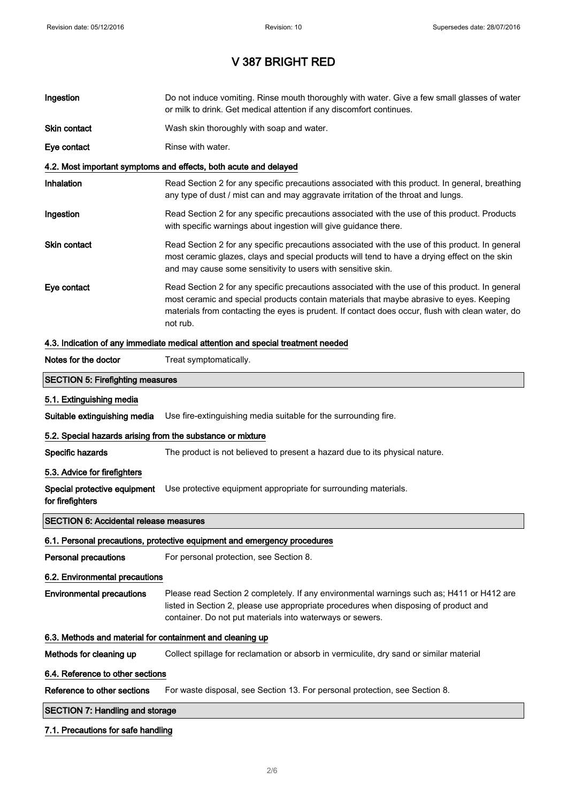| Ingestion                                                  | Do not induce vomiting. Rinse mouth thoroughly with water. Give a few small glasses of water<br>or milk to drink. Get medical attention if any discomfort continues.                                                                                                                                        |  |
|------------------------------------------------------------|-------------------------------------------------------------------------------------------------------------------------------------------------------------------------------------------------------------------------------------------------------------------------------------------------------------|--|
| Skin contact                                               | Wash skin thoroughly with soap and water.                                                                                                                                                                                                                                                                   |  |
| Eye contact                                                | Rinse with water.                                                                                                                                                                                                                                                                                           |  |
|                                                            | 4.2. Most important symptoms and effects, both acute and delayed                                                                                                                                                                                                                                            |  |
| Inhalation                                                 | Read Section 2 for any specific precautions associated with this product. In general, breathing<br>any type of dust / mist can and may aggravate irritation of the throat and lungs.                                                                                                                        |  |
| Ingestion                                                  | Read Section 2 for any specific precautions associated with the use of this product. Products<br>with specific warnings about ingestion will give guidance there.                                                                                                                                           |  |
| <b>Skin contact</b>                                        | Read Section 2 for any specific precautions associated with the use of this product. In general<br>most ceramic glazes, clays and special products will tend to have a drying effect on the skin<br>and may cause some sensitivity to users with sensitive skin.                                            |  |
| Eye contact                                                | Read Section 2 for any specific precautions associated with the use of this product. In general<br>most ceramic and special products contain materials that maybe abrasive to eyes. Keeping<br>materials from contacting the eyes is prudent. If contact does occur, flush with clean water, do<br>not rub. |  |
|                                                            | 4.3. Indication of any immediate medical attention and special treatment needed                                                                                                                                                                                                                             |  |
| Notes for the doctor                                       | Treat symptomatically.                                                                                                                                                                                                                                                                                      |  |
| <b>SECTION 5: Firefighting measures</b>                    |                                                                                                                                                                                                                                                                                                             |  |
| 5.1. Extinguishing media                                   |                                                                                                                                                                                                                                                                                                             |  |
| Suitable extinguishing media                               | Use fire-extinguishing media suitable for the surrounding fire.                                                                                                                                                                                                                                             |  |
| 5.2. Special hazards arising from the substance or mixture |                                                                                                                                                                                                                                                                                                             |  |
| Specific hazards                                           | The product is not believed to present a hazard due to its physical nature.                                                                                                                                                                                                                                 |  |
| 5.3. Advice for firefighters                               |                                                                                                                                                                                                                                                                                                             |  |
| Special protective equipment<br>for firefighters           | Use protective equipment appropriate for surrounding materials.                                                                                                                                                                                                                                             |  |
| <b>SECTION 6: Accidental release measures</b>              |                                                                                                                                                                                                                                                                                                             |  |
|                                                            | 6.1. Personal precautions, protective equipment and emergency procedures                                                                                                                                                                                                                                    |  |
| <b>Personal precautions</b>                                | For personal protection, see Section 8.                                                                                                                                                                                                                                                                     |  |
| 6.2. Environmental precautions                             |                                                                                                                                                                                                                                                                                                             |  |
| <b>Environmental precautions</b>                           | Please read Section 2 completely. If any environmental warnings such as; H411 or H412 are<br>listed in Section 2, please use appropriate procedures when disposing of product and<br>container. Do not put materials into waterways or sewers.                                                              |  |
| 6.3. Methods and material for containment and cleaning up  |                                                                                                                                                                                                                                                                                                             |  |
| Methods for cleaning up                                    | Collect spillage for reclamation or absorb in vermiculite, dry sand or similar material                                                                                                                                                                                                                     |  |
| 6.4. Reference to other sections                           |                                                                                                                                                                                                                                                                                                             |  |
| Reference to other sections                                | For waste disposal, see Section 13. For personal protection, see Section 8.                                                                                                                                                                                                                                 |  |
| <b>SECTION 7: Handling and storage</b>                     |                                                                                                                                                                                                                                                                                                             |  |
| 7.1. Precautions for safe handling                         |                                                                                                                                                                                                                                                                                                             |  |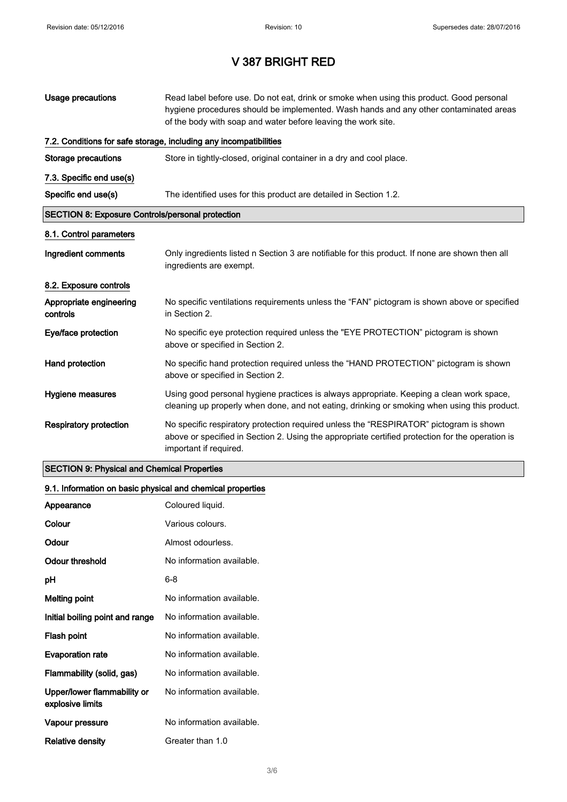| Usage precautions                                       | Read label before use. Do not eat, drink or smoke when using this product. Good personal<br>hygiene procedures should be implemented. Wash hands and any other contaminated areas<br>of the body with soap and water before leaving the work site. |  |
|---------------------------------------------------------|----------------------------------------------------------------------------------------------------------------------------------------------------------------------------------------------------------------------------------------------------|--|
|                                                         | 7.2. Conditions for safe storage, including any incompatibilities                                                                                                                                                                                  |  |
| <b>Storage precautions</b>                              | Store in tightly-closed, original container in a dry and cool place.                                                                                                                                                                               |  |
| 7.3. Specific end use(s)                                |                                                                                                                                                                                                                                                    |  |
| Specific end use(s)                                     | The identified uses for this product are detailed in Section 1.2.                                                                                                                                                                                  |  |
| <b>SECTION 8: Exposure Controls/personal protection</b> |                                                                                                                                                                                                                                                    |  |
| 8.1. Control parameters                                 |                                                                                                                                                                                                                                                    |  |
| Ingredient comments                                     | Only ingredients listed n Section 3 are notifiable for this product. If none are shown then all<br>ingredients are exempt.                                                                                                                         |  |
| 8.2. Exposure controls                                  |                                                                                                                                                                                                                                                    |  |
| Appropriate engineering<br>controls                     | No specific ventilations requirements unless the "FAN" pictogram is shown above or specified<br>in Section 2.                                                                                                                                      |  |
| Eye/face protection                                     | No specific eye protection required unless the "EYE PROTECTION" pictogram is shown<br>above or specified in Section 2.                                                                                                                             |  |
| Hand protection                                         | No specific hand protection required unless the "HAND PROTECTION" pictogram is shown<br>above or specified in Section 2.                                                                                                                           |  |
| Hygiene measures                                        | Using good personal hygiene practices is always appropriate. Keeping a clean work space,<br>cleaning up properly when done, and not eating, drinking or smoking when using this product.                                                           |  |
| <b>Respiratory protection</b>                           | No specific respiratory protection required unless the "RESPIRATOR" pictogram is shown<br>above or specified in Section 2. Using the appropriate certified protection for the operation is<br>important if required.                               |  |

### SECTION 9: Physical and Chemical Properties

### 9.1. Information on basic physical and chemical properties

| Appearance                                      | Coloured liquid.          |
|-------------------------------------------------|---------------------------|
| Colour                                          | Various colours.          |
| Odour                                           | Almost odourless.         |
| Odour threshold                                 | No information available. |
| рH                                              | 6-8                       |
| <b>Melting point</b>                            | No information available. |
| Initial boiling point and range                 | No information available. |
| Flash point                                     | No information available. |
| <b>Evaporation rate</b>                         | No information available. |
| Flammability (solid, gas)                       | No information available. |
| Upper/lower flammability or<br>explosive limits | No information available. |
| Vapour pressure                                 | No information available. |
| Relative density                                | Greater than 1.0          |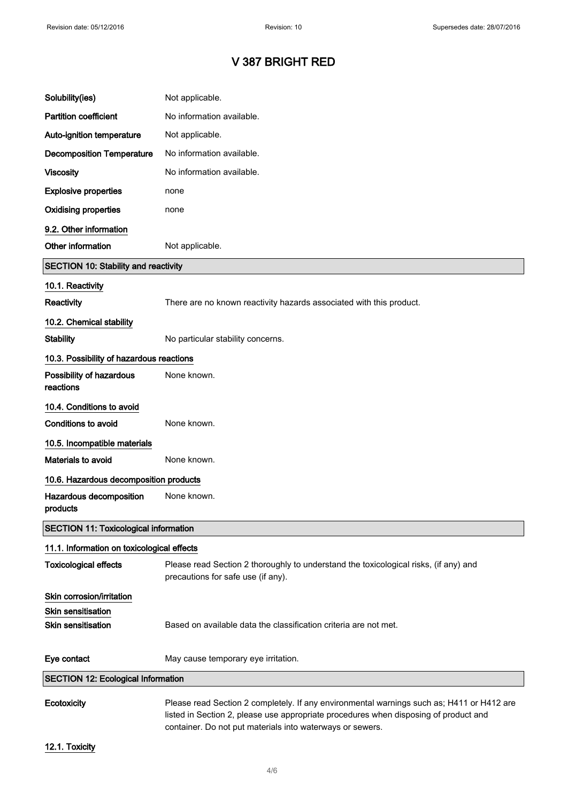| Solubility(ies)                              | Not applicable.                                                                                                                                                                   |
|----------------------------------------------|-----------------------------------------------------------------------------------------------------------------------------------------------------------------------------------|
| <b>Partition coefficient</b>                 | No information available.                                                                                                                                                         |
| Auto-ignition temperature                    | Not applicable.                                                                                                                                                                   |
| <b>Decomposition Temperature</b>             | No information available.                                                                                                                                                         |
| <b>Viscosity</b>                             | No information available.                                                                                                                                                         |
| <b>Explosive properties</b>                  | none                                                                                                                                                                              |
| <b>Oxidising properties</b>                  | none                                                                                                                                                                              |
| 9.2. Other information                       |                                                                                                                                                                                   |
| Other information                            | Not applicable.                                                                                                                                                                   |
| <b>SECTION 10: Stability and reactivity</b>  |                                                                                                                                                                                   |
| 10.1. Reactivity                             |                                                                                                                                                                                   |
| <b>Reactivity</b>                            | There are no known reactivity hazards associated with this product.                                                                                                               |
| 10.2. Chemical stability                     |                                                                                                                                                                                   |
| <b>Stability</b>                             | No particular stability concerns.                                                                                                                                                 |
| 10.3. Possibility of hazardous reactions     |                                                                                                                                                                                   |
| Possibility of hazardous<br>reactions        | None known.                                                                                                                                                                       |
| 10.4. Conditions to avoid                    |                                                                                                                                                                                   |
| <b>Conditions to avoid</b>                   | None known.                                                                                                                                                                       |
| 10.5. Incompatible materials                 |                                                                                                                                                                                   |
| Materials to avoid                           | None known.                                                                                                                                                                       |
| 10.6. Hazardous decomposition products       |                                                                                                                                                                                   |
| Hazardous decomposition<br>products          | None known.                                                                                                                                                                       |
| <b>SECTION 11: Toxicological information</b> |                                                                                                                                                                                   |
| 11.1. Information on toxicological effects   |                                                                                                                                                                                   |
| <b>Toxicological effects</b>                 | Please read Section 2 thoroughly to understand the toxicological risks, (if any) and<br>precautions for safe use (if any).                                                        |
| Skin corrosion/irritation                    |                                                                                                                                                                                   |
| <b>Skin sensitisation</b>                    |                                                                                                                                                                                   |
| <b>Skin sensitisation</b>                    | Based on available data the classification criteria are not met.                                                                                                                  |
| Eye contact                                  | May cause temporary eye irritation.                                                                                                                                               |
| <b>SECTION 12: Ecological Information</b>    |                                                                                                                                                                                   |
| Ecotoxicity                                  | Please read Section 2 completely. If any environmental warnings such as; H411 or H412 are<br>listed in Section 2, please use appropriate procedures when disposing of product and |

12.1. Toxicity

container. Do not put materials into waterways or sewers.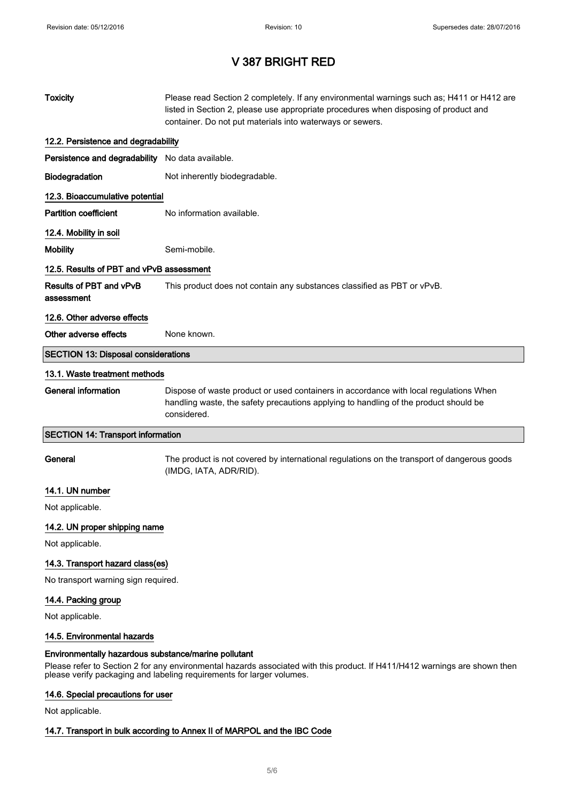| <b>Toxicity</b>                                                                                                                                                                                                                                             | Please read Section 2 completely. If any environmental warnings such as; H411 or H412 are<br>listed in Section 2, please use appropriate procedures when disposing of product and<br>container. Do not put materials into waterways or sewers. |  |
|-------------------------------------------------------------------------------------------------------------------------------------------------------------------------------------------------------------------------------------------------------------|------------------------------------------------------------------------------------------------------------------------------------------------------------------------------------------------------------------------------------------------|--|
| 12.2. Persistence and degradability                                                                                                                                                                                                                         |                                                                                                                                                                                                                                                |  |
| Persistence and degradability No data available.                                                                                                                                                                                                            |                                                                                                                                                                                                                                                |  |
| Biodegradation                                                                                                                                                                                                                                              | Not inherently biodegradable.                                                                                                                                                                                                                  |  |
| 12.3. Bioaccumulative potential                                                                                                                                                                                                                             |                                                                                                                                                                                                                                                |  |
| <b>Partition coefficient</b>                                                                                                                                                                                                                                | No information available.                                                                                                                                                                                                                      |  |
| 12.4. Mobility in soil                                                                                                                                                                                                                                      |                                                                                                                                                                                                                                                |  |
| <b>Mobility</b>                                                                                                                                                                                                                                             | Semi-mobile.                                                                                                                                                                                                                                   |  |
| 12.5. Results of PBT and vPvB assessment                                                                                                                                                                                                                    |                                                                                                                                                                                                                                                |  |
| Results of PBT and vPvB<br>assessment                                                                                                                                                                                                                       | This product does not contain any substances classified as PBT or vPvB.                                                                                                                                                                        |  |
| 12.6. Other adverse effects                                                                                                                                                                                                                                 |                                                                                                                                                                                                                                                |  |
| Other adverse effects                                                                                                                                                                                                                                       | None known.                                                                                                                                                                                                                                    |  |
| <b>SECTION 13: Disposal considerations</b>                                                                                                                                                                                                                  |                                                                                                                                                                                                                                                |  |
| 13.1. Waste treatment methods                                                                                                                                                                                                                               |                                                                                                                                                                                                                                                |  |
| <b>General information</b>                                                                                                                                                                                                                                  | Dispose of waste product or used containers in accordance with local regulations When<br>handling waste, the safety precautions applying to handling of the product should be<br>considered.                                                   |  |
| <b>SECTION 14: Transport information</b>                                                                                                                                                                                                                    |                                                                                                                                                                                                                                                |  |
| General                                                                                                                                                                                                                                                     | The product is not covered by international regulations on the transport of dangerous goods<br>(IMDG, IATA, ADR/RID).                                                                                                                          |  |
| 14.1. UN number                                                                                                                                                                                                                                             |                                                                                                                                                                                                                                                |  |
| Not applicable.                                                                                                                                                                                                                                             |                                                                                                                                                                                                                                                |  |
| 14.2. UN proper shipping name                                                                                                                                                                                                                               |                                                                                                                                                                                                                                                |  |
| Not applicable.                                                                                                                                                                                                                                             |                                                                                                                                                                                                                                                |  |
| 14.3. Transport hazard class(es)                                                                                                                                                                                                                            |                                                                                                                                                                                                                                                |  |
| No transport warning sign required.                                                                                                                                                                                                                         |                                                                                                                                                                                                                                                |  |
| 14.4. Packing group<br>Not applicable.                                                                                                                                                                                                                      |                                                                                                                                                                                                                                                |  |
| 14.5. Environmental hazards                                                                                                                                                                                                                                 |                                                                                                                                                                                                                                                |  |
| Environmentally hazardous substance/marine pollutant<br>Please refer to Section 2 for any environmental hazards associated with this product. If H411/H412 warnings are shown then<br>please verify packaging and labeling requirements for larger volumes. |                                                                                                                                                                                                                                                |  |

## 14.6. Special precautions for user

Not applicable.

### 14.7. Transport in bulk according to Annex II of MARPOL and the IBC Code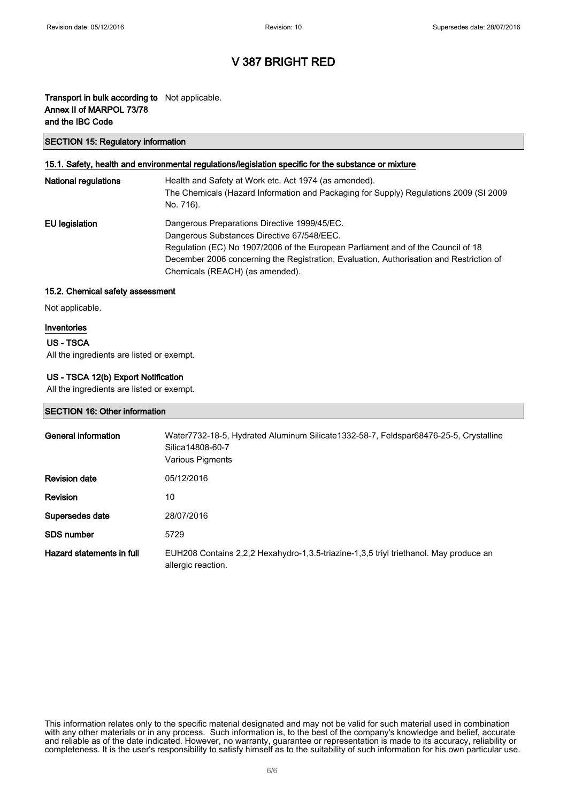### Transport in bulk according to Not applicable. Annex II of MARPOL 73/78 and the IBC Code

#### SECTION 15: Regulatory information

#### 15.1. Safety, health and environmental regulations/legislation specific for the substance or mixture

| <b>National regulations</b> | Health and Safety at Work etc. Act 1974 (as amended).<br>The Chemicals (Hazard Information and Packaging for Supply) Regulations 2009 (SI 2009<br>No. 716).                                                                                                                                                  |
|-----------------------------|--------------------------------------------------------------------------------------------------------------------------------------------------------------------------------------------------------------------------------------------------------------------------------------------------------------|
| EU legislation              | Dangerous Preparations Directive 1999/45/EC.<br>Dangerous Substances Directive 67/548/EEC.<br>Regulation (EC) No 1907/2006 of the European Parliament and of the Council of 18<br>December 2006 concerning the Registration, Evaluation, Authorisation and Restriction of<br>Chemicals (REACH) (as amended). |

#### 15.2. Chemical safety assessment

Not applicable.

#### Inventories

#### US - TSCA

All the ingredients are listed or exempt.

#### US - TSCA 12(b) Export Notification

All the ingredients are listed or exempt.

#### SECTION 16: Other information

| General information       | Water7732-18-5, Hydrated Aluminum Silicate1332-58-7, Feldspar68476-25-5, Crystalline<br>Silica14808-60-7<br>Various Pigments |
|---------------------------|------------------------------------------------------------------------------------------------------------------------------|
| <b>Revision date</b>      | 05/12/2016                                                                                                                   |
| <b>Revision</b>           | 10                                                                                                                           |
| Supersedes date           | 28/07/2016                                                                                                                   |
| <b>SDS number</b>         | 5729                                                                                                                         |
| Hazard statements in full | EUH208 Contains 2,2,2 Hexahydro-1,3.5-triazine-1,3,5 triyl triethanol. May produce an<br>allergic reaction.                  |

This information relates only to the specific material designated and may not be valid for such material used in combination with any other materials or in any process. Such information is, to the best of the company's knowledge and belief, accurate and reliable as of the date indicated. However, no warranty, guarantee or representation is made to its accuracy, reliability or completeness. It is the user's responsibility to satisfy himself as to the suitability of such information for his own particular use.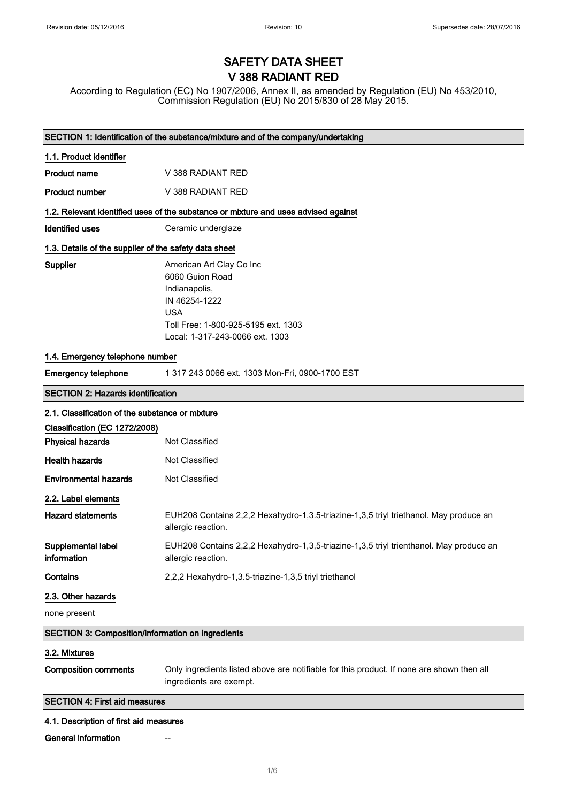## SAFETY DATA SHEET V 388 RADIANT RED

According to Regulation (EC) No 1907/2006, Annex II, as amended by Regulation (EU) No 453/2010, Commission Regulation (EU) No 2015/830 of 28 May 2015.

| SECTION 1: Identification of the substance/mixture and of the company/undertaking |                                                                                                                                                                       |  |
|-----------------------------------------------------------------------------------|-----------------------------------------------------------------------------------------------------------------------------------------------------------------------|--|
| 1.1. Product identifier                                                           |                                                                                                                                                                       |  |
| <b>Product name</b>                                                               | V 388 RADIANT RED                                                                                                                                                     |  |
| <b>Product number</b>                                                             | V 388 RADIANT RED                                                                                                                                                     |  |
|                                                                                   | 1.2. Relevant identified uses of the substance or mixture and uses advised against                                                                                    |  |
| <b>Identified uses</b>                                                            | Ceramic underglaze                                                                                                                                                    |  |
| 1.3. Details of the supplier of the safety data sheet                             |                                                                                                                                                                       |  |
| Supplier                                                                          | American Art Clay Co Inc<br>6060 Guion Road<br>Indianapolis,<br>IN 46254-1222<br><b>USA</b><br>Toll Free: 1-800-925-5195 ext. 1303<br>Local: 1-317-243-0066 ext. 1303 |  |
| 1.4. Emergency telephone number                                                   |                                                                                                                                                                       |  |
| <b>Emergency telephone</b>                                                        | 1 317 243 0066 ext. 1303 Mon-Fri, 0900-1700 EST                                                                                                                       |  |
| <b>SECTION 2: Hazards identification</b>                                          |                                                                                                                                                                       |  |
| 2.1. Classification of the substance or mixture                                   |                                                                                                                                                                       |  |
| Classification (EC 1272/2008)                                                     |                                                                                                                                                                       |  |
| <b>Physical hazards</b>                                                           | Not Classified                                                                                                                                                        |  |
| <b>Health hazards</b>                                                             | Not Classified                                                                                                                                                        |  |
| <b>Environmental hazards</b>                                                      | Not Classified                                                                                                                                                        |  |
| 2.2. Label elements                                                               |                                                                                                                                                                       |  |
| <b>Hazard statements</b>                                                          | EUH208 Contains 2,2,2 Hexahydro-1,3.5-triazine-1,3,5 triyl triethanol. May produce an<br>allergic reaction.                                                           |  |
| Supplemental label<br>information                                                 | EUH208 Contains 2,2,2 Hexahydro-1,3,5-triazine-1,3,5 triyl trienthanol. May produce an<br>allergic reaction.                                                          |  |
| Contains                                                                          | 2,2,2 Hexahydro-1,3.5-triazine-1,3,5 triyl triethanol                                                                                                                 |  |
| 2.3. Other hazards                                                                |                                                                                                                                                                       |  |
| none present                                                                      |                                                                                                                                                                       |  |
| <b>SECTION 3: Composition/information on ingredients</b>                          |                                                                                                                                                                       |  |
| 3.2. Mixtures                                                                     |                                                                                                                                                                       |  |
| <b>Composition comments</b>                                                       | Only ingredients listed above are notifiable for this product. If none are shown then all<br>ingredients are exempt.                                                  |  |
| <b>SECTION 4: First aid measures</b>                                              |                                                                                                                                                                       |  |
|                                                                                   |                                                                                                                                                                       |  |
| 4.1. Description of first aid measures<br><b>General information</b>              |                                                                                                                                                                       |  |
|                                                                                   |                                                                                                                                                                       |  |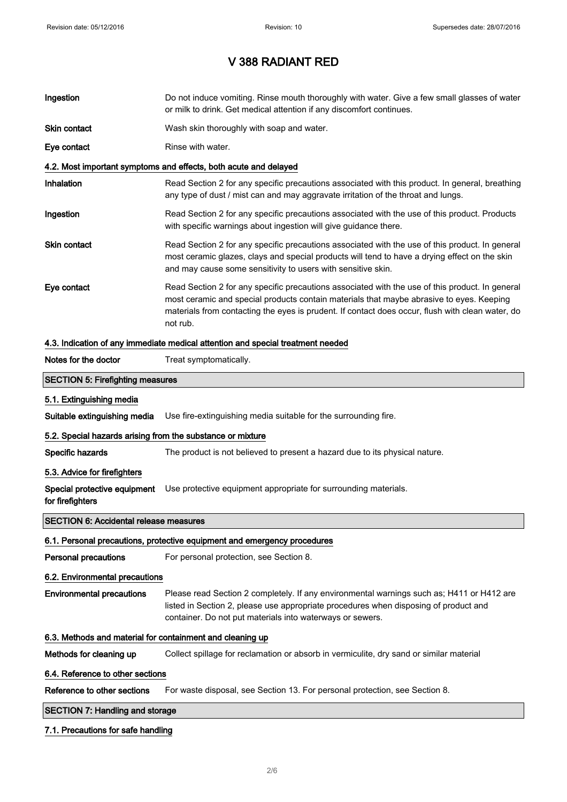$\overline{\phantom{a}}$ 

# V 388 RADIANT RED

| Ingestion                                                  | Do not induce vomiting. Rinse mouth thoroughly with water. Give a few small glasses of water<br>or milk to drink. Get medical attention if any discomfort continues.                                                                                                                                        |  |
|------------------------------------------------------------|-------------------------------------------------------------------------------------------------------------------------------------------------------------------------------------------------------------------------------------------------------------------------------------------------------------|--|
| Skin contact                                               | Wash skin thoroughly with soap and water.                                                                                                                                                                                                                                                                   |  |
| Eye contact                                                | Rinse with water.                                                                                                                                                                                                                                                                                           |  |
|                                                            | 4.2. Most important symptoms and effects, both acute and delayed                                                                                                                                                                                                                                            |  |
| Inhalation                                                 | Read Section 2 for any specific precautions associated with this product. In general, breathing<br>any type of dust / mist can and may aggravate irritation of the throat and lungs.                                                                                                                        |  |
| Ingestion                                                  | Read Section 2 for any specific precautions associated with the use of this product. Products<br>with specific warnings about ingestion will give guidance there.                                                                                                                                           |  |
| <b>Skin contact</b>                                        | Read Section 2 for any specific precautions associated with the use of this product. In general<br>most ceramic glazes, clays and special products will tend to have a drying effect on the skin<br>and may cause some sensitivity to users with sensitive skin.                                            |  |
| Eye contact                                                | Read Section 2 for any specific precautions associated with the use of this product. In general<br>most ceramic and special products contain materials that maybe abrasive to eyes. Keeping<br>materials from contacting the eyes is prudent. If contact does occur, flush with clean water, do<br>not rub. |  |
|                                                            | 4.3. Indication of any immediate medical attention and special treatment needed                                                                                                                                                                                                                             |  |
| Notes for the doctor                                       | Treat symptomatically.                                                                                                                                                                                                                                                                                      |  |
| <b>SECTION 5: Firefighting measures</b>                    |                                                                                                                                                                                                                                                                                                             |  |
| 5.1. Extinguishing media                                   |                                                                                                                                                                                                                                                                                                             |  |
| Suitable extinguishing media                               | Use fire-extinguishing media suitable for the surrounding fire.                                                                                                                                                                                                                                             |  |
| 5.2. Special hazards arising from the substance or mixture |                                                                                                                                                                                                                                                                                                             |  |
| Specific hazards                                           | The product is not believed to present a hazard due to its physical nature.                                                                                                                                                                                                                                 |  |
| 5.3. Advice for firefighters                               |                                                                                                                                                                                                                                                                                                             |  |
| Special protective equipment<br>for firefighters           | Use protective equipment appropriate for surrounding materials.                                                                                                                                                                                                                                             |  |
| <b>SECTION 6: Accidental release measures</b>              |                                                                                                                                                                                                                                                                                                             |  |
|                                                            | 6.1. Personal precautions, protective equipment and emergency procedures                                                                                                                                                                                                                                    |  |
| Personal precautions                                       | For personal protection, see Section 8.                                                                                                                                                                                                                                                                     |  |
| 6.2. Environmental precautions                             |                                                                                                                                                                                                                                                                                                             |  |
| <b>Environmental precautions</b>                           | Please read Section 2 completely. If any environmental warnings such as; H411 or H412 are<br>listed in Section 2, please use appropriate procedures when disposing of product and<br>container. Do not put materials into waterways or sewers.                                                              |  |
| 6.3. Methods and material for containment and cleaning up  |                                                                                                                                                                                                                                                                                                             |  |
| Methods for cleaning up                                    | Collect spillage for reclamation or absorb in vermiculite, dry sand or similar material                                                                                                                                                                                                                     |  |
| 6.4. Reference to other sections                           |                                                                                                                                                                                                                                                                                                             |  |
| Reference to other sections                                | For waste disposal, see Section 13. For personal protection, see Section 8.                                                                                                                                                                                                                                 |  |
| <b>SECTION 7: Handling and storage</b>                     |                                                                                                                                                                                                                                                                                                             |  |
| 7.1. Precautions for safe handling                         |                                                                                                                                                                                                                                                                                                             |  |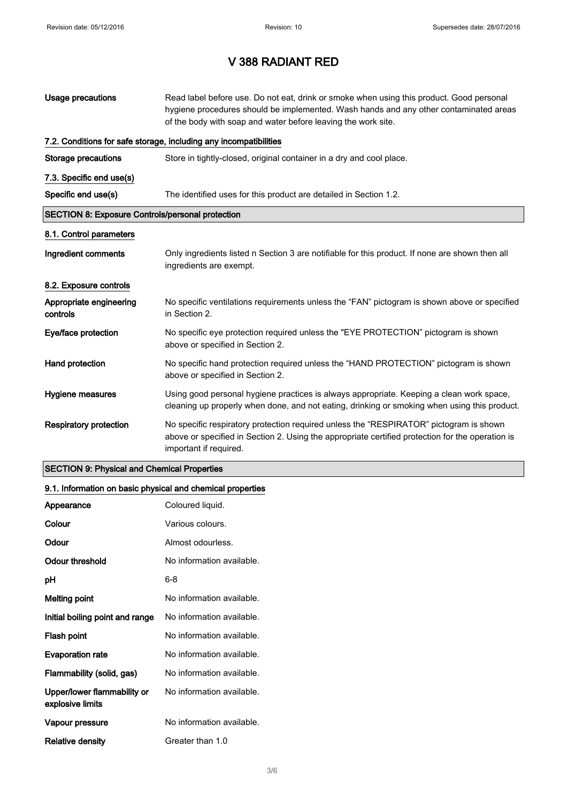| Usage precautions                                       | Read label before use. Do not eat, drink or smoke when using this product. Good personal<br>hygiene procedures should be implemented. Wash hands and any other contaminated areas<br>of the body with soap and water before leaving the work site. |  |
|---------------------------------------------------------|----------------------------------------------------------------------------------------------------------------------------------------------------------------------------------------------------------------------------------------------------|--|
|                                                         | 7.2. Conditions for safe storage, including any incompatibilities                                                                                                                                                                                  |  |
| Storage precautions                                     | Store in tightly-closed, original container in a dry and cool place.                                                                                                                                                                               |  |
| 7.3. Specific end use(s)                                |                                                                                                                                                                                                                                                    |  |
| Specific end use(s)                                     | The identified uses for this product are detailed in Section 1.2.                                                                                                                                                                                  |  |
| <b>SECTION 8: Exposure Controls/personal protection</b> |                                                                                                                                                                                                                                                    |  |
| 8.1. Control parameters                                 |                                                                                                                                                                                                                                                    |  |
| Ingredient comments                                     | Only ingredients listed n Section 3 are notifiable for this product. If none are shown then all<br>ingredients are exempt.                                                                                                                         |  |
| 8.2. Exposure controls                                  |                                                                                                                                                                                                                                                    |  |
| Appropriate engineering<br>controls                     | No specific ventilations requirements unless the "FAN" pictogram is shown above or specified<br>in Section 2.                                                                                                                                      |  |
| Eye/face protection                                     | No specific eye protection required unless the "EYE PROTECTION" pictogram is shown<br>above or specified in Section 2.                                                                                                                             |  |
| Hand protection                                         | No specific hand protection required unless the "HAND PROTECTION" pictogram is shown<br>above or specified in Section 2.                                                                                                                           |  |
| Hygiene measures                                        | Using good personal hygiene practices is always appropriate. Keeping a clean work space,<br>cleaning up properly when done, and not eating, drinking or smoking when using this product.                                                           |  |
| <b>Respiratory protection</b>                           | No specific respiratory protection required unless the "RESPIRATOR" pictogram is shown<br>above or specified in Section 2. Using the appropriate certified protection for the operation is<br>important if required.                               |  |

### SECTION 9: Physical and Chemical Properties

### 9.1. Information on basic physical and chemical properties

| Appearance                                      | Coloured liquid.          |
|-------------------------------------------------|---------------------------|
| Colour                                          | Various colours.          |
| Odour                                           | Almost odourless.         |
| Odour threshold                                 | No information available. |
| рH                                              | 6-8                       |
| <b>Melting point</b>                            | No information available. |
| Initial boiling point and range                 | No information available. |
| Flash point                                     | No information available. |
| <b>Evaporation rate</b>                         | No information available. |
| Flammability (solid, gas)                       | No information available. |
| Upper/lower flammability or<br>explosive limits | No information available. |
| Vapour pressure                                 | No information available. |
| Relative density                                | Greater than 1.0          |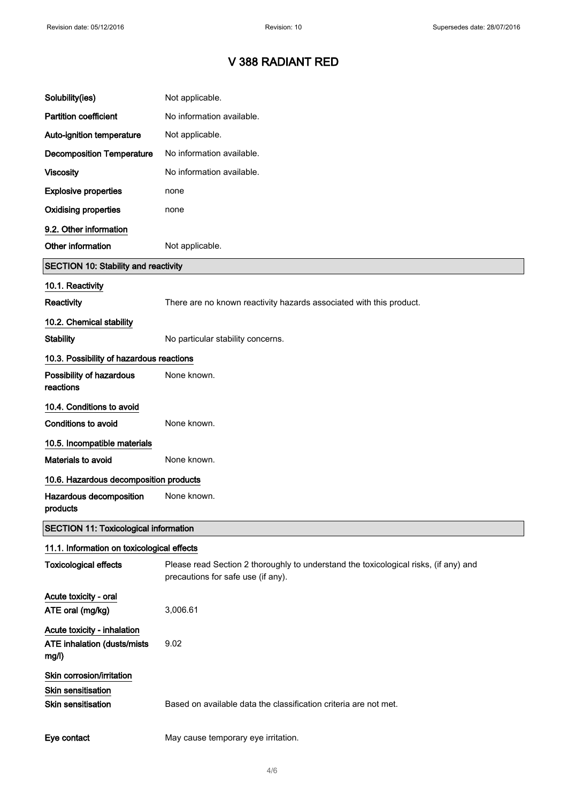| Solubility(ies)                                                     | Not applicable.                                                                                                            |
|---------------------------------------------------------------------|----------------------------------------------------------------------------------------------------------------------------|
| <b>Partition coefficient</b>                                        | No information available.                                                                                                  |
| Auto-ignition temperature                                           | Not applicable.                                                                                                            |
| <b>Decomposition Temperature</b>                                    | No information available.                                                                                                  |
| <b>Viscosity</b>                                                    | No information available.                                                                                                  |
| <b>Explosive properties</b>                                         | none                                                                                                                       |
| <b>Oxidising properties</b>                                         | none                                                                                                                       |
| 9.2. Other information                                              |                                                                                                                            |
| Other information                                                   | Not applicable.                                                                                                            |
| <b>SECTION 10: Stability and reactivity</b>                         |                                                                                                                            |
| 10.1. Reactivity                                                    |                                                                                                                            |
| <b>Reactivity</b>                                                   | There are no known reactivity hazards associated with this product.                                                        |
| 10.2. Chemical stability                                            |                                                                                                                            |
| <b>Stability</b>                                                    | No particular stability concerns.                                                                                          |
| 10.3. Possibility of hazardous reactions                            |                                                                                                                            |
| Possibility of hazardous<br>reactions                               | None known.                                                                                                                |
| 10.4. Conditions to avoid                                           |                                                                                                                            |
| Conditions to avoid                                                 | None known.                                                                                                                |
| 10.5. Incompatible materials                                        |                                                                                                                            |
| <b>Materials to avoid</b>                                           | None known.                                                                                                                |
| 10.6. Hazardous decomposition products                              |                                                                                                                            |
| Hazardous decomposition<br>products                                 | None known.                                                                                                                |
| <b>SECTION 11: Toxicological information</b>                        |                                                                                                                            |
| 11.1. Information on toxicological effects                          |                                                                                                                            |
| <b>Toxicological effects</b>                                        | Please read Section 2 thoroughly to understand the toxicological risks, (if any) and<br>precautions for safe use (if any). |
| Acute toxicity - oral<br>ATE oral (mg/kg)                           | 3,006.61                                                                                                                   |
| Acute toxicity - inhalation<br>ATE inhalation (dusts/mists<br>mg/l) | 9.02                                                                                                                       |
| Skin corrosion/irritation<br>Skin sensitisation                     |                                                                                                                            |
| <b>Skin sensitisation</b>                                           | Based on available data the classification criteria are not met.                                                           |
| Eye contact                                                         | May cause temporary eye irritation.                                                                                        |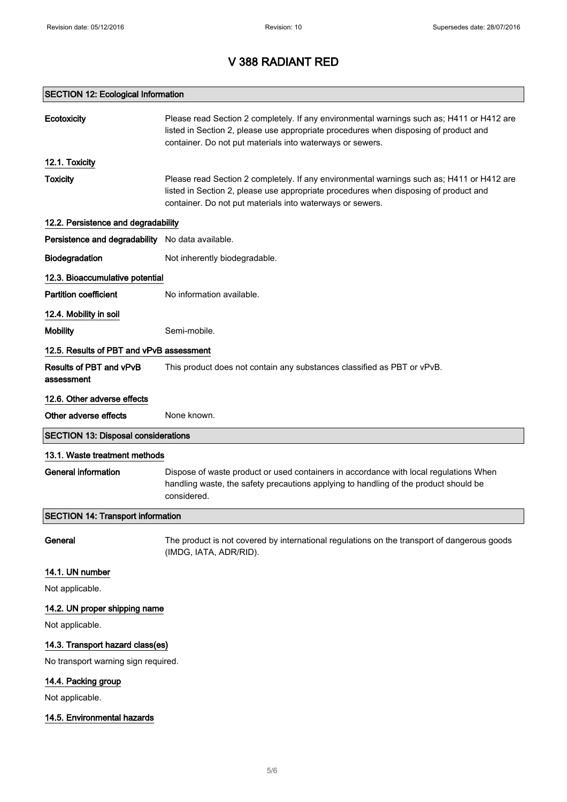### SECTION 12: Ecological Information

| <b>Ecotoxicity</b>                               | Please read Section 2 completely. If any environmental warnings such as; H411 or H412 are<br>listed in Section 2, please use appropriate procedures when disposing of product and<br>container. Do not put materials into waterways or sewers. |  |
|--------------------------------------------------|------------------------------------------------------------------------------------------------------------------------------------------------------------------------------------------------------------------------------------------------|--|
| 12.1. Toxicity                                   |                                                                                                                                                                                                                                                |  |
| <b>Toxicity</b>                                  | Please read Section 2 completely. If any environmental warnings such as; H411 or H412 are<br>listed in Section 2, please use appropriate procedures when disposing of product and<br>container. Do not put materials into waterways or sewers. |  |
| 12.2. Persistence and degradability              |                                                                                                                                                                                                                                                |  |
| Persistence and degradability No data available. |                                                                                                                                                                                                                                                |  |
| Biodegradation                                   | Not inherently biodegradable.                                                                                                                                                                                                                  |  |
| 12.3. Bioaccumulative potential                  |                                                                                                                                                                                                                                                |  |
| <b>Partition coefficient</b>                     | No information available.                                                                                                                                                                                                                      |  |
| 12.4. Mobility in soil                           |                                                                                                                                                                                                                                                |  |
| <b>Mobility</b>                                  | Semi-mobile.                                                                                                                                                                                                                                   |  |
| 12.5. Results of PBT and vPvB assessment         |                                                                                                                                                                                                                                                |  |
| Results of PBT and vPvB<br>assessment            | This product does not contain any substances classified as PBT or vPvB.                                                                                                                                                                        |  |
| 12.6. Other adverse effects                      |                                                                                                                                                                                                                                                |  |
| Other adverse effects                            | None known.                                                                                                                                                                                                                                    |  |
| <b>SECTION 13: Disposal considerations</b>       |                                                                                                                                                                                                                                                |  |
| 13.1. Waste treatment methods                    |                                                                                                                                                                                                                                                |  |
| <b>General information</b>                       | Dispose of waste product or used containers in accordance with local regulations When<br>handling waste, the safety precautions applying to handling of the product should be<br>considered.                                                   |  |
| <b>SECTION 14: Transport information</b>         |                                                                                                                                                                                                                                                |  |
| General                                          | The product is not covered by international regulations on the transport of dangerous goods<br>(IMDG, IATA, ADR/RID).                                                                                                                          |  |
| 14.1. UN number                                  |                                                                                                                                                                                                                                                |  |
| Not applicable.                                  |                                                                                                                                                                                                                                                |  |
| 14.2. UN proper shipping name                    |                                                                                                                                                                                                                                                |  |
| Not applicable.                                  |                                                                                                                                                                                                                                                |  |
| 14.3. Transport hazard class(es)                 |                                                                                                                                                                                                                                                |  |
| No transport warning sign required.              |                                                                                                                                                                                                                                                |  |
| 14.4. Packing group                              |                                                                                                                                                                                                                                                |  |
| Not applicable.                                  |                                                                                                                                                                                                                                                |  |
| 14.5. Environmental hazards                      |                                                                                                                                                                                                                                                |  |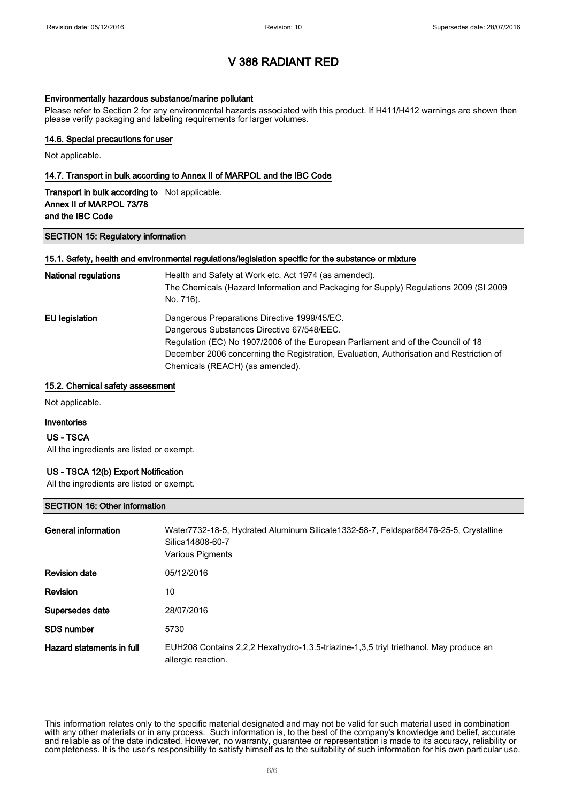#### Environmentally hazardous substance/marine pollutant

Please refer to Section 2 for any environmental hazards associated with this product. If H411/H412 warnings are shown then please verify packaging and labeling requirements for larger volumes.

### 14.6. Special precautions for user

Not applicable.

#### 14.7. Transport in bulk according to Annex II of MARPOL and the IBC Code

| <b>Transport in bulk according to</b> Not applicable. |  |
|-------------------------------------------------------|--|
| Annex II of MARPOL 73/78                              |  |
| and the IBC Code                                      |  |

#### SECTION 15: Regulatory information

#### 15.1. Safety, health and environmental regulations/legislation specific for the substance or mixture

| <b>National regulations</b> | Health and Safety at Work etc. Act 1974 (as amended).<br>The Chemicals (Hazard Information and Packaging for Supply) Regulations 2009 (SI 2009<br>No. 716). |
|-----------------------------|-------------------------------------------------------------------------------------------------------------------------------------------------------------|
| EU legislation              | Dangerous Preparations Directive 1999/45/EC.                                                                                                                |
|                             | Dangerous Substances Directive 67/548/EEC.                                                                                                                  |
|                             | Regulation (EC) No 1907/2006 of the European Parliament and of the Council of 18                                                                            |
|                             | December 2006 concerning the Registration, Evaluation, Authorisation and Restriction of                                                                     |
|                             | Chemicals (REACH) (as amended).                                                                                                                             |

#### 15.2. Chemical safety assessment

Not applicable.

#### Inventories

#### US - TSCA

All the ingredients are listed or exempt.

#### US - TSCA 12(b) Export Notification

All the ingredients are listed or exempt.

#### SECTION 16: Other information

| General information       | Water7732-18-5, Hydrated Aluminum Silicate1332-58-7, Feldspar68476-25-5, Crystalline<br>Silica14808-60-7<br>Various Pigments |
|---------------------------|------------------------------------------------------------------------------------------------------------------------------|
| <b>Revision date</b>      | 05/12/2016                                                                                                                   |
| <b>Revision</b>           | 10                                                                                                                           |
| Supersedes date           | 28/07/2016                                                                                                                   |
| SDS number                | 5730                                                                                                                         |
| Hazard statements in full | EUH208 Contains 2,2,2 Hexahydro-1,3.5-triazine-1,3,5 triyl triethanol. May produce an<br>allergic reaction.                  |

This information relates only to the specific material designated and may not be valid for such material used in combination with any other materials or in any process. Such information is, to the best of the company's knowledge and belief, accurate and reliable as of the date indicated. However, no warranty, guarantee or representation is made to its accuracy, reliability or completeness. It is the user's responsibility to satisfy himself as to the suitability of such information for his own particular use.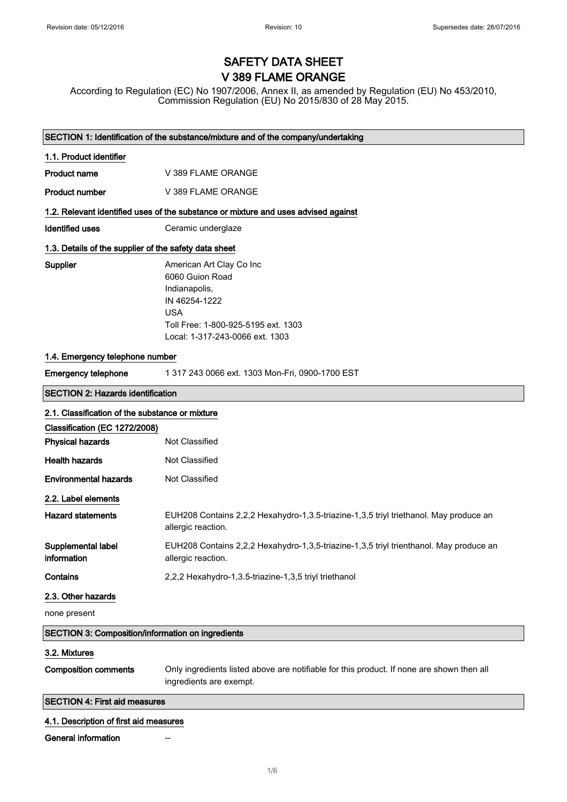# SAFETY DATA SHEET V 389 FLAME ORANGE

According to Regulation (EC) No 1907/2006, Annex II, as amended by Regulation (EU) No 453/2010, Commission Regulation (EU) No 2015/830 of 28 May 2015.

| SECTION 1: Identification of the substance/mixture and of the company/undertaking  |                                                                                                                                                                       |  |
|------------------------------------------------------------------------------------|-----------------------------------------------------------------------------------------------------------------------------------------------------------------------|--|
| 1.1. Product identifier                                                            |                                                                                                                                                                       |  |
| <b>Product name</b>                                                                | V 389 FLAME ORANGE                                                                                                                                                    |  |
| <b>Product number</b>                                                              | V 389 FLAME ORANGE                                                                                                                                                    |  |
| 1.2. Relevant identified uses of the substance or mixture and uses advised against |                                                                                                                                                                       |  |
| <b>Identified uses</b>                                                             | Ceramic underglaze                                                                                                                                                    |  |
| 1.3. Details of the supplier of the safety data sheet                              |                                                                                                                                                                       |  |
| Supplier                                                                           | American Art Clay Co Inc<br>6060 Guion Road<br>Indianapolis,<br>IN 46254-1222<br><b>USA</b><br>Toll Free: 1-800-925-5195 ext. 1303<br>Local: 1-317-243-0066 ext. 1303 |  |
| 1.4. Emergency telephone number                                                    |                                                                                                                                                                       |  |
| <b>Emergency telephone</b>                                                         | 1 317 243 0066 ext. 1303 Mon-Fri, 0900-1700 EST                                                                                                                       |  |
| <b>SECTION 2: Hazards identification</b>                                           |                                                                                                                                                                       |  |
| 2.1. Classification of the substance or mixture                                    |                                                                                                                                                                       |  |
| Classification (EC 1272/2008)                                                      |                                                                                                                                                                       |  |
| <b>Physical hazards</b>                                                            | Not Classified                                                                                                                                                        |  |
| <b>Health hazards</b>                                                              | Not Classified                                                                                                                                                        |  |
| <b>Environmental hazards</b>                                                       | Not Classified                                                                                                                                                        |  |
| 2.2. Label elements                                                                |                                                                                                                                                                       |  |
| <b>Hazard statements</b>                                                           | EUH208 Contains 2,2,2 Hexahydro-1,3.5-triazine-1,3,5 triyl triethanol. May produce an<br>allergic reaction.                                                           |  |
| Supplemental label<br>information                                                  | EUH208 Contains 2,2,2 Hexahydro-1,3,5-triazine-1,3,5 triyl trienthanol. May produce an<br>allergic reaction.                                                          |  |
| Contains                                                                           | 2,2,2 Hexahydro-1,3.5-triazine-1,3,5 triyl triethanol                                                                                                                 |  |
| 2.3. Other hazards                                                                 |                                                                                                                                                                       |  |
| none present                                                                       |                                                                                                                                                                       |  |
| SECTION 3: Composition/information on ingredients                                  |                                                                                                                                                                       |  |
| 3.2. Mixtures                                                                      |                                                                                                                                                                       |  |
| <b>Composition comments</b>                                                        | Only ingredients listed above are notifiable for this product. If none are shown then all<br>ingredients are exempt.                                                  |  |
| <b>SECTION 4: First aid measures</b>                                               |                                                                                                                                                                       |  |
| 4.1. Description of first aid measures                                             |                                                                                                                                                                       |  |
| <b>General information</b>                                                         |                                                                                                                                                                       |  |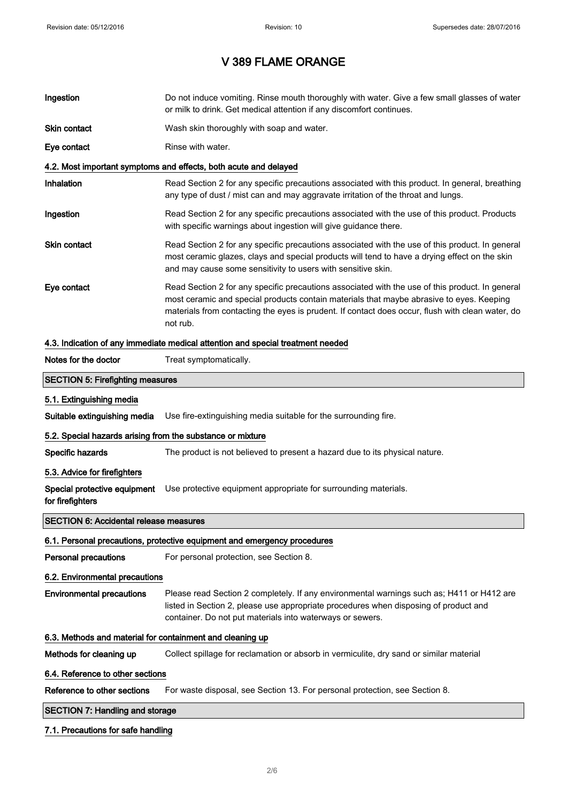| Ingestion                                                                       | Do not induce vomiting. Rinse mouth thoroughly with water. Give a few small glasses of water<br>or milk to drink. Get medical attention if any discomfort continues.                                                                                                                                        |  |
|---------------------------------------------------------------------------------|-------------------------------------------------------------------------------------------------------------------------------------------------------------------------------------------------------------------------------------------------------------------------------------------------------------|--|
| Skin contact                                                                    | Wash skin thoroughly with soap and water.                                                                                                                                                                                                                                                                   |  |
| Eye contact                                                                     | Rinse with water.                                                                                                                                                                                                                                                                                           |  |
|                                                                                 | 4.2. Most important symptoms and effects, both acute and delayed                                                                                                                                                                                                                                            |  |
| Inhalation                                                                      | Read Section 2 for any specific precautions associated with this product. In general, breathing<br>any type of dust / mist can and may aggravate irritation of the throat and lungs.                                                                                                                        |  |
| Ingestion                                                                       | Read Section 2 for any specific precautions associated with the use of this product. Products<br>with specific warnings about ingestion will give guidance there.                                                                                                                                           |  |
| Skin contact                                                                    | Read Section 2 for any specific precautions associated with the use of this product. In general<br>most ceramic glazes, clays and special products will tend to have a drying effect on the skin<br>and may cause some sensitivity to users with sensitive skin.                                            |  |
| Eye contact                                                                     | Read Section 2 for any specific precautions associated with the use of this product. In general<br>most ceramic and special products contain materials that maybe abrasive to eyes. Keeping<br>materials from contacting the eyes is prudent. If contact does occur, flush with clean water, do<br>not rub. |  |
| 4.3. Indication of any immediate medical attention and special treatment needed |                                                                                                                                                                                                                                                                                                             |  |
| Notes for the doctor                                                            | Treat symptomatically.                                                                                                                                                                                                                                                                                      |  |
| <b>SECTION 5: Firefighting measures</b>                                         |                                                                                                                                                                                                                                                                                                             |  |
| 5.1. Extinguishing media                                                        |                                                                                                                                                                                                                                                                                                             |  |
| Suitable extinguishing media                                                    | Use fire-extinguishing media suitable for the surrounding fire.                                                                                                                                                                                                                                             |  |
| 5.2. Special hazards arising from the substance or mixture                      |                                                                                                                                                                                                                                                                                                             |  |
| Specific hazards                                                                | The product is not believed to present a hazard due to its physical nature.                                                                                                                                                                                                                                 |  |
| 5.3. Advice for firefighters                                                    |                                                                                                                                                                                                                                                                                                             |  |
| Special protective equipment<br>for firefighters                                | Use protective equipment appropriate for surrounding materials.                                                                                                                                                                                                                                             |  |
| <b>SECTION 6: Accidental release measures</b>                                   |                                                                                                                                                                                                                                                                                                             |  |
|                                                                                 | 6.1. Personal precautions, protective equipment and emergency procedures                                                                                                                                                                                                                                    |  |
| Personal precautions                                                            | For personal protection, see Section 8.                                                                                                                                                                                                                                                                     |  |
| 6.2. Environmental precautions                                                  |                                                                                                                                                                                                                                                                                                             |  |
| <b>Environmental precautions</b>                                                | Please read Section 2 completely. If any environmental warnings such as; H411 or H412 are<br>listed in Section 2, please use appropriate procedures when disposing of product and<br>container. Do not put materials into waterways or sewers.                                                              |  |
| 6.3. Methods and material for containment and cleaning up                       |                                                                                                                                                                                                                                                                                                             |  |
| Methods for cleaning up                                                         | Collect spillage for reclamation or absorb in vermiculite, dry sand or similar material                                                                                                                                                                                                                     |  |
| 6.4. Reference to other sections                                                |                                                                                                                                                                                                                                                                                                             |  |
| Reference to other sections                                                     | For waste disposal, see Section 13. For personal protection, see Section 8.                                                                                                                                                                                                                                 |  |
| <b>SECTION 7: Handling and storage</b>                                          |                                                                                                                                                                                                                                                                                                             |  |
|                                                                                 |                                                                                                                                                                                                                                                                                                             |  |

### 7.1. Precautions for safe handling

 $\overline{\phantom{a}}$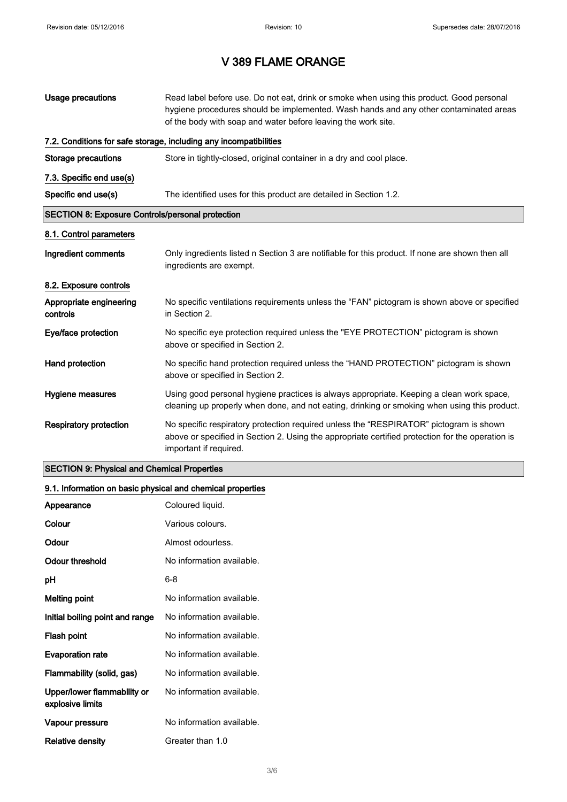| Usage precautions                                       | Read label before use. Do not eat, drink or smoke when using this product. Good personal<br>hygiene procedures should be implemented. Wash hands and any other contaminated areas<br>of the body with soap and water before leaving the work site. |  |
|---------------------------------------------------------|----------------------------------------------------------------------------------------------------------------------------------------------------------------------------------------------------------------------------------------------------|--|
|                                                         | 7.2. Conditions for safe storage, including any incompatibilities                                                                                                                                                                                  |  |
| <b>Storage precautions</b>                              | Store in tightly-closed, original container in a dry and cool place.                                                                                                                                                                               |  |
| 7.3. Specific end use(s)                                |                                                                                                                                                                                                                                                    |  |
| Specific end use(s)                                     | The identified uses for this product are detailed in Section 1.2.                                                                                                                                                                                  |  |
| <b>SECTION 8: Exposure Controls/personal protection</b> |                                                                                                                                                                                                                                                    |  |
| 8.1. Control parameters                                 |                                                                                                                                                                                                                                                    |  |
| Ingredient comments                                     | Only ingredients listed n Section 3 are notifiable for this product. If none are shown then all<br>ingredients are exempt.                                                                                                                         |  |
| 8.2. Exposure controls                                  |                                                                                                                                                                                                                                                    |  |
| Appropriate engineering<br>controls                     | No specific ventilations requirements unless the "FAN" pictogram is shown above or specified<br>in Section 2.                                                                                                                                      |  |
| Eye/face protection                                     | No specific eye protection required unless the "EYE PROTECTION" pictogram is shown<br>above or specified in Section 2.                                                                                                                             |  |
| Hand protection                                         | No specific hand protection required unless the "HAND PROTECTION" pictogram is shown<br>above or specified in Section 2.                                                                                                                           |  |
| Hygiene measures                                        | Using good personal hygiene practices is always appropriate. Keeping a clean work space,<br>cleaning up properly when done, and not eating, drinking or smoking when using this product.                                                           |  |
| <b>Respiratory protection</b>                           | No specific respiratory protection required unless the "RESPIRATOR" pictogram is shown<br>above or specified in Section 2. Using the appropriate certified protection for the operation is<br>important if required.                               |  |

### SECTION 9: Physical and Chemical Properties

### 9.1. Information on basic physical and chemical properties

| Appearance                                      | Coloured liquid.          |
|-------------------------------------------------|---------------------------|
| Colour                                          | Various colours.          |
| Odour                                           | Almost odourless.         |
| Odour threshold                                 | No information available. |
| рH                                              | 6-8                       |
| <b>Melting point</b>                            | No information available. |
| Initial boiling point and range                 | No information available. |
| Flash point                                     | No information available. |
| <b>Evaporation rate</b>                         | No information available. |
| Flammability (solid, gas)                       | No information available. |
| Upper/lower flammability or<br>explosive limits | No information available. |
| Vapour pressure                                 | No information available. |
| Relative density                                | Greater than 1.0          |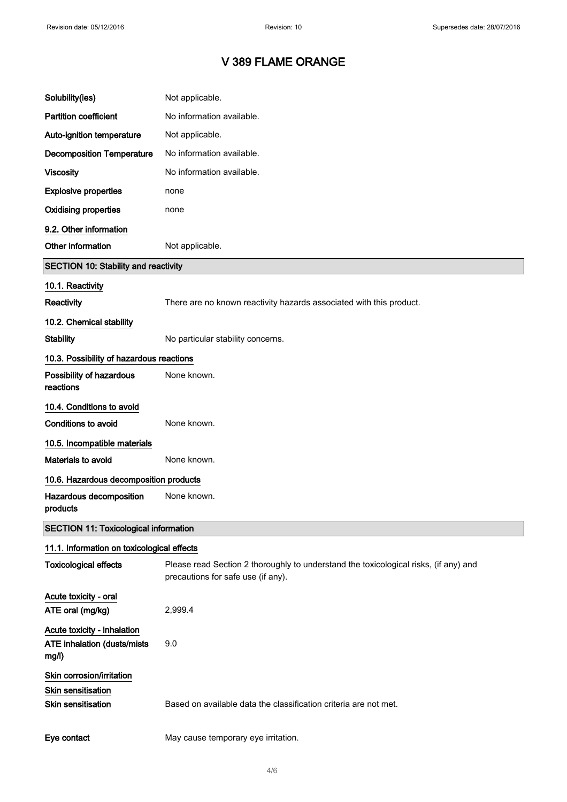| Solubility(ies)                                                              | Not applicable.                                                                                                            |
|------------------------------------------------------------------------------|----------------------------------------------------------------------------------------------------------------------------|
| <b>Partition coefficient</b>                                                 | No information available.                                                                                                  |
| Auto-ignition temperature                                                    | Not applicable.                                                                                                            |
| <b>Decomposition Temperature</b>                                             | No information available.                                                                                                  |
| <b>Viscosity</b>                                                             | No information available.                                                                                                  |
| <b>Explosive properties</b>                                                  | none                                                                                                                       |
| <b>Oxidising properties</b>                                                  | none                                                                                                                       |
| 9.2. Other information                                                       |                                                                                                                            |
| Other information                                                            | Not applicable.                                                                                                            |
| <b>SECTION 10: Stability and reactivity</b>                                  |                                                                                                                            |
| 10.1. Reactivity                                                             |                                                                                                                            |
| Reactivity                                                                   | There are no known reactivity hazards associated with this product.                                                        |
| 10.2. Chemical stability                                                     |                                                                                                                            |
| <b>Stability</b>                                                             | No particular stability concerns.                                                                                          |
| 10.3. Possibility of hazardous reactions                                     |                                                                                                                            |
| Possibility of hazardous<br>reactions                                        | None known.                                                                                                                |
| 10.4. Conditions to avoid                                                    |                                                                                                                            |
| Conditions to avoid                                                          | None known.                                                                                                                |
| 10.5. Incompatible materials                                                 |                                                                                                                            |
| Materials to avoid                                                           | None known.                                                                                                                |
| 10.6. Hazardous decomposition products                                       |                                                                                                                            |
| Hazardous decomposition<br>products                                          | None known.                                                                                                                |
| <b>SECTION 11: Toxicological information</b>                                 |                                                                                                                            |
| 11.1. Information on toxicological effects                                   |                                                                                                                            |
| <b>Toxicological effects</b>                                                 | Please read Section 2 thoroughly to understand the toxicological risks, (if any) and<br>precautions for safe use (if any). |
| Acute toxicity - oral<br>ATE oral (mg/kg)                                    | 2,999.4                                                                                                                    |
| Acute toxicity - inhalation<br>ATE inhalation (dusts/mists<br>mg/l)          | 9.0                                                                                                                        |
| Skin corrosion/irritation<br>Skin sensitisation<br><b>Skin sensitisation</b> | Based on available data the classification criteria are not met.                                                           |
| Eye contact                                                                  | May cause temporary eye irritation.                                                                                        |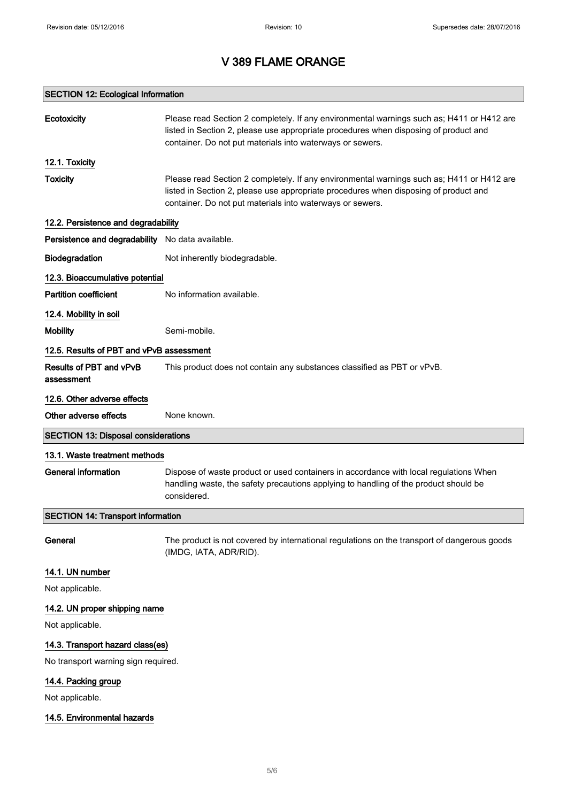### SECTION 12: Ecological Information

| <b>Ecotoxicity</b>                               | Please read Section 2 completely. If any environmental warnings such as; H411 or H412 are<br>listed in Section 2, please use appropriate procedures when disposing of product and<br>container. Do not put materials into waterways or sewers. |  |
|--------------------------------------------------|------------------------------------------------------------------------------------------------------------------------------------------------------------------------------------------------------------------------------------------------|--|
| 12.1. Toxicity                                   |                                                                                                                                                                                                                                                |  |
| <b>Toxicity</b>                                  | Please read Section 2 completely. If any environmental warnings such as; H411 or H412 are<br>listed in Section 2, please use appropriate procedures when disposing of product and<br>container. Do not put materials into waterways or sewers. |  |
| 12.2. Persistence and degradability              |                                                                                                                                                                                                                                                |  |
| Persistence and degradability No data available. |                                                                                                                                                                                                                                                |  |
| Biodegradation                                   | Not inherently biodegradable.                                                                                                                                                                                                                  |  |
| 12.3. Bioaccumulative potential                  |                                                                                                                                                                                                                                                |  |
| <b>Partition coefficient</b>                     | No information available.                                                                                                                                                                                                                      |  |
| 12.4. Mobility in soil                           |                                                                                                                                                                                                                                                |  |
| <b>Mobility</b>                                  | Semi-mobile.                                                                                                                                                                                                                                   |  |
| 12.5. Results of PBT and vPvB assessment         |                                                                                                                                                                                                                                                |  |
| Results of PBT and vPvB<br>assessment            | This product does not contain any substances classified as PBT or vPvB.                                                                                                                                                                        |  |
| 12.6. Other adverse effects                      |                                                                                                                                                                                                                                                |  |
| Other adverse effects                            | None known.                                                                                                                                                                                                                                    |  |
| <b>SECTION 13: Disposal considerations</b>       |                                                                                                                                                                                                                                                |  |
| 13.1. Waste treatment methods                    |                                                                                                                                                                                                                                                |  |
| <b>General information</b>                       | Dispose of waste product or used containers in accordance with local regulations When<br>handling waste, the safety precautions applying to handling of the product should be<br>considered.                                                   |  |
| <b>SECTION 14: Transport information</b>         |                                                                                                                                                                                                                                                |  |
| General                                          | The product is not covered by international regulations on the transport of dangerous goods<br>(IMDG, IATA, ADR/RID).                                                                                                                          |  |
| 14.1. UN number                                  |                                                                                                                                                                                                                                                |  |
| Not applicable.                                  |                                                                                                                                                                                                                                                |  |
| 14.2. UN proper shipping name                    |                                                                                                                                                                                                                                                |  |
| Not applicable.                                  |                                                                                                                                                                                                                                                |  |
| 14.3. Transport hazard class(es)                 |                                                                                                                                                                                                                                                |  |
| No transport warning sign required.              |                                                                                                                                                                                                                                                |  |
| 14.4. Packing group                              |                                                                                                                                                                                                                                                |  |
| Not applicable.                                  |                                                                                                                                                                                                                                                |  |
| 14.5. Environmental hazards                      |                                                                                                                                                                                                                                                |  |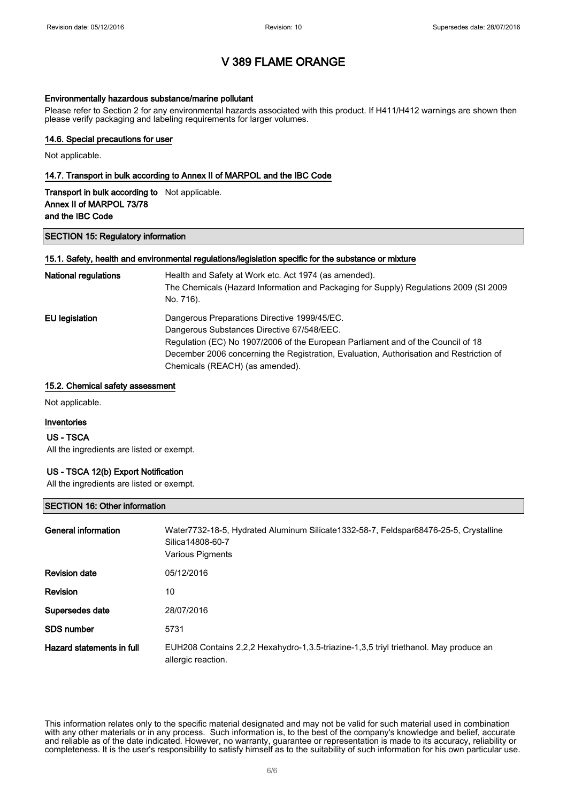#### Environmentally hazardous substance/marine pollutant

Please refer to Section 2 for any environmental hazards associated with this product. If H411/H412 warnings are shown then please verify packaging and labeling requirements for larger volumes.

### 14.6. Special precautions for user

Not applicable.

#### 14.7. Transport in bulk according to Annex II of MARPOL and the IBC Code

| <b>Transport in bulk according to</b> Not applicable. |  |
|-------------------------------------------------------|--|
| Annex II of MARPOL 73/78                              |  |
| and the IBC Code                                      |  |

#### SECTION 15: Regulatory information

#### 15.1. Safety, health and environmental regulations/legislation specific for the substance or mixture

| <b>National regulations</b> | Health and Safety at Work etc. Act 1974 (as amended).<br>The Chemicals (Hazard Information and Packaging for Supply) Regulations 2009 (SI 2009<br>No. 716). |
|-----------------------------|-------------------------------------------------------------------------------------------------------------------------------------------------------------|
| EU legislation              | Dangerous Preparations Directive 1999/45/EC.                                                                                                                |
|                             | Dangerous Substances Directive 67/548/EEC.                                                                                                                  |
|                             | Regulation (EC) No 1907/2006 of the European Parliament and of the Council of 18                                                                            |
|                             | December 2006 concerning the Registration, Evaluation, Authorisation and Restriction of                                                                     |
|                             | Chemicals (REACH) (as amended).                                                                                                                             |

#### 15.2. Chemical safety assessment

Not applicable.

#### Inventories

#### US - TSCA

All the ingredients are listed or exempt.

#### US - TSCA 12(b) Export Notification

All the ingredients are listed or exempt.

#### SECTION 16: Other information

| General information       | Water7732-18-5, Hydrated Aluminum Silicate1332-58-7, Feldspar68476-25-5, Crystalline<br>Silica14808-60-7<br><b>Various Pigments</b> |
|---------------------------|-------------------------------------------------------------------------------------------------------------------------------------|
| <b>Revision date</b>      | 05/12/2016                                                                                                                          |
| <b>Revision</b>           | 10                                                                                                                                  |
| Supersedes date           | 28/07/2016                                                                                                                          |
| <b>SDS number</b>         | 5731                                                                                                                                |
| Hazard statements in full | EUH208 Contains 2,2,2 Hexahydro-1,3.5-triazine-1,3,5 triyl triethanol. May produce an<br>allergic reaction.                         |

This information relates only to the specific material designated and may not be valid for such material used in combination with any other materials or in any process. Such information is, to the best of the company's knowledge and belief, accurate and reliable as of the date indicated. However, no warranty, guarantee or representation is made to its accuracy, reliability or completeness. It is the user's responsibility to satisfy himself as to the suitability of such information for his own particular use.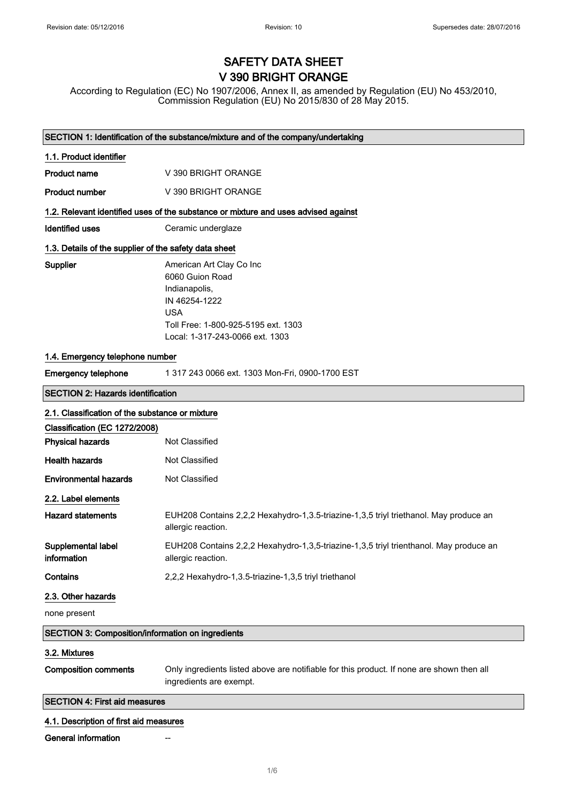# SAFETY DATA SHEET V 390 BRIGHT ORANGE

According to Regulation (EC) No 1907/2006, Annex II, as amended by Regulation (EU) No 453/2010, Commission Regulation (EU) No 2015/830 of 28 May 2015.

|                                                          | SECTION 1: Identification of the substance/mixture and of the company/undertaking                                                                                     |  |
|----------------------------------------------------------|-----------------------------------------------------------------------------------------------------------------------------------------------------------------------|--|
| 1.1. Product identifier                                  |                                                                                                                                                                       |  |
| <b>Product name</b>                                      | V 390 BRIGHT ORANGE                                                                                                                                                   |  |
| <b>Product number</b>                                    | V 390 BRIGHT ORANGE                                                                                                                                                   |  |
|                                                          | 1.2. Relevant identified uses of the substance or mixture and uses advised against                                                                                    |  |
| <b>Identified uses</b>                                   | Ceramic underglaze                                                                                                                                                    |  |
| 1.3. Details of the supplier of the safety data sheet    |                                                                                                                                                                       |  |
| Supplier                                                 | American Art Clay Co Inc<br>6060 Guion Road<br>Indianapolis,<br>IN 46254-1222<br><b>USA</b><br>Toll Free: 1-800-925-5195 ext. 1303<br>Local: 1-317-243-0066 ext. 1303 |  |
| 1.4. Emergency telephone number                          |                                                                                                                                                                       |  |
| <b>Emergency telephone</b>                               | 1 317 243 0066 ext. 1303 Mon-Fri, 0900-1700 EST                                                                                                                       |  |
| <b>SECTION 2: Hazards identification</b>                 |                                                                                                                                                                       |  |
| 2.1. Classification of the substance or mixture          |                                                                                                                                                                       |  |
| Classification (EC 1272/2008)                            |                                                                                                                                                                       |  |
| <b>Physical hazards</b>                                  | Not Classified                                                                                                                                                        |  |
| <b>Health hazards</b>                                    | Not Classified                                                                                                                                                        |  |
| <b>Environmental hazards</b>                             | Not Classified                                                                                                                                                        |  |
| 2.2. Label elements                                      |                                                                                                                                                                       |  |
| <b>Hazard statements</b>                                 | EUH208 Contains 2,2,2 Hexahydro-1,3.5-triazine-1,3,5 triyl triethanol. May produce an<br>allergic reaction.                                                           |  |
| Supplemental label<br>information                        | EUH208 Contains 2,2,2 Hexahydro-1,3,5-triazine-1,3,5 triyl trienthanol. May produce an<br>allergic reaction.                                                          |  |
| Contains                                                 | 2,2,2 Hexahydro-1,3.5-triazine-1,3,5 triyl triethanol                                                                                                                 |  |
| 2.3. Other hazards                                       |                                                                                                                                                                       |  |
| none present                                             |                                                                                                                                                                       |  |
| <b>SECTION 3: Composition/information on ingredients</b> |                                                                                                                                                                       |  |
| 3.2. Mixtures                                            |                                                                                                                                                                       |  |
| <b>Composition comments</b>                              | Only ingredients listed above are notifiable for this product. If none are shown then all<br>ingredients are exempt.                                                  |  |
| <b>SECTION 4: First aid measures</b>                     |                                                                                                                                                                       |  |
| 4.1. Description of first aid measures                   |                                                                                                                                                                       |  |
| <b>General information</b>                               |                                                                                                                                                                       |  |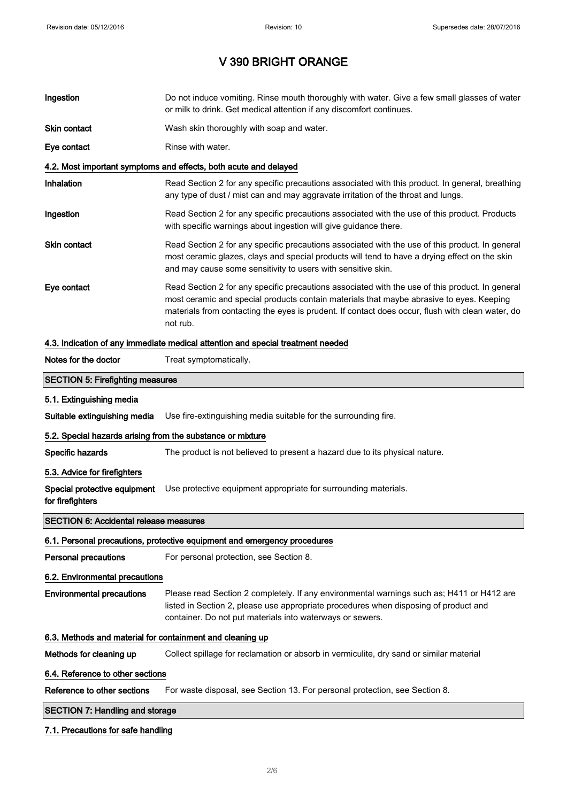| Do not induce vomiting. Rinse mouth thoroughly with water. Give a few small glasses of water<br>or milk to drink. Get medical attention if any discomfort continues.                                                                                                                                        |
|-------------------------------------------------------------------------------------------------------------------------------------------------------------------------------------------------------------------------------------------------------------------------------------------------------------|
| Wash skin thoroughly with soap and water.                                                                                                                                                                                                                                                                   |
| Rinse with water.                                                                                                                                                                                                                                                                                           |
| 4.2. Most important symptoms and effects, both acute and delayed                                                                                                                                                                                                                                            |
| Read Section 2 for any specific precautions associated with this product. In general, breathing<br>any type of dust / mist can and may aggravate irritation of the throat and lungs.                                                                                                                        |
| Read Section 2 for any specific precautions associated with the use of this product. Products<br>with specific warnings about ingestion will give guidance there.                                                                                                                                           |
| Read Section 2 for any specific precautions associated with the use of this product. In general<br>most ceramic glazes, clays and special products will tend to have a drying effect on the skin<br>and may cause some sensitivity to users with sensitive skin.                                            |
| Read Section 2 for any specific precautions associated with the use of this product. In general<br>most ceramic and special products contain materials that maybe abrasive to eyes. Keeping<br>materials from contacting the eyes is prudent. If contact does occur, flush with clean water, do<br>not rub. |
| 4.3. Indication of any immediate medical attention and special treatment needed                                                                                                                                                                                                                             |
| Treat symptomatically.                                                                                                                                                                                                                                                                                      |
| <b>SECTION 5: Firefighting measures</b>                                                                                                                                                                                                                                                                     |
|                                                                                                                                                                                                                                                                                                             |
| Use fire-extinguishing media suitable for the surrounding fire.                                                                                                                                                                                                                                             |
| 5.2. Special hazards arising from the substance or mixture                                                                                                                                                                                                                                                  |
| The product is not believed to present a hazard due to its physical nature.                                                                                                                                                                                                                                 |
|                                                                                                                                                                                                                                                                                                             |
|                                                                                                                                                                                                                                                                                                             |
| Use protective equipment appropriate for surrounding materials.                                                                                                                                                                                                                                             |
| <b>SECTION 6: Accidental release measures</b>                                                                                                                                                                                                                                                               |
| 6.1. Personal precautions, protective equipment and emergency procedures                                                                                                                                                                                                                                    |
| For personal protection, see Section 8.                                                                                                                                                                                                                                                                     |
| 6.2. Environmental precautions                                                                                                                                                                                                                                                                              |
| Please read Section 2 completely. If any environmental warnings such as; H411 or H412 are<br>listed in Section 2, please use appropriate procedures when disposing of product and<br>container. Do not put materials into waterways or sewers.                                                              |
| 6.3. Methods and material for containment and cleaning up                                                                                                                                                                                                                                                   |
| Collect spillage for reclamation or absorb in vermiculite, dry sand or similar material                                                                                                                                                                                                                     |
| 6.4. Reference to other sections                                                                                                                                                                                                                                                                            |
| For waste disposal, see Section 13. For personal protection, see Section 8.                                                                                                                                                                                                                                 |
|                                                                                                                                                                                                                                                                                                             |

### 7.1. Precautions for safe handling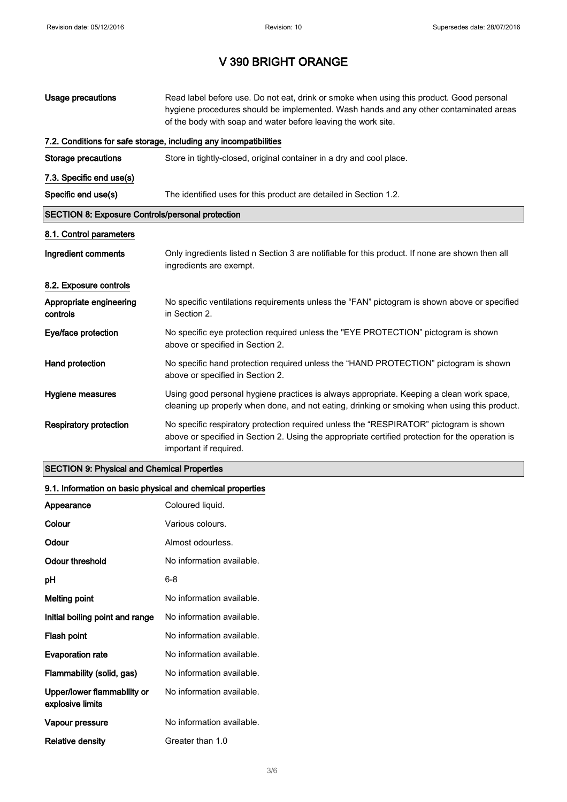| <b>Usage precautions</b>                                | Read label before use. Do not eat, drink or smoke when using this product. Good personal<br>hygiene procedures should be implemented. Wash hands and any other contaminated areas<br>of the body with soap and water before leaving the work site. |
|---------------------------------------------------------|----------------------------------------------------------------------------------------------------------------------------------------------------------------------------------------------------------------------------------------------------|
|                                                         | 7.2. Conditions for safe storage, including any incompatibilities                                                                                                                                                                                  |
| <b>Storage precautions</b>                              | Store in tightly-closed, original container in a dry and cool place.                                                                                                                                                                               |
| 7.3. Specific end use(s)                                |                                                                                                                                                                                                                                                    |
| Specific end use(s)                                     | The identified uses for this product are detailed in Section 1.2.                                                                                                                                                                                  |
| <b>SECTION 8: Exposure Controls/personal protection</b> |                                                                                                                                                                                                                                                    |
| 8.1. Control parameters                                 |                                                                                                                                                                                                                                                    |
| Ingredient comments                                     | Only ingredients listed n Section 3 are notifiable for this product. If none are shown then all<br>ingredients are exempt.                                                                                                                         |
| 8.2. Exposure controls                                  |                                                                                                                                                                                                                                                    |
| Appropriate engineering<br>controls                     | No specific ventilations requirements unless the "FAN" pictogram is shown above or specified<br>in Section 2.                                                                                                                                      |
| Eye/face protection                                     | No specific eye protection required unless the "EYE PROTECTION" pictogram is shown<br>above or specified in Section 2.                                                                                                                             |
| Hand protection                                         | No specific hand protection required unless the "HAND PROTECTION" pictogram is shown<br>above or specified in Section 2.                                                                                                                           |
| Hygiene measures                                        | Using good personal hygiene practices is always appropriate. Keeping a clean work space,<br>cleaning up properly when done, and not eating, drinking or smoking when using this product.                                                           |
| <b>Respiratory protection</b>                           | No specific respiratory protection required unless the "RESPIRATOR" pictogram is shown<br>above or specified in Section 2. Using the appropriate certified protection for the operation is<br>important if required.                               |

### SECTION 9: Physical and Chemical Properties

### 9.1. Information on basic physical and chemical properties

| Appearance                                      | Coloured liquid.          |
|-------------------------------------------------|---------------------------|
| Colour                                          | Various colours.          |
| Odour                                           | Almost odourless.         |
| Odour threshold                                 | No information available. |
| рH                                              | 6-8                       |
| <b>Melting point</b>                            | No information available. |
| Initial boiling point and range                 | No information available. |
| Flash point                                     | No information available. |
| <b>Evaporation rate</b>                         | No information available. |
| Flammability (solid, gas)                       | No information available. |
| Upper/lower flammability or<br>explosive limits | No information available. |
| Vapour pressure                                 | No information available. |
| Relative density                                | Greater than 1.0          |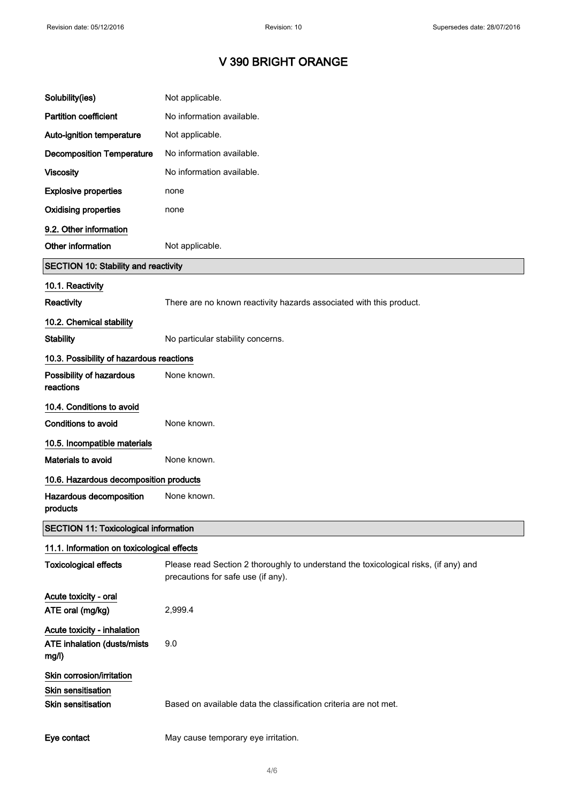| Solubility(ies)                                                                     | Not applicable.                                                                                                            |
|-------------------------------------------------------------------------------------|----------------------------------------------------------------------------------------------------------------------------|
| <b>Partition coefficient</b>                                                        | No information available.                                                                                                  |
| Auto-ignition temperature                                                           | Not applicable.                                                                                                            |
| <b>Decomposition Temperature</b>                                                    | No information available.                                                                                                  |
| <b>Viscosity</b>                                                                    | No information available.                                                                                                  |
| <b>Explosive properties</b>                                                         | none                                                                                                                       |
| <b>Oxidising properties</b>                                                         | none                                                                                                                       |
| 9.2. Other information                                                              |                                                                                                                            |
| Other information                                                                   | Not applicable.                                                                                                            |
| <b>SECTION 10: Stability and reactivity</b>                                         |                                                                                                                            |
| 10.1. Reactivity                                                                    |                                                                                                                            |
| Reactivity                                                                          | There are no known reactivity hazards associated with this product.                                                        |
| 10.2. Chemical stability                                                            |                                                                                                                            |
| <b>Stability</b>                                                                    | No particular stability concerns.                                                                                          |
| 10.3. Possibility of hazardous reactions                                            |                                                                                                                            |
| Possibility of hazardous<br>reactions                                               | None known.                                                                                                                |
| 10.4. Conditions to avoid                                                           |                                                                                                                            |
| <b>Conditions to avoid</b>                                                          | None known.                                                                                                                |
| 10.5. Incompatible materials                                                        |                                                                                                                            |
| Materials to avoid                                                                  | None known.                                                                                                                |
| 10.6. Hazardous decomposition products                                              |                                                                                                                            |
| Hazardous decomposition<br>products                                                 | None known.                                                                                                                |
| <b>SECTION 11: Toxicological information</b>                                        |                                                                                                                            |
| 11.1. Information on toxicological effects                                          |                                                                                                                            |
| <b>Toxicological effects</b>                                                        | Please read Section 2 thoroughly to understand the toxicological risks, (if any) and<br>precautions for safe use (if any). |
| Acute toxicity - oral<br>ATE oral (mg/kg)                                           | 2,999.4                                                                                                                    |
| Acute toxicity - inhalation<br>ATE inhalation (dusts/mists<br>mg/l)                 | 9.0                                                                                                                        |
| Skin corrosion/irritation<br><b>Skin sensitisation</b><br><b>Skin sensitisation</b> | Based on available data the classification criteria are not met.                                                           |
| Eye contact                                                                         | May cause temporary eye irritation.                                                                                        |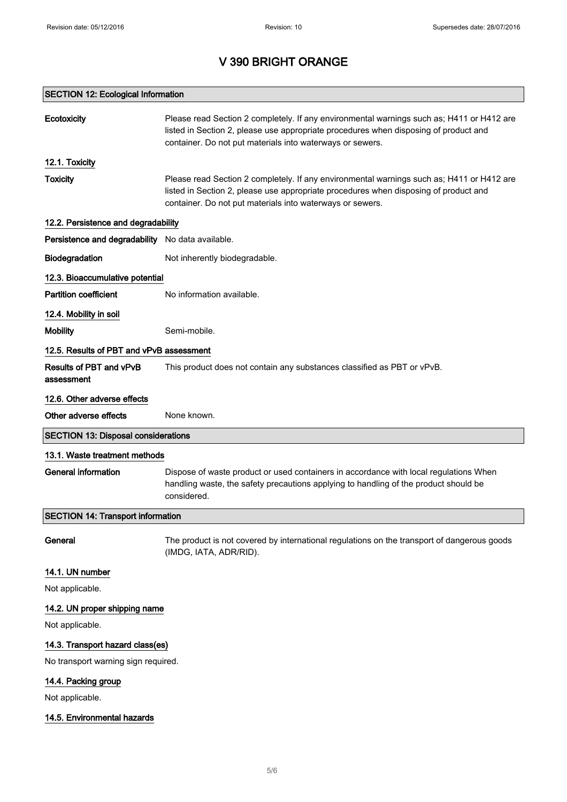| <b>Ecotoxicity</b>                               | Please read Section 2 completely. If any environmental warnings such as; H411 or H412 are<br>listed in Section 2, please use appropriate procedures when disposing of product and<br>container. Do not put materials into waterways or sewers. |  |
|--------------------------------------------------|------------------------------------------------------------------------------------------------------------------------------------------------------------------------------------------------------------------------------------------------|--|
| 12.1. Toxicity                                   |                                                                                                                                                                                                                                                |  |
| <b>Toxicity</b>                                  | Please read Section 2 completely. If any environmental warnings such as; H411 or H412 are<br>listed in Section 2, please use appropriate procedures when disposing of product and<br>container. Do not put materials into waterways or sewers. |  |
| 12.2. Persistence and degradability              |                                                                                                                                                                                                                                                |  |
| Persistence and degradability No data available. |                                                                                                                                                                                                                                                |  |
| Biodegradation                                   | Not inherently biodegradable.                                                                                                                                                                                                                  |  |
| 12.3. Bioaccumulative potential                  |                                                                                                                                                                                                                                                |  |
| Partition coefficient                            | No information available.                                                                                                                                                                                                                      |  |
| 12.4. Mobility in soil                           |                                                                                                                                                                                                                                                |  |
| <b>Mobility</b>                                  | Semi-mobile.                                                                                                                                                                                                                                   |  |
| 12.5. Results of PBT and vPvB assessment         |                                                                                                                                                                                                                                                |  |
| Results of PBT and vPvB<br>assessment            | This product does not contain any substances classified as PBT or vPvB.                                                                                                                                                                        |  |
| 12.6. Other adverse effects                      |                                                                                                                                                                                                                                                |  |
| Other adverse effects                            | None known.                                                                                                                                                                                                                                    |  |
| <b>SECTION 13: Disposal considerations</b>       |                                                                                                                                                                                                                                                |  |
| 13.1. Waste treatment methods                    |                                                                                                                                                                                                                                                |  |
| <b>General information</b>                       | Dispose of waste product or used containers in accordance with local regulations When<br>handling waste, the safety precautions applying to handling of the product should be<br>considered.                                                   |  |
| <b>SECTION 14: Transport information</b>         |                                                                                                                                                                                                                                                |  |
| General                                          | The product is not covered by international regulations on the transport of dangerous goods<br>(IMDG, IATA, ADR/RID).                                                                                                                          |  |
| 14.1. UN number                                  |                                                                                                                                                                                                                                                |  |
| Not applicable.                                  |                                                                                                                                                                                                                                                |  |
| 14.2. UN proper shipping name                    |                                                                                                                                                                                                                                                |  |
| Not applicable.                                  |                                                                                                                                                                                                                                                |  |
| 14.3. Transport hazard class(es)                 |                                                                                                                                                                                                                                                |  |
| No transport warning sign required.              |                                                                                                                                                                                                                                                |  |
| 14.4. Packing group                              |                                                                                                                                                                                                                                                |  |
| Not applicable.                                  |                                                                                                                                                                                                                                                |  |
| 14.5. Environmental hazards                      |                                                                                                                                                                                                                                                |  |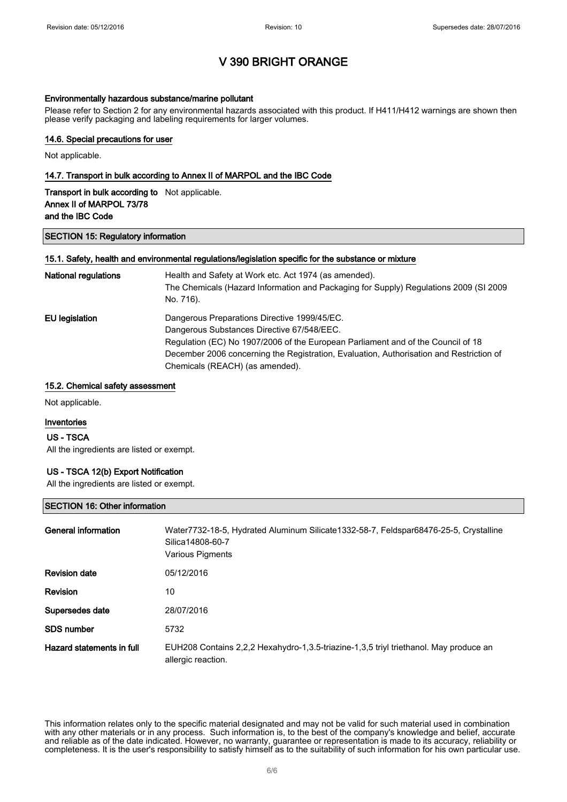#### Environmentally hazardous substance/marine pollutant

Please refer to Section 2 for any environmental hazards associated with this product. If H411/H412 warnings are shown then please verify packaging and labeling requirements for larger volumes.

### 14.6. Special precautions for user

Not applicable.

#### 14.7. Transport in bulk according to Annex II of MARPOL and the IBC Code

| <b>Transport in bulk according to</b> Not applicable. |  |
|-------------------------------------------------------|--|
| Annex II of MARPOL 73/78                              |  |
| and the IBC Code                                      |  |

#### SECTION 15: Regulatory information

#### 15.1. Safety, health and environmental regulations/legislation specific for the substance or mixture

| <b>National regulations</b> | Health and Safety at Work etc. Act 1974 (as amended).<br>The Chemicals (Hazard Information and Packaging for Supply) Regulations 2009 (SI 2009<br>No. 716). |
|-----------------------------|-------------------------------------------------------------------------------------------------------------------------------------------------------------|
| EU legislation              | Dangerous Preparations Directive 1999/45/EC.                                                                                                                |
|                             | Dangerous Substances Directive 67/548/EEC.                                                                                                                  |
|                             | Regulation (EC) No 1907/2006 of the European Parliament and of the Council of 18                                                                            |
|                             | December 2006 concerning the Registration, Evaluation, Authorisation and Restriction of                                                                     |
|                             | Chemicals (REACH) (as amended).                                                                                                                             |

#### 15.2. Chemical safety assessment

Not applicable.

#### Inventories

#### US - TSCA

All the ingredients are listed or exempt.

#### US - TSCA 12(b) Export Notification

All the ingredients are listed or exempt.

#### SECTION 16: Other information

| General information       | Water7732-18-5, Hydrated Aluminum Silicate1332-58-7, Feldspar68476-25-5, Crystalline<br>Silica14808-60-7<br>Various Pigments |
|---------------------------|------------------------------------------------------------------------------------------------------------------------------|
| <b>Revision date</b>      | 05/12/2016                                                                                                                   |
| <b>Revision</b>           | 10                                                                                                                           |
| Supersedes date           | 28/07/2016                                                                                                                   |
| SDS number                | 5732                                                                                                                         |
| Hazard statements in full | EUH208 Contains 2,2,2 Hexahydro-1,3.5-triazine-1,3,5 triyl triethanol. May produce an<br>allergic reaction.                  |

This information relates only to the specific material designated and may not be valid for such material used in combination with any other materials or in any process. Such information is, to the best of the company's knowledge and belief, accurate and reliable as of the date indicated. However, no warranty, guarantee or representation is made to its accuracy, reliability or completeness. It is the user's responsibility to satisfy himself as to the suitability of such information for his own particular use.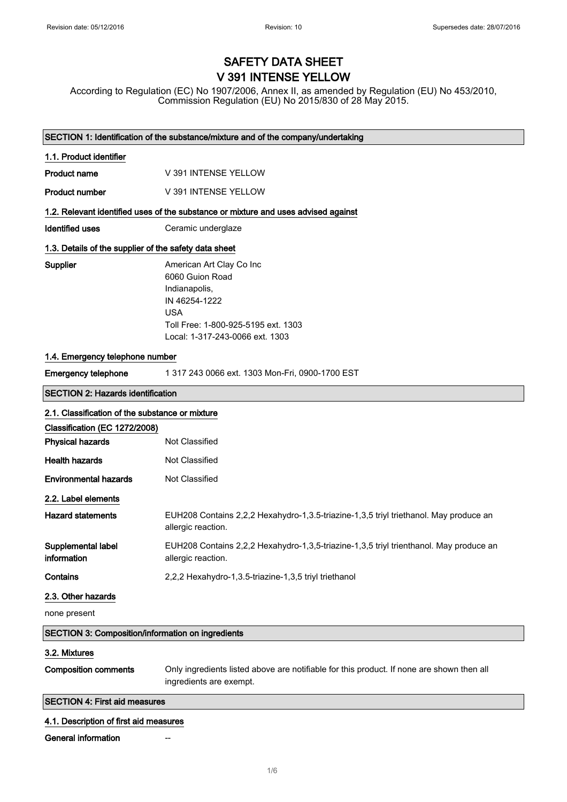# SAFETY DATA SHEET V 391 INTENSE YELLOW

According to Regulation (EC) No 1907/2006, Annex II, as amended by Regulation (EU) No 453/2010, Commission Regulation (EU) No 2015/830 of 28 May 2015.

| SECTION 1: Identification of the substance/mixture and of the company/undertaking  |                                                                                                                                                                       |  |  |
|------------------------------------------------------------------------------------|-----------------------------------------------------------------------------------------------------------------------------------------------------------------------|--|--|
| 1.1. Product identifier                                                            |                                                                                                                                                                       |  |  |
| <b>Product name</b>                                                                | V 391 INTENSE YELLOW                                                                                                                                                  |  |  |
| <b>Product number</b>                                                              | V 391 INTENSE YELLOW                                                                                                                                                  |  |  |
| 1.2. Relevant identified uses of the substance or mixture and uses advised against |                                                                                                                                                                       |  |  |
| <b>Identified uses</b>                                                             | Ceramic underglaze                                                                                                                                                    |  |  |
| 1.3. Details of the supplier of the safety data sheet                              |                                                                                                                                                                       |  |  |
| Supplier                                                                           | American Art Clay Co Inc<br>6060 Guion Road<br>Indianapolis,<br>IN 46254-1222<br><b>USA</b><br>Toll Free: 1-800-925-5195 ext. 1303<br>Local: 1-317-243-0066 ext. 1303 |  |  |
| 1.4. Emergency telephone number                                                    |                                                                                                                                                                       |  |  |
| <b>Emergency telephone</b>                                                         | 1 317 243 0066 ext. 1303 Mon-Fri, 0900-1700 EST                                                                                                                       |  |  |
| <b>SECTION 2: Hazards identification</b>                                           |                                                                                                                                                                       |  |  |
| 2.1. Classification of the substance or mixture                                    |                                                                                                                                                                       |  |  |
| Classification (EC 1272/2008)                                                      |                                                                                                                                                                       |  |  |
| <b>Physical hazards</b>                                                            | Not Classified                                                                                                                                                        |  |  |
| <b>Health hazards</b>                                                              | Not Classified                                                                                                                                                        |  |  |
| <b>Environmental hazards</b>                                                       | Not Classified                                                                                                                                                        |  |  |
| 2.2. Label elements                                                                |                                                                                                                                                                       |  |  |
| <b>Hazard statements</b>                                                           | EUH208 Contains 2,2,2 Hexahydro-1,3.5-triazine-1,3,5 triyl triethanol. May produce an<br>allergic reaction.                                                           |  |  |
| Supplemental label<br>information                                                  | EUH208 Contains 2,2,2 Hexahydro-1,3,5-triazine-1,3,5 triyl trienthanol. May produce an<br>allergic reaction.                                                          |  |  |
| Contains                                                                           | 2,2,2 Hexahydro-1,3.5-triazine-1,3,5 triyl triethanol                                                                                                                 |  |  |
| 2.3. Other hazards                                                                 |                                                                                                                                                                       |  |  |
| none present                                                                       |                                                                                                                                                                       |  |  |
| SECTION 3: Composition/information on ingredients                                  |                                                                                                                                                                       |  |  |
| 3.2. Mixtures                                                                      |                                                                                                                                                                       |  |  |
| <b>Composition comments</b>                                                        | Only ingredients listed above are notifiable for this product. If none are shown then all<br>ingredients are exempt.                                                  |  |  |
| <b>SECTION 4: First aid measures</b>                                               |                                                                                                                                                                       |  |  |
| 4.1. Description of first aid measures                                             |                                                                                                                                                                       |  |  |
| <b>General information</b>                                                         |                                                                                                                                                                       |  |  |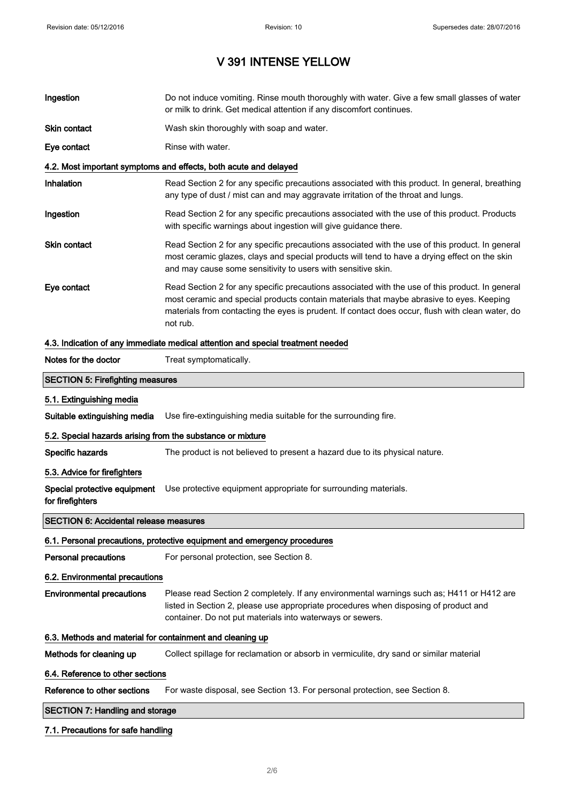# V 391 INTENSE YELLOW

| Ingestion                                                                       | Do not induce vomiting. Rinse mouth thoroughly with water. Give a few small glasses of water<br>or milk to drink. Get medical attention if any discomfort continues.                                                                                                                                        |  |  |  |
|---------------------------------------------------------------------------------|-------------------------------------------------------------------------------------------------------------------------------------------------------------------------------------------------------------------------------------------------------------------------------------------------------------|--|--|--|
| Skin contact                                                                    | Wash skin thoroughly with soap and water.                                                                                                                                                                                                                                                                   |  |  |  |
| Eye contact                                                                     | Rinse with water.                                                                                                                                                                                                                                                                                           |  |  |  |
| 4.2. Most important symptoms and effects, both acute and delayed                |                                                                                                                                                                                                                                                                                                             |  |  |  |
| Inhalation                                                                      | Read Section 2 for any specific precautions associated with this product. In general, breathing<br>any type of dust / mist can and may aggravate irritation of the throat and lungs.                                                                                                                        |  |  |  |
| Ingestion                                                                       | Read Section 2 for any specific precautions associated with the use of this product. Products<br>with specific warnings about ingestion will give guidance there.                                                                                                                                           |  |  |  |
| Skin contact                                                                    | Read Section 2 for any specific precautions associated with the use of this product. In general<br>most ceramic glazes, clays and special products will tend to have a drying effect on the skin<br>and may cause some sensitivity to users with sensitive skin.                                            |  |  |  |
| Eye contact                                                                     | Read Section 2 for any specific precautions associated with the use of this product. In general<br>most ceramic and special products contain materials that maybe abrasive to eyes. Keeping<br>materials from contacting the eyes is prudent. If contact does occur, flush with clean water, do<br>not rub. |  |  |  |
| 4.3. Indication of any immediate medical attention and special treatment needed |                                                                                                                                                                                                                                                                                                             |  |  |  |
| Notes for the doctor                                                            | Treat symptomatically.                                                                                                                                                                                                                                                                                      |  |  |  |
| <b>SECTION 5: Firefighting measures</b>                                         |                                                                                                                                                                                                                                                                                                             |  |  |  |
| 5.1. Extinguishing media                                                        |                                                                                                                                                                                                                                                                                                             |  |  |  |
| Suitable extinguishing media                                                    | Use fire-extinguishing media suitable for the surrounding fire.                                                                                                                                                                                                                                             |  |  |  |
| 5.2. Special hazards arising from the substance or mixture                      |                                                                                                                                                                                                                                                                                                             |  |  |  |
| Specific hazards                                                                | The product is not believed to present a hazard due to its physical nature.                                                                                                                                                                                                                                 |  |  |  |
| 5.3. Advice for firefighters                                                    |                                                                                                                                                                                                                                                                                                             |  |  |  |
| for firefighters                                                                | Special protective equipment Use protective equipment appropriate for surrounding materials.                                                                                                                                                                                                                |  |  |  |
| <b>SECTION 6: Accidental release measures</b>                                   |                                                                                                                                                                                                                                                                                                             |  |  |  |
|                                                                                 | 6.1. Personal precautions, protective equipment and emergency procedures                                                                                                                                                                                                                                    |  |  |  |
| <b>Personal precautions</b>                                                     | For personal protection, see Section 8.                                                                                                                                                                                                                                                                     |  |  |  |
| 6.2. Environmental precautions                                                  |                                                                                                                                                                                                                                                                                                             |  |  |  |
| <b>Environmental precautions</b>                                                | Please read Section 2 completely. If any environmental warnings such as; H411 or H412 are<br>listed in Section 2, please use appropriate procedures when disposing of product and<br>container. Do not put materials into waterways or sewers.                                                              |  |  |  |
|                                                                                 | 6.3. Methods and material for containment and cleaning up                                                                                                                                                                                                                                                   |  |  |  |
| Methods for cleaning up                                                         | Collect spillage for reclamation or absorb in vermiculite, dry sand or similar material                                                                                                                                                                                                                     |  |  |  |
| 6.4. Reference to other sections                                                |                                                                                                                                                                                                                                                                                                             |  |  |  |
| Reference to other sections                                                     | For waste disposal, see Section 13. For personal protection, see Section 8.                                                                                                                                                                                                                                 |  |  |  |
| <b>SECTION 7: Handling and storage</b>                                          |                                                                                                                                                                                                                                                                                                             |  |  |  |
|                                                                                 |                                                                                                                                                                                                                                                                                                             |  |  |  |

### 7.1. Precautions for safe handling

 $\overline{\phantom{a}}$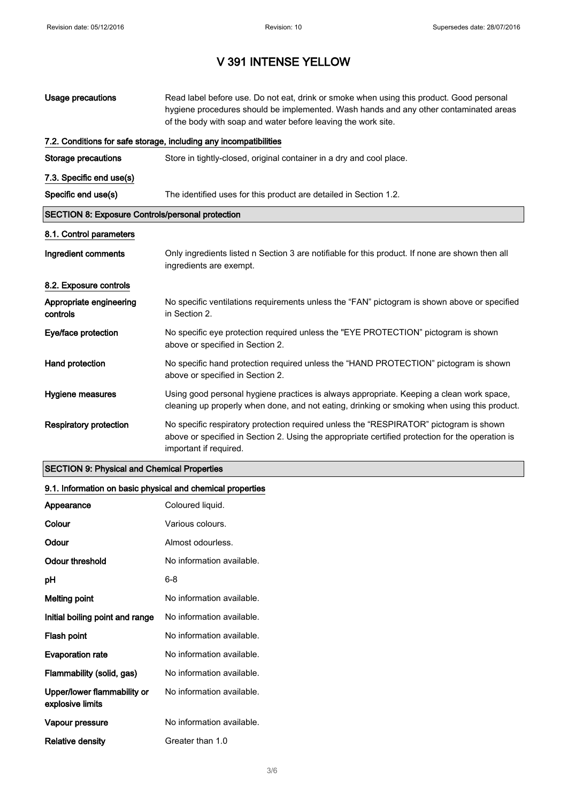# V 391 INTENSE YELLOW

| <b>Usage precautions</b>                                          | Read label before use. Do not eat, drink or smoke when using this product. Good personal<br>hygiene procedures should be implemented. Wash hands and any other contaminated areas<br>of the body with soap and water before leaving the work site. |  |  |
|-------------------------------------------------------------------|----------------------------------------------------------------------------------------------------------------------------------------------------------------------------------------------------------------------------------------------------|--|--|
| 7.2. Conditions for safe storage, including any incompatibilities |                                                                                                                                                                                                                                                    |  |  |
| <b>Storage precautions</b>                                        | Store in tightly-closed, original container in a dry and cool place.                                                                                                                                                                               |  |  |
| 7.3. Specific end use(s)                                          |                                                                                                                                                                                                                                                    |  |  |
| Specific end use(s)                                               | The identified uses for this product are detailed in Section 1.2.                                                                                                                                                                                  |  |  |
| <b>SECTION 8: Exposure Controls/personal protection</b>           |                                                                                                                                                                                                                                                    |  |  |
| 8.1. Control parameters                                           |                                                                                                                                                                                                                                                    |  |  |
| Ingredient comments                                               | Only ingredients listed n Section 3 are notifiable for this product. If none are shown then all<br>ingredients are exempt.                                                                                                                         |  |  |
| 8.2. Exposure controls                                            |                                                                                                                                                                                                                                                    |  |  |
| Appropriate engineering<br>controls                               | No specific ventilations requirements unless the "FAN" pictogram is shown above or specified<br>in Section 2.                                                                                                                                      |  |  |
| Eye/face protection                                               | No specific eye protection required unless the "EYE PROTECTION" pictogram is shown<br>above or specified in Section 2.                                                                                                                             |  |  |
| Hand protection                                                   | No specific hand protection required unless the "HAND PROTECTION" pictogram is shown<br>above or specified in Section 2.                                                                                                                           |  |  |
| Hygiene measures                                                  | Using good personal hygiene practices is always appropriate. Keeping a clean work space,<br>cleaning up properly when done, and not eating, drinking or smoking when using this product.                                                           |  |  |
| <b>Respiratory protection</b>                                     | No specific respiratory protection required unless the "RESPIRATOR" pictogram is shown<br>above or specified in Section 2. Using the appropriate certified protection for the operation is<br>important if required.                               |  |  |

### SECTION 9: Physical and Chemical Properties

### 9.1. Information on basic physical and chemical properties

| Appearance                                      | Coloured liquid.          |
|-------------------------------------------------|---------------------------|
| Colour                                          | Various colours.          |
| Odour                                           | Almost odourless.         |
| Odour threshold                                 | No information available. |
| рH                                              | 6-8                       |
| <b>Melting point</b>                            | No information available. |
| Initial boiling point and range                 | No information available. |
| Flash point                                     | No information available. |
| <b>Evaporation rate</b>                         | No information available. |
| Flammability (solid, gas)                       | No information available. |
| Upper/lower flammability or<br>explosive limits | No information available. |
| Vapour pressure                                 | No information available. |
| Relative density                                | Greater than 1.0          |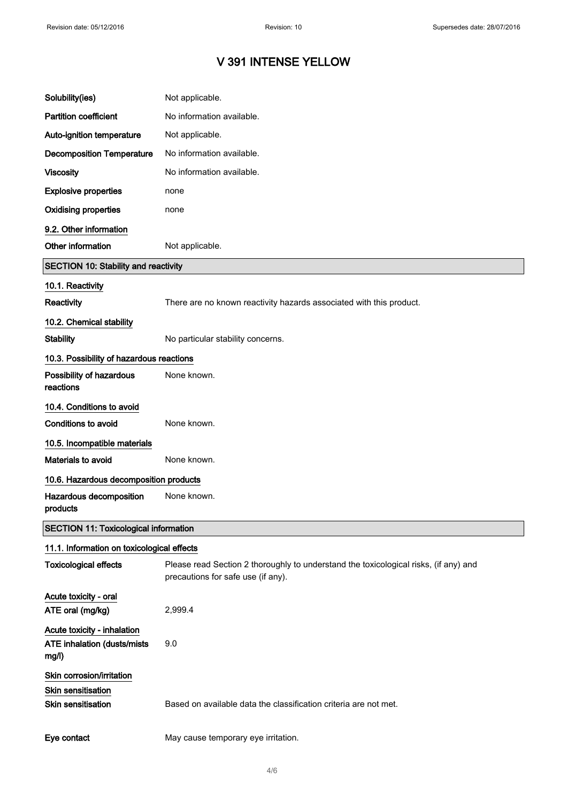# V 391 INTENSE YELLOW

| Solubility(ies)                                                                     | Not applicable.                                                                                                            |
|-------------------------------------------------------------------------------------|----------------------------------------------------------------------------------------------------------------------------|
| <b>Partition coefficient</b>                                                        | No information available.                                                                                                  |
| Auto-ignition temperature                                                           | Not applicable.                                                                                                            |
| <b>Decomposition Temperature</b>                                                    | No information available.                                                                                                  |
| <b>Viscosity</b>                                                                    | No information available.                                                                                                  |
| <b>Explosive properties</b>                                                         | none                                                                                                                       |
| <b>Oxidising properties</b>                                                         | none                                                                                                                       |
| 9.2. Other information                                                              |                                                                                                                            |
| Other information                                                                   | Not applicable.                                                                                                            |
| SECTION 10: Stability and reactivity                                                |                                                                                                                            |
| 10.1. Reactivity                                                                    |                                                                                                                            |
| <b>Reactivity</b>                                                                   | There are no known reactivity hazards associated with this product.                                                        |
| 10.2. Chemical stability                                                            |                                                                                                                            |
| <b>Stability</b>                                                                    | No particular stability concerns.                                                                                          |
| 10.3. Possibility of hazardous reactions                                            |                                                                                                                            |
| Possibility of hazardous<br>reactions                                               | None known.                                                                                                                |
| 10.4. Conditions to avoid                                                           |                                                                                                                            |
| Conditions to avoid                                                                 | None known.                                                                                                                |
| 10.5. Incompatible materials                                                        |                                                                                                                            |
| Materials to avoid                                                                  | None known.                                                                                                                |
| 10.6. Hazardous decomposition products                                              |                                                                                                                            |
| Hazardous decomposition<br>products                                                 | None known.                                                                                                                |
| <b>SECTION 11: Toxicological information</b>                                        |                                                                                                                            |
| 11.1. Information on toxicological effects                                          |                                                                                                                            |
| <b>Toxicological effects</b>                                                        | Please read Section 2 thoroughly to understand the toxicological risks, (if any) and<br>precautions for safe use (if any). |
| Acute toxicity - oral<br>ATE oral (mg/kg)                                           | 2,999.4                                                                                                                    |
| Acute toxicity - inhalation<br>ATE inhalation (dusts/mists<br>mg/l)                 | 9.0                                                                                                                        |
| Skin corrosion/irritation<br><b>Skin sensitisation</b><br><b>Skin sensitisation</b> | Based on available data the classification criteria are not met.                                                           |
| Eye contact                                                                         | May cause temporary eye irritation.                                                                                        |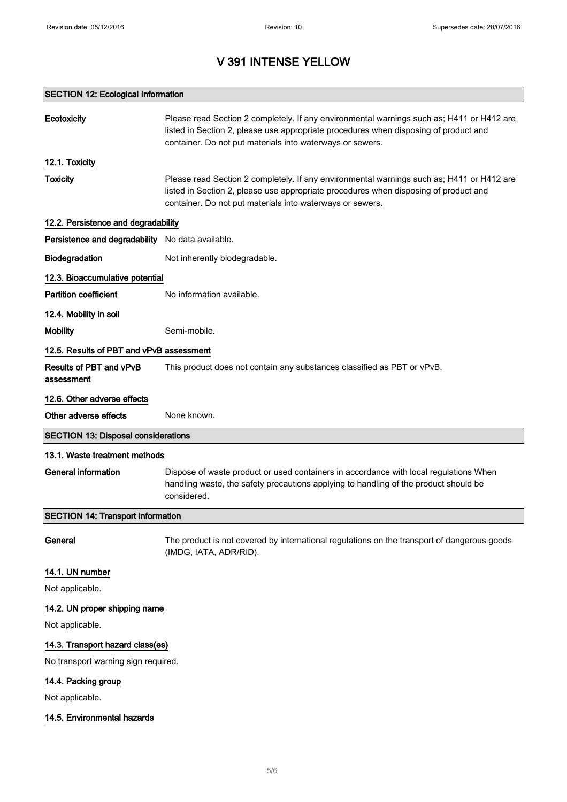# V 391 INTENSE YELLOW

### SECTION 12: Ecological Information

| <b>Ecotoxicity</b>                               | Please read Section 2 completely. If any environmental warnings such as; H411 or H412 are<br>listed in Section 2, please use appropriate procedures when disposing of product and<br>container. Do not put materials into waterways or sewers. |  |
|--------------------------------------------------|------------------------------------------------------------------------------------------------------------------------------------------------------------------------------------------------------------------------------------------------|--|
| 12.1. Toxicity                                   |                                                                                                                                                                                                                                                |  |
| <b>Toxicity</b>                                  | Please read Section 2 completely. If any environmental warnings such as; H411 or H412 are<br>listed in Section 2, please use appropriate procedures when disposing of product and<br>container. Do not put materials into waterways or sewers. |  |
| 12.2. Persistence and degradability              |                                                                                                                                                                                                                                                |  |
| Persistence and degradability No data available. |                                                                                                                                                                                                                                                |  |
| Biodegradation                                   | Not inherently biodegradable.                                                                                                                                                                                                                  |  |
| 12.3. Bioaccumulative potential                  |                                                                                                                                                                                                                                                |  |
| <b>Partition coefficient</b>                     | No information available.                                                                                                                                                                                                                      |  |
| 12.4. Mobility in soil                           |                                                                                                                                                                                                                                                |  |
| <b>Mobility</b>                                  | Semi-mobile.                                                                                                                                                                                                                                   |  |
| 12.5. Results of PBT and vPvB assessment         |                                                                                                                                                                                                                                                |  |
| Results of PBT and vPvB<br>assessment            | This product does not contain any substances classified as PBT or vPvB.                                                                                                                                                                        |  |
| 12.6. Other adverse effects                      |                                                                                                                                                                                                                                                |  |
| Other adverse effects                            | None known.                                                                                                                                                                                                                                    |  |
| <b>SECTION 13: Disposal considerations</b>       |                                                                                                                                                                                                                                                |  |
| 13.1. Waste treatment methods                    |                                                                                                                                                                                                                                                |  |
| <b>General information</b>                       | Dispose of waste product or used containers in accordance with local regulations When<br>handling waste, the safety precautions applying to handling of the product should be<br>considered.                                                   |  |
| <b>SECTION 14: Transport information</b>         |                                                                                                                                                                                                                                                |  |
| General                                          | The product is not covered by international regulations on the transport of dangerous goods<br>(IMDG, IATA, ADR/RID).                                                                                                                          |  |
| 14.1. UN number                                  |                                                                                                                                                                                                                                                |  |
| Not applicable.                                  |                                                                                                                                                                                                                                                |  |
| 14.2. UN proper shipping name                    |                                                                                                                                                                                                                                                |  |
| Not applicable.                                  |                                                                                                                                                                                                                                                |  |
| 14.3. Transport hazard class(es)                 |                                                                                                                                                                                                                                                |  |
| No transport warning sign required.              |                                                                                                                                                                                                                                                |  |
| 14.4. Packing group                              |                                                                                                                                                                                                                                                |  |
| Not applicable.                                  |                                                                                                                                                                                                                                                |  |
| 14.5. Environmental hazards                      |                                                                                                                                                                                                                                                |  |